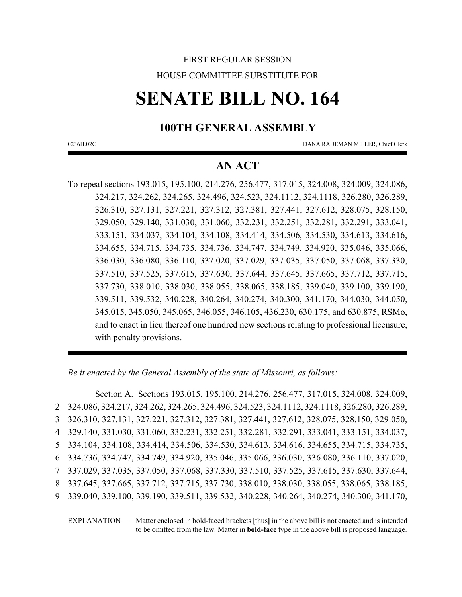## FIRST REGULAR SESSION HOUSE COMMITTEE SUBSTITUTE FOR

# **SENATE BILL NO. 164**

## **100TH GENERAL ASSEMBLY**

0236H.02C DANA RADEMAN MILLER, Chief Clerk

## **AN ACT**

To repeal sections 193.015, 195.100, 214.276, 256.477, 317.015, 324.008, 324.009, 324.086, 324.217, 324.262, 324.265, 324.496, 324.523, 324.1112, 324.1118, 326.280, 326.289, 326.310, 327.131, 327.221, 327.312, 327.381, 327.441, 327.612, 328.075, 328.150, 329.050, 329.140, 331.030, 331.060, 332.231, 332.251, 332.281, 332.291, 333.041, 333.151, 334.037, 334.104, 334.108, 334.414, 334.506, 334.530, 334.613, 334.616, 334.655, 334.715, 334.735, 334.736, 334.747, 334.749, 334.920, 335.046, 335.066, 336.030, 336.080, 336.110, 337.020, 337.029, 337.035, 337.050, 337.068, 337.330, 337.510, 337.525, 337.615, 337.630, 337.644, 337.645, 337.665, 337.712, 337.715, 337.730, 338.010, 338.030, 338.055, 338.065, 338.185, 339.040, 339.100, 339.190, 339.511, 339.532, 340.228, 340.264, 340.274, 340.300, 341.170, 344.030, 344.050, 345.015, 345.050, 345.065, 346.055, 346.105, 436.230, 630.175, and 630.875, RSMo, and to enact in lieu thereof one hundred new sections relating to professional licensure, with penalty provisions.

*Be it enacted by the General Assembly of the state of Missouri, as follows:*

Section A. Sections 193.015, 195.100, 214.276, 256.477, 317.015, 324.008, 324.009, 324.086, 324.217, 324.262, 324.265, 324.496, 324.523, 324.1112, 324.1118, 326.280, 326.289, 326.310, 327.131, 327.221, 327.312, 327.381, 327.441, 327.612, 328.075, 328.150, 329.050, 329.140, 331.030, 331.060, 332.231, 332.251, 332.281, 332.291, 333.041, 333.151, 334.037, 334.104, 334.108, 334.414, 334.506, 334.530, 334.613, 334.616, 334.655, 334.715, 334.735, 334.736, 334.747, 334.749, 334.920, 335.046, 335.066, 336.030, 336.080, 336.110, 337.020, 337.029, 337.035, 337.050, 337.068, 337.330, 337.510, 337.525, 337.615, 337.630, 337.644, 337.645, 337.665, 337.712, 337.715, 337.730, 338.010, 338.030, 338.055, 338.065, 338.185, 339.040, 339.100, 339.190, 339.511, 339.532, 340.228, 340.264, 340.274, 340.300, 341.170,

EXPLANATION — Matter enclosed in bold-faced brackets **[**thus**]** in the above bill is not enacted and is intended to be omitted from the law. Matter in **bold-face** type in the above bill is proposed language.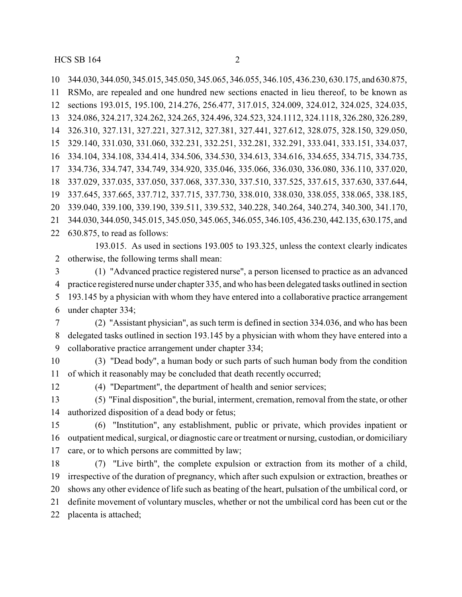344.030, 344.050, 345.015, 345.050, 345.065, 346.055, 346.105, 436.230, 630.175, and 630.875, RSMo, are repealed and one hundred new sections enacted in lieu thereof, to be known as sections 193.015, 195.100, 214.276, 256.477, 317.015, 324.009, 324.012, 324.025, 324.035, 324.086, 324.217, 324.262, 324.265, 324.496, 324.523, 324.1112, 324.1118, 326.280, 326.289, 326.310, 327.131, 327.221, 327.312, 327.381, 327.441, 327.612, 328.075, 328.150, 329.050, 329.140, 331.030, 331.060, 332.231, 332.251, 332.281, 332.291, 333.041, 333.151, 334.037, 334.104, 334.108, 334.414, 334.506, 334.530, 334.613, 334.616, 334.655, 334.715, 334.735, 334.736, 334.747, 334.749, 334.920, 335.046, 335.066, 336.030, 336.080, 336.110, 337.020, 337.029, 337.035, 337.050, 337.068, 337.330, 337.510, 337.525, 337.615, 337.630, 337.644, 337.645, 337.665, 337.712, 337.715, 337.730, 338.010, 338.030, 338.055, 338.065, 338.185, 339.040, 339.100, 339.190, 339.511, 339.532, 340.228, 340.264, 340.274, 340.300, 341.170, 344.030, 344.050, 345.015, 345.050, 345.065, 346.055, 346.105, 436.230, 442.135, 630.175, and 630.875, to read as follows:

193.015. As used in sections 193.005 to 193.325, unless the context clearly indicates otherwise, the following terms shall mean:

 (1) "Advanced practice registered nurse", a person licensed to practice as an advanced practice registered nurse under chapter 335, and who has been delegated tasks outlined in section 193.145 by a physician with whom they have entered into a collaborative practice arrangement under chapter 334;

 (2) "Assistant physician", as such term is defined in section 334.036, and who has been delegated tasks outlined in section 193.145 by a physician with whom they have entered into a collaborative practice arrangement under chapter 334;

 (3) "Dead body", a human body or such parts of such human body from the condition of which it reasonably may be concluded that death recently occurred;

(4) "Department", the department of health and senior services;

 (5) "Final disposition", the burial, interment, cremation, removal from the state, or other authorized disposition of a dead body or fetus;

 (6) "Institution", any establishment, public or private, which provides inpatient or outpatient medical, surgical, or diagnostic care or treatment or nursing, custodian, or domiciliary care, or to which persons are committed by law;

 (7) "Live birth", the complete expulsion or extraction from its mother of a child, irrespective of the duration of pregnancy, which after such expulsion or extraction, breathes or shows any other evidence of life such as beating of the heart, pulsation of the umbilical cord, or definite movement of voluntary muscles, whether or not the umbilical cord has been cut or the placenta is attached;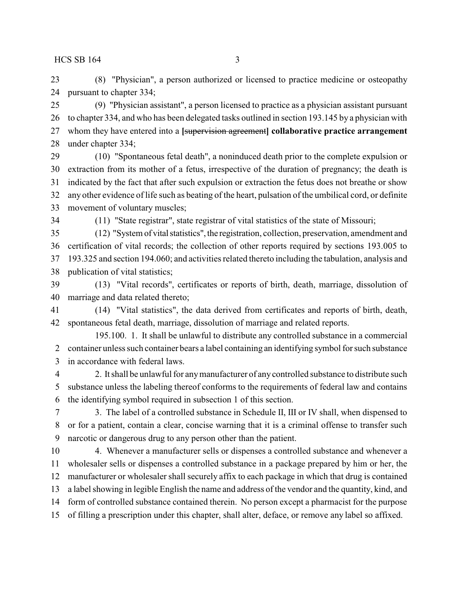(8) "Physician", a person authorized or licensed to practice medicine or osteopathy pursuant to chapter 334;

 (9) "Physician assistant", a person licensed to practice as a physician assistant pursuant to chapter 334, and who has been delegated tasks outlined in section 193.145 by a physician with whom they have entered into a **[**supervision agreement**] collaborative practice arrangement** under chapter 334;

 (10) "Spontaneous fetal death", a noninduced death prior to the complete expulsion or extraction from its mother of a fetus, irrespective of the duration of pregnancy; the death is indicated by the fact that after such expulsion or extraction the fetus does not breathe or show any other evidence of life such as beating of the heart, pulsation of the umbilical cord, or definite movement of voluntary muscles;

(11) "State registrar", state registrar of vital statistics of the state of Missouri;

 (12) "System of vitalstatistics", the registration, collection, preservation, amendment and certification of vital records; the collection of other reports required by sections 193.005 to 193.325 and section 194.060; and activities related thereto including the tabulation, analysis and publication of vital statistics;

 (13) "Vital records", certificates or reports of birth, death, marriage, dissolution of marriage and data related thereto;

 (14) "Vital statistics", the data derived from certificates and reports of birth, death, spontaneous fetal death, marriage, dissolution of marriage and related reports.

195.100. 1. It shall be unlawful to distribute any controlled substance in a commercial container unless such container bears a label containing an identifying symbol for such substance in accordance with federal laws.

 2. It shall be unlawful for anymanufacturer of any controlled substance to distribute such substance unless the labeling thereof conforms to the requirements of federal law and contains the identifying symbol required in subsection 1 of this section.

 3. The label of a controlled substance in Schedule II, III or IV shall, when dispensed to or for a patient, contain a clear, concise warning that it is a criminal offense to transfer such narcotic or dangerous drug to any person other than the patient.

 4. Whenever a manufacturer sells or dispenses a controlled substance and whenever a wholesaler sells or dispenses a controlled substance in a package prepared by him or her, the manufacturer or wholesaler shall securely affix to each package in which that drug is contained a label showing in legible English the name and address of the vendor and the quantity, kind, and form of controlled substance contained therein. No person except a pharmacist for the purpose

of filling a prescription under this chapter, shall alter, deface, or remove any label so affixed.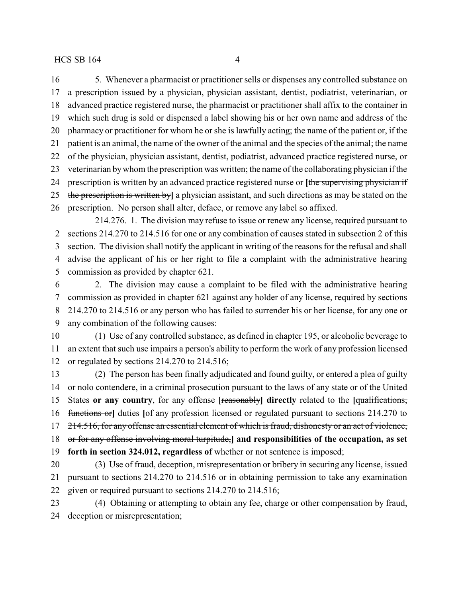5. Whenever a pharmacist or practitioner sells or dispenses any controlled substance on a prescription issued by a physician, physician assistant, dentist, podiatrist, veterinarian, or advanced practice registered nurse, the pharmacist or practitioner shall affix to the container in which such drug is sold or dispensed a label showing his or her own name and address of the pharmacy or practitioner for whom he or she is lawfully acting; the name of the patient or, if the patient is an animal, the name of the owner of the animal and the species of the animal; the name of the physician, physician assistant, dentist, podiatrist, advanced practice registered nurse, or veterinarian bywhom the prescription was written; the name of the collaborating physician if the prescription is written by an advanced practice registered nurse or **[**the supervising physician if the prescription is written by**]** a physician assistant, and such directions as may be stated on the prescription. No person shall alter, deface, or remove any label so affixed.

214.276. 1. The division may refuse to issue or renew any license, required pursuant to sections 214.270 to 214.516 for one or any combination of causes stated in subsection 2 of this section. The division shall notify the applicant in writing of the reasons for the refusal and shall advise the applicant of his or her right to file a complaint with the administrative hearing commission as provided by chapter 621.

 2. The division may cause a complaint to be filed with the administrative hearing commission as provided in chapter 621 against any holder of any license, required by sections 214.270 to 214.516 or any person who has failed to surrender his or her license, for any one or any combination of the following causes:

 (1) Use of any controlled substance, as defined in chapter 195, or alcoholic beverage to an extent that such use impairs a person's ability to perform the work of any profession licensed or regulated by sections 214.270 to 214.516;

 (2) The person has been finally adjudicated and found guilty, or entered a plea of guilty or nolo contendere, in a criminal prosecution pursuant to the laws of any state or of the United States **or any country**, for any offense **[**reasonably**] directly** related to the **[**qualifications, functions or**]** duties **[**of any profession licensed or regulated pursuant to sections 214.270 to 17 214.516, for any offense an essential element of which is fraud, dishonesty or an act of violence, or for any offense involving moral turpitude,**] and responsibilities of the occupation, as set forth in section 324.012, regardless of** whether or not sentence is imposed;

 (3) Use of fraud, deception, misrepresentation or bribery in securing any license, issued pursuant to sections 214.270 to 214.516 or in obtaining permission to take any examination given or required pursuant to sections 214.270 to 214.516;

 (4) Obtaining or attempting to obtain any fee, charge or other compensation by fraud, deception or misrepresentation;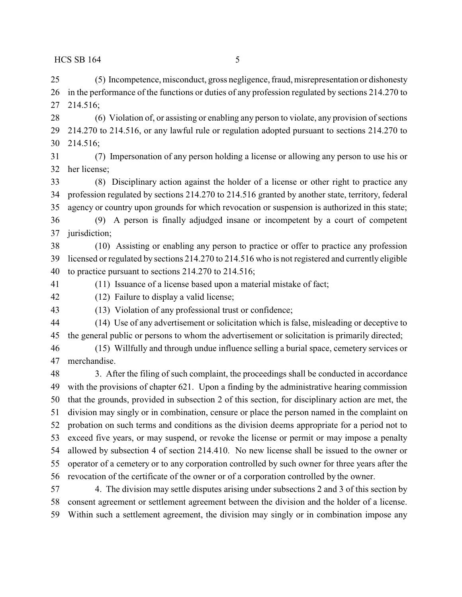(5) Incompetence, misconduct, gross negligence, fraud, misrepresentation or dishonesty in the performance of the functions or duties of any profession regulated by sections 214.270 to 214.516;

 (6) Violation of, or assisting or enabling any person to violate, any provision of sections 214.270 to 214.516, or any lawful rule or regulation adopted pursuant to sections 214.270 to 214.516;

 (7) Impersonation of any person holding a license or allowing any person to use his or her license;

 (8) Disciplinary action against the holder of a license or other right to practice any profession regulated by sections 214.270 to 214.516 granted by another state, territory, federal agency or country upon grounds for which revocation or suspension is authorized in this state;

 (9) A person is finally adjudged insane or incompetent by a court of competent jurisdiction;

 (10) Assisting or enabling any person to practice or offer to practice any profession licensed or regulated by sections 214.270 to 214.516 who is not registered and currently eligible to practice pursuant to sections 214.270 to 214.516;

(11) Issuance of a license based upon a material mistake of fact;

(12) Failure to display a valid license;

(13) Violation of any professional trust or confidence;

 (14) Use of any advertisement or solicitation which is false, misleading or deceptive to the general public or persons to whom the advertisement or solicitation is primarily directed;

 (15) Willfully and through undue influence selling a burial space, cemetery services or merchandise.

 3. After the filing of such complaint, the proceedings shall be conducted in accordance with the provisions of chapter 621. Upon a finding by the administrative hearing commission that the grounds, provided in subsection 2 of this section, for disciplinary action are met, the division may singly or in combination, censure or place the person named in the complaint on probation on such terms and conditions as the division deems appropriate for a period not to exceed five years, or may suspend, or revoke the license or permit or may impose a penalty allowed by subsection 4 of section 214.410. No new license shall be issued to the owner or operator of a cemetery or to any corporation controlled by such owner for three years after the revocation of the certificate of the owner or of a corporation controlled by the owner.

 4. The division may settle disputes arising under subsections 2 and 3 of this section by consent agreement or settlement agreement between the division and the holder of a license. Within such a settlement agreement, the division may singly or in combination impose any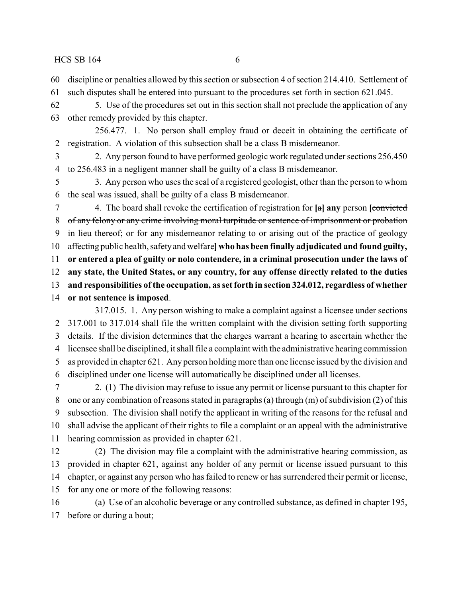- discipline or penalties allowed by this section or subsection 4 of section 214.410. Settlement of
- such disputes shall be entered into pursuant to the procedures set forth in section 621.045.
- 5. Use of the procedures set out in this section shall not preclude the application of any other remedy provided by this chapter.
- 256.477. 1. No person shall employ fraud or deceit in obtaining the certificate of registration. A violation of this subsection shall be a class B misdemeanor.
- 2. Any person found to have performed geologic work regulated under sections 256.450 to 256.483 in a negligent manner shall be guilty of a class B misdemeanor.
- 3. Any person who uses the seal of a registered geologist, other than the person to whom the seal was issued, shall be guilty of a class B misdemeanor.
- 4. The board shall revoke the certification of registration for **[**a**] any** person **[**convicted of any felony or any crime involving moral turpitude or sentence of imprisonment or probation in lieu thereof; or for any misdemeanor relating to or arising out of the practice of geology affecting public health, safetyand welfare**] who has been finally adjudicated and found guilty, or entered a plea of guilty or nolo contendere, in a criminal prosecution under the laws of any state, the United States, or any country, for any offense directly related to the duties and responsibilities of the occupation, as set forth in section 324.012, regardless of whether or not sentence is imposed**. 317.015. 1. Any person wishing to make a complaint against a licensee under sections
- 317.001 to 317.014 shall file the written complaint with the division setting forth supporting details. If the division determines that the charges warrant a hearing to ascertain whether the licensee shall be disciplined, it shall file a complaint with the administrative hearing commission as provided in chapter 621. Any person holding more than one license issued by the division and disciplined under one license will automatically be disciplined under all licenses.
- 2. (1) The division may refuse to issue any permit or license pursuant to this chapter for one or any combination of reasons stated in paragraphs (a) through (m) of subdivision (2) of this subsection. The division shall notify the applicant in writing of the reasons for the refusal and shall advise the applicant of their rights to file a complaint or an appeal with the administrative hearing commission as provided in chapter 621.
- (2) The division may file a complaint with the administrative hearing commission, as provided in chapter 621, against any holder of any permit or license issued pursuant to this chapter, or against any person who has failed to renew or has surrendered their permit or license, for any one or more of the following reasons:
- (a) Use of an alcoholic beverage or any controlled substance, as defined in chapter 195, before or during a bout;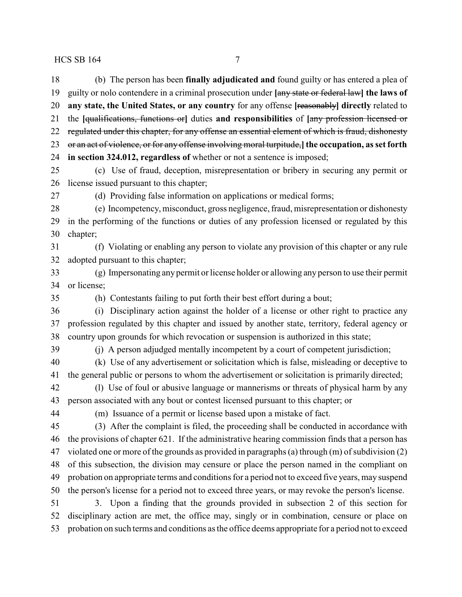(b) The person has been **finally adjudicated and** found guilty or has entered a plea of guilty or nolo contendere in a criminal prosecution under **[**any state or federal law**] the laws of any state, the United States, or any country** for any offense **[**reasonably**] directly** related to the **[**qualifications, functions or**]** duties **and responsibilities** of **[**any profession licensed or 22 regulated under this chapter, for any offense an essential element of which is fraud, dishonesty or an act of violence, or for any offense involving moral turpitude,**] the occupation, as set forth in section 324.012, regardless of** whether or not a sentence is imposed; (c) Use of fraud, deception, misrepresentation or bribery in securing any permit or license issued pursuant to this chapter; (d) Providing false information on applications or medical forms; (e) Incompetency, misconduct, gross negligence, fraud, misrepresentation or dishonesty in the performing of the functions or duties of any profession licensed or regulated by this chapter; (f) Violating or enabling any person to violate any provision of this chapter or any rule adopted pursuant to this chapter; (g) Impersonating any permit or license holder or allowing any person to use their permit or license; (h) Contestants failing to put forth their best effort during a bout; (i) Disciplinary action against the holder of a license or other right to practice any profession regulated by this chapter and issued by another state, territory, federal agency or country upon grounds for which revocation or suspension is authorized in this state; (j) A person adjudged mentally incompetent by a court of competent jurisdiction; (k) Use of any advertisement or solicitation which is false, misleading or deceptive to the general public or persons to whom the advertisement or solicitation is primarily directed; (l) Use of foul or abusive language or mannerisms or threats of physical harm by any person associated with any bout or contest licensed pursuant to this chapter; or (m) Issuance of a permit or license based upon a mistake of fact. (3) After the complaint is filed, the proceeding shall be conducted in accordance with the provisions of chapter 621. If the administrative hearing commission finds that a person has violated one or more of the grounds as provided in paragraphs (a) through (m) of subdivision (2) of this subsection, the division may censure or place the person named in the compliant on probation on appropriate terms and conditions for a period not to exceed five years, may suspend the person's license for a period not to exceed three years, or may revoke the person's license. 3. Upon a finding that the grounds provided in subsection 2 of this section for disciplinary action are met, the office may, singly or in combination, censure or place on probation on such terms and conditions as the office deems appropriate for a period not to exceed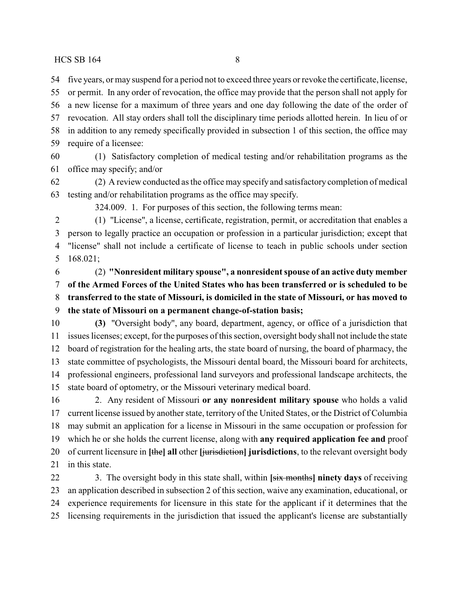five years, or may suspend for a period not to exceed three years or revoke the certificate, license,

 or permit. In any order of revocation, the office may provide that the person shall not apply for a new license for a maximum of three years and one day following the date of the order of revocation. All stay orders shall toll the disciplinary time periods allotted herein. In lieu of or in addition to any remedy specifically provided in subsection 1 of this section, the office may

require of a licensee:

 (1) Satisfactory completion of medical testing and/or rehabilitation programs as the office may specify; and/or

 (2) A review conducted as the office may specify and satisfactory completion of medical testing and/or rehabilitation programs as the office may specify.

324.009. 1. For purposes of this section, the following terms mean:

 (1) "License", a license, certificate, registration, permit, or accreditation that enables a person to legally practice an occupation or profession in a particular jurisdiction; except that "license" shall not include a certificate of license to teach in public schools under section 168.021;

 (2) **"Nonresident military spouse", a nonresident spouse of an active duty member of the Armed Forces of the United States who has been transferred or is scheduled to be transferred to the state of Missouri, is domiciled in the state of Missouri, or has moved to**

## **the state of Missouri on a permanent change-of-station basis;**

 **(3)** "Oversight body", any board, department, agency, or office of a jurisdiction that issues licenses; except, for the purposes of this section, oversight body shall not include the state board of registration for the healing arts, the state board of nursing, the board of pharmacy, the state committee of psychologists, the Missouri dental board, the Missouri board for architects, professional engineers, professional land surveyors and professional landscape architects, the state board of optometry, or the Missouri veterinary medical board.

 2. Any resident of Missouri **or any nonresident military spouse** who holds a valid current license issued by another state, territory of the United States, or the District of Columbia may submit an application for a license in Missouri in the same occupation or profession for which he or she holds the current license, along with **any required application fee and** proof of current licensure in **[**the**] all** other **[**jurisdiction**] jurisdictions**, to the relevant oversight body 21 in this state.

 3. The oversight body in this state shall, within **[**six months**] ninety days** of receiving an application described in subsection 2 of this section, waive any examination, educational, or experience requirements for licensure in this state for the applicant if it determines that the licensing requirements in the jurisdiction that issued the applicant's license are substantially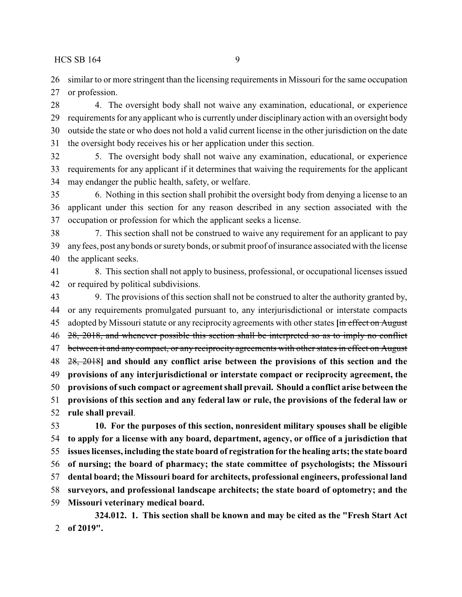similar to or more stringent than the licensing requirements in Missouri for the same occupation 27 or profession.

 4. The oversight body shall not waive any examination, educational, or experience requirements for any applicant who is currently under disciplinary action with an oversight body outside the state or who does not hold a valid current license in the other jurisdiction on the date the oversight body receives his or her application under this section.

 5. The oversight body shall not waive any examination, educational, or experience requirements for any applicant if it determines that waiving the requirements for the applicant may endanger the public health, safety, or welfare.

 6. Nothing in this section shall prohibit the oversight body from denying a license to an applicant under this section for any reason described in any section associated with the occupation or profession for which the applicant seeks a license.

 7. This section shall not be construed to waive any requirement for an applicant to pay anyfees, post any bonds or surety bonds, or submit proof of insurance associated with the license the applicant seeks.

 8. This section shall not apply to business, professional, or occupational licenses issued or required by political subdivisions.

 9. The provisions of this section shall not be construed to alter the authority granted by, or any requirements promulgated pursuant to, any interjurisdictional or interstate compacts adopted by Missouri statute or any reciprocity agreements with other states **[**in effect on August 46 28, 2018, and whenever possible this section shall be interpreted so as to imply no conflict 47 between it and any compact, or any reciprocity agreements with other states in effect on August 28, 2018**] and should any conflict arise between the provisions of this section and the provisions of any interjurisdictional or interstate compact or reciprocity agreement, the provisions ofsuch compact or agreement shall prevail. Should a conflict arise between the provisions of this section and any federal law or rule, the provisions of the federal law or rule shall prevail**.

 **10. For the purposes of this section, nonresident military spouses shall be eligible to apply for a license with any board, department, agency, or office of a jurisdiction that issues licenses, including the state board of registration for the healing arts; the state board of nursing; the board of pharmacy; the state committee of psychologists; the Missouri dental board; the Missouri board for architects, professional engineers, professional land surveyors, and professional landscape architects; the state board of optometry; and the Missouri veterinary medical board.**

**324.012. 1. This section shall be known and may be cited as the "Fresh Start Act of 2019".**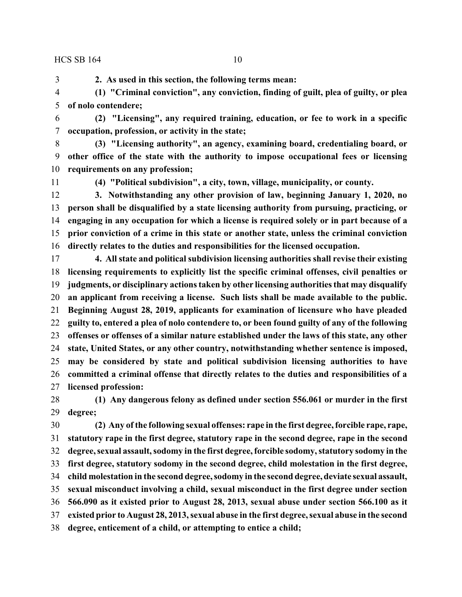**2. As used in this section, the following terms mean:**

 **(1) "Criminal conviction", any conviction, finding of guilt, plea of guilty, or plea of nolo contendere;**

 **(2) "Licensing", any required training, education, or fee to work in a specific occupation, profession, or activity in the state;**

 **(3) "Licensing authority", an agency, examining board, credentialing board, or other office of the state with the authority to impose occupational fees or licensing requirements on any profession;**

**(4) "Political subdivision", a city, town, village, municipality, or county.**

 **3. Notwithstanding any other provision of law, beginning January 1, 2020, no person shall be disqualified by a state licensing authority from pursuing, practicing, or engaging in any occupation for which a license is required solely or in part because of a prior conviction of a crime in this state or another state, unless the criminal conviction directly relates to the duties and responsibilities for the licensed occupation.**

 **4. All state and political subdivision licensing authorities shall revise their existing licensing requirements to explicitly list the specific criminal offenses, civil penalties or judgments, or disciplinary actions taken by other licensing authorities that may disqualify an applicant from receiving a license. Such lists shall be made available to the public. Beginning August 28, 2019, applicants for examination of licensure who have pleaded guilty to, entered a plea of nolo contendere to, or been found guilty of any of the following offenses or offenses of a similar nature established under the laws of this state, any other state, United States, or any other country, notwithstanding whether sentence is imposed, may be considered by state and political subdivision licensing authorities to have committed a criminal offense that directly relates to the duties and responsibilities of a licensed profession:**

 **(1) Any dangerous felony as defined under section 556.061 or murder in the first degree;**

 **(2) Any of the following sexual offenses: rape in the first degree, forcible rape, rape, statutory rape in the first degree, statutory rape in the second degree, rape in the second degree, sexual assault, sodomy in the first degree, forcible sodomy, statutory sodomy in the first degree, statutory sodomy in the second degree, child molestation in the first degree, child molestation in the second degree, sodomy in the second degree, deviate sexual assault, sexual misconduct involving a child, sexual misconduct in the first degree under section 566.090 as it existed prior to August 28, 2013, sexual abuse under section 566.100 as it existed prior to August 28, 2013, sexual abuse in the first degree, sexual abuse in the second degree, enticement of a child, or attempting to entice a child;**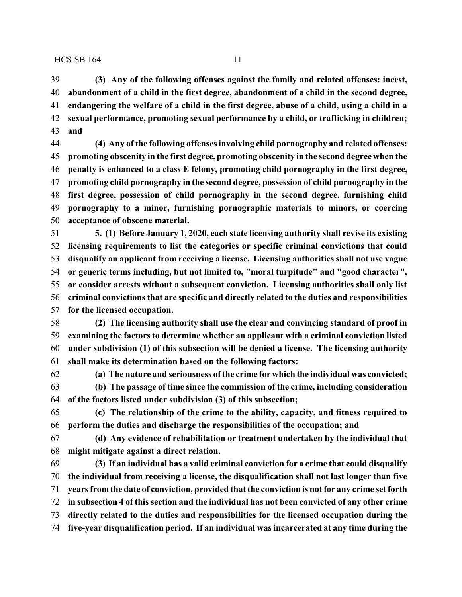**(3) Any of the following offenses against the family and related offenses: incest, abandonment of a child in the first degree, abandonment of a child in the second degree, endangering the welfare of a child in the first degree, abuse of a child, using a child in a sexual performance, promoting sexual performance by a child, or trafficking in children;**

**and**

 **(4) Any of the following offenses involving child pornography and related offenses: promoting obscenity in the first degree, promoting obscenity in the second degree when the penalty is enhanced to a class E felony, promoting child pornography in the first degree, promoting child pornography in the second degree, possession of child pornography in the first degree, possession of child pornography in the second degree, furnishing child pornography to a minor, furnishing pornographic materials to minors, or coercing acceptance of obscene material.**

 **5. (1) Before January 1, 2020, each state licensing authority shall revise its existing licensing requirements to list the categories or specific criminal convictions that could disqualify an applicant from receiving a license. Licensing authorities shall not use vague or generic terms including, but not limited to, "moral turpitude" and "good character", or consider arrests without a subsequent conviction. Licensing authorities shall only list criminal convictions that are specific and directly related to the duties and responsibilities for the licensed occupation.**

 **(2) The licensing authority shall use the clear and convincing standard of proof in examining the factors to determine whether an applicant with a criminal conviction listed under subdivision (1) of this subsection will be denied a license. The licensing authority shall make its determination based on the following factors:**

**(a) The nature and seriousness of the crime for which the individual was convicted;**

 **(b) The passage of time since the commission of the crime, including consideration of the factors listed under subdivision (3) of this subsection;**

 **(c) The relationship of the crime to the ability, capacity, and fitness required to perform the duties and discharge the responsibilities of the occupation; and**

 **(d) Any evidence of rehabilitation or treatment undertaken by the individual that might mitigate against a direct relation.**

 **(3) If an individual has a valid criminal conviction for a crime that could disqualify the individual from receiving a license, the disqualification shall not last longer than five years fromthe date of conviction, provided that the conviction is not for any crime set forth in subsection 4 of this section and the individual has not been convicted of any other crime directly related to the duties and responsibilities for the licensed occupation during the five-year disqualification period. If an individual was incarcerated at any time during the**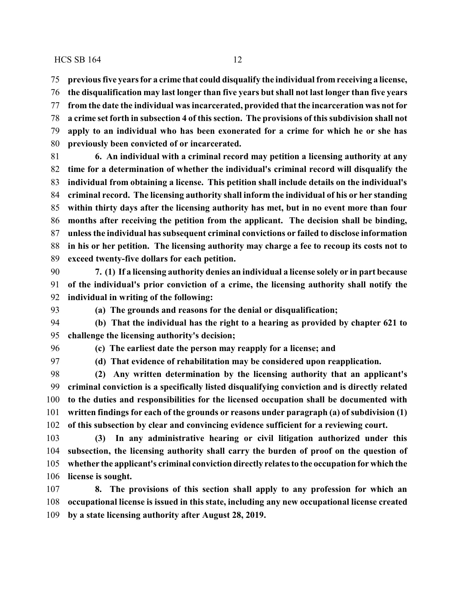**previous five years for a crime that could disqualify the individual from receiving a license,**

 **the disqualification may last longer than five years but shall not last longer than five years from the date the individual was incarcerated, provided that the incarceration was not for a crime set forth in subsection 4 of this section. The provisions of this subdivision shall not apply to an individual who has been exonerated for a crime for which he or she has previously been convicted of or incarcerated.**

 **6. An individual with a criminal record may petition a licensing authority at any time for a determination of whether the individual's criminal record will disqualify the individual from obtaining a license. This petition shall include details on the individual's criminal record. The licensing authority shall inform the individual of his or her standing within thirty days after the licensing authority has met, but in no event more than four months after receiving the petition from the applicant. The decision shall be binding, unless the individual has subsequent criminal convictions or failed to disclose information in his or her petition. The licensing authority may charge a fee to recoup its costs not to exceed twenty-five dollars for each petition.**

 **7. (1) If a licensing authority denies an individual a license solely or in part because of the individual's prior conviction of a crime, the licensing authority shall notify the individual in writing of the following:**

**(a) The grounds and reasons for the denial or disqualification;**

 **(b) That the individual has the right to a hearing as provided by chapter 621 to challenge the licensing authority's decision;**

**(c) The earliest date the person may reapply for a license; and**

**(d) That evidence of rehabilitation may be considered upon reapplication.**

 **(2) Any written determination by the licensing authority that an applicant's criminal conviction is a specifically listed disqualifying conviction and is directly related to the duties and responsibilities for the licensed occupation shall be documented with written findings for each of the grounds or reasons under paragraph (a) of subdivision (1) of this subsection by clear and convincing evidence sufficient for a reviewing court.**

 **(3) In any administrative hearing or civil litigation authorized under this subsection, the licensing authority shall carry the burden of proof on the question of whether the applicant's criminal conviction directly relates to the occupation for which the license is sought.**

 **8. The provisions of this section shall apply to any profession for which an occupational license is issued in this state, including any new occupational license created by a state licensing authority after August 28, 2019.**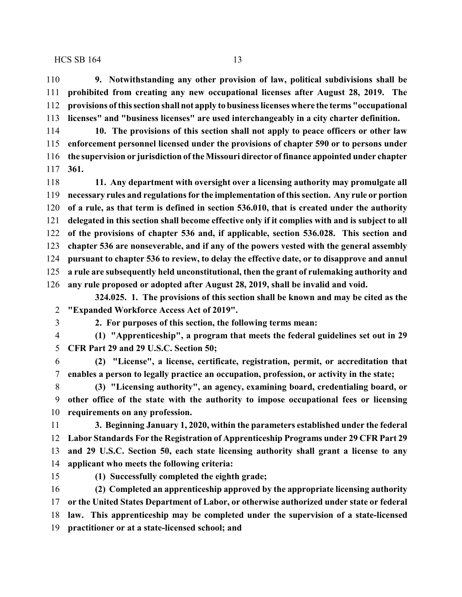**9. Notwithstanding any other provision of law, political subdivisions shall be prohibited from creating any new occupational licenses after August 28, 2019. The provisions ofthis section shall not apply to business licenses where the terms "occupational licenses" and "business licenses" are used interchangeably in a city charter definition.**

 **10. The provisions of this section shall not apply to peace officers or other law enforcement personnel licensed under the provisions of chapter 590 or to persons under the supervision or jurisdiction of the Missouri director of finance appointed under chapter 361.**

 **11. Any department with oversight over a licensing authority may promulgate all necessary rules and regulations for the implementation of this section. Any rule or portion of a rule, as that term is defined in section 536.010, that is created under the authority delegated in this section shall become effective only if it complies with and is subject to all of the provisions of chapter 536 and, if applicable, section 536.028. This section and chapter 536 are nonseverable, and if any of the powers vested with the general assembly pursuant to chapter 536 to review, to delay the effective date, or to disapprove and annul a rule are subsequently held unconstitutional, then the grant of rulemaking authority and any rule proposed or adopted after August 28, 2019, shall be invalid and void.**

**324.025. 1. The provisions of this section shall be known and may be cited as the "Expanded Workforce Access Act of 2019".**

**2. For purposes of this section, the following terms mean:**

 **(1) "Apprenticeship", a program that meets the federal guidelines set out in 29 CFR Part 29 and 29 U.S.C. Section 50;**

 **(2) "License", a license, certificate, registration, permit, or accreditation that enables a person to legally practice an occupation, profession, or activity in the state;**

 **(3) "Licensing authority", an agency, examining board, credentialing board, or other office of the state with the authority to impose occupational fees or licensing requirements on any profession.**

 **3. Beginning January 1, 2020, within the parameters established under the federal Labor Standards For the Registration of Apprenticeship Programs under 29 CFR Part 29 and 29 U.S.C. Section 50, each state licensing authority shall grant a license to any applicant who meets the following criteria:**

**(1) Successfully completed the eighth grade;**

 **(2) Completed an apprenticeship approved by the appropriate licensing authority or the United States Department of Labor, or otherwise authorized under state or federal law. This apprenticeship may be completed under the supervision of a state-licensed practitioner or at a state-licensed school; and**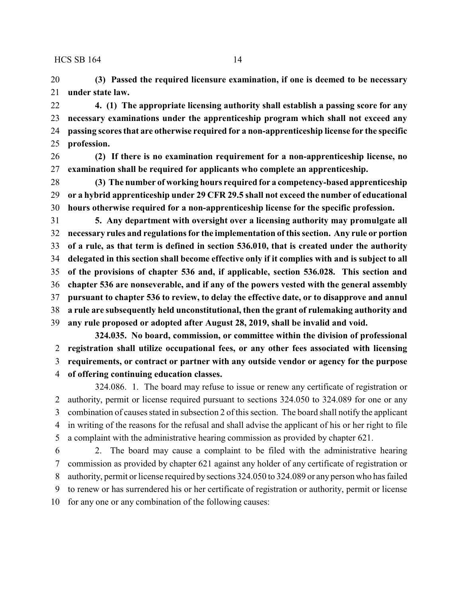**(3) Passed the required licensure examination, if one is deemed to be necessary under state law.**

 **4. (1) The appropriate licensing authority shall establish a passing score for any necessary examinations under the apprenticeship program which shall not exceed any passing scores that are otherwise required for a non-apprenticeship license for the specific profession.**

 **(2) If there is no examination requirement for a non-apprenticeship license, no examination shall be required for applicants who complete an apprenticeship.**

 **(3) The number of working hours required for a competency-based apprenticeship or a hybrid apprenticeship under 29 CFR 29.5 shall not exceed the number of educational hours otherwise required for a non-apprenticeship license for the specific profession.**

 **5. Any department with oversight over a licensing authority may promulgate all necessary rules and regulations for the implementation of this section. Any rule or portion of a rule, as that term is defined in section 536.010, that is created under the authority delegated in this section shall become effective only if it complies with and is subject to all of the provisions of chapter 536 and, if applicable, section 536.028. This section and chapter 536 are nonseverable, and if any of the powers vested with the general assembly pursuant to chapter 536 to review, to delay the effective date, or to disapprove and annul a rule are subsequently held unconstitutional, then the grant of rulemaking authority and any rule proposed or adopted after August 28, 2019, shall be invalid and void.**

**324.035. No board, commission, or committee within the division of professional registration shall utilize occupational fees, or any other fees associated with licensing requirements, or contract or partner with any outside vendor or agency for the purpose**

**of offering continuing education classes.**

324.086. 1. The board may refuse to issue or renew any certificate of registration or authority, permit or license required pursuant to sections 324.050 to 324.089 for one or any combination of causes stated in subsection 2 of this section. The board shall notify the applicant in writing of the reasons for the refusal and shall advise the applicant of his or her right to file a complaint with the administrative hearing commission as provided by chapter 621.

 2. The board may cause a complaint to be filed with the administrative hearing commission as provided by chapter 621 against any holder of any certificate of registration or authority, permit or license required by sections 324.050 to 324.089 or any person who has failed to renew or has surrendered his or her certificate of registration or authority, permit or license for any one or any combination of the following causes: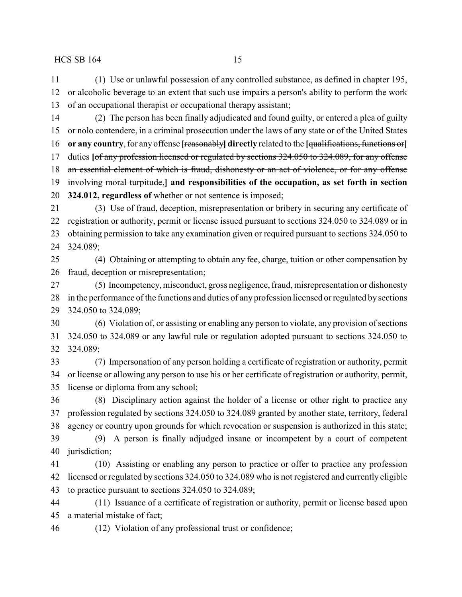(1) Use or unlawful possession of any controlled substance, as defined in chapter 195, or alcoholic beverage to an extent that such use impairs a person's ability to perform the work of an occupational therapist or occupational therapy assistant;

 (2) The person has been finally adjudicated and found guilty, or entered a plea of guilty or nolo contendere, in a criminal prosecution under the laws of any state or of the United States **or any country**,for any offense **[**reasonably**] directly** related to the **[**qualifications, functions or**]** duties **[**of any profession licensed or regulated by sections 324.050 to 324.089, for any offense 18 an essential element of which is fraud, dishonesty or an act of violence, or for any offense involving moral turpitude,**] and responsibilities of the occupation, as set forth in section 324.012, regardless of** whether or not sentence is imposed;

 (3) Use of fraud, deception, misrepresentation or bribery in securing any certificate of registration or authority, permit or license issued pursuant to sections 324.050 to 324.089 or in obtaining permission to take any examination given or required pursuant to sections 324.050 to 324.089;

 (4) Obtaining or attempting to obtain any fee, charge, tuition or other compensation by fraud, deception or misrepresentation;

 (5) Incompetency, misconduct, gross negligence, fraud, misrepresentation or dishonesty in the performance of the functions and duties of any profession licensed or regulated by sections 324.050 to 324.089;

 (6) Violation of, or assisting or enabling any person to violate, any provision of sections 324.050 to 324.089 or any lawful rule or regulation adopted pursuant to sections 324.050 to 324.089;

 (7) Impersonation of any person holding a certificate of registration or authority, permit or license or allowing any person to use his or her certificate of registration or authority, permit, license or diploma from any school;

 (8) Disciplinary action against the holder of a license or other right to practice any profession regulated by sections 324.050 to 324.089 granted by another state, territory, federal agency or country upon grounds for which revocation or suspension is authorized in this state;

 (9) A person is finally adjudged insane or incompetent by a court of competent jurisdiction;

 (10) Assisting or enabling any person to practice or offer to practice any profession licensed or regulated by sections 324.050 to 324.089 who is not registered and currently eligible to practice pursuant to sections 324.050 to 324.089;

 (11) Issuance of a certificate of registration or authority, permit or license based upon a material mistake of fact;

(12) Violation of any professional trust or confidence;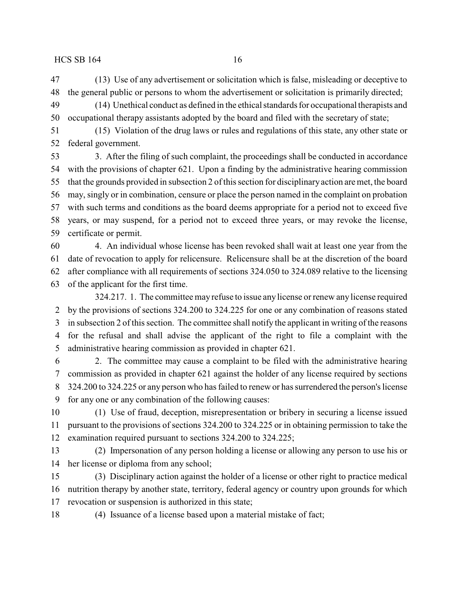(13) Use of any advertisement or solicitation which is false, misleading or deceptive to the general public or persons to whom the advertisement or solicitation is primarily directed;

 (14) Unethical conduct as defined in the ethical standards for occupational therapists and occupational therapy assistants adopted by the board and filed with the secretary of state;

 (15) Violation of the drug laws or rules and regulations of this state, any other state or federal government.

 3. After the filing of such complaint, the proceedings shall be conducted in accordance with the provisions of chapter 621. Upon a finding by the administrative hearing commission that the grounds provided in subsection 2 of this section for disciplinaryaction are met, the board may, singly or in combination, censure or place the person named in the complaint on probation with such terms and conditions as the board deems appropriate for a period not to exceed five years, or may suspend, for a period not to exceed three years, or may revoke the license, certificate or permit.

 4. An individual whose license has been revoked shall wait at least one year from the date of revocation to apply for relicensure. Relicensure shall be at the discretion of the board after compliance with all requirements of sections 324.050 to 324.089 relative to the licensing

of the applicant for the first time.

324.217. 1. The committee may refuse to issue any license or renew any license required by the provisions of sections 324.200 to 324.225 for one or any combination of reasons stated in subsection 2 of this section. The committee shall notify the applicant in writing of the reasons for the refusal and shall advise the applicant of the right to file a complaint with the administrative hearing commission as provided in chapter 621.

 2. The committee may cause a complaint to be filed with the administrative hearing commission as provided in chapter 621 against the holder of any license required by sections 324.200 to 324.225 or any person who has failed to renew or has surrendered the person's license for any one or any combination of the following causes:

 (1) Use of fraud, deception, misrepresentation or bribery in securing a license issued pursuant to the provisions of sections 324.200 to 324.225 or in obtaining permission to take the examination required pursuant to sections 324.200 to 324.225;

 (2) Impersonation of any person holding a license or allowing any person to use his or her license or diploma from any school;

 (3) Disciplinary action against the holder of a license or other right to practice medical nutrition therapy by another state, territory, federal agency or country upon grounds for which revocation or suspension is authorized in this state;

(4) Issuance of a license based upon a material mistake of fact;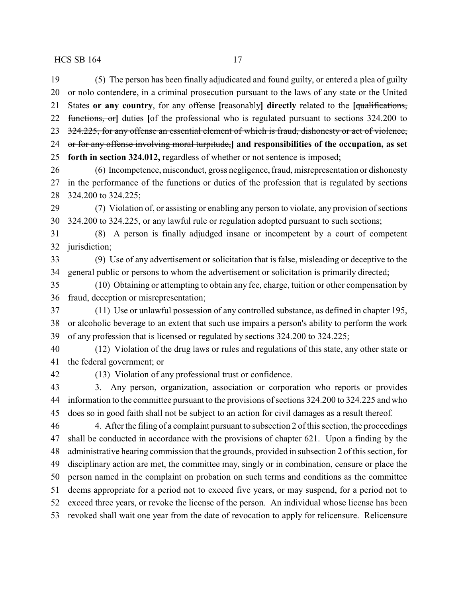(5) The person has been finally adjudicated and found guilty, or entered a plea of guilty or nolo contendere, in a criminal prosecution pursuant to the laws of any state or the United States **or any country**, for any offense **[**reasonably**] directly** related to the **[**qualifications, functions, or**]** duties **[**of the professional who is regulated pursuant to sections 324.200 to 23 324.225, for any offense an essential element of which is fraud, dishonesty or act of violence, or for any offense involving moral turpitude,**] and responsibilities of the occupation, as set forth in section 324.012,** regardless of whether or not sentence is imposed; (6) Incompetence, misconduct, gross negligence, fraud, misrepresentation or dishonesty in the performance of the functions or duties of the profession that is regulated by sections 324.200 to 324.225; (7) Violation of, or assisting or enabling any person to violate, any provision of sections 324.200 to 324.225, or any lawful rule or regulation adopted pursuant to such sections; (8) A person is finally adjudged insane or incompetent by a court of competent

jurisdiction;

 (9) Use of any advertisement or solicitation that is false, misleading or deceptive to the general public or persons to whom the advertisement or solicitation is primarily directed;

 (10) Obtaining or attempting to obtain any fee, charge, tuition or other compensation by fraud, deception or misrepresentation;

 (11) Use or unlawful possession of any controlled substance, as defined in chapter 195, or alcoholic beverage to an extent that such use impairs a person's ability to perform the work of any profession that is licensed or regulated by sections 324.200 to 324.225;

 (12) Violation of the drug laws or rules and regulations of this state, any other state or the federal government; or

(13) Violation of any professional trust or confidence.

 3. Any person, organization, association or corporation who reports or provides information to the committee pursuant to the provisions of sections 324.200 to 324.225 and who does so in good faith shall not be subject to an action for civil damages as a result thereof.

 4. After the filing of a complaint pursuant to subsection 2 of this section, the proceedings shall be conducted in accordance with the provisions of chapter 621. Upon a finding by the administrative hearing commission that the grounds, provided in subsection 2 of this section, for disciplinary action are met, the committee may, singly or in combination, censure or place the person named in the complaint on probation on such terms and conditions as the committee deems appropriate for a period not to exceed five years, or may suspend, for a period not to exceed three years, or revoke the license of the person. An individual whose license has been revoked shall wait one year from the date of revocation to apply for relicensure. Relicensure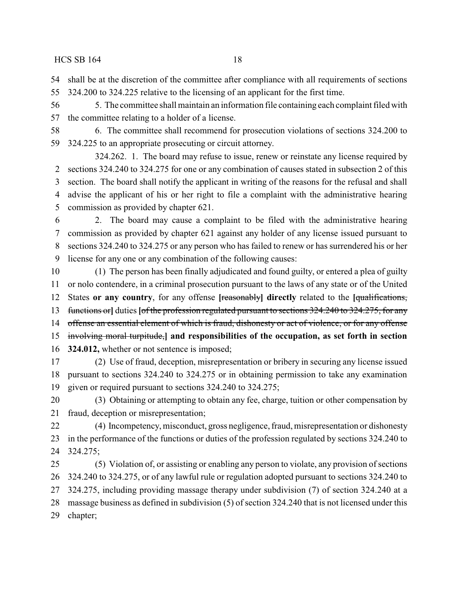shall be at the discretion of the committee after compliance with all requirements of sections

324.200 to 324.225 relative to the licensing of an applicant for the first time.

 5. The committee shall maintain an information file containing each complaint filed with the committee relating to a holder of a license.

 6. The committee shall recommend for prosecution violations of sections 324.200 to 324.225 to an appropriate prosecuting or circuit attorney.

324.262. 1. The board may refuse to issue, renew or reinstate any license required by sections 324.240 to 324.275 for one or any combination of causes stated in subsection 2 of this section. The board shall notify the applicant in writing of the reasons for the refusal and shall advise the applicant of his or her right to file a complaint with the administrative hearing commission as provided by chapter 621.

 2. The board may cause a complaint to be filed with the administrative hearing commission as provided by chapter 621 against any holder of any license issued pursuant to sections 324.240 to 324.275 or any person who has failed to renew or has surrendered his or her license for any one or any combination of the following causes:

 (1) The person has been finally adjudicated and found guilty, or entered a plea of guilty or nolo contendere, in a criminal prosecution pursuant to the laws of any state or of the United States **or any country**, for any offense **[**reasonably**] directly** related to the **[**qualifications, functions or**]** duties **[**of the profession regulated pursuant to sections 324.240 to 324.275, for any 14 offense an essential element of which is fraud, dishonesty or act of violence, or for any offense involving moral turpitude,**] and responsibilities of the occupation, as set forth in section 324.012,** whether or not sentence is imposed;

 (2) Use of fraud, deception, misrepresentation or bribery in securing any license issued pursuant to sections 324.240 to 324.275 or in obtaining permission to take any examination given or required pursuant to sections 324.240 to 324.275;

 (3) Obtaining or attempting to obtain any fee, charge, tuition or other compensation by fraud, deception or misrepresentation;

 (4) Incompetency, misconduct, gross negligence, fraud, misrepresentation or dishonesty in the performance of the functions or duties of the profession regulated by sections 324.240 to 324.275;

 (5) Violation of, or assisting or enabling any person to violate, any provision of sections 324.240 to 324.275, or of any lawful rule or regulation adopted pursuant to sections 324.240 to 324.275, including providing massage therapy under subdivision (7) of section 324.240 at a massage business as defined in subdivision (5) of section 324.240 that is not licensed under this chapter;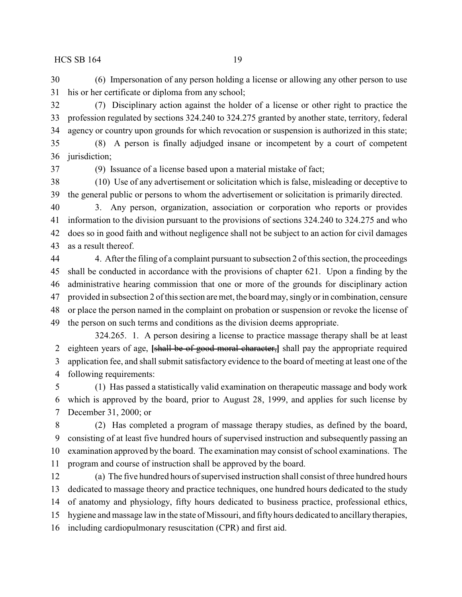(6) Impersonation of any person holding a license or allowing any other person to use his or her certificate or diploma from any school;

 (7) Disciplinary action against the holder of a license or other right to practice the profession regulated by sections 324.240 to 324.275 granted by another state, territory, federal agency or country upon grounds for which revocation or suspension is authorized in this state;

 (8) A person is finally adjudged insane or incompetent by a court of competent jurisdiction;

(9) Issuance of a license based upon a material mistake of fact;

 (10) Use of any advertisement or solicitation which is false, misleading or deceptive to the general public or persons to whom the advertisement or solicitation is primarily directed.

 3. Any person, organization, association or corporation who reports or provides information to the division pursuant to the provisions of sections 324.240 to 324.275 and who does so in good faith and without negligence shall not be subject to an action for civil damages as a result thereof.

 4. After the filing of a complaint pursuant to subsection 2 of this section, the proceedings shall be conducted in accordance with the provisions of chapter 621. Upon a finding by the administrative hearing commission that one or more of the grounds for disciplinary action provided in subsection 2 of this section are met, the board may, singly or in combination, censure or place the person named in the complaint on probation or suspension or revoke the license of the person on such terms and conditions as the division deems appropriate.

324.265. 1. A person desiring a license to practice massage therapy shall be at least eighteen years of age, **[**shall be of good moral character,**]** shall pay the appropriate required application fee, and shall submit satisfactory evidence to the board of meeting at least one of the following requirements:

 (1) Has passed a statistically valid examination on therapeutic massage and body work which is approved by the board, prior to August 28, 1999, and applies for such license by December 31, 2000; or

 (2) Has completed a program of massage therapy studies, as defined by the board, consisting of at least five hundred hours of supervised instruction and subsequently passing an examination approved by the board. The examination may consist of school examinations. The program and course of instruction shall be approved by the board.

 (a) The five hundred hours of supervised instruction shall consist of three hundred hours dedicated to massage theory and practice techniques, one hundred hours dedicated to the study of anatomy and physiology, fifty hours dedicated to business practice, professional ethics, hygiene and massage law in the state of Missouri, and fifty hours dedicated to ancillarytherapies, including cardiopulmonary resuscitation (CPR) and first aid.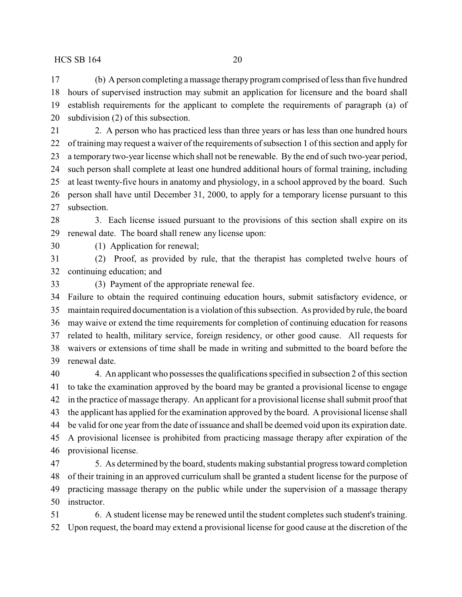(b) A person completing a massage therapy program comprised of less than five hundred hours of supervised instruction may submit an application for licensure and the board shall establish requirements for the applicant to complete the requirements of paragraph (a) of subdivision (2) of this subsection.

 2. A person who has practiced less than three years or has less than one hundred hours of training may request a waiver of the requirements of subsection 1 of this section and apply for a temporary two-year license which shall not be renewable. By the end of such two-year period, such person shall complete at least one hundred additional hours of formal training, including at least twenty-five hours in anatomy and physiology, in a school approved by the board. Such person shall have until December 31, 2000, to apply for a temporary license pursuant to this subsection.

28 3. Each license issued pursuant to the provisions of this section shall expire on its renewal date. The board shall renew any license upon:

(1) Application for renewal;

 (2) Proof, as provided by rule, that the therapist has completed twelve hours of continuing education; and

(3) Payment of the appropriate renewal fee.

 Failure to obtain the required continuing education hours, submit satisfactory evidence, or maintain required documentation is a violation of this subsection. As provided by rule, the board may waive or extend the time requirements for completion of continuing education for reasons related to health, military service, foreign residency, or other good cause. All requests for waivers or extensions of time shall be made in writing and submitted to the board before the renewal date.

 4. An applicant who possesses the qualifications specified in subsection 2 of this section to take the examination approved by the board may be granted a provisional license to engage in the practice of massage therapy. An applicant for a provisional license shall submit proof that the applicant has applied for the examination approved by the board. A provisional license shall be valid for one year from the date of issuance and shall be deemed void upon its expiration date. A provisional licensee is prohibited from practicing massage therapy after expiration of the provisional license.

 5. As determined by the board, students making substantial progress toward completion of their training in an approved curriculum shall be granted a student license for the purpose of practicing massage therapy on the public while under the supervision of a massage therapy instructor.

 6. A student license may be renewed until the student completes such student's training. Upon request, the board may extend a provisional license for good cause at the discretion of the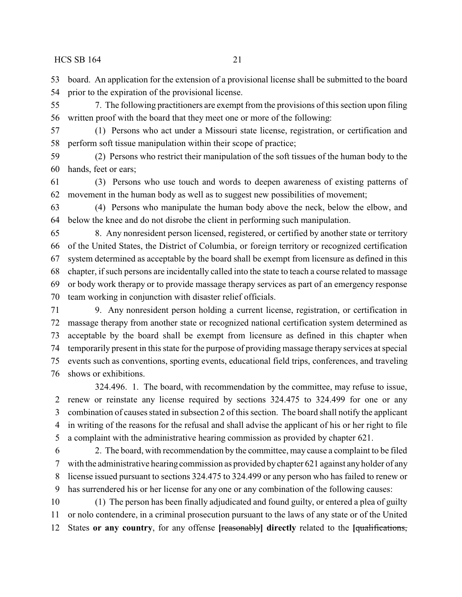board. An application for the extension of a provisional license shall be submitted to the board prior to the expiration of the provisional license.

 7. The following practitioners are exempt from the provisions of this section upon filing written proof with the board that they meet one or more of the following:

 (1) Persons who act under a Missouri state license, registration, or certification and perform soft tissue manipulation within their scope of practice;

 (2) Persons who restrict their manipulation of the soft tissues of the human body to the hands, feet or ears;

 (3) Persons who use touch and words to deepen awareness of existing patterns of movement in the human body as well as to suggest new possibilities of movement;

 (4) Persons who manipulate the human body above the neck, below the elbow, and below the knee and do not disrobe the client in performing such manipulation.

 8. Any nonresident person licensed, registered, or certified by another state or territory of the United States, the District of Columbia, or foreign territory or recognized certification system determined as acceptable by the board shall be exempt from licensure as defined in this chapter, if such persons are incidentally called into the state to teach a course related to massage or body work therapy or to provide massage therapy services as part of an emergency response team working in conjunction with disaster relief officials.

 9. Any nonresident person holding a current license, registration, or certification in massage therapy from another state or recognized national certification system determined as acceptable by the board shall be exempt from licensure as defined in this chapter when temporarily present in this state for the purpose of providing massage therapy services at special events such as conventions, sporting events, educational field trips, conferences, and traveling shows or exhibitions.

324.496. 1. The board, with recommendation by the committee, may refuse to issue, renew or reinstate any license required by sections 324.475 to 324.499 for one or any combination of causes stated in subsection 2 of this section. The board shall notify the applicant in writing of the reasons for the refusal and shall advise the applicant of his or her right to file a complaint with the administrative hearing commission as provided by chapter 621.

 2. The board, with recommendation by the committee, may cause a complaint to be filed with the administrative hearing commission as provided by chapter 621 against any holder of any license issued pursuant to sections 324.475 to 324.499 or any person who has failed to renew or has surrendered his or her license for any one or any combination of the following causes:

 (1) The person has been finally adjudicated and found guilty, or entered a plea of guilty or nolo contendere, in a criminal prosecution pursuant to the laws of any state or of the United States **or any country**, for any offense **[**reasonably**] directly** related to the **[**qualifications,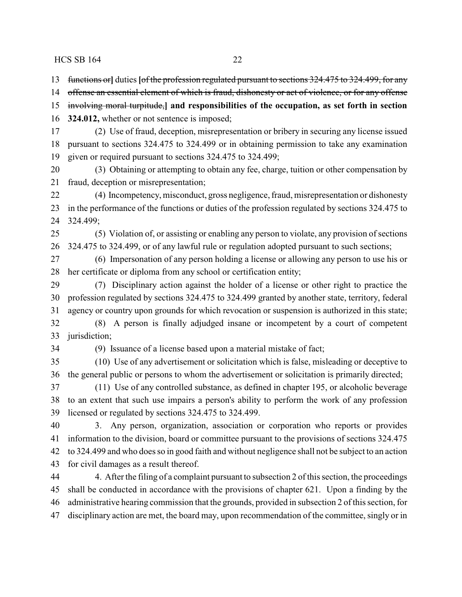functions or**]** duties **[**of the profession regulated pursuant to sections 324.475 to 324.499, for any

offense an essential element of which is fraud, dishonesty or act of violence, or for any offense

 involving moral turpitude,**] and responsibilities of the occupation, as set forth in section 324.012,** whether or not sentence is imposed;

 (2) Use of fraud, deception, misrepresentation or bribery in securing any license issued pursuant to sections 324.475 to 324.499 or in obtaining permission to take any examination given or required pursuant to sections 324.475 to 324.499;

 (3) Obtaining or attempting to obtain any fee, charge, tuition or other compensation by fraud, deception or misrepresentation;

 (4) Incompetency, misconduct, gross negligence, fraud, misrepresentation or dishonesty in the performance of the functions or duties of the profession regulated by sections 324.475 to 324.499;

 (5) Violation of, or assisting or enabling any person to violate, any provision of sections 324.475 to 324.499, or of any lawful rule or regulation adopted pursuant to such sections;

 (6) Impersonation of any person holding a license or allowing any person to use his or her certificate or diploma from any school or certification entity;

 (7) Disciplinary action against the holder of a license or other right to practice the profession regulated by sections 324.475 to 324.499 granted by another state, territory, federal agency or country upon grounds for which revocation or suspension is authorized in this state; (8) A person is finally adjudged insane or incompetent by a court of competent

jurisdiction;

(9) Issuance of a license based upon a material mistake of fact;

 (10) Use of any advertisement or solicitation which is false, misleading or deceptive to the general public or persons to whom the advertisement or solicitation is primarily directed;

 (11) Use of any controlled substance, as defined in chapter 195, or alcoholic beverage to an extent that such use impairs a person's ability to perform the work of any profession licensed or regulated by sections 324.475 to 324.499.

 3. Any person, organization, association or corporation who reports or provides information to the division, board or committee pursuant to the provisions of sections 324.475 to 324.499 and who does so in good faith and without negligence shall not be subject to an action for civil damages as a result thereof.

 4. After the filing of a complaint pursuant to subsection 2 of this section, the proceedings shall be conducted in accordance with the provisions of chapter 621. Upon a finding by the administrative hearing commission that the grounds, provided in subsection 2 of this section, for disciplinary action are met, the board may, upon recommendation of the committee, singly or in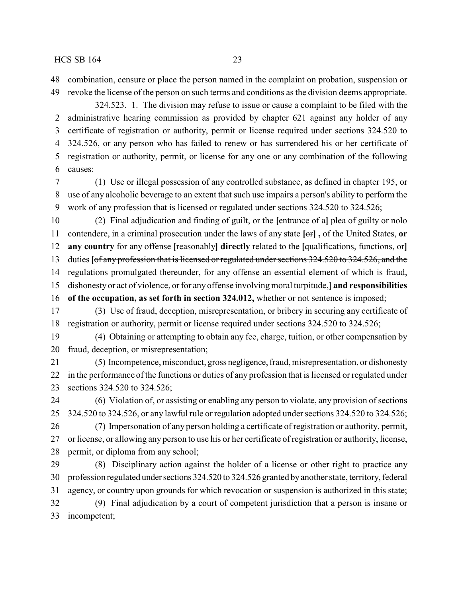combination, censure or place the person named in the complaint on probation, suspension or revoke the license of the person on such terms and conditions as the division deems appropriate.

324.523. 1. The division may refuse to issue or cause a complaint to be filed with the administrative hearing commission as provided by chapter 621 against any holder of any certificate of registration or authority, permit or license required under sections 324.520 to 324.526, or any person who has failed to renew or has surrendered his or her certificate of registration or authority, permit, or license for any one or any combination of the following causes:

 (1) Use or illegal possession of any controlled substance, as defined in chapter 195, or use of any alcoholic beverage to an extent that such use impairs a person's ability to perform the work of any profession that is licensed or regulated under sections 324.520 to 324.526;

 (2) Final adjudication and finding of guilt, or the **[**entrance of a**]** plea of guilty or nolo contendere, in a criminal prosecution under the laws of any state **[**or**] ,** of the United States, **or any country** for any offense **[**reasonably**] directly** related to the **[**qualifications, functions, or**]** duties **[**of any profession that is licensed or regulated under sections 324.520 to 324.526, and the 14 regulations promulgated thereunder, for any offense an essential element of which is fraud, dishonesty or act of violence, or for any offense involving moral turpitude,**] and responsibilities of the occupation, as set forth in section 324.012,** whether or not sentence is imposed;

 (3) Use of fraud, deception, misrepresentation, or bribery in securing any certificate of registration or authority, permit or license required under sections 324.520 to 324.526;

 (4) Obtaining or attempting to obtain any fee, charge, tuition, or other compensation by fraud, deception, or misrepresentation;

 (5) Incompetence, misconduct, gross negligence,fraud, misrepresentation, or dishonesty in the performance of the functions or duties of any profession that is licensed or regulated under sections 324.520 to 324.526;

 (6) Violation of, or assisting or enabling any person to violate, any provision of sections 324.520 to 324.526, or any lawful rule or regulation adopted under sections 324.520 to 324.526;

 (7) Impersonation of any person holding a certificate of registration or authority, permit, or license, or allowing any person to use his or her certificate of registration or authority, license, permit, or diploma from any school;

 (8) Disciplinary action against the holder of a license or other right to practice any 30 profession regulated under sections 324.520 to 324.526 granted by another state, territory, federal agency, or country upon grounds for which revocation or suspension is authorized in this state; (9) Final adjudication by a court of competent jurisdiction that a person is insane or incompetent;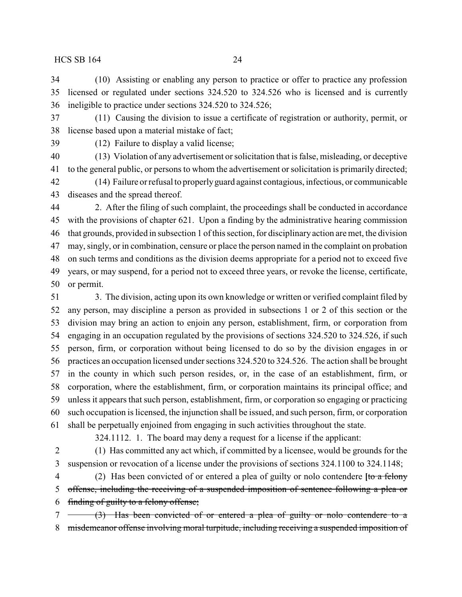(10) Assisting or enabling any person to practice or offer to practice any profession licensed or regulated under sections 324.520 to 324.526 who is licensed and is currently ineligible to practice under sections 324.520 to 324.526;

 (11) Causing the division to issue a certificate of registration or authority, permit, or license based upon a material mistake of fact;

(12) Failure to display a valid license;

 (13) Violation of any advertisement or solicitation that is false, misleading, or deceptive to the general public, or persons to whom the advertisement or solicitation is primarily directed;

 (14) Failure or refusal to properlyguard against contagious, infectious, or communicable diseases and the spread thereof.

 2. After the filing of such complaint, the proceedings shall be conducted in accordance with the provisions of chapter 621. Upon a finding by the administrative hearing commission that grounds, provided in subsection 1 of this section, for disciplinary action are met, the division may, singly, or in combination, censure or place the person named in the complaint on probation on such terms and conditions as the division deems appropriate for a period not to exceed five years, or may suspend, for a period not to exceed three years, or revoke the license, certificate, or permit.

 3. The division, acting upon its own knowledge or written or verified complaint filed by any person, may discipline a person as provided in subsections 1 or 2 of this section or the division may bring an action to enjoin any person, establishment, firm, or corporation from engaging in an occupation regulated by the provisions of sections 324.520 to 324.526, if such person, firm, or corporation without being licensed to do so by the division engages in or practices an occupation licensed under sections 324.520 to 324.526. The action shall be brought in the county in which such person resides, or, in the case of an establishment, firm, or corporation, where the establishment, firm, or corporation maintains its principal office; and unless it appears that such person, establishment, firm, or corporation so engaging or practicing such occupation is licensed, the injunction shall be issued, and such person, firm, or corporation shall be perpetually enjoined from engaging in such activities throughout the state.

324.1112. 1. The board may deny a request for a license if the applicant:

 (1) Has committed any act which, if committed by a licensee, would be grounds for the suspension or revocation of a license under the provisions of sections 324.1100 to 324.1148;

 (2) Has been convicted of or entered a plea of guilty or nolo contendere **[**to a felony offense, including the receiving of a suspended imposition of sentence following a plea or finding of guilty to a felony offense;

 (3) Has been convicted of or entered a plea of guilty or nolo contendere to a misdemeanor offense involving moral turpitude, including receiving a suspended imposition of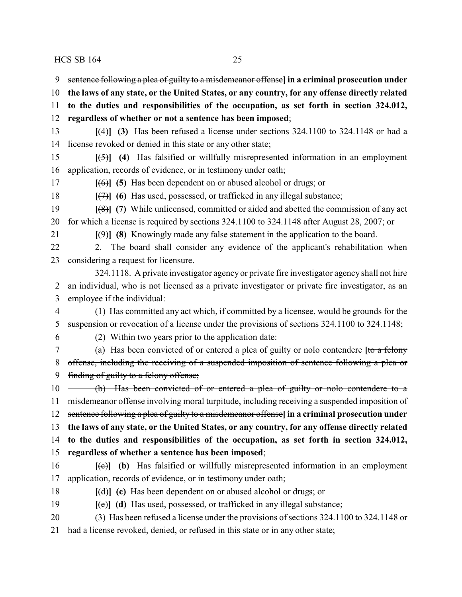sentence following a plea of guilty to a misdemeanor offense**] in a criminal prosecution under**

**the laws of any state, or the United States, or any country, for any offense directly related**

**to the duties and responsibilities of the occupation, as set forth in section 324.012,**

**regardless of whether or not a sentence has been imposed**;

 **[**(4)**] (3)** Has been refused a license under sections 324.1100 to 324.1148 or had a license revoked or denied in this state or any other state;

 **[**(5)**] (4)** Has falsified or willfully misrepresented information in an employment application, records of evidence, or in testimony under oath;

**[**(6)**] (5)** Has been dependent on or abused alcohol or drugs; or

**[**(7)**] (6)** Has used, possessed, or trafficked in any illegal substance;

 **[**(8)**] (7)** While unlicensed, committed or aided and abetted the commission of any act for which a license is required by sections 324.1100 to 324.1148 after August 28, 2007; or

**[**(9)**] (8)** Knowingly made any false statement in the application to the board.

 2. The board shall consider any evidence of the applicant's rehabilitation when considering a request for licensure.

324.1118. A private investigator agency or private fire investigator agency shall not hire an individual, who is not licensed as a private investigator or private fire investigator, as an employee if the individual:

 (1) Has committed any act which, if committed by a licensee, would be grounds for the suspension or revocation of a license under the provisions of sections 324.1100 to 324.1148;

(2) Within two years prior to the application date:

 (a) Has been convicted of or entered a plea of guilty or nolo contendere **[**to a felony offense, including the receiving of a suspended imposition of sentence following a plea or finding of guilty to a felony offense;

10 (b) Has been convicted of or entered a plea of guilty or nolo contendere to a 11 misdemeanor offense involving moral turpitude, including receiving a suspended imposition of sentence following a plea of guilty to a misdemeanor offense**] in a criminal prosecution under the laws of any state, or the United States, or any country, for any offense directly related to the duties and responsibilities of the occupation, as set forth in section 324.012, regardless of whether a sentence has been imposed**;

 **[**(c)**] (b)** Has falsified or willfully misrepresented information in an employment application, records of evidence, or in testimony under oath;

- **[**(d)**] (c)** Has been dependent on or abused alcohol or drugs; or
- **[**(e)**] (d)** Has used, possessed, or trafficked in any illegal substance;
- (3) Has been refused a license under the provisions of sections 324.1100 to 324.1148 or
- had a license revoked, denied, or refused in this state or in any other state;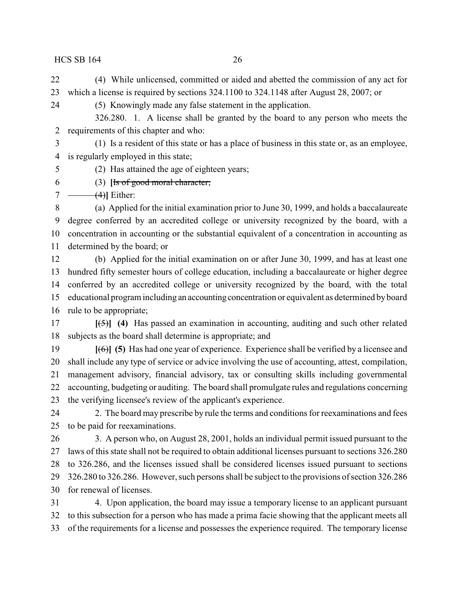(4) While unlicensed, committed or aided and abetted the commission of any act for which a license is required by sections 324.1100 to 324.1148 after August 28, 2007; or

(5) Knowingly made any false statement in the application.

326.280. 1. A license shall be granted by the board to any person who meets the requirements of this chapter and who:

 (1) Is a resident of this state or has a place of business in this state or, as an employee, is regularly employed in this state;

- (2) Has attained the age of eighteen years;
- (3) **[**Is of good moral character;

 $7 \leftarrow (4)$ **]** Either:

 (a) Applied for the initial examination prior to June 30, 1999, and holds a baccalaureate degree conferred by an accredited college or university recognized by the board, with a concentration in accounting or the substantial equivalent of a concentration in accounting as determined by the board; or

 (b) Applied for the initial examination on or after June 30, 1999, and has at least one hundred fifty semester hours of college education, including a baccalaureate or higher degree conferred by an accredited college or university recognized by the board, with the total educational program including an accounting concentration or equivalent as determined byboard rule to be appropriate;

 **[**(5)**] (4)** Has passed an examination in accounting, auditing and such other related subjects as the board shall determine is appropriate; and

 **[**(6)**] (5)** Has had one year of experience. Experience shall be verified by a licensee and shall include any type of service or advice involving the use of accounting, attest, compilation, management advisory, financial advisory, tax or consulting skills including governmental accounting, budgeting or auditing. The board shall promulgate rules and regulations concerning the verifying licensee's review of the applicant's experience.

24 2. The board may prescribe by rule the terms and conditions for reexaminations and fees to be paid for reexaminations.

 3. A person who, on August 28, 2001, holds an individual permit issued pursuant to the laws of this state shall not be required to obtain additional licenses pursuant to sections 326.280 to 326.286, and the licenses issued shall be considered licenses issued pursuant to sections 326.280 to 326.286. However, such persons shall be subject to the provisions of section 326.286 for renewal of licenses.

 4. Upon application, the board may issue a temporary license to an applicant pursuant to this subsection for a person who has made a prima facie showing that the applicant meets all of the requirements for a license and possesses the experience required. The temporary license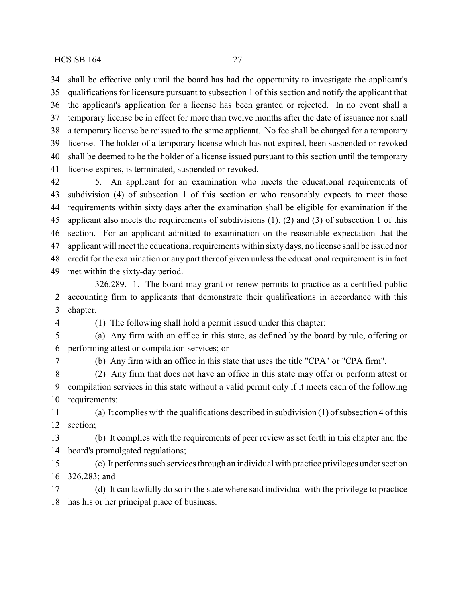shall be effective only until the board has had the opportunity to investigate the applicant's qualifications for licensure pursuant to subsection 1 of this section and notify the applicant that the applicant's application for a license has been granted or rejected. In no event shall a temporary license be in effect for more than twelve months after the date of issuance nor shall a temporary license be reissued to the same applicant. No fee shall be charged for a temporary license. The holder of a temporary license which has not expired, been suspended or revoked shall be deemed to be the holder of a license issued pursuant to this section until the temporary license expires, is terminated, suspended or revoked.

 5. An applicant for an examination who meets the educational requirements of subdivision (4) of subsection 1 of this section or who reasonably expects to meet those requirements within sixty days after the examination shall be eligible for examination if the applicant also meets the requirements of subdivisions (1), (2) and (3) of subsection 1 of this section. For an applicant admitted to examination on the reasonable expectation that the applicant will meet the educational requirements within sixty days, no license shall be issued nor credit for the examination or any part thereof given unless the educational requirement is in fact met within the sixty-day period.

326.289. 1. The board may grant or renew permits to practice as a certified public accounting firm to applicants that demonstrate their qualifications in accordance with this chapter.

(1) The following shall hold a permit issued under this chapter:

 (a) Any firm with an office in this state, as defined by the board by rule, offering or performing attest or compilation services; or

(b) Any firm with an office in this state that uses the title "CPA" or "CPA firm".

 (2) Any firm that does not have an office in this state may offer or perform attest or compilation services in this state without a valid permit only if it meets each of the following requirements:

 (a) It complies with the qualifications described in subdivision (1) of subsection 4 of this section;

 (b) It complies with the requirements of peer review as set forth in this chapter and the board's promulgated regulations;

 (c) It performs such services through an individual with practice privileges under section 326.283; and

 (d) It can lawfully do so in the state where said individual with the privilege to practice has his or her principal place of business.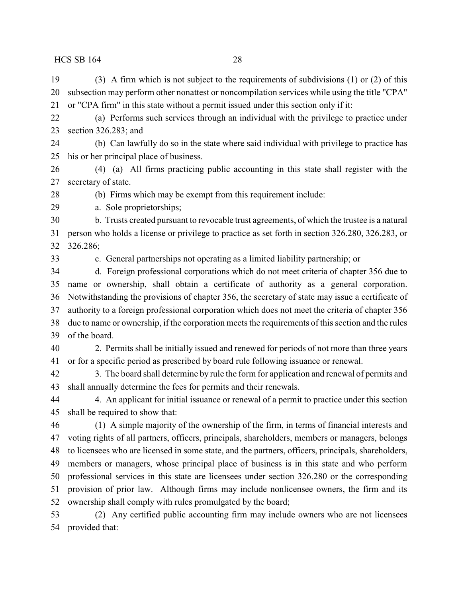(3) A firm which is not subject to the requirements of subdivisions (1) or (2) of this subsection may perform other nonattest or noncompilation services while using the title "CPA" or "CPA firm" in this state without a permit issued under this section only if it:

 (a) Performs such services through an individual with the privilege to practice under section 326.283; and

 (b) Can lawfully do so in the state where said individual with privilege to practice has his or her principal place of business.

 (4) (a) All firms practicing public accounting in this state shall register with the secretary of state.

(b) Firms which may be exempt from this requirement include:

a. Sole proprietorships;

 b. Trusts created pursuant to revocable trust agreements, of which the trustee is a natural person who holds a license or privilege to practice as set forth in section 326.280, 326.283, or 326.286;

c. General partnerships not operating as a limited liability partnership; or

 d. Foreign professional corporations which do not meet criteria of chapter 356 due to name or ownership, shall obtain a certificate of authority as a general corporation. Notwithstanding the provisions of chapter 356, the secretary of state may issue a certificate of authority to a foreign professional corporation which does not meet the criteria of chapter 356 due to name or ownership, if the corporation meets the requirements of this section and the rules of the board.

 2. Permits shall be initially issued and renewed for periods of not more than three years or for a specific period as prescribed by board rule following issuance or renewal.

 3. The board shall determine by rule the form for application and renewal of permits and shall annually determine the fees for permits and their renewals.

 4. An applicant for initial issuance or renewal of a permit to practice under this section shall be required to show that:

 (1) A simple majority of the ownership of the firm, in terms of financial interests and voting rights of all partners, officers, principals, shareholders, members or managers, belongs to licensees who are licensed in some state, and the partners, officers, principals, shareholders, members or managers, whose principal place of business is in this state and who perform professional services in this state are licensees under section 326.280 or the corresponding provision of prior law. Although firms may include nonlicensee owners, the firm and its ownership shall comply with rules promulgated by the board;

 (2) Any certified public accounting firm may include owners who are not licensees provided that: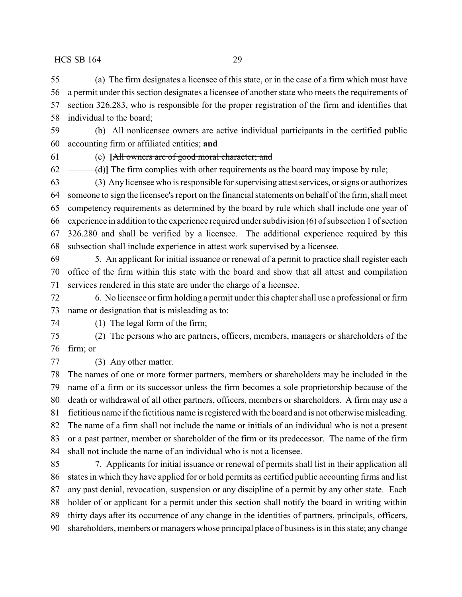(a) The firm designates a licensee of this state, or in the case of a firm which must have a permit under this section designates a licensee of another state who meets the requirements of section 326.283, who is responsible for the proper registration of the firm and identifies that individual to the board;

 (b) All nonlicensee owners are active individual participants in the certified public accounting firm or affiliated entities; **and**

(c) **[**All owners are of good moral character; and

 $62 \leftarrow$  (d)] The firm complies with other requirements as the board may impose by rule;

 (3) Any licensee who is responsible for supervising attest services, or signs or authorizes someone to sign the licensee's report on the financial statements on behalf of the firm, shall meet competency requirements as determined by the board by rule which shall include one year of experience in addition to the experience required under subdivision (6) of subsection 1 of section 326.280 and shall be verified by a licensee. The additional experience required by this subsection shall include experience in attest work supervised by a licensee.

 5. An applicant for initial issuance or renewal of a permit to practice shall register each office of the firm within this state with the board and show that all attest and compilation services rendered in this state are under the charge of a licensee.

 6. No licensee or firm holding a permit under this chapter shall use a professional or firm name or designation that is misleading as to:

(1) The legal form of the firm;

 (2) The persons who are partners, officers, members, managers or shareholders of the firm; or

(3) Any other matter.

 The names of one or more former partners, members or shareholders may be included in the name of a firm or its successor unless the firm becomes a sole proprietorship because of the death or withdrawal of all other partners, officers, members or shareholders. A firm may use a fictitious name if the fictitious name is registered with the board and is not otherwise misleading. The name of a firm shall not include the name or initials of an individual who is not a present or a past partner, member or shareholder of the firm or its predecessor. The name of the firm shall not include the name of an individual who is not a licensee.

 7. Applicants for initial issuance or renewal of permits shall list in their application all states in which they have applied for or hold permits as certified public accounting firms and list any past denial, revocation, suspension or any discipline of a permit by any other state. Each holder of or applicant for a permit under this section shall notify the board in writing within thirty days after its occurrence of any change in the identities of partners, principals, officers, shareholders, members or managers whose principal place of business is in this state; any change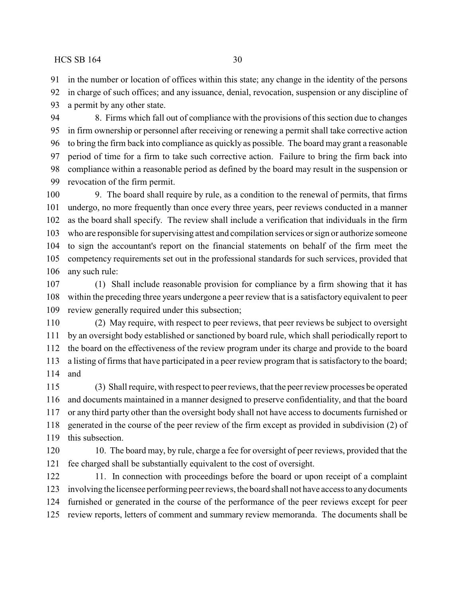in the number or location of offices within this state; any change in the identity of the persons

 in charge of such offices; and any issuance, denial, revocation, suspension or any discipline of a permit by any other state.

 8. Firms which fall out of compliance with the provisions of this section due to changes in firm ownership or personnel after receiving or renewing a permit shall take corrective action to bring the firm back into compliance as quickly as possible. The board may grant a reasonable period of time for a firm to take such corrective action. Failure to bring the firm back into compliance within a reasonable period as defined by the board may result in the suspension or revocation of the firm permit.

 9. The board shall require by rule, as a condition to the renewal of permits, that firms undergo, no more frequently than once every three years, peer reviews conducted in a manner as the board shall specify. The review shall include a verification that individuals in the firm who are responsible for supervising attest and compilation services or sign or authorize someone to sign the accountant's report on the financial statements on behalf of the firm meet the competency requirements set out in the professional standards for such services, provided that any such rule:

 (1) Shall include reasonable provision for compliance by a firm showing that it has within the preceding three years undergone a peer review that is a satisfactory equivalent to peer review generally required under this subsection;

 (2) May require, with respect to peer reviews, that peer reviews be subject to oversight by an oversight body established or sanctioned by board rule, which shall periodically report to the board on the effectiveness of the review program under its charge and provide to the board a listing of firms that have participated in a peer review program that is satisfactory to the board; and

 (3) Shall require, with respect to peer reviews, that the peer review processes be operated and documents maintained in a manner designed to preserve confidentiality, and that the board or any third party other than the oversight body shall not have access to documents furnished or generated in the course of the peer review of the firm except as provided in subdivision (2) of this subsection.

120 10. The board may, by rule, charge a fee for oversight of peer reviews, provided that the fee charged shall be substantially equivalent to the cost of oversight.

122 11. In connection with proceedings before the board or upon receipt of a complaint involving the licensee performing peer reviews, the board shall not have access to anydocuments furnished or generated in the course of the performance of the peer reviews except for peer review reports, letters of comment and summary review memoranda. The documents shall be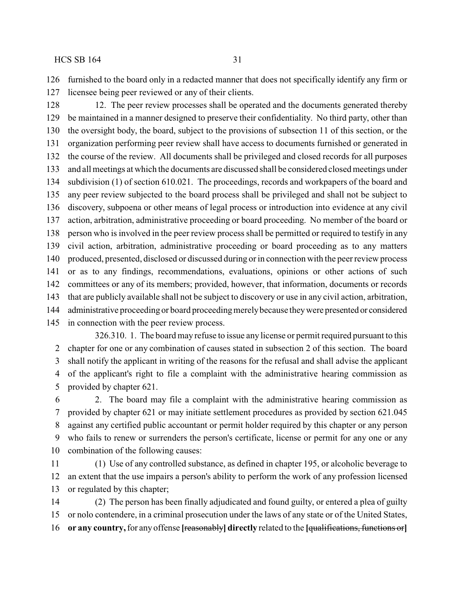furnished to the board only in a redacted manner that does not specifically identify any firm or licensee being peer reviewed or any of their clients.

 12. The peer review processes shall be operated and the documents generated thereby be maintained in a manner designed to preserve their confidentiality. No third party, other than the oversight body, the board, subject to the provisions of subsection 11 of this section, or the organization performing peer review shall have access to documents furnished or generated in the course of the review. All documents shall be privileged and closed records for all purposes and all meetings at which the documents are discussed shall be considered closed meetings under subdivision (1) of section 610.021. The proceedings, records and workpapers of the board and any peer review subjected to the board process shall be privileged and shall not be subject to discovery, subpoena or other means of legal process or introduction into evidence at any civil action, arbitration, administrative proceeding or board proceeding. No member of the board or person who is involved in the peer review process shall be permitted or required to testify in any civil action, arbitration, administrative proceeding or board proceeding as to any matters produced, presented, disclosed or discussed during or in connection with the peer review process or as to any findings, recommendations, evaluations, opinions or other actions of such committees or any of its members; provided, however, that information, documents or records that are publicly available shall not be subject to discovery or use in any civil action, arbitration, administrative proceeding or board proceedingmerelybecause theywere presented or considered in connection with the peer review process.

326.310. 1. The board may refuse to issue any license or permit required pursuant to this chapter for one or any combination of causes stated in subsection 2 of this section. The board shall notify the applicant in writing of the reasons for the refusal and shall advise the applicant of the applicant's right to file a complaint with the administrative hearing commission as provided by chapter 621.

 2. The board may file a complaint with the administrative hearing commission as provided by chapter 621 or may initiate settlement procedures as provided by section 621.045 against any certified public accountant or permit holder required by this chapter or any person who fails to renew or surrenders the person's certificate, license or permit for any one or any combination of the following causes:

 (1) Use of any controlled substance, as defined in chapter 195, or alcoholic beverage to an extent that the use impairs a person's ability to perform the work of any profession licensed or regulated by this chapter;

 (2) The person has been finally adjudicated and found guilty, or entered a plea of guilty or nolo contendere, in a criminal prosecution under the laws of any state or of the United States, **or any country,**for any offense **[**reasonably**] directly** related to the **[**qualifications, functions or**]**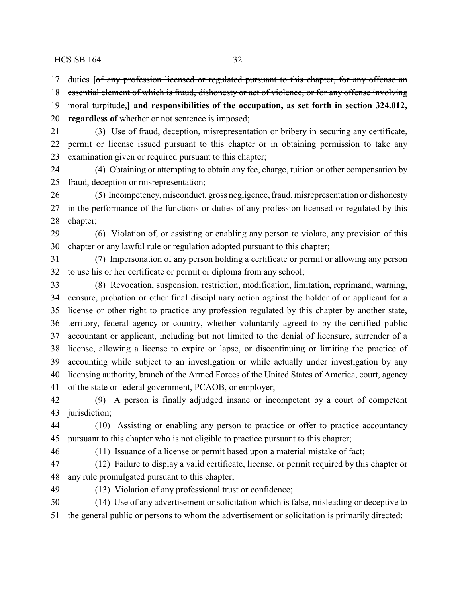duties **[**of any profession licensed or regulated pursuant to this chapter, for any offense an

 essential element of which is fraud, dishonesty or act of violence, or for any offense involving moral turpitude,**] and responsibilities of the occupation, as set forth in section 324.012, regardless of** whether or not sentence is imposed;

 (3) Use of fraud, deception, misrepresentation or bribery in securing any certificate, permit or license issued pursuant to this chapter or in obtaining permission to take any examination given or required pursuant to this chapter;

 (4) Obtaining or attempting to obtain any fee, charge, tuition or other compensation by fraud, deception or misrepresentation;

 (5) Incompetency, misconduct, gross negligence, fraud, misrepresentation or dishonesty in the performance of the functions or duties of any profession licensed or regulated by this chapter;

 (6) Violation of, or assisting or enabling any person to violate, any provision of this chapter or any lawful rule or regulation adopted pursuant to this chapter;

 (7) Impersonation of any person holding a certificate or permit or allowing any person to use his or her certificate or permit or diploma from any school;

 (8) Revocation, suspension, restriction, modification, limitation, reprimand, warning, censure, probation or other final disciplinary action against the holder of or applicant for a license or other right to practice any profession regulated by this chapter by another state, territory, federal agency or country, whether voluntarily agreed to by the certified public accountant or applicant, including but not limited to the denial of licensure, surrender of a license, allowing a license to expire or lapse, or discontinuing or limiting the practice of accounting while subject to an investigation or while actually under investigation by any licensing authority, branch of the Armed Forces of the United States of America, court, agency of the state or federal government, PCAOB, or employer;

 (9) A person is finally adjudged insane or incompetent by a court of competent jurisdiction;

 (10) Assisting or enabling any person to practice or offer to practice accountancy pursuant to this chapter who is not eligible to practice pursuant to this chapter;

(11) Issuance of a license or permit based upon a material mistake of fact;

 (12) Failure to display a valid certificate, license, or permit required by this chapter or any rule promulgated pursuant to this chapter;

(13) Violation of any professional trust or confidence;

 (14) Use of any advertisement or solicitation which is false, misleading or deceptive to the general public or persons to whom the advertisement or solicitation is primarily directed;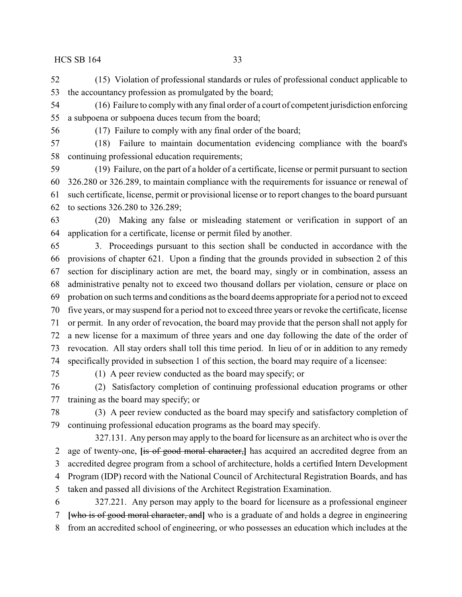(15) Violation of professional standards or rules of professional conduct applicable to the accountancy profession as promulgated by the board;

 (16) Failure to complywith any final order of a court of competent jurisdiction enforcing a subpoena or subpoena duces tecum from the board;

(17) Failure to comply with any final order of the board;

 (18) Failure to maintain documentation evidencing compliance with the board's continuing professional education requirements;

 (19) Failure, on the part of a holder of a certificate, license or permit pursuant to section 326.280 or 326.289, to maintain compliance with the requirements for issuance or renewal of such certificate, license, permit or provisional license or to report changes to the board pursuant to sections 326.280 to 326.289;

 (20) Making any false or misleading statement or verification in support of an application for a certificate, license or permit filed by another.

 3. Proceedings pursuant to this section shall be conducted in accordance with the provisions of chapter 621. Upon a finding that the grounds provided in subsection 2 of this section for disciplinary action are met, the board may, singly or in combination, assess an administrative penalty not to exceed two thousand dollars per violation, censure or place on probation on such terms and conditions as the board deems appropriate for a period not to exceed five years, or may suspend for a period not to exceed three years or revoke the certificate, license or permit. In any order of revocation, the board may provide that the person shall not apply for a new license for a maximum of three years and one day following the date of the order of revocation. All stay orders shall toll this time period. In lieu of or in addition to any remedy specifically provided in subsection 1 of this section, the board may require of a licensee:

(1) A peer review conducted as the board may specify; or

 (2) Satisfactory completion of continuing professional education programs or other training as the board may specify; or

 (3) A peer review conducted as the board may specify and satisfactory completion of continuing professional education programs as the board may specify.

327.131. Any person may apply to the board for licensure as an architect who is over the age of twenty-one, **[**is of good moral character,**]** has acquired an accredited degree from an accredited degree program from a school of architecture, holds a certified Intern Development Program (IDP) record with the National Council of Architectural Registration Boards, and has taken and passed all divisions of the Architect Registration Examination. 327.221. Any person may apply to the board for licensure as a professional engineer

 **[**who is of good moral character, and**]** who is a graduate of and holds a degree in engineering from an accredited school of engineering, or who possesses an education which includes at the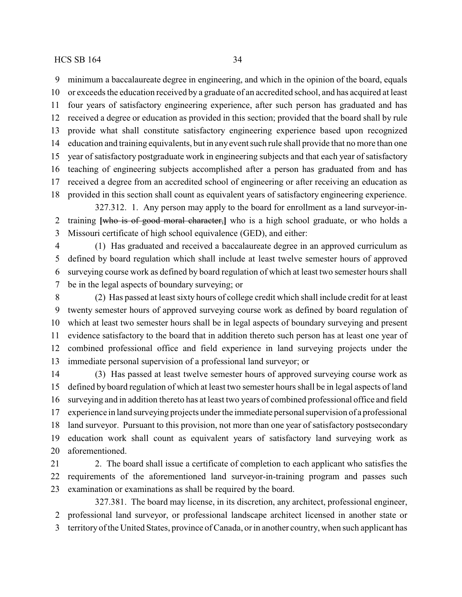minimum a baccalaureate degree in engineering, and which in the opinion of the board, equals or exceeds the education received by a graduate of an accredited school, and has acquired at least four years of satisfactory engineering experience, after such person has graduated and has received a degree or education as provided in this section; provided that the board shall by rule provide what shall constitute satisfactory engineering experience based upon recognized education and training equivalents, but in any event such rule shall provide that no more than one year of satisfactory postgraduate work in engineering subjects and that each year of satisfactory teaching of engineering subjects accomplished after a person has graduated from and has received a degree from an accredited school of engineering or after receiving an education as provided in this section shall count as equivalent years of satisfactory engineering experience. 327.312. 1. Any person may apply to the board for enrollment as a land surveyor-in-

 training **[**who is of good moral character,**]** who is a high school graduate, or who holds a Missouri certificate of high school equivalence (GED), and either:

 (1) Has graduated and received a baccalaureate degree in an approved curriculum as defined by board regulation which shall include at least twelve semester hours of approved surveying course work as defined by board regulation of which at least two semester hours shall be in the legal aspects of boundary surveying; or

 (2) Has passed at least sixty hours of college credit which shall include credit for at least twenty semester hours of approved surveying course work as defined by board regulation of which at least two semester hours shall be in legal aspects of boundary surveying and present evidence satisfactory to the board that in addition thereto such person has at least one year of combined professional office and field experience in land surveying projects under the immediate personal supervision of a professional land surveyor; or

 (3) Has passed at least twelve semester hours of approved surveying course work as defined by board regulation of which at least two semester hours shall be in legal aspects of land surveying and in addition thereto has at least two years of combined professional office and field experience in land surveying projects under the immediate personalsupervision of a professional land surveyor. Pursuant to this provision, not more than one year of satisfactory postsecondary education work shall count as equivalent years of satisfactory land surveying work as aforementioned.

21 2. The board shall issue a certificate of completion to each applicant who satisfies the requirements of the aforementioned land surveyor-in-training program and passes such examination or examinations as shall be required by the board.

327.381. The board may license, in its discretion, any architect, professional engineer, professional land surveyor, or professional landscape architect licensed in another state or

territory of the United States, province of Canada, or in another country, when such applicant has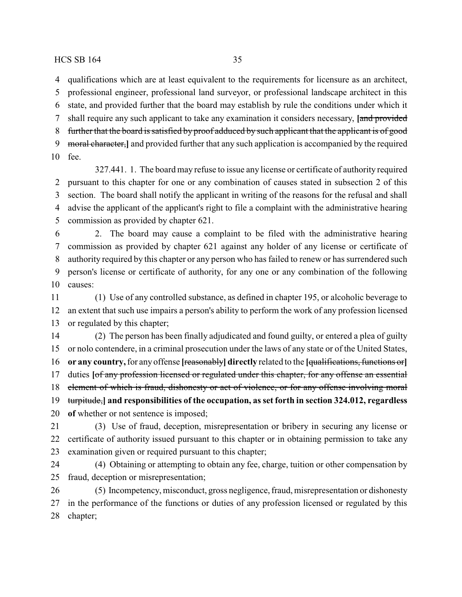qualifications which are at least equivalent to the requirements for licensure as an architect, professional engineer, professional land surveyor, or professional landscape architect in this state, and provided further that the board may establish by rule the conditions under which it shall require any such applicant to take any examination it considers necessary, **[**and provided further that the board is satisfied by proof adduced by such applicant that the applicant is of good moral character,**]** and provided further that any such application is accompanied by the required

fee.

327.441. 1. The board may refuse to issue any license or certificate of authority required pursuant to this chapter for one or any combination of causes stated in subsection 2 of this section. The board shall notify the applicant in writing of the reasons for the refusal and shall advise the applicant of the applicant's right to file a complaint with the administrative hearing commission as provided by chapter 621.

 2. The board may cause a complaint to be filed with the administrative hearing commission as provided by chapter 621 against any holder of any license or certificate of authority required by this chapter or any person who has failed to renew or has surrendered such person's license or certificate of authority, for any one or any combination of the following causes:

 (1) Use of any controlled substance, as defined in chapter 195, or alcoholic beverage to an extent that such use impairs a person's ability to perform the work of any profession licensed or regulated by this chapter;

 (2) The person has been finally adjudicated and found guilty, or entered a plea of guilty or nolo contendere, in a criminal prosecution under the laws of any state or of the United States, **or any country,**for any offense **[**reasonably**] directly** related to the **[**qualifications, functions or**]** duties **[**of any profession licensed or regulated under this chapter, for any offense an essential element of which is fraud, dishonesty or act of violence, or for any offense involving moral turpitude,**] and responsibilities of the occupation, as set forth in section 324.012, regardless of** whether or not sentence is imposed;

 (3) Use of fraud, deception, misrepresentation or bribery in securing any license or certificate of authority issued pursuant to this chapter or in obtaining permission to take any examination given or required pursuant to this chapter;

 (4) Obtaining or attempting to obtain any fee, charge, tuition or other compensation by fraud, deception or misrepresentation;

 (5) Incompetency, misconduct, gross negligence, fraud, misrepresentation or dishonesty in the performance of the functions or duties of any profession licensed or regulated by this chapter;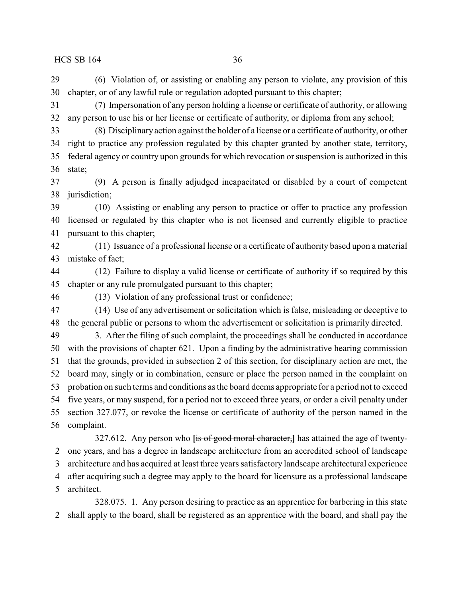(6) Violation of, or assisting or enabling any person to violate, any provision of this chapter, or of any lawful rule or regulation adopted pursuant to this chapter;

 (7) Impersonation of any person holding a license or certificate of authority, or allowing any person to use his or her license or certificate of authority, or diploma from any school;

 (8) Disciplinary action against the holder of a license or a certificate of authority, or other right to practice any profession regulated by this chapter granted by another state, territory, federal agency or country upon grounds for which revocation or suspension is authorized in this state;

 (9) A person is finally adjudged incapacitated or disabled by a court of competent jurisdiction;

 (10) Assisting or enabling any person to practice or offer to practice any profession licensed or regulated by this chapter who is not licensed and currently eligible to practice pursuant to this chapter;

 (11) Issuance of a professional license or a certificate of authority based upon a material mistake of fact;

 (12) Failure to display a valid license or certificate of authority if so required by this chapter or any rule promulgated pursuant to this chapter;

(13) Violation of any professional trust or confidence;

 (14) Use of any advertisement or solicitation which is false, misleading or deceptive to the general public or persons to whom the advertisement or solicitation is primarily directed.

 3. After the filing of such complaint, the proceedings shall be conducted in accordance with the provisions of chapter 621. Upon a finding by the administrative hearing commission that the grounds, provided in subsection 2 of this section, for disciplinary action are met, the board may, singly or in combination, censure or place the person named in the complaint on probation on such terms and conditions as the board deems appropriate for a period not to exceed five years, or may suspend, for a period not to exceed three years, or order a civil penalty under section 327.077, or revoke the license or certificate of authority of the person named in the complaint.

327.612. Any person who **[**is of good moral character,**]** has attained the age of twenty- one years, and has a degree in landscape architecture from an accredited school of landscape architecture and has acquired at least three years satisfactory landscape architectural experience after acquiring such a degree may apply to the board for licensure as a professional landscape architect.

328.075. 1. Any person desiring to practice as an apprentice for barbering in this state shall apply to the board, shall be registered as an apprentice with the board, and shall pay the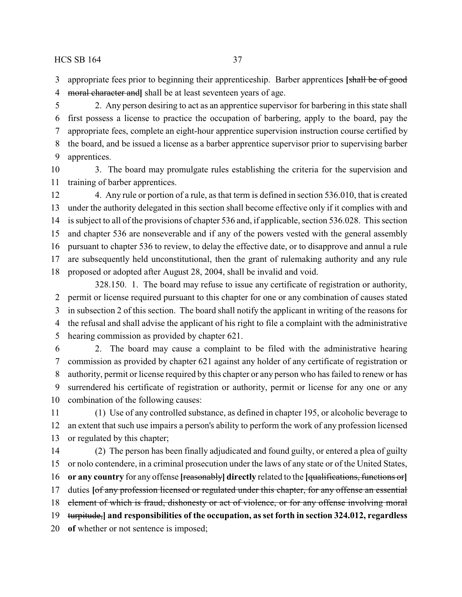appropriate fees prior to beginning their apprenticeship. Barber apprentices **[**shall be of good moral character and**]** shall be at least seventeen years of age.

 2. Any person desiring to act as an apprentice supervisor for barbering in this state shall first possess a license to practice the occupation of barbering, apply to the board, pay the appropriate fees, complete an eight-hour apprentice supervision instruction course certified by the board, and be issued a license as a barber apprentice supervisor prior to supervising barber apprentices.

 3. The board may promulgate rules establishing the criteria for the supervision and training of barber apprentices.

 4. Any rule or portion of a rule, as that term is defined in section 536.010, that is created under the authority delegated in this section shall become effective only if it complies with and is subject to all of the provisions of chapter 536 and, if applicable, section 536.028. This section and chapter 536 are nonseverable and if any of the powers vested with the general assembly pursuant to chapter 536 to review, to delay the effective date, or to disapprove and annul a rule are subsequently held unconstitutional, then the grant of rulemaking authority and any rule proposed or adopted after August 28, 2004, shall be invalid and void. 328.150. 1. The board may refuse to issue any certificate of registration or authority,

 permit or license required pursuant to this chapter for one or any combination of causes stated in subsection 2 of this section. The board shall notify the applicant in writing of the reasons for the refusal and shall advise the applicant of his right to file a complaint with the administrative hearing commission as provided by chapter 621.

 2. The board may cause a complaint to be filed with the administrative hearing commission as provided by chapter 621 against any holder of any certificate of registration or authority, permit or license required by this chapter or any person who has failed to renew or has surrendered his certificate of registration or authority, permit or license for any one or any combination of the following causes:

 (1) Use of any controlled substance, as defined in chapter 195, or alcoholic beverage to an extent that such use impairs a person's ability to perform the work of any profession licensed or regulated by this chapter;

 (2) The person has been finally adjudicated and found guilty, or entered a plea of guilty or nolo contendere, in a criminal prosecution under the laws of any state or of the United States, **or any country** for any offense **[**reasonably**] directly** related to the **[**qualifications, functions or**]** duties **[**of any profession licensed or regulated under this chapter, for any offense an essential 18 element of which is fraud, dishonesty or act of violence, or for any offense involving moral turpitude,**] and responsibilities of the occupation, as set forth in section 324.012, regardless of** whether or not sentence is imposed;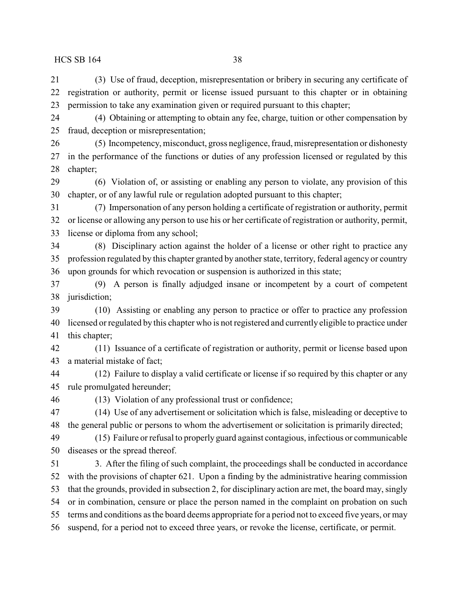(3) Use of fraud, deception, misrepresentation or bribery in securing any certificate of registration or authority, permit or license issued pursuant to this chapter or in obtaining permission to take any examination given or required pursuant to this chapter;

 (4) Obtaining or attempting to obtain any fee, charge, tuition or other compensation by fraud, deception or misrepresentation;

 (5) Incompetency, misconduct, gross negligence, fraud, misrepresentation or dishonesty in the performance of the functions or duties of any profession licensed or regulated by this chapter;

 (6) Violation of, or assisting or enabling any person to violate, any provision of this chapter, or of any lawful rule or regulation adopted pursuant to this chapter;

 (7) Impersonation of any person holding a certificate of registration or authority, permit or license or allowing any person to use his or her certificate of registration or authority, permit, license or diploma from any school;

 (8) Disciplinary action against the holder of a license or other right to practice any profession regulated by this chapter granted by another state, territory, federal agency or country upon grounds for which revocation or suspension is authorized in this state;

 (9) A person is finally adjudged insane or incompetent by a court of competent jurisdiction;

 (10) Assisting or enabling any person to practice or offer to practice any profession licensed or regulated by this chapter who is not registered and currently eligible to practice under this chapter;

 (11) Issuance of a certificate of registration or authority, permit or license based upon a material mistake of fact;

 (12) Failure to display a valid certificate or license if so required by this chapter or any rule promulgated hereunder;

(13) Violation of any professional trust or confidence;

 (14) Use of any advertisement or solicitation which is false, misleading or deceptive to the general public or persons to whom the advertisement or solicitation is primarily directed;

 (15) Failure or refusal to properly guard against contagious, infectious or communicable diseases or the spread thereof.

 3. After the filing of such complaint, the proceedings shall be conducted in accordance with the provisions of chapter 621. Upon a finding by the administrative hearing commission that the grounds, provided in subsection 2, for disciplinary action are met, the board may, singly or in combination, censure or place the person named in the complaint on probation on such terms and conditions as the board deems appropriate for a period not to exceed five years, or may suspend, for a period not to exceed three years, or revoke the license, certificate, or permit.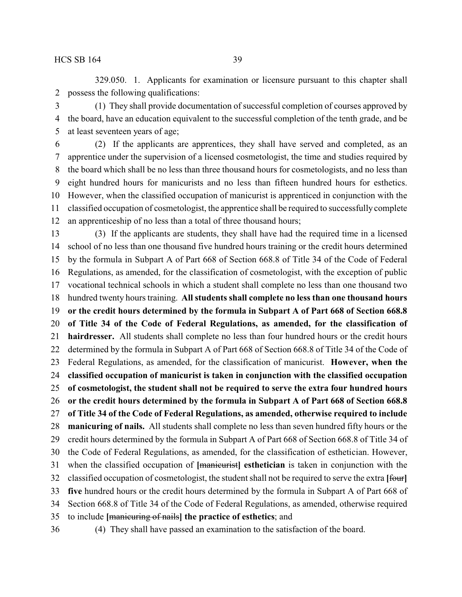329.050. 1. Applicants for examination or licensure pursuant to this chapter shall possess the following qualifications:

 (1) They shall provide documentation of successful completion of courses approved by the board, have an education equivalent to the successful completion of the tenth grade, and be at least seventeen years of age;

 (2) If the applicants are apprentices, they shall have served and completed, as an apprentice under the supervision of a licensed cosmetologist, the time and studies required by the board which shall be no less than three thousand hours for cosmetologists, and no less than eight hundred hours for manicurists and no less than fifteen hundred hours for esthetics. However, when the classified occupation of manicurist is apprenticed in conjunction with the classified occupation of cosmetologist, the apprentice shall be required to successfully complete an apprenticeship of no less than a total of three thousand hours;

 (3) If the applicants are students, they shall have had the required time in a licensed school of no less than one thousand five hundred hours training or the credit hours determined by the formula in Subpart A of Part 668 of Section 668.8 of Title 34 of the Code of Federal Regulations, as amended, for the classification of cosmetologist, with the exception of public vocational technical schools in which a student shall complete no less than one thousand two hundred twenty hours training. **All students shall complete no less than one thousand hours or the credit hours determined by the formula in Subpart A of Part 668 of Section 668.8 of Title 34 of the Code of Federal Regulations, as amended, for the classification of hairdresser.** All students shall complete no less than four hundred hours or the credit hours determined by the formula in Subpart A of Part 668 of Section 668.8 of Title 34 of the Code of Federal Regulations, as amended, for the classification of manicurist. **However, when the classified occupation of manicurist is taken in conjunction with the classified occupation of cosmetologist, the student shall not be required to serve the extra four hundred hours or the credit hours determined by the formula in Subpart A of Part 668 of Section 668.8 of Title 34 of the Code of Federal Regulations, as amended, otherwise required to include manicuring of nails.** All students shall complete no less than seven hundred fifty hours or the credit hours determined by the formula in Subpart A of Part 668 of Section 668.8 of Title 34 of the Code of Federal Regulations, as amended, for the classification of esthetician. However, when the classified occupation of **[**manicurist**] esthetician** is taken in conjunction with the classified occupation of cosmetologist, the student shall not be required to serve the extra **[**four**] five** hundred hours or the credit hours determined by the formula in Subpart A of Part 668 of Section 668.8 of Title 34 of the Code of Federal Regulations, as amended, otherwise required to include **[**manicuring of nails**] the practice of esthetics**; and

- 
- (4) They shall have passed an examination to the satisfaction of the board.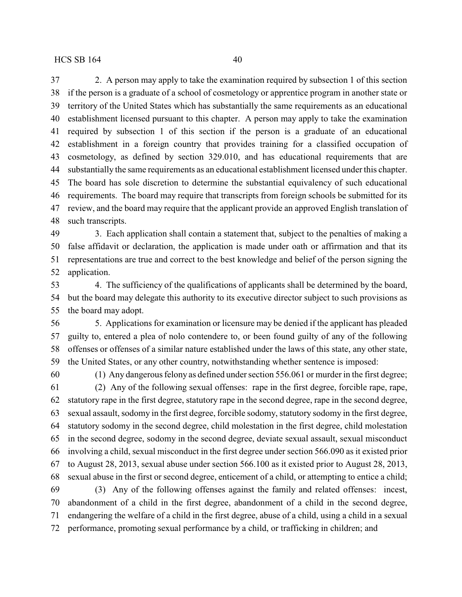2. A person may apply to take the examination required by subsection 1 of this section if the person is a graduate of a school of cosmetology or apprentice program in another state or territory of the United States which has substantially the same requirements as an educational establishment licensed pursuant to this chapter. A person may apply to take the examination required by subsection 1 of this section if the person is a graduate of an educational establishment in a foreign country that provides training for a classified occupation of cosmetology, as defined by section 329.010, and has educational requirements that are substantially the same requirements as an educational establishment licensed under this chapter. The board has sole discretion to determine the substantial equivalency of such educational requirements. The board may require that transcripts from foreign schools be submitted for its review, and the board may require that the applicant provide an approved English translation of such transcripts.

 3. Each application shall contain a statement that, subject to the penalties of making a false affidavit or declaration, the application is made under oath or affirmation and that its representations are true and correct to the best knowledge and belief of the person signing the application.

 4. The sufficiency of the qualifications of applicants shall be determined by the board, but the board may delegate this authority to its executive director subject to such provisions as the board may adopt.

 5. Applications for examination or licensure may be denied if the applicant has pleaded guilty to, entered a plea of nolo contendere to, or been found guilty of any of the following offenses or offenses of a similar nature established under the laws of this state, any other state, the United States, or any other country, notwithstanding whether sentence is imposed:

(1) Any dangerous felony as defined under section 556.061 or murder in the first degree;

 (2) Any of the following sexual offenses: rape in the first degree, forcible rape, rape, statutory rape in the first degree, statutory rape in the second degree, rape in the second degree, sexual assault, sodomy in the first degree, forcible sodomy, statutory sodomy in the first degree, statutory sodomy in the second degree, child molestation in the first degree, child molestation in the second degree, sodomy in the second degree, deviate sexual assault, sexual misconduct involving a child, sexual misconduct in the first degree under section 566.090 as it existed prior to August 28, 2013, sexual abuse under section 566.100 as it existed prior to August 28, 2013, sexual abuse in the first or second degree, enticement of a child, or attempting to entice a child;

 (3) Any of the following offenses against the family and related offenses: incest, abandonment of a child in the first degree, abandonment of a child in the second degree, endangering the welfare of a child in the first degree, abuse of a child, using a child in a sexual performance, promoting sexual performance by a child, or trafficking in children; and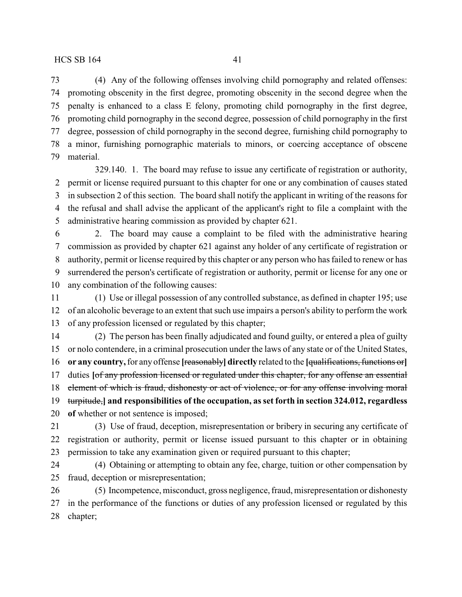(4) Any of the following offenses involving child pornography and related offenses: promoting obscenity in the first degree, promoting obscenity in the second degree when the penalty is enhanced to a class E felony, promoting child pornography in the first degree, promoting child pornography in the second degree, possession of child pornography in the first degree, possession of child pornography in the second degree, furnishing child pornography to a minor, furnishing pornographic materials to minors, or coercing acceptance of obscene material.

329.140. 1. The board may refuse to issue any certificate of registration or authority, permit or license required pursuant to this chapter for one or any combination of causes stated in subsection 2 of this section. The board shall notify the applicant in writing of the reasons for the refusal and shall advise the applicant of the applicant's right to file a complaint with the administrative hearing commission as provided by chapter 621.

 2. The board may cause a complaint to be filed with the administrative hearing commission as provided by chapter 621 against any holder of any certificate of registration or authority, permit or license required by this chapter or any person who has failed to renew or has surrendered the person's certificate of registration or authority, permit or license for any one or any combination of the following causes:

 (1) Use or illegal possession of any controlled substance, as defined in chapter 195; use of an alcoholic beverage to an extent that such use impairs a person's ability to perform the work of any profession licensed or regulated by this chapter;

 (2) The person has been finally adjudicated and found guilty, or entered a plea of guilty or nolo contendere, in a criminal prosecution under the laws of any state or of the United States, **or any country,**for any offense **[**reasonably**] directly** related to the **[**qualifications, functions or**]** duties **[**of any profession licensed or regulated under this chapter, for any offense an essential element of which is fraud, dishonesty or act of violence, or for any offense involving moral turpitude,**] and responsibilities of the occupation, as set forth in section 324.012, regardless of** whether or not sentence is imposed;

 (3) Use of fraud, deception, misrepresentation or bribery in securing any certificate of registration or authority, permit or license issued pursuant to this chapter or in obtaining permission to take any examination given or required pursuant to this chapter;

 (4) Obtaining or attempting to obtain any fee, charge, tuition or other compensation by fraud, deception or misrepresentation;

 (5) Incompetence, misconduct, gross negligence, fraud, misrepresentation or dishonesty in the performance of the functions or duties of any profession licensed or regulated by this chapter;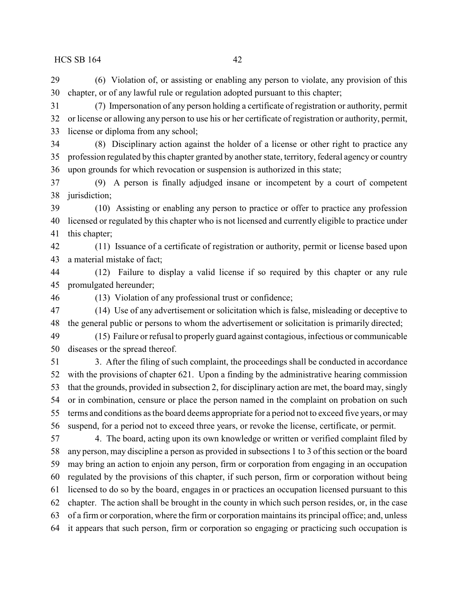(6) Violation of, or assisting or enabling any person to violate, any provision of this chapter, or of any lawful rule or regulation adopted pursuant to this chapter;

 (7) Impersonation of any person holding a certificate of registration or authority, permit or license or allowing any person to use his or her certificate of registration or authority, permit, license or diploma from any school;

 (8) Disciplinary action against the holder of a license or other right to practice any profession regulated by this chapter granted by another state, territory, federal agency or country upon grounds for which revocation or suspension is authorized in this state;

 (9) A person is finally adjudged insane or incompetent by a court of competent jurisdiction;

 (10) Assisting or enabling any person to practice or offer to practice any profession licensed or regulated by this chapter who is not licensed and currently eligible to practice under this chapter;

 (11) Issuance of a certificate of registration or authority, permit or license based upon a material mistake of fact;

 (12) Failure to display a valid license if so required by this chapter or any rule promulgated hereunder;

(13) Violation of any professional trust or confidence;

 (14) Use of any advertisement or solicitation which is false, misleading or deceptive to the general public or persons to whom the advertisement or solicitation is primarily directed;

 (15) Failure or refusal to properly guard against contagious, infectious or communicable diseases or the spread thereof.

 3. After the filing of such complaint, the proceedings shall be conducted in accordance with the provisions of chapter 621. Upon a finding by the administrative hearing commission that the grounds, provided in subsection 2, for disciplinary action are met, the board may, singly or in combination, censure or place the person named in the complaint on probation on such terms and conditions as the board deems appropriate for a period not to exceed five years, or may suspend, for a period not to exceed three years, or revoke the license, certificate, or permit.

 4. The board, acting upon its own knowledge or written or verified complaint filed by any person, may discipline a person as provided in subsections 1 to 3 of this section or the board may bring an action to enjoin any person, firm or corporation from engaging in an occupation regulated by the provisions of this chapter, if such person, firm or corporation without being licensed to do so by the board, engages in or practices an occupation licensed pursuant to this chapter. The action shall be brought in the county in which such person resides, or, in the case of a firm or corporation, where the firm or corporation maintains its principal office; and, unless it appears that such person, firm or corporation so engaging or practicing such occupation is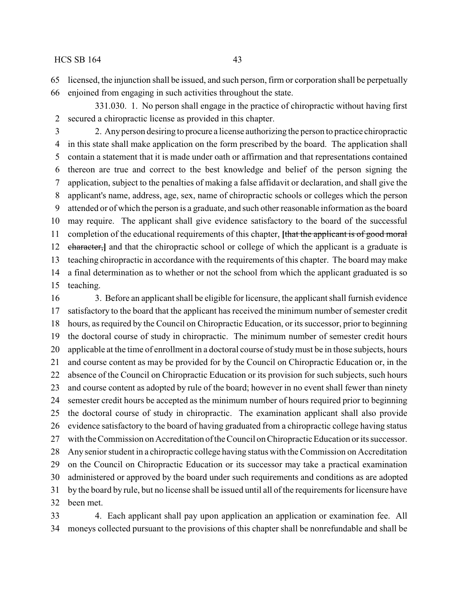licensed, the injunction shall be issued, and such person, firm or corporation shall be perpetually enjoined from engaging in such activities throughout the state.

331.030. 1. No person shall engage in the practice of chiropractic without having first secured a chiropractic license as provided in this chapter.

 2. Anyperson desiring to procure a license authorizing the person to practice chiropractic in this state shall make application on the form prescribed by the board. The application shall contain a statement that it is made under oath or affirmation and that representations contained thereon are true and correct to the best knowledge and belief of the person signing the application, subject to the penalties of making a false affidavit or declaration, and shall give the applicant's name, address, age, sex, name of chiropractic schools or colleges which the person attended or of which the person is a graduate, and such other reasonable information as the board may require. The applicant shall give evidence satisfactory to the board of the successful completion of the educational requirements of this chapter, **[**that the applicant is of good moral character,**]** and that the chiropractic school or college of which the applicant is a graduate is teaching chiropractic in accordance with the requirements of this chapter. The board may make a final determination as to whether or not the school from which the applicant graduated is so teaching.

 3. Before an applicant shall be eligible for licensure, the applicant shall furnish evidence satisfactory to the board that the applicant has received the minimum number of semester credit hours, as required by the Council on Chiropractic Education, or its successor, prior to beginning the doctoral course of study in chiropractic. The minimum number of semester credit hours applicable at the time of enrollment in a doctoral course of studymust be in those subjects, hours and course content as may be provided for by the Council on Chiropractic Education or, in the absence of the Council on Chiropractic Education or its provision for such subjects, such hours and course content as adopted by rule of the board; however in no event shall fewer than ninety semester credit hours be accepted as the minimum number of hours required prior to beginning the doctoral course of study in chiropractic. The examination applicant shall also provide evidence satisfactory to the board of having graduated from a chiropractic college having status with the Commission on Accreditation of the Council on Chiropractic Education or its successor. Any senior student in a chiropractic college having status with the Commission on Accreditation on the Council on Chiropractic Education or its successor may take a practical examination administered or approved by the board under such requirements and conditions as are adopted by the board by rule, but no license shall be issued until all of the requirements for licensure have been met. 4. Each applicant shall pay upon application an application or examination fee. All

moneys collected pursuant to the provisions of this chapter shall be nonrefundable and shall be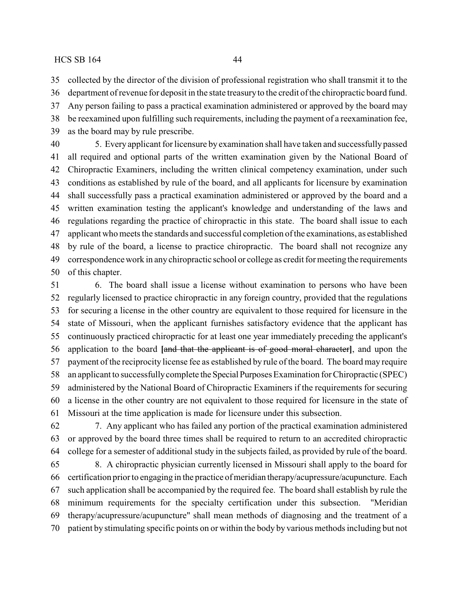collected by the director of the division of professional registration who shall transmit it to the

 department of revenue for deposit in the state treasuryto the credit of the chiropractic board fund. Any person failing to pass a practical examination administered or approved by the board may be reexamined upon fulfilling such requirements, including the payment of a reexamination fee,

as the board may by rule prescribe.

 5. Every applicant for licensure by examination shall have taken and successfullypassed all required and optional parts of the written examination given by the National Board of Chiropractic Examiners, including the written clinical competency examination, under such conditions as established by rule of the board, and all applicants for licensure by examination shall successfully pass a practical examination administered or approved by the board and a written examination testing the applicant's knowledge and understanding of the laws and regulations regarding the practice of chiropractic in this state. The board shall issue to each applicant who meets the standards and successful completion of the examinations, as established by rule of the board, a license to practice chiropractic. The board shall not recognize any correspondence work in any chiropractic school or college as credit for meeting the requirements of this chapter.

 6. The board shall issue a license without examination to persons who have been regularly licensed to practice chiropractic in any foreign country, provided that the regulations for securing a license in the other country are equivalent to those required for licensure in the state of Missouri, when the applicant furnishes satisfactory evidence that the applicant has continuously practiced chiropractic for at least one year immediately preceding the applicant's application to the board **[**and that the applicant is of good moral character**]**, and upon the payment of the reciprocity license fee as established by rule of the board. The board may require an applicant to successfullycomplete theSpecial Purposes Examination for Chiropractic (SPEC) administered by the National Board of Chiropractic Examiners if the requirements for securing a license in the other country are not equivalent to those required for licensure in the state of Missouri at the time application is made for licensure under this subsection.

 7. Any applicant who has failed any portion of the practical examination administered or approved by the board three times shall be required to return to an accredited chiropractic college for a semester of additional study in the subjects failed, as provided by rule of the board.

 8. A chiropractic physician currently licensed in Missouri shall apply to the board for certification prior to engaging in the practice of meridian therapy/acupressure/acupuncture. Each such application shall be accompanied by the required fee. The board shall establish by rule the minimum requirements for the specialty certification under this subsection. "Meridian therapy/acupressure/acupuncture" shall mean methods of diagnosing and the treatment of a patient by stimulating specific points on or within the body by various methods including but not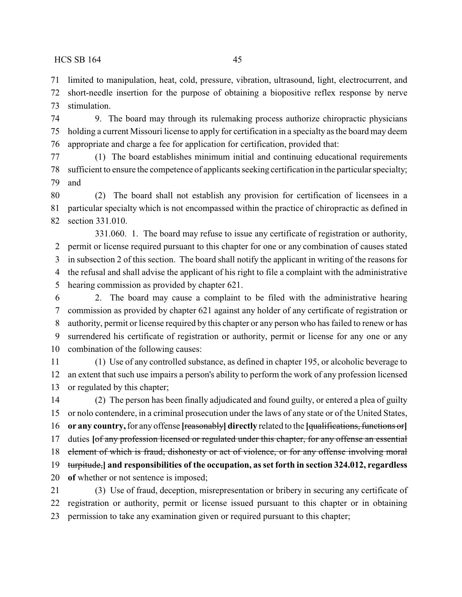limited to manipulation, heat, cold, pressure, vibration, ultrasound, light, electrocurrent, and short-needle insertion for the purpose of obtaining a biopositive reflex response by nerve stimulation.

 9. The board may through its rulemaking process authorize chiropractic physicians holding a current Missouri license to apply for certification in a specialty as the board may deem appropriate and charge a fee for application for certification, provided that:

 (1) The board establishes minimum initial and continuing educational requirements sufficient to ensure the competence of applicants seeking certification in the particular specialty; and

 (2) The board shall not establish any provision for certification of licensees in a particular specialty which is not encompassed within the practice of chiropractic as defined in section 331.010.

331.060. 1. The board may refuse to issue any certificate of registration or authority, permit or license required pursuant to this chapter for one or any combination of causes stated in subsection 2 of this section. The board shall notify the applicant in writing of the reasons for the refusal and shall advise the applicant of his right to file a complaint with the administrative hearing commission as provided by chapter 621.

 2. The board may cause a complaint to be filed with the administrative hearing commission as provided by chapter 621 against any holder of any certificate of registration or authority, permit or license required by this chapter or any person who has failed to renew or has surrendered his certificate of registration or authority, permit or license for any one or any combination of the following causes:

 (1) Use of any controlled substance, as defined in chapter 195, or alcoholic beverage to an extent that such use impairs a person's ability to perform the work of any profession licensed or regulated by this chapter;

 (2) The person has been finally adjudicated and found guilty, or entered a plea of guilty or nolo contendere, in a criminal prosecution under the laws of any state or of the United States, **or any country,**for any offense **[**reasonably**] directly** related to the **[**qualifications, functions or**]** duties **[**of any profession licensed or regulated under this chapter, for any offense an essential 18 element of which is fraud, dishonesty or act of violence, or for any offense involving moral turpitude,**] and responsibilities of the occupation, as set forth in section 324.012, regardless of** whether or not sentence is imposed; (3) Use of fraud, deception, misrepresentation or bribery in securing any certificate of

 registration or authority, permit or license issued pursuant to this chapter or in obtaining permission to take any examination given or required pursuant to this chapter;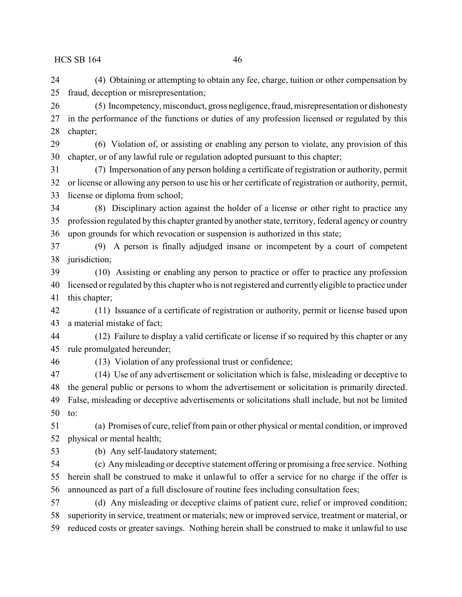(4) Obtaining or attempting to obtain any fee, charge, tuition or other compensation by fraud, deception or misrepresentation;

 (5) Incompetency, misconduct, gross negligence, fraud, misrepresentation or dishonesty in the performance of the functions or duties of any profession licensed or regulated by this chapter;

 (6) Violation of, or assisting or enabling any person to violate, any provision of this chapter, or of any lawful rule or regulation adopted pursuant to this chapter;

 (7) Impersonation of any person holding a certificate of registration or authority, permit or license or allowing any person to use his or her certificate of registration or authority, permit, license or diploma from school;

 (8) Disciplinary action against the holder of a license or other right to practice any profession regulated by this chapter granted by another state, territory, federal agency or country upon grounds for which revocation or suspension is authorized in this state;

 (9) A person is finally adjudged insane or incompetent by a court of competent jurisdiction;

 (10) Assisting or enabling any person to practice or offer to practice any profession licensed or regulated by this chapter who is not registered and currently eligible to practice under this chapter;

 (11) Issuance of a certificate of registration or authority, permit or license based upon a material mistake of fact;

 (12) Failure to display a valid certificate or license if so required by this chapter or any rule promulgated hereunder;

(13) Violation of any professional trust or confidence;

 (14) Use of any advertisement or solicitation which is false, misleading or deceptive to the general public or persons to whom the advertisement or solicitation is primarily directed. False, misleading or deceptive advertisements or solicitations shall include, but not be limited to:

 (a) Promises of cure, relief from pain or other physical or mental condition, or improved physical or mental health;

(b) Any self-laudatory statement;

 (c) Anymisleading or deceptive statement offering or promising a free service. Nothing herein shall be construed to make it unlawful to offer a service for no charge if the offer is announced as part of a full disclosure of routine fees including consultation fees;

 (d) Any misleading or deceptive claims of patient cure, relief or improved condition; superiority in service, treatment or materials; new or improved service, treatment or material, or reduced costs or greater savings. Nothing herein shall be construed to make it unlawful to use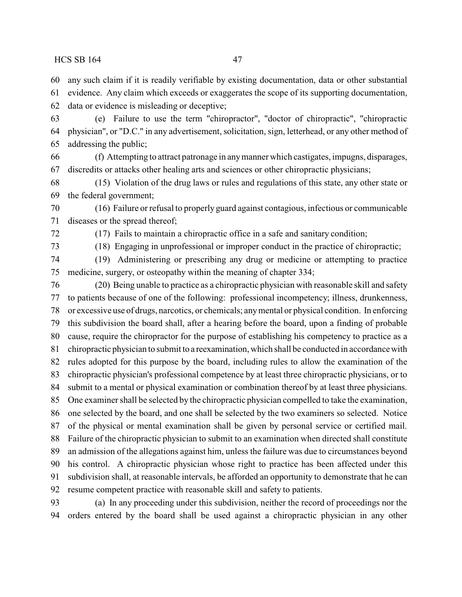any such claim if it is readily verifiable by existing documentation, data or other substantial

evidence. Any claim which exceeds or exaggerates the scope of its supporting documentation,

data or evidence is misleading or deceptive;

 (e) Failure to use the term "chiropractor", "doctor of chiropractic", "chiropractic physician", or "D.C." in any advertisement, solicitation, sign, letterhead, or any other method of addressing the public;

 (f) Attempting to attract patronage in anymanner which castigates, impugns, disparages, discredits or attacks other healing arts and sciences or other chiropractic physicians;

 (15) Violation of the drug laws or rules and regulations of this state, any other state or the federal government;

 (16) Failure or refusal to properly guard against contagious, infectious or communicable diseases or the spread thereof;

(17) Fails to maintain a chiropractic office in a safe and sanitary condition;

(18) Engaging in unprofessional or improper conduct in the practice of chiropractic;

 (19) Administering or prescribing any drug or medicine or attempting to practice medicine, surgery, or osteopathy within the meaning of chapter 334;

 (20) Being unable to practice as a chiropractic physician with reasonable skill and safety to patients because of one of the following: professional incompetency; illness, drunkenness, or excessive use of drugs, narcotics, or chemicals; anymental or physical condition. In enforcing this subdivision the board shall, after a hearing before the board, upon a finding of probable cause, require the chiropractor for the purpose of establishing his competency to practice as a chiropractic physician to submit to a reexamination, which shall be conducted in accordance with rules adopted for this purpose by the board, including rules to allow the examination of the chiropractic physician's professional competence by at least three chiropractic physicians, or to submit to a mental or physical examination or combination thereof by at least three physicians. One examiner shall be selected by the chiropractic physician compelled to take the examination, one selected by the board, and one shall be selected by the two examiners so selected. Notice of the physical or mental examination shall be given by personal service or certified mail. Failure of the chiropractic physician to submit to an examination when directed shall constitute an admission of the allegations against him, unless the failure was due to circumstances beyond his control. A chiropractic physician whose right to practice has been affected under this subdivision shall, at reasonable intervals, be afforded an opportunity to demonstrate that he can resume competent practice with reasonable skill and safety to patients.

 (a) In any proceeding under this subdivision, neither the record of proceedings nor the orders entered by the board shall be used against a chiropractic physician in any other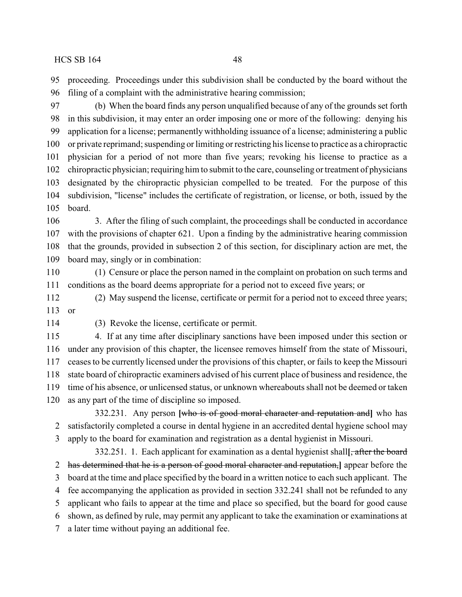proceeding. Proceedings under this subdivision shall be conducted by the board without the filing of a complaint with the administrative hearing commission;

 (b) When the board finds any person unqualified because of any of the grounds set forth in this subdivision, it may enter an order imposing one or more of the following: denying his application for a license; permanently withholding issuance of a license; administering a public or private reprimand; suspending or limiting or restricting his license to practice as a chiropractic physician for a period of not more than five years; revoking his license to practice as a chiropractic physician; requiring him to submit to the care, counseling or treatment of physicians designated by the chiropractic physician compelled to be treated. For the purpose of this subdivision, "license" includes the certificate of registration, or license, or both, issued by the board.

 3. After the filing of such complaint, the proceedings shall be conducted in accordance with the provisions of chapter 621. Upon a finding by the administrative hearing commission that the grounds, provided in subsection 2 of this section, for disciplinary action are met, the board may, singly or in combination:

 (1) Censure or place the person named in the complaint on probation on such terms and conditions as the board deems appropriate for a period not to exceed five years; or

 (2) May suspend the license, certificate or permit for a period not to exceed three years; or

(3) Revoke the license, certificate or permit.

 4. If at any time after disciplinary sanctions have been imposed under this section or under any provision of this chapter, the licensee removes himself from the state of Missouri, ceases to be currently licensed under the provisions of this chapter, or fails to keep the Missouri state board of chiropractic examiners advised of his current place of business and residence, the time of his absence, or unlicensed status, or unknown whereabouts shall not be deemed or taken as any part of the time of discipline so imposed.

332.231. Any person **[**who is of good moral character and reputation and**]** who has satisfactorily completed a course in dental hygiene in an accredited dental hygiene school may apply to the board for examination and registration as a dental hygienist in Missouri.

332.251. 1. Each applicant for examination as a dental hygienist shall**[**, after the board has determined that he is a person of good moral character and reputation,**]** appear before the board at the time and place specified by the board in a written notice to each such applicant. The fee accompanying the application as provided in section 332.241 shall not be refunded to any applicant who fails to appear at the time and place so specified, but the board for good cause shown, as defined by rule, may permit any applicant to take the examination or examinations at a later time without paying an additional fee.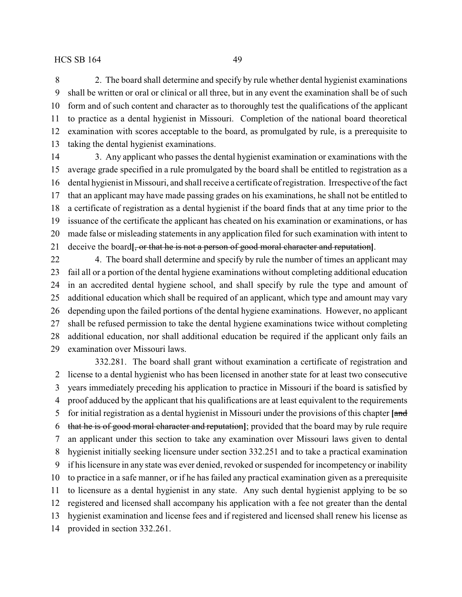2. The board shall determine and specify by rule whether dental hygienist examinations shall be written or oral or clinical or all three, but in any event the examination shall be of such form and of such content and character as to thoroughly test the qualifications of the applicant to practice as a dental hygienist in Missouri. Completion of the national board theoretical examination with scores acceptable to the board, as promulgated by rule, is a prerequisite to taking the dental hygienist examinations.

 3. Any applicant who passes the dental hygienist examination or examinations with the average grade specified in a rule promulgated by the board shall be entitled to registration as a dental hygienist in Missouri, and shall receive a certificate of registration. Irrespective of the fact that an applicant may have made passing grades on his examinations, he shall not be entitled to a certificate of registration as a dental hygienist if the board finds that at any time prior to the issuance of the certificate the applicant has cheated on his examination or examinations, or has made false or misleading statements in any application filed for such examination with intent to deceive the board**[**, or that he is not a person of good moral character and reputation**]**.

22 4. The board shall determine and specify by rule the number of times an applicant may fail all or a portion of the dental hygiene examinations without completing additional education in an accredited dental hygiene school, and shall specify by rule the type and amount of additional education which shall be required of an applicant, which type and amount may vary depending upon the failed portions of the dental hygiene examinations. However, no applicant shall be refused permission to take the dental hygiene examinations twice without completing additional education, nor shall additional education be required if the applicant only fails an examination over Missouri laws.

332.281. The board shall grant without examination a certificate of registration and license to a dental hygienist who has been licensed in another state for at least two consecutive years immediately preceding his application to practice in Missouri if the board is satisfied by proof adduced by the applicant that his qualifications are at least equivalent to the requirements for initial registration as a dental hygienist in Missouri under the provisions of this chapter **[**and that he is of good moral character and reputation**]**; provided that the board may by rule require an applicant under this section to take any examination over Missouri laws given to dental hygienist initially seeking licensure under section 332.251 and to take a practical examination if his licensure in any state was ever denied, revoked or suspended for incompetency or inability to practice in a safe manner, or if he has failed any practical examination given as a prerequisite to licensure as a dental hygienist in any state. Any such dental hygienist applying to be so registered and licensed shall accompany his application with a fee not greater than the dental hygienist examination and license fees and if registered and licensed shall renew his license as provided in section 332.261.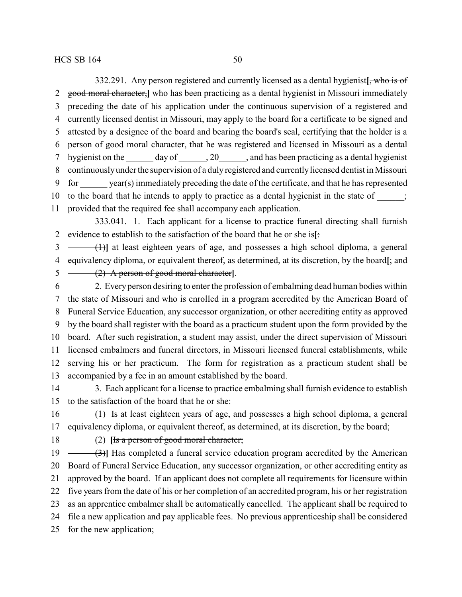332.291. Any person registered and currently licensed as a dental hygienist**[**, who is of good moral character,**]** who has been practicing as a dental hygienist in Missouri immediately preceding the date of his application under the continuous supervision of a registered and currently licensed dentist in Missouri, may apply to the board for a certificate to be signed and attested by a designee of the board and bearing the board's seal, certifying that the holder is a person of good moral character, that he was registered and licensed in Missouri as a dental 7 hygienist on the day of , 20 , and has been practicing as a dental hygienist continuouslyunder the supervision of a duly registered and currentlylicensed dentist in Missouri for \_\_\_\_\_\_ year(s) immediately preceding the date of the certificate, and that he has represented 10 to the board that he intends to apply to practice as a dental hygienist in the state of  $\cdot$ ; provided that the required fee shall accompany each application.

333.041. 1. Each applicant for a license to practice funeral directing shall furnish evidence to establish to the satisfaction of the board that he or she is**[**:

 (1)**]** at least eighteen years of age, and possesses a high school diploma, a general equivalency diploma, or equivalent thereof, as determined, at its discretion, by the board**[**; and (2) A person of good moral character**]**.

 2. Everyperson desiring to enter the profession of embalming dead human bodies within the state of Missouri and who is enrolled in a program accredited by the American Board of Funeral Service Education, any successor organization, or other accrediting entity as approved by the board shall register with the board as a practicum student upon the form provided by the board. After such registration, a student may assist, under the direct supervision of Missouri licensed embalmers and funeral directors, in Missouri licensed funeral establishments, while serving his or her practicum. The form for registration as a practicum student shall be accompanied by a fee in an amount established by the board.

 3. Each applicant for a license to practice embalming shall furnish evidence to establish to the satisfaction of the board that he or she:

 (1) Is at least eighteen years of age, and possesses a high school diploma, a general equivalency diploma, or equivalent thereof, as determined, at its discretion, by the board;

(2) **[**Is a person of good moral character;

19 (3)<sup>1</sup> Has completed a funeral service education program accredited by the American Board of Funeral Service Education, any successor organization, or other accrediting entity as approved by the board. If an applicant does not complete all requirements for licensure within five years from the date of his or her completion of an accredited program, his or her registration as an apprentice embalmer shall be automatically cancelled. The applicant shall be required to file a new application and pay applicable fees. No previous apprenticeship shall be considered for the new application;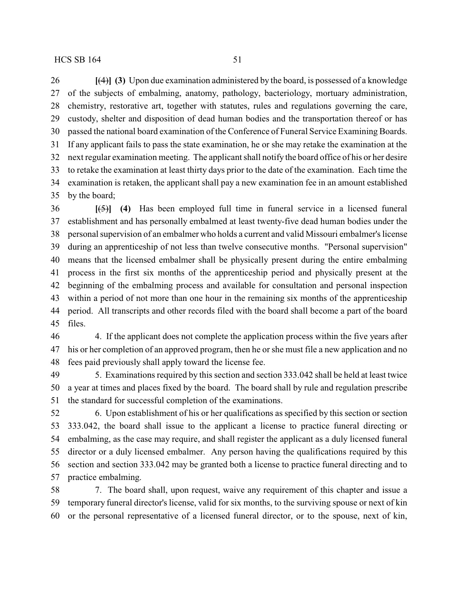**[**(4)**] (3)** Upon due examination administered by the board, is possessed of a knowledge of the subjects of embalming, anatomy, pathology, bacteriology, mortuary administration, chemistry, restorative art, together with statutes, rules and regulations governing the care, custody, shelter and disposition of dead human bodies and the transportation thereof or has passed the national board examination of the Conference of Funeral Service Examining Boards. If any applicant fails to pass the state examination, he or she may retake the examination at the next regular examination meeting. The applicant shall notify the board office of his or her desire to retake the examination at least thirty days prior to the date of the examination. Each time the

 examination is retaken, the applicant shall pay a new examination fee in an amount established by the board;

 **[**(5)**] (4)** Has been employed full time in funeral service in a licensed funeral establishment and has personally embalmed at least twenty-five dead human bodies under the personal supervision of an embalmer who holds a current and valid Missouri embalmer's license during an apprenticeship of not less than twelve consecutive months. "Personal supervision" means that the licensed embalmer shall be physically present during the entire embalming process in the first six months of the apprenticeship period and physically present at the beginning of the embalming process and available for consultation and personal inspection within a period of not more than one hour in the remaining six months of the apprenticeship period. All transcripts and other records filed with the board shall become a part of the board files.

 4. If the applicant does not complete the application process within the five years after his or her completion of an approved program, then he or she must file a new application and no fees paid previously shall apply toward the license fee.

 5. Examinations required by this section and section 333.042 shall be held at least twice a year at times and places fixed by the board. The board shall by rule and regulation prescribe the standard for successful completion of the examinations.

 6. Upon establishment of his or her qualifications as specified by this section or section 333.042, the board shall issue to the applicant a license to practice funeral directing or embalming, as the case may require, and shall register the applicant as a duly licensed funeral director or a duly licensed embalmer. Any person having the qualifications required by this section and section 333.042 may be granted both a license to practice funeral directing and to practice embalming.

 7. The board shall, upon request, waive any requirement of this chapter and issue a temporary funeral director's license, valid for six months, to the surviving spouse or next of kin or the personal representative of a licensed funeral director, or to the spouse, next of kin,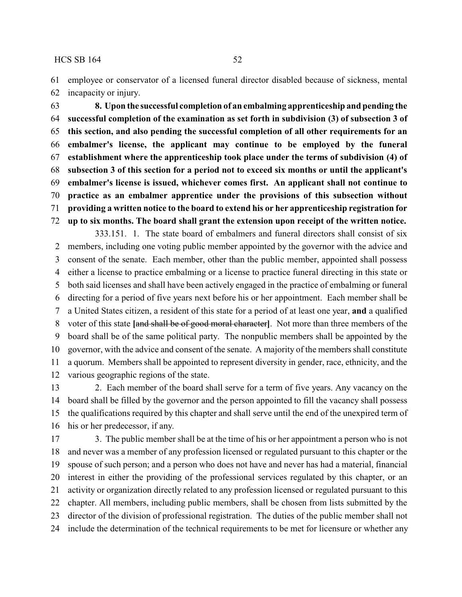employee or conservator of a licensed funeral director disabled because of sickness, mental incapacity or injury.

 **8. Upon the successful completion of an embalming apprenticeship and pending the successful completion of the examination as set forth in subdivision (3) of subsection 3 of this section, and also pending the successful completion of all other requirements for an embalmer's license, the applicant may continue to be employed by the funeral establishment where the apprenticeship took place under the terms of subdivision (4) of subsection 3 of this section for a period not to exceed six months or until the applicant's embalmer's license is issued, whichever comes first. An applicant shall not continue to practice as an embalmer apprentice under the provisions of this subsection without providing a written notice to the board to extend his or her apprenticeship registration for up to six months. The board shall grant the extension upon receipt of the written notice.**

333.151. 1. The state board of embalmers and funeral directors shall consist of six members, including one voting public member appointed by the governor with the advice and consent of the senate. Each member, other than the public member, appointed shall possess either a license to practice embalming or a license to practice funeral directing in this state or both said licenses and shall have been actively engaged in the practice of embalming or funeral directing for a period of five years next before his or her appointment. Each member shall be a United States citizen, a resident of this state for a period of at least one year, **and** a qualified voter of this state **[**and shall be of good moral character**]**. Not more than three members of the board shall be of the same political party. The nonpublic members shall be appointed by the governor, with the advice and consent of the senate. A majority of the members shall constitute a quorum. Members shall be appointed to represent diversity in gender, race, ethnicity, and the various geographic regions of the state.

 2. Each member of the board shall serve for a term of five years. Any vacancy on the board shall be filled by the governor and the person appointed to fill the vacancy shall possess the qualifications required by this chapter and shall serve until the end of the unexpired term of his or her predecessor, if any.

17 3. The public member shall be at the time of his or her appointment a person who is not and never was a member of any profession licensed or regulated pursuant to this chapter or the spouse of such person; and a person who does not have and never has had a material, financial interest in either the providing of the professional services regulated by this chapter, or an activity or organization directly related to any profession licensed or regulated pursuant to this chapter. All members, including public members, shall be chosen from lists submitted by the director of the division of professional registration. The duties of the public member shall not include the determination of the technical requirements to be met for licensure or whether any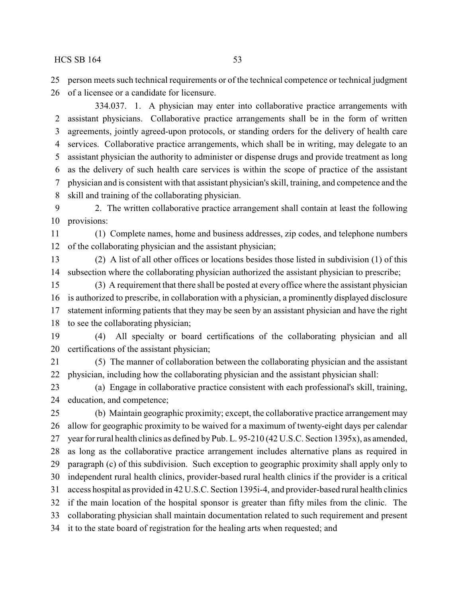person meets such technical requirements or of the technical competence or technical judgment

of a licensee or a candidate for licensure.

334.037. 1. A physician may enter into collaborative practice arrangements with assistant physicians. Collaborative practice arrangements shall be in the form of written agreements, jointly agreed-upon protocols, or standing orders for the delivery of health care services. Collaborative practice arrangements, which shall be in writing, may delegate to an assistant physician the authority to administer or dispense drugs and provide treatment as long as the delivery of such health care services is within the scope of practice of the assistant physician and is consistent with that assistant physician's skill, training, and competence and the skill and training of the collaborating physician.

 2. The written collaborative practice arrangement shall contain at least the following provisions:

 (1) Complete names, home and business addresses, zip codes, and telephone numbers of the collaborating physician and the assistant physician;

 (2) A list of all other offices or locations besides those listed in subdivision (1) of this subsection where the collaborating physician authorized the assistant physician to prescribe;

 (3) A requirement that there shall be posted at every office where the assistant physician is authorized to prescribe, in collaboration with a physician, a prominently displayed disclosure statement informing patients that they may be seen by an assistant physician and have the right to see the collaborating physician;

 (4) All specialty or board certifications of the collaborating physician and all certifications of the assistant physician;

 (5) The manner of collaboration between the collaborating physician and the assistant physician, including how the collaborating physician and the assistant physician shall:

 (a) Engage in collaborative practice consistent with each professional's skill, training, education, and competence;

 (b) Maintain geographic proximity; except, the collaborative practice arrangement may allow for geographic proximity to be waived for a maximum of twenty-eight days per calendar year for rural health clinics as defined by Pub. L. 95-210 (42 U.S.C. Section 1395x), as amended, as long as the collaborative practice arrangement includes alternative plans as required in paragraph (c) of this subdivision. Such exception to geographic proximity shall apply only to independent rural health clinics, provider-based rural health clinics if the provider is a critical access hospital as provided in 42 U.S.C. Section 1395i-4, and provider-based rural health clinics if the main location of the hospital sponsor is greater than fifty miles from the clinic. The collaborating physician shall maintain documentation related to such requirement and present it to the state board of registration for the healing arts when requested; and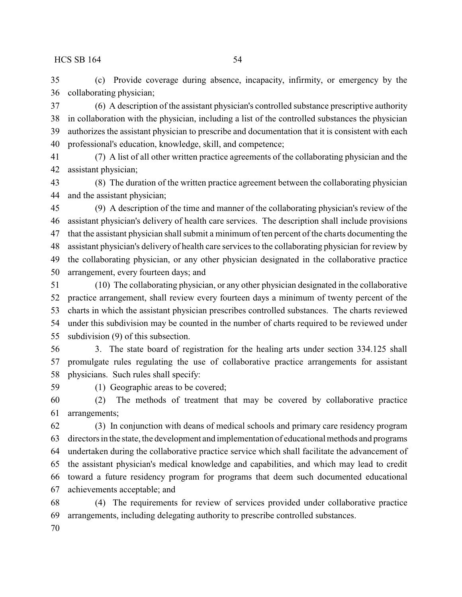(c) Provide coverage during absence, incapacity, infirmity, or emergency by the collaborating physician;

 (6) A description of the assistant physician's controlled substance prescriptive authority in collaboration with the physician, including a list of the controlled substances the physician authorizes the assistant physician to prescribe and documentation that it is consistent with each professional's education, knowledge, skill, and competence;

 (7) A list of all other written practice agreements of the collaborating physician and the assistant physician;

 (8) The duration of the written practice agreement between the collaborating physician and the assistant physician;

 (9) A description of the time and manner of the collaborating physician's review of the assistant physician's delivery of health care services. The description shall include provisions that the assistant physician shall submit a minimum of ten percent of the charts documenting the assistant physician's delivery of health care services to the collaborating physician for review by the collaborating physician, or any other physician designated in the collaborative practice arrangement, every fourteen days; and

 (10) The collaborating physician, or any other physician designated in the collaborative practice arrangement, shall review every fourteen days a minimum of twenty percent of the charts in which the assistant physician prescribes controlled substances. The charts reviewed under this subdivision may be counted in the number of charts required to be reviewed under subdivision (9) of this subsection.

 3. The state board of registration for the healing arts under section 334.125 shall promulgate rules regulating the use of collaborative practice arrangements for assistant physicians. Such rules shall specify:

(1) Geographic areas to be covered;

 (2) The methods of treatment that may be covered by collaborative practice arrangements;

 (3) In conjunction with deans of medical schools and primary care residency program directors in the state, the development and implementation of educational methods and programs undertaken during the collaborative practice service which shall facilitate the advancement of the assistant physician's medical knowledge and capabilities, and which may lead to credit toward a future residency program for programs that deem such documented educational achievements acceptable; and

 (4) The requirements for review of services provided under collaborative practice arrangements, including delegating authority to prescribe controlled substances.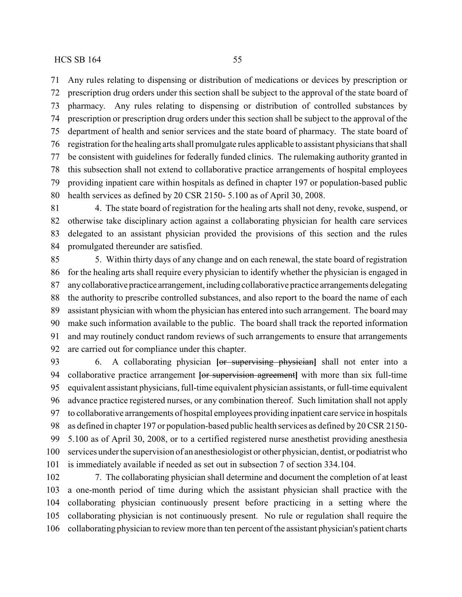Any rules relating to dispensing or distribution of medications or devices by prescription or prescription drug orders under this section shall be subject to the approval of the state board of pharmacy. Any rules relating to dispensing or distribution of controlled substances by prescription or prescription drug orders under this section shall be subject to the approval of the department of health and senior services and the state board of pharmacy. The state board of registration for the healing arts shall promulgate rules applicable to assistant physicians that shall be consistent with guidelines for federally funded clinics. The rulemaking authority granted in this subsection shall not extend to collaborative practice arrangements of hospital employees providing inpatient care within hospitals as defined in chapter 197 or population-based public health services as defined by 20 CSR 2150- 5.100 as of April 30, 2008.

 4. The state board of registration for the healing arts shall not deny, revoke, suspend, or otherwise take disciplinary action against a collaborating physician for health care services delegated to an assistant physician provided the provisions of this section and the rules promulgated thereunder are satisfied.

 5. Within thirty days of any change and on each renewal, the state board of registration for the healing arts shall require every physician to identify whether the physician is engaged in anycollaborative practice arrangement, including collaborative practice arrangements delegating the authority to prescribe controlled substances, and also report to the board the name of each assistant physician with whom the physician has entered into such arrangement. The board may make such information available to the public. The board shall track the reported information and may routinely conduct random reviews of such arrangements to ensure that arrangements are carried out for compliance under this chapter.

 6. A collaborating physician **[**or supervising physician**]** shall not enter into a collaborative practice arrangement **[**or supervision agreement**]** with more than six full-time equivalent assistant physicians, full-time equivalent physician assistants, or full-time equivalent advance practice registered nurses, or any combination thereof. Such limitation shall not apply to collaborative arrangements of hospital employees providing inpatient care service in hospitals as defined in chapter 197 or population-based public health services as defined by 20 CSR 2150- 5.100 as of April 30, 2008, or to a certified registered nurse anesthetist providing anesthesia services under the supervision of an anesthesiologist or other physician, dentist, or podiatrist who is immediately available if needed as set out in subsection 7 of section 334.104.

 7. The collaborating physician shall determine and document the completion of at least a one-month period of time during which the assistant physician shall practice with the collaborating physician continuously present before practicing in a setting where the collaborating physician is not continuously present. No rule or regulation shall require the collaborating physician to review more than ten percent of the assistant physician's patient charts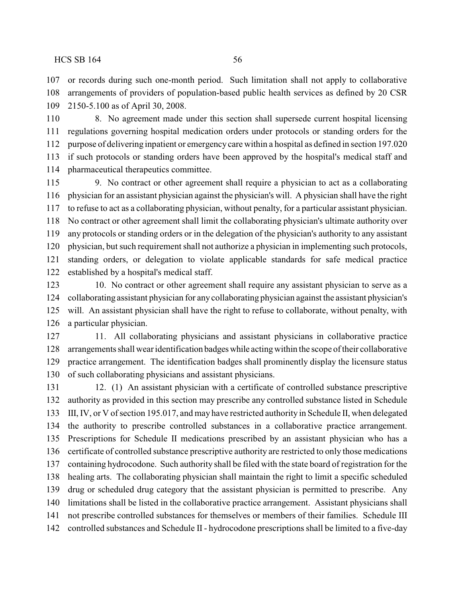or records during such one-month period. Such limitation shall not apply to collaborative arrangements of providers of population-based public health services as defined by 20 CSR 2150-5.100 as of April 30, 2008.

 8. No agreement made under this section shall supersede current hospital licensing regulations governing hospital medication orders under protocols or standing orders for the purpose of delivering inpatient or emergency care within a hospital as defined in section 197.020 if such protocols or standing orders have been approved by the hospital's medical staff and pharmaceutical therapeutics committee.

 9. No contract or other agreement shall require a physician to act as a collaborating physician for an assistant physician against the physician's will. A physician shall have the right to refuse to act as a collaborating physician, without penalty, for a particular assistant physician. No contract or other agreement shall limit the collaborating physician's ultimate authority over any protocols or standing orders or in the delegation of the physician's authority to any assistant physician, but such requirement shall not authorize a physician in implementing such protocols, standing orders, or delegation to violate applicable standards for safe medical practice established by a hospital's medical staff.

 10. No contract or other agreement shall require any assistant physician to serve as a collaborating assistant physician for any collaborating physician against the assistant physician's will. An assistant physician shall have the right to refuse to collaborate, without penalty, with a particular physician.

 11. All collaborating physicians and assistant physicians in collaborative practice arrangements shall wear identification badgeswhile actingwithin the scope of their collaborative practice arrangement. The identification badges shall prominently display the licensure status of such collaborating physicians and assistant physicians.

 12. (1) An assistant physician with a certificate of controlled substance prescriptive authority as provided in this section may prescribe any controlled substance listed in Schedule III, IV, or V of section 195.017, and may have restricted authority in Schedule II, when delegated the authority to prescribe controlled substances in a collaborative practice arrangement. Prescriptions for Schedule II medications prescribed by an assistant physician who has a certificate of controlled substance prescriptive authority are restricted to only those medications containing hydrocodone. Such authority shall be filed with the state board of registration for the healing arts. The collaborating physician shall maintain the right to limit a specific scheduled drug or scheduled drug category that the assistant physician is permitted to prescribe. Any limitations shall be listed in the collaborative practice arrangement. Assistant physicians shall not prescribe controlled substances for themselves or members of their families. Schedule III controlled substances and Schedule II - hydrocodone prescriptions shall be limited to a five-day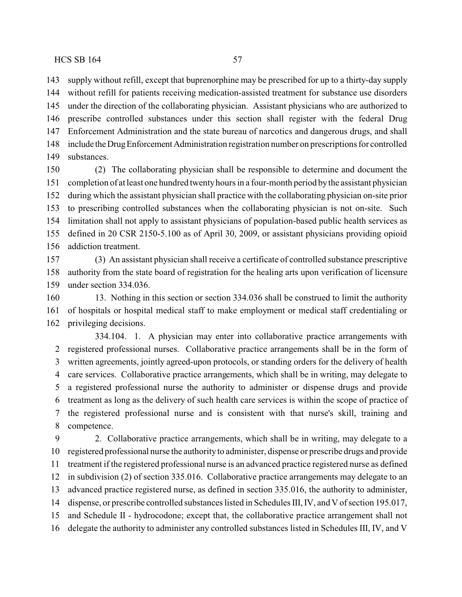supply without refill, except that buprenorphine may be prescribed for up to a thirty-day supply without refill for patients receiving medication-assisted treatment for substance use disorders under the direction of the collaborating physician. Assistant physicians who are authorized to prescribe controlled substances under this section shall register with the federal Drug Enforcement Administration and the state bureau of narcotics and dangerous drugs, and shall include theDrugEnforcementAdministration registration number on prescriptions for controlled substances.

 (2) The collaborating physician shall be responsible to determine and document the completion of at least one hundred twentyhours in a four-month period bythe assistant physician during which the assistant physician shall practice with the collaborating physician on-site prior to prescribing controlled substances when the collaborating physician is not on-site. Such limitation shall not apply to assistant physicians of population-based public health services as defined in 20 CSR 2150-5.100 as of April 30, 2009, or assistant physicians providing opioid addiction treatment.

 (3) An assistant physician shall receive a certificate of controlled substance prescriptive authority from the state board of registration for the healing arts upon verification of licensure under section 334.036.

 13. Nothing in this section or section 334.036 shall be construed to limit the authority of hospitals or hospital medical staff to make employment or medical staff credentialing or privileging decisions.

334.104. 1. A physician may enter into collaborative practice arrangements with registered professional nurses. Collaborative practice arrangements shall be in the form of written agreements, jointly agreed-upon protocols, or standing orders for the delivery of health care services. Collaborative practice arrangements, which shall be in writing, may delegate to a registered professional nurse the authority to administer or dispense drugs and provide treatment as long as the delivery of such health care services is within the scope of practice of the registered professional nurse and is consistent with that nurse's skill, training and competence.

 2. Collaborative practice arrangements, which shall be in writing, may delegate to a registered professional nurse the authorityto administer, dispense or prescribe drugs and provide treatment if the registered professional nurse is an advanced practice registered nurse as defined in subdivision (2) of section 335.016. Collaborative practice arrangements may delegate to an advanced practice registered nurse, as defined in section 335.016, the authority to administer, dispense, or prescribe controlled substances listed in Schedules III, IV, and V of section 195.017, and Schedule II - hydrocodone; except that, the collaborative practice arrangement shall not delegate the authority to administer any controlled substances listed in Schedules III, IV, and V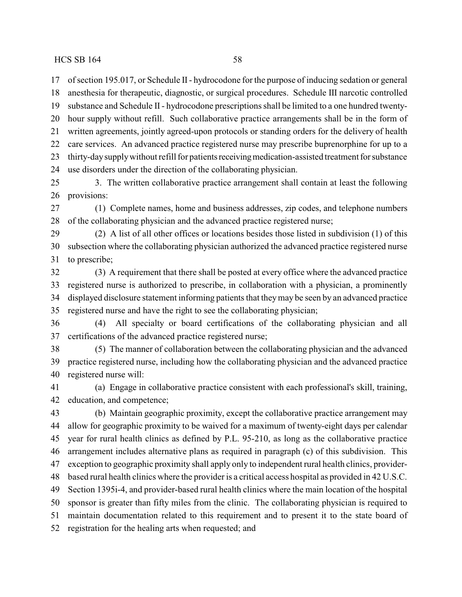of section 195.017, or Schedule II- hydrocodone for the purpose of inducing sedation or general anesthesia for therapeutic, diagnostic, or surgical procedures. Schedule III narcotic controlled substance and Schedule II - hydrocodone prescriptions shall be limited to a one hundred twenty- hour supply without refill. Such collaborative practice arrangements shall be in the form of written agreements, jointly agreed-upon protocols or standing orders for the delivery of health care services. An advanced practice registered nurse may prescribe buprenorphine for up to a 23 thirty-day supply without refill for patients receiving medication-assisted treatment for substance use disorders under the direction of the collaborating physician.

 3. The written collaborative practice arrangement shall contain at least the following provisions:

 (1) Complete names, home and business addresses, zip codes, and telephone numbers of the collaborating physician and the advanced practice registered nurse;

 (2) A list of all other offices or locations besides those listed in subdivision (1) of this subsection where the collaborating physician authorized the advanced practice registered nurse to prescribe;

 (3) A requirement that there shall be posted at every office where the advanced practice registered nurse is authorized to prescribe, in collaboration with a physician, a prominently displayed disclosure statement informing patients that theymay be seen by an advanced practice registered nurse and have the right to see the collaborating physician;

 (4) All specialty or board certifications of the collaborating physician and all certifications of the advanced practice registered nurse;

 (5) The manner of collaboration between the collaborating physician and the advanced practice registered nurse, including how the collaborating physician and the advanced practice registered nurse will:

 (a) Engage in collaborative practice consistent with each professional's skill, training, education, and competence;

 (b) Maintain geographic proximity, except the collaborative practice arrangement may allow for geographic proximity to be waived for a maximum of twenty-eight days per calendar year for rural health clinics as defined by P.L. 95-210, as long as the collaborative practice arrangement includes alternative plans as required in paragraph (c) of this subdivision. This exception to geographic proximity shall apply only to independent rural health clinics, provider- based rural health clinics where the provider is a critical access hospital as provided in 42 U.S.C. Section 1395i-4, and provider-based rural health clinics where the main location of the hospital sponsor is greater than fifty miles from the clinic. The collaborating physician is required to maintain documentation related to this requirement and to present it to the state board of registration for the healing arts when requested; and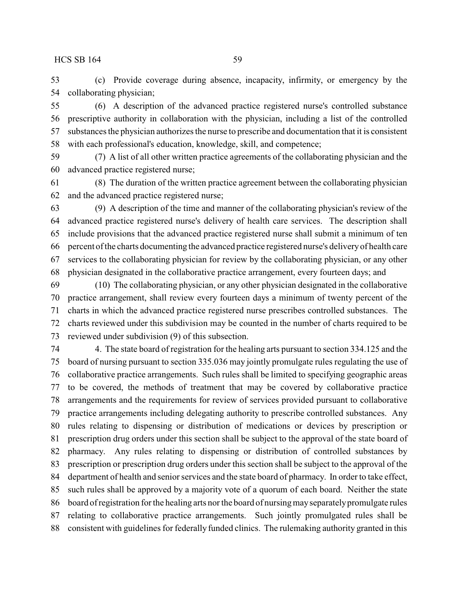(c) Provide coverage during absence, incapacity, infirmity, or emergency by the collaborating physician;

 (6) A description of the advanced practice registered nurse's controlled substance prescriptive authority in collaboration with the physician, including a list of the controlled substances the physician authorizes the nurse to prescribe and documentation that it is consistent with each professional's education, knowledge, skill, and competence;

 (7) A list of all other written practice agreements of the collaborating physician and the advanced practice registered nurse;

 (8) The duration of the written practice agreement between the collaborating physician and the advanced practice registered nurse;

 (9) A description of the time and manner of the collaborating physician's review of the advanced practice registered nurse's delivery of health care services. The description shall include provisions that the advanced practice registered nurse shall submit a minimum of ten percent of the charts documenting the advanced practice registered nurse's deliveryof health care services to the collaborating physician for review by the collaborating physician, or any other physician designated in the collaborative practice arrangement, every fourteen days; and

 (10) The collaborating physician, or any other physician designated in the collaborative practice arrangement, shall review every fourteen days a minimum of twenty percent of the charts in which the advanced practice registered nurse prescribes controlled substances. The charts reviewed under this subdivision may be counted in the number of charts required to be reviewed under subdivision (9) of this subsection.

 4. The state board of registration for the healing arts pursuant to section 334.125 and the board of nursing pursuant to section 335.036 may jointly promulgate rules regulating the use of collaborative practice arrangements. Such rules shall be limited to specifying geographic areas to be covered, the methods of treatment that may be covered by collaborative practice arrangements and the requirements for review of services provided pursuant to collaborative practice arrangements including delegating authority to prescribe controlled substances. Any rules relating to dispensing or distribution of medications or devices by prescription or prescription drug orders under this section shall be subject to the approval of the state board of pharmacy. Any rules relating to dispensing or distribution of controlled substances by prescription or prescription drug orders under this section shall be subject to the approval of the department of health and senior services and the state board of pharmacy. In order to take effect, such rules shall be approved by a majority vote of a quorum of each board. Neither the state 86 board of registration for the healing arts nor the board of nursing may separately promulgate rules relating to collaborative practice arrangements. Such jointly promulgated rules shall be consistent with guidelines for federally funded clinics. The rulemaking authority granted in this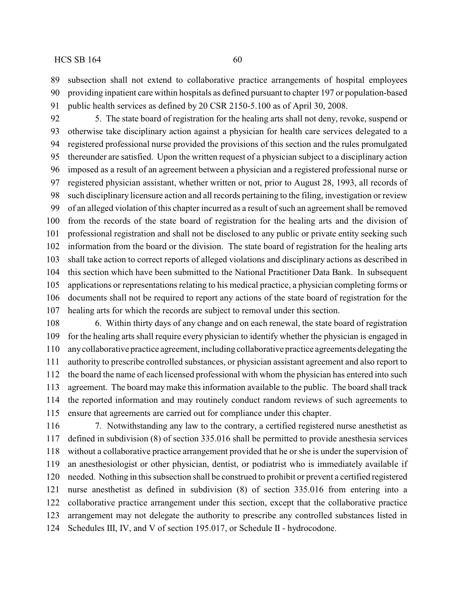subsection shall not extend to collaborative practice arrangements of hospital employees providing inpatient care within hospitals as defined pursuant to chapter 197 or population-based public health services as defined by 20 CSR 2150-5.100 as of April 30, 2008.

 5. The state board of registration for the healing arts shall not deny, revoke, suspend or otherwise take disciplinary action against a physician for health care services delegated to a registered professional nurse provided the provisions of this section and the rules promulgated thereunder are satisfied. Upon the written request of a physician subject to a disciplinary action imposed as a result of an agreement between a physician and a registered professional nurse or registered physician assistant, whether written or not, prior to August 28, 1993, all records of such disciplinary licensure action and all records pertaining to the filing, investigation or review of an alleged violation of this chapter incurred as a result of such an agreement shall be removed from the records of the state board of registration for the healing arts and the division of professional registration and shall not be disclosed to any public or private entity seeking such information from the board or the division. The state board of registration for the healing arts shall take action to correct reports of alleged violations and disciplinary actions as described in this section which have been submitted to the National Practitioner Data Bank. In subsequent applications or representations relating to his medical practice, a physician completing forms or documents shall not be required to report any actions of the state board of registration for the healing arts for which the records are subject to removal under this section.

 6. Within thirty days of any change and on each renewal, the state board of registration for the healing arts shall require every physician to identify whether the physician is engaged in anycollaborative practice agreement, including collaborative practice agreements delegating the authority to prescribe controlled substances, or physician assistant agreement and also report to the board the name of each licensed professional with whom the physician has entered into such agreement. The board may make this information available to the public. The board shall track the reported information and may routinely conduct random reviews of such agreements to ensure that agreements are carried out for compliance under this chapter.

 7. Notwithstanding any law to the contrary, a certified registered nurse anesthetist as defined in subdivision (8) of section 335.016 shall be permitted to provide anesthesia services without a collaborative practice arrangement provided that he or she is under the supervision of an anesthesiologist or other physician, dentist, or podiatrist who is immediately available if needed. Nothing in this subsection shall be construed to prohibit or prevent a certified registered nurse anesthetist as defined in subdivision (8) of section 335.016 from entering into a collaborative practice arrangement under this section, except that the collaborative practice arrangement may not delegate the authority to prescribe any controlled substances listed in Schedules III, IV, and V of section 195.017, or Schedule II - hydrocodone.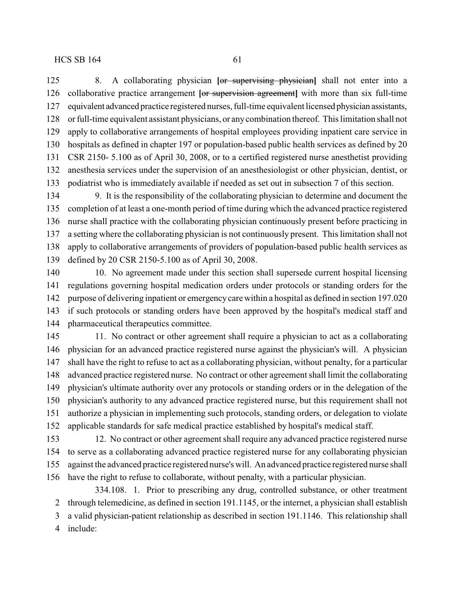8. A collaborating physician **[**or supervising physician**]** shall not enter into a collaborative practice arrangement **[**or supervision agreement**]** with more than six full-time equivalent advanced practice registered nurses, full-time equivalent licensed physician assistants, or full-time equivalent assistant physicians, or anycombination thereof. This limitation shall not apply to collaborative arrangements of hospital employees providing inpatient care service in hospitals as defined in chapter 197 or population-based public health services as defined by 20 CSR 2150- 5.100 as of April 30, 2008, or to a certified registered nurse anesthetist providing anesthesia services under the supervision of an anesthesiologist or other physician, dentist, or podiatrist who is immediately available if needed as set out in subsection 7 of this section.

 9. It is the responsibility of the collaborating physician to determine and document the completion of at least a one-month period of time during which the advanced practice registered nurse shall practice with the collaborating physician continuously present before practicing in a setting where the collaborating physician is not continuously present. This limitation shall not apply to collaborative arrangements of providers of population-based public health services as defined by 20 CSR 2150-5.100 as of April 30, 2008.

 10. No agreement made under this section shall supersede current hospital licensing regulations governing hospital medication orders under protocols or standing orders for the purpose of delivering inpatient or emergency care within a hospital as defined in section 197.020 if such protocols or standing orders have been approved by the hospital's medical staff and pharmaceutical therapeutics committee.

 11. No contract or other agreement shall require a physician to act as a collaborating physician for an advanced practice registered nurse against the physician's will. A physician shall have the right to refuse to act as a collaborating physician, without penalty, for a particular advanced practice registered nurse. No contract or other agreement shall limit the collaborating physician's ultimate authority over any protocols or standing orders or in the delegation of the physician's authority to any advanced practice registered nurse, but this requirement shall not authorize a physician in implementing such protocols, standing orders, or delegation to violate applicable standards for safe medical practice established by hospital's medical staff.

 12. No contract or other agreement shall require any advanced practice registered nurse to serve as a collaborating advanced practice registered nurse for any collaborating physician against the advanced practice registered nurse's will. An advanced practice registered nurse shall have the right to refuse to collaborate, without penalty, with a particular physician.

334.108. 1. Prior to prescribing any drug, controlled substance, or other treatment through telemedicine, as defined in section 191.1145, or the internet, a physician shall establish a valid physician-patient relationship as described in section 191.1146. This relationship shall include: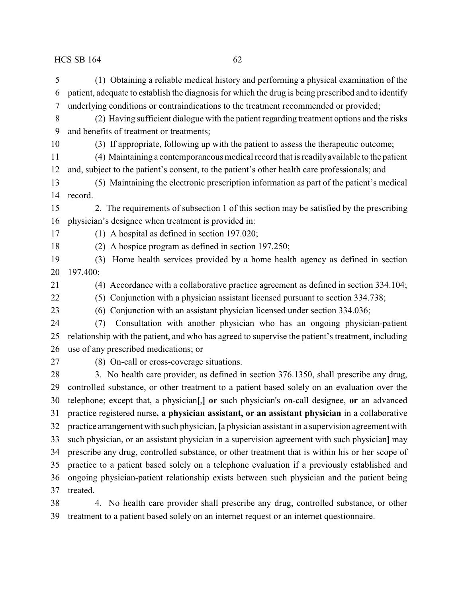(1) Obtaining a reliable medical history and performing a physical examination of the patient, adequate to establish the diagnosis for which the drug is being prescribed and to identify underlying conditions or contraindications to the treatment recommended or provided; (2) Having sufficient dialogue with the patient regarding treatment options and the risks and benefits of treatment or treatments; (3) If appropriate, following up with the patient to assess the therapeutic outcome; (4) Maintaining a contemporaneous medical record that is readilyavailable to the patient and, subject to the patient's consent, to the patient's other health care professionals; and (5) Maintaining the electronic prescription information as part of the patient's medical record. 2. The requirements of subsection 1 of this section may be satisfied by the prescribing physician's designee when treatment is provided in: (1) A hospital as defined in section 197.020; (2) A hospice program as defined in section 197.250; (3) Home health services provided by a home health agency as defined in section 197.400; (4) Accordance with a collaborative practice agreement as defined in section 334.104; (5) Conjunction with a physician assistant licensed pursuant to section 334.738; (6) Conjunction with an assistant physician licensed under section 334.036; (7) Consultation with another physician who has an ongoing physician-patient relationship with the patient, and who has agreed to supervise the patient's treatment, including use of any prescribed medications; or (8) On-call or cross-coverage situations. 28 3. No health care provider, as defined in section 376.1350, shall prescribe any drug, controlled substance, or other treatment to a patient based solely on an evaluation over the telephone; except that, a physician**[**,**] or** such physician's on-call designee, **or** an advanced practice registered nurse**, a physician assistant, or an assistant physician** in a collaborative practice arrangement with such physician, **[**a physician assistant in a supervision agreement with such physician, or an assistant physician in a supervision agreement with such physician**]** may prescribe any drug, controlled substance, or other treatment that is within his or her scope of practice to a patient based solely on a telephone evaluation if a previously established and ongoing physician-patient relationship exists between such physician and the patient being treated.

 4. No health care provider shall prescribe any drug, controlled substance, or other treatment to a patient based solely on an internet request or an internet questionnaire.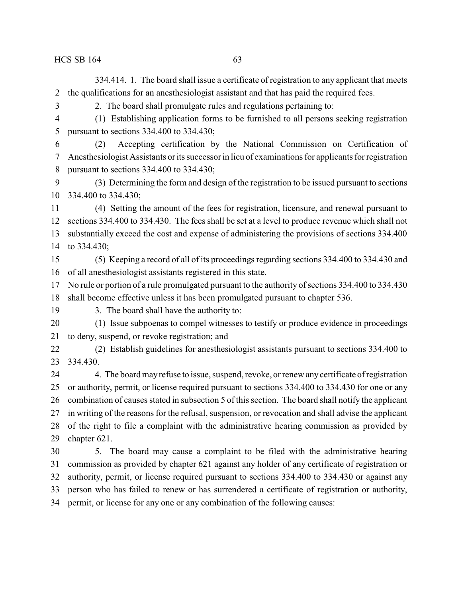334.414. 1. The board shall issue a certificate of registration to any applicant that meets the qualifications for an anesthesiologist assistant and that has paid the required fees.

2. The board shall promulgate rules and regulations pertaining to:

- (1) Establishing application forms to be furnished to all persons seeking registration pursuant to sections 334.400 to 334.430;
- (2) Accepting certification by the National Commission on Certification of Anesthesiologist Assistants or its successor in lieu of examinations for applicants for registration pursuant to sections 334.400 to 334.430;
- (3) Determining the form and design of the registration to be issued pursuant to sections 334.400 to 334.430;
- (4) Setting the amount of the fees for registration, licensure, and renewal pursuant to sections 334.400 to 334.430. The fees shall be set at a level to produce revenue which shall not substantially exceed the cost and expense of administering the provisions of sections 334.400 to 334.430;
- (5) Keeping a record of all of its proceedings regarding sections 334.400 to 334.430 and of all anesthesiologist assistants registered in this state.
- No rule or portion of a rule promulgated pursuant to the authority of sections 334.400 to 334.430
- shall become effective unless it has been promulgated pursuant to chapter 536.
- 
- 

3. The board shall have the authority to:

- (1) Issue subpoenas to compel witnesses to testify or produce evidence in proceedings to deny, suspend, or revoke registration; and
- (2) Establish guidelines for anesthesiologist assistants pursuant to sections 334.400 to 334.430.
- 24 4. The board may refuse to issue, suspend, revoke, or renew any certificate of registration or authority, permit, or license required pursuant to sections 334.400 to 334.430 for one or any combination of causes stated in subsection 5 of this section. The board shall notify the applicant in writing of the reasons for the refusal, suspension, or revocation and shall advise the applicant of the right to file a complaint with the administrative hearing commission as provided by chapter 621.
- 5. The board may cause a complaint to be filed with the administrative hearing commission as provided by chapter 621 against any holder of any certificate of registration or authority, permit, or license required pursuant to sections 334.400 to 334.430 or against any person who has failed to renew or has surrendered a certificate of registration or authority, permit, or license for any one or any combination of the following causes: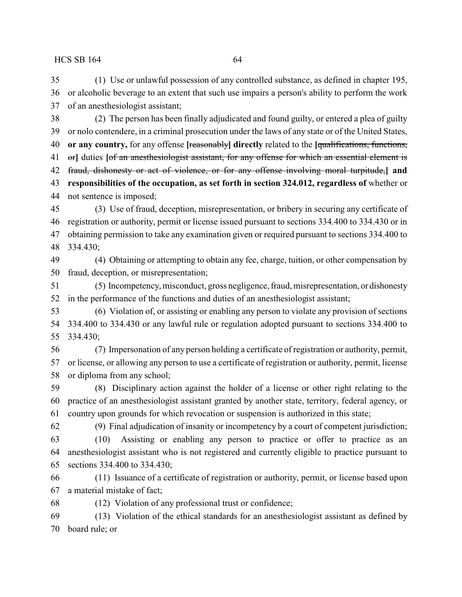(1) Use or unlawful possession of any controlled substance, as defined in chapter 195, or alcoholic beverage to an extent that such use impairs a person's ability to perform the work of an anesthesiologist assistant;

 (2) The person has been finally adjudicated and found guilty, or entered a plea of guilty or nolo contendere, in a criminal prosecution under the laws of any state or of the United States, **or any country,** for any offense **[**reasonably**] directly** related to the **[**qualifications, functions, or**]** duties **[**of an anesthesiologist assistant, for any offense for which an essential element is fraud, dishonesty or act of violence, or for any offense involving moral turpitude,**] and responsibilities of the occupation, as set forth in section 324.012, regardless of** whether or not sentence is imposed;

 (3) Use of fraud, deception, misrepresentation, or bribery in securing any certificate of registration or authority, permit or license issued pursuant to sections 334.400 to 334.430 or in obtaining permission to take any examination given or required pursuant to sections 334.400 to 334.430;

 (4) Obtaining or attempting to obtain any fee, charge, tuition, or other compensation by fraud, deception, or misrepresentation;

 (5) Incompetency, misconduct, gross negligence, fraud, misrepresentation, or dishonesty in the performance of the functions and duties of an anesthesiologist assistant;

 (6) Violation of, or assisting or enabling any person to violate any provision of sections 334.400 to 334.430 or any lawful rule or regulation adopted pursuant to sections 334.400 to 334.430;

 (7) Impersonation of any person holding a certificate of registration or authority, permit, or license, or allowing any person to use a certificate of registration or authority, permit, license or diploma from any school;

 (8) Disciplinary action against the holder of a license or other right relating to the practice of an anesthesiologist assistant granted by another state, territory, federal agency, or country upon grounds for which revocation or suspension is authorized in this state;

(9) Final adjudication of insanity or incompetency by a court of competent jurisdiction;

 (10) Assisting or enabling any person to practice or offer to practice as an anesthesiologist assistant who is not registered and currently eligible to practice pursuant to sections 334.400 to 334.430;

 (11) Issuance of a certificate of registration or authority, permit, or license based upon a material mistake of fact;

(12) Violation of any professional trust or confidence;

 (13) Violation of the ethical standards for an anesthesiologist assistant as defined by board rule; or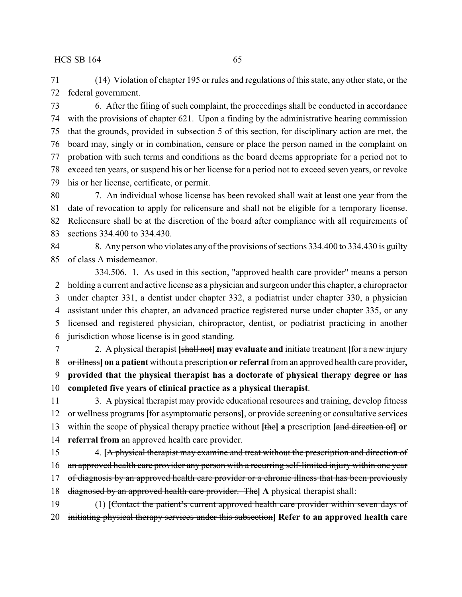(14) Violation of chapter 195 or rules and regulations of this state, any other state, or the federal government.

 6. After the filing of such complaint, the proceedings shall be conducted in accordance with the provisions of chapter 621. Upon a finding by the administrative hearing commission that the grounds, provided in subsection 5 of this section, for disciplinary action are met, the board may, singly or in combination, censure or place the person named in the complaint on probation with such terms and conditions as the board deems appropriate for a period not to exceed ten years, or suspend his or her license for a period not to exceed seven years, or revoke his or her license, certificate, or permit.

 7. An individual whose license has been revoked shall wait at least one year from the date of revocation to apply for relicensure and shall not be eligible for a temporary license. Relicensure shall be at the discretion of the board after compliance with all requirements of sections 334.400 to 334.430.

 8. Any person who violates any of the provisions of sections 334.400 to 334.430 is guilty of class A misdemeanor.

334.506. 1. As used in this section, "approved health care provider" means a person holding a current and active license as a physician and surgeon under this chapter, a chiropractor under chapter 331, a dentist under chapter 332, a podiatrist under chapter 330, a physician assistant under this chapter, an advanced practice registered nurse under chapter 335, or any licensed and registered physician, chiropractor, dentist, or podiatrist practicing in another jurisdiction whose license is in good standing.

 2. A physical therapist **[**shall not**] may evaluate and** initiate treatment **[**for a new injury or illness**] on a patient** without a prescription **or referral**from an approved health care provider**, provided that the physical therapist has a doctorate of physical therapy degree or has completed five years of clinical practice as a physical therapist**.

 3. A physical therapist may provide educational resources and training, develop fitness or wellness programs **[**for asymptomatic persons**]**, or provide screening or consultative services within the scope of physical therapy practice without **[**the**] a** prescription **[**and direction of**] or referral from** an approved health care provider.

 4. **[**A physical therapist may examine and treat without the prescription and direction of 16 an approved health care provider any person with a recurring self-limited injury within one year 17 of diagnosis by an approved health care provider or a chronic illness that has been previously diagnosed by an approved health care provider. The**] A** physical therapist shall:

 (1) **[**Contact the patient's current approved health care provider within seven days of initiating physical therapy services under this subsection**] Refer to an approved health care**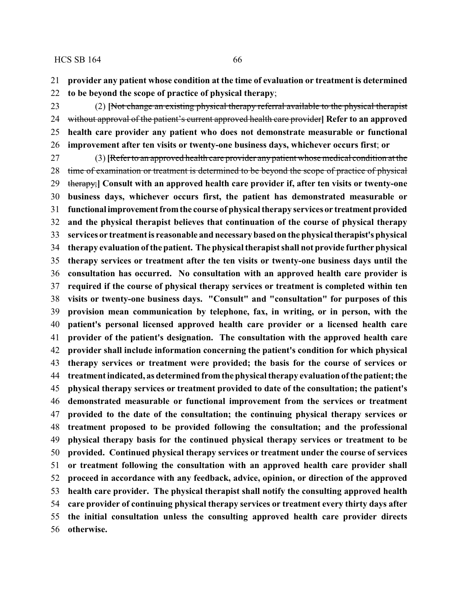**provider any patient whose condition at the time of evaluation or treatment is determined**

**to be beyond the scope of practice of physical therapy**;

 (2) **[**Not change an existing physical therapy referral available to the physical therapist without approval of the patient's current approved health care provider**] Refer to an approved health care provider any patient who does not demonstrate measurable or functional improvement after ten visits or twenty-one business days, whichever occurs first**; **or**

 (3) **[**Refer to an approved health care provider any patient whose medical condition at the 28 time of examination or treatment is determined to be beyond the scope of practice of physical therapy;**] Consult with an approved health care provider if, after ten visits or twenty-one business days, whichever occurs first, the patient has demonstrated measurable or functional improvementfromthe course of physical therapy services or treatmentprovided and the physical therapist believes that continuation of the course of physical therapy services or treatment is reasonable and necessary based on the physicaltherapist's physical therapy evaluation ofthe patient. The physical therapist shall not provide further physical therapy services or treatment after the ten visits or twenty-one business days until the consultation has occurred. No consultation with an approved health care provider is required if the course of physical therapy services or treatment is completed within ten visits or twenty-one business days. "Consult" and "consultation" for purposes of this provision mean communication by telephone, fax, in writing, or in person, with the patient's personal licensed approved health care provider or a licensed health care provider of the patient's designation. The consultation with the approved health care provider shall include information concerning the patient's condition for which physical therapy services or treatment were provided; the basis for the course of services or treatment indicated, as determined fromthe physical therapy evaluation ofthe patient; the physical therapy services or treatment provided to date of the consultation; the patient's demonstrated measurable or functional improvement from the services or treatment provided to the date of the consultation; the continuing physical therapy services or treatment proposed to be provided following the consultation; and the professional physical therapy basis for the continued physical therapy services or treatment to be provided. Continued physical therapy services or treatment under the course of services or treatment following the consultation with an approved health care provider shall proceed in accordance with any feedback, advice, opinion, or direction of the approved health care provider. The physical therapist shall notify the consulting approved health care provider of continuing physical therapy services or treatment every thirty days after the initial consultation unless the consulting approved health care provider directs otherwise.**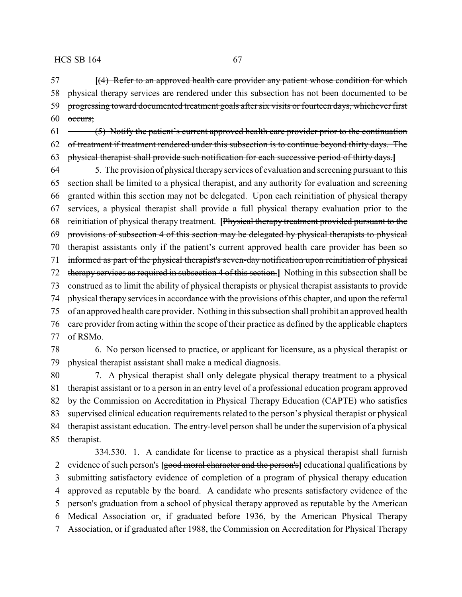**[**(4) Refer to an approved health care provider any patient whose condition for which physical therapy services are rendered under this subsection has not been documented to be 59 progressing toward documented treatment goals after six visits or fourteen days, whichever first occurs;

 $61 \leftarrow$  (5) Notify the patient's current approved health care provider prior to the continuation of treatment if treatment rendered under this subsection is to continue beyond thirty days. The physical therapist shall provide such notification for each successive period of thirty days.**]**

 5. The provision of physical therapyservices of evaluation and screening pursuant to this section shall be limited to a physical therapist, and any authority for evaluation and screening granted within this section may not be delegated. Upon each reinitiation of physical therapy services, a physical therapist shall provide a full physical therapy evaluation prior to the reinitiation of physical therapy treatment. **[**Physical therapy treatment provided pursuant to the provisions of subsection 4 of this section may be delegated by physical therapists to physical therapist assistants only if the patient's current approved health care provider has been so informed as part of the physical therapist's seven-day notification upon reinitiation of physical therapy services as required in subsection 4 of this section.**]** Nothing in this subsection shall be construed as to limit the ability of physical therapists or physical therapist assistants to provide physical therapy services in accordance with the provisions of this chapter, and upon the referral of an approved health care provider. Nothing in this subsection shall prohibit an approved health care provider from acting within the scope of their practice as defined by the applicable chapters of RSMo.

 6. No person licensed to practice, or applicant for licensure, as a physical therapist or physical therapist assistant shall make a medical diagnosis.

 7. A physical therapist shall only delegate physical therapy treatment to a physical therapist assistant or to a person in an entry level of a professional education program approved by the Commission on Accreditation in Physical Therapy Education (CAPTE) who satisfies supervised clinical education requirements related to the person's physical therapist or physical therapist assistant education. The entry-level person shall be under the supervision of a physical therapist.

334.530. 1. A candidate for license to practice as a physical therapist shall furnish evidence of such person's **[**good moral character and the person's**]** educational qualifications by submitting satisfactory evidence of completion of a program of physical therapy education approved as reputable by the board. A candidate who presents satisfactory evidence of the person's graduation from a school of physical therapy approved as reputable by the American Medical Association or, if graduated before 1936, by the American Physical Therapy Association, or if graduated after 1988, the Commission on Accreditation for Physical Therapy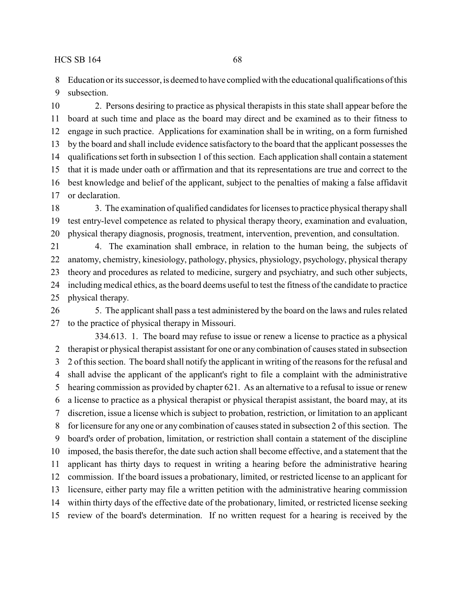Education or its successor, is deemed to have complied with the educational qualifications of this subsection.

 2. Persons desiring to practice as physical therapists in this state shall appear before the board at such time and place as the board may direct and be examined as to their fitness to engage in such practice. Applications for examination shall be in writing, on a form furnished by the board and shall include evidence satisfactory to the board that the applicant possesses the qualifications set forth in subsection 1 of this section. Each application shall contain a statement that it is made under oath or affirmation and that its representations are true and correct to the best knowledge and belief of the applicant, subject to the penalties of making a false affidavit or declaration.

 3. The examination of qualified candidates for licenses to practice physical therapy shall test entry-level competence as related to physical therapy theory, examination and evaluation, physical therapy diagnosis, prognosis, treatment, intervention, prevention, and consultation.

 4. The examination shall embrace, in relation to the human being, the subjects of anatomy, chemistry, kinesiology, pathology, physics, physiology, psychology, physical therapy theory and procedures as related to medicine, surgery and psychiatry, and such other subjects, including medical ethics, as the board deems useful to test the fitness of the candidate to practice physical therapy.

 5. The applicant shall pass a test administered by the board on the laws and rules related to the practice of physical therapy in Missouri.

334.613. 1. The board may refuse to issue or renew a license to practice as a physical therapist or physical therapist assistant for one or any combination of causes stated in subsection 2 of this section. The board shall notify the applicant in writing of the reasons for the refusal and shall advise the applicant of the applicant's right to file a complaint with the administrative hearing commission as provided by chapter 621. As an alternative to a refusal to issue or renew a license to practice as a physical therapist or physical therapist assistant, the board may, at its discretion, issue a license which is subject to probation, restriction, or limitation to an applicant for licensure for any one or any combination of causes stated in subsection 2 of this section. The board's order of probation, limitation, or restriction shall contain a statement of the discipline imposed, the basis therefor, the date such action shall become effective, and a statement that the applicant has thirty days to request in writing a hearing before the administrative hearing commission. If the board issues a probationary, limited, or restricted license to an applicant for licensure, either party may file a written petition with the administrative hearing commission within thirty days of the effective date of the probationary, limited, or restricted license seeking review of the board's determination. If no written request for a hearing is received by the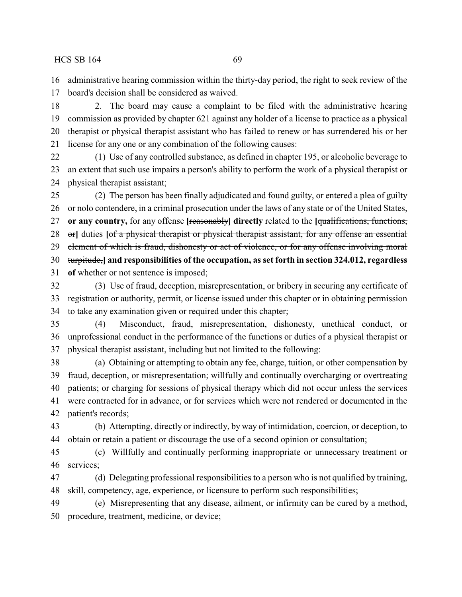administrative hearing commission within the thirty-day period, the right to seek review of the

board's decision shall be considered as waived.

 2. The board may cause a complaint to be filed with the administrative hearing commission as provided by chapter 621 against any holder of a license to practice as a physical therapist or physical therapist assistant who has failed to renew or has surrendered his or her license for any one or any combination of the following causes:

 (1) Use of any controlled substance, as defined in chapter 195, or alcoholic beverage to an extent that such use impairs a person's ability to perform the work of a physical therapist or physical therapist assistant;

 (2) The person has been finally adjudicated and found guilty, or entered a plea of guilty or nolo contendere, in a criminal prosecution under the laws of any state or of the United States, **or any country,** for any offense **[**reasonably**] directly** related to the **[**qualifications, functions, or**]** duties **[**of a physical therapist or physical therapist assistant, for any offense an essential 29 element of which is fraud, dishonesty or act of violence, or for any offense involving moral turpitude,**] and responsibilities of the occupation, as set forth in section 324.012, regardless of** whether or not sentence is imposed;

 (3) Use of fraud, deception, misrepresentation, or bribery in securing any certificate of registration or authority, permit, or license issued under this chapter or in obtaining permission to take any examination given or required under this chapter;

 (4) Misconduct, fraud, misrepresentation, dishonesty, unethical conduct, or unprofessional conduct in the performance of the functions or duties of a physical therapist or physical therapist assistant, including but not limited to the following:

 (a) Obtaining or attempting to obtain any fee, charge, tuition, or other compensation by fraud, deception, or misrepresentation; willfully and continually overcharging or overtreating patients; or charging for sessions of physical therapy which did not occur unless the services were contracted for in advance, or for services which were not rendered or documented in the patient's records;

 (b) Attempting, directly or indirectly, by way of intimidation, coercion, or deception, to obtain or retain a patient or discourage the use of a second opinion or consultation;

 (c) Willfully and continually performing inappropriate or unnecessary treatment or services;

 (d) Delegating professional responsibilities to a person who is not qualified by training, skill, competency, age, experience, or licensure to perform such responsibilities;

 (e) Misrepresenting that any disease, ailment, or infirmity can be cured by a method, procedure, treatment, medicine, or device;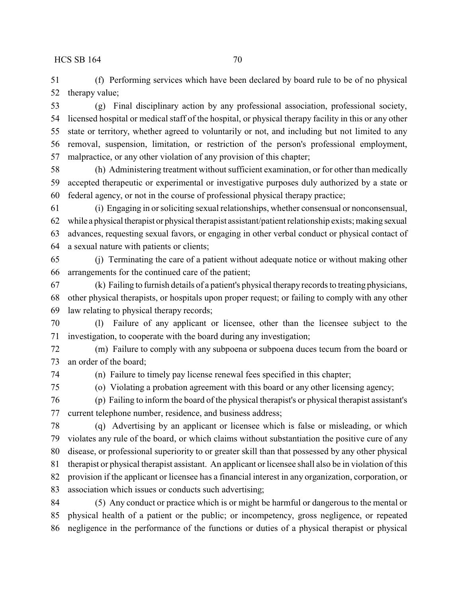(f) Performing services which have been declared by board rule to be of no physical therapy value;

 (g) Final disciplinary action by any professional association, professional society, licensed hospital or medical staff of the hospital, or physical therapy facility in this or any other state or territory, whether agreed to voluntarily or not, and including but not limited to any removal, suspension, limitation, or restriction of the person's professional employment, malpractice, or any other violation of any provision of this chapter;

 (h) Administering treatment without sufficient examination, or for other than medically accepted therapeutic or experimental or investigative purposes duly authorized by a state or federal agency, or not in the course of professional physical therapy practice;

 (i) Engaging in or soliciting sexual relationships, whether consensual or nonconsensual, while a physical therapist or physical therapist assistant/patient relationship exists; making sexual advances, requesting sexual favors, or engaging in other verbal conduct or physical contact of a sexual nature with patients or clients;

 (j) Terminating the care of a patient without adequate notice or without making other arrangements for the continued care of the patient;

 (k) Failing to furnish details of a patient's physical therapy records to treating physicians, other physical therapists, or hospitals upon proper request; or failing to comply with any other law relating to physical therapy records;

 (l) Failure of any applicant or licensee, other than the licensee subject to the investigation, to cooperate with the board during any investigation;

 (m) Failure to comply with any subpoena or subpoena duces tecum from the board or an order of the board;

(n) Failure to timely pay license renewal fees specified in this chapter;

(o) Violating a probation agreement with this board or any other licensing agency;

 (p) Failing to inform the board of the physical therapist's or physical therapist assistant's current telephone number, residence, and business address;

 (q) Advertising by an applicant or licensee which is false or misleading, or which violates any rule of the board, or which claims without substantiation the positive cure of any disease, or professional superiority to or greater skill than that possessed by any other physical therapist or physical therapist assistant. An applicant or licensee shall also be in violation of this provision if the applicant or licensee has a financial interest in any organization, corporation, or association which issues or conducts such advertising;

 (5) Any conduct or practice which is or might be harmful or dangerous to the mental or physical health of a patient or the public; or incompetency, gross negligence, or repeated negligence in the performance of the functions or duties of a physical therapist or physical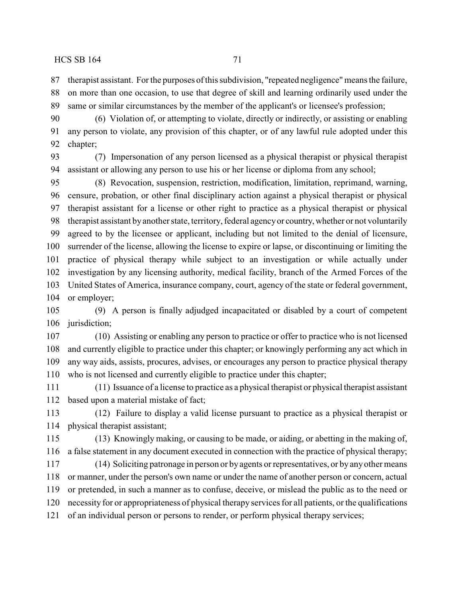therapist assistant. For the purposes ofthis subdivision, "repeated negligence"means the failure, on more than one occasion, to use that degree of skill and learning ordinarily used under the same or similar circumstances by the member of the applicant's or licensee's profession;

 (6) Violation of, or attempting to violate, directly or indirectly, or assisting or enabling any person to violate, any provision of this chapter, or of any lawful rule adopted under this chapter;

 (7) Impersonation of any person licensed as a physical therapist or physical therapist assistant or allowing any person to use his or her license or diploma from any school;

 (8) Revocation, suspension, restriction, modification, limitation, reprimand, warning, censure, probation, or other final disciplinary action against a physical therapist or physical therapist assistant for a license or other right to practice as a physical therapist or physical therapist assistant byanother state, territory, federal agencyor country,whether or not voluntarily agreed to by the licensee or applicant, including but not limited to the denial of licensure, surrender of the license, allowing the license to expire or lapse, or discontinuing or limiting the practice of physical therapy while subject to an investigation or while actually under investigation by any licensing authority, medical facility, branch of the Armed Forces of the United States of America, insurance company, court, agency of the state or federal government, or employer;

 (9) A person is finally adjudged incapacitated or disabled by a court of competent 106 jurisdiction;

 (10) Assisting or enabling any person to practice or offer to practice who is not licensed and currently eligible to practice under this chapter; or knowingly performing any act which in any way aids, assists, procures, advises, or encourages any person to practice physical therapy who is not licensed and currently eligible to practice under this chapter;

 (11) Issuance of a license to practice as a physical therapist or physical therapist assistant based upon a material mistake of fact;

 (12) Failure to display a valid license pursuant to practice as a physical therapist or physical therapist assistant;

 (13) Knowingly making, or causing to be made, or aiding, or abetting in the making of, a false statement in any document executed in connection with the practice of physical therapy;

 (14) Soliciting patronage in person or byagents or representatives, or by any other means or manner, under the person's own name or under the name of another person or concern, actual or pretended, in such a manner as to confuse, deceive, or mislead the public as to the need or necessity for or appropriateness of physical therapy services for all patients, or the qualifications of an individual person or persons to render, or perform physical therapy services;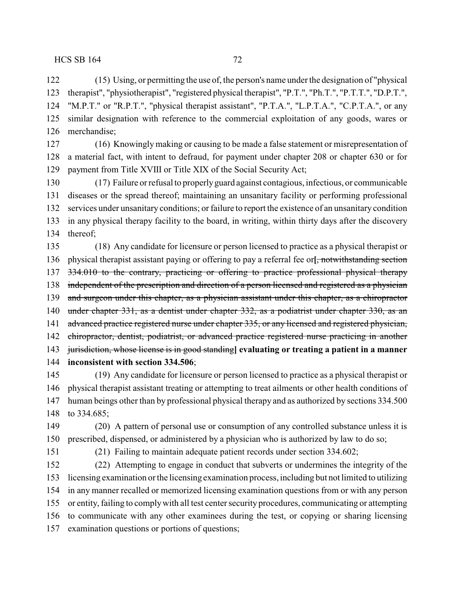(15) Using, or permitting the use of, the person's name under the designation of "physical therapist", "physiotherapist", "registered physical therapist", "P.T.", "Ph.T.", "P.T.T.", "D.P.T.", "M.P.T." or "R.P.T.", "physical therapist assistant", "P.T.A.", "L.P.T.A.", "C.P.T.A.", or any similar designation with reference to the commercial exploitation of any goods, wares or merchandise;

 (16) Knowingly making or causing to be made a false statement or misrepresentation of a material fact, with intent to defraud, for payment under chapter 208 or chapter 630 or for payment from Title XVIII or Title XIX of the Social Security Act;

 (17) Failure or refusal to properlyguard against contagious, infectious, or communicable diseases or the spread thereof; maintaining an unsanitary facility or performing professional services under unsanitary conditions; or failure to report the existence of an unsanitary condition in any physical therapy facility to the board, in writing, within thirty days after the discovery thereof;

 (18) Any candidate for licensure or person licensed to practice as a physical therapist or physical therapist assistant paying or offering to pay a referral fee or**[**, notwithstanding section 137 334.010 to the contrary, practicing or offering to practice professional physical therapy 138 independent of the prescription and direction of a person licensed and registered as a physician 139 and surgeon under this chapter, as a physician assistant under this chapter, as a chiropractor under chapter 331, as a dentist under chapter 332, as a podiatrist under chapter 330, as an 141 advanced practice registered nurse under chapter 335, or any licensed and registered physician, chiropractor, dentist, podiatrist, or advanced practice registered nurse practicing in another jurisdiction, whose license is in good standing**] evaluating or treating a patient in a manner inconsistent with section 334.506**;

 (19) Any candidate for licensure or person licensed to practice as a physical therapist or physical therapist assistant treating or attempting to treat ailments or other health conditions of human beings other than by professional physical therapy and as authorized by sections 334.500 to 334.685;

 (20) A pattern of personal use or consumption of any controlled substance unless it is prescribed, dispensed, or administered by a physician who is authorized by law to do so;

(21) Failing to maintain adequate patient records under section 334.602;

 (22) Attempting to engage in conduct that subverts or undermines the integrity of the licensing examination or the licensing examination process, including but not limited to utilizing in any manner recalled or memorized licensing examination questions from or with any person or entity, failing to complywith all test center security procedures, communicating or attempting to communicate with any other examinees during the test, or copying or sharing licensing examination questions or portions of questions;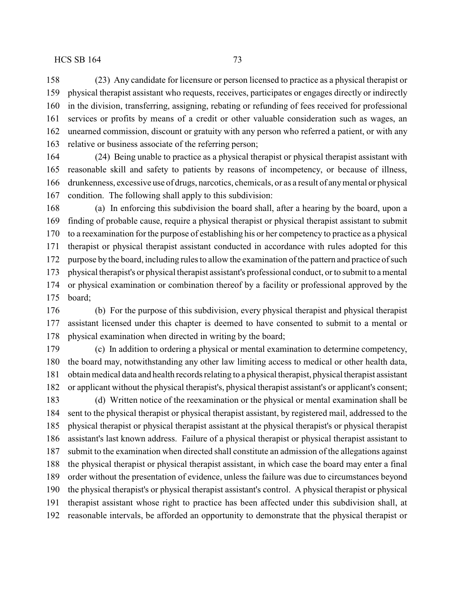services or profits by means of a credit or other valuable consideration such as wages, an unearned commission, discount or gratuity with any person who referred a patient, or with any relative or business associate of the referring person;

 (24) Being unable to practice as a physical therapist or physical therapist assistant with reasonable skill and safety to patients by reasons of incompetency, or because of illness, drunkenness, excessive use of drugs, narcotics, chemicals, or as a result of anymental or physical condition. The following shall apply to this subdivision:

 (a) In enforcing this subdivision the board shall, after a hearing by the board, upon a finding of probable cause, require a physical therapist or physical therapist assistant to submit to a reexamination for the purpose of establishing his or her competency to practice as a physical therapist or physical therapist assistant conducted in accordance with rules adopted for this purpose by the board, including rules to allow the examination of the pattern and practice of such physical therapist's or physical therapist assistant's professional conduct, or to submit to a mental or physical examination or combination thereof by a facility or professional approved by the board;

 (b) For the purpose of this subdivision, every physical therapist and physical therapist assistant licensed under this chapter is deemed to have consented to submit to a mental or physical examination when directed in writing by the board;

 (c) In addition to ordering a physical or mental examination to determine competency, the board may, notwithstanding any other law limiting access to medical or other health data, obtain medical data and health records relating to a physical therapist, physical therapist assistant or applicant without the physical therapist's, physical therapist assistant's or applicant's consent; (d) Written notice of the reexamination or the physical or mental examination shall be sent to the physical therapist or physical therapist assistant, by registered mail, addressed to the physical therapist or physical therapist assistant at the physical therapist's or physical therapist assistant's last known address. Failure of a physical therapist or physical therapist assistant to submit to the examination when directed shall constitute an admission of the allegations against the physical therapist or physical therapist assistant, in which case the board may enter a final order without the presentation of evidence, unless the failure was due to circumstances beyond the physical therapist's or physical therapist assistant's control. A physical therapist or physical therapist assistant whose right to practice has been affected under this subdivision shall, at reasonable intervals, be afforded an opportunity to demonstrate that the physical therapist or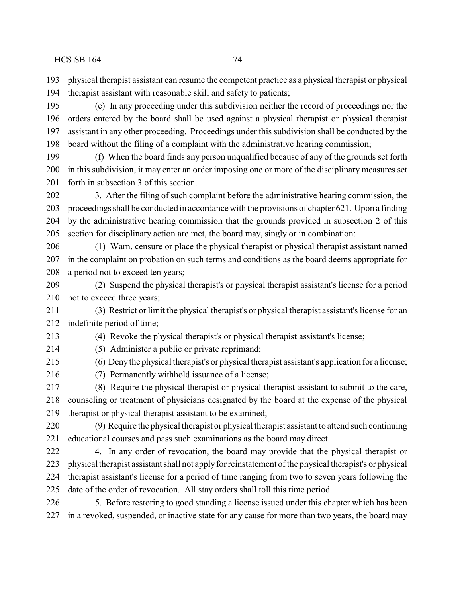physical therapist assistant can resume the competent practice as a physical therapist or physical therapist assistant with reasonable skill and safety to patients;

 (e) In any proceeding under this subdivision neither the record of proceedings nor the orders entered by the board shall be used against a physical therapist or physical therapist assistant in any other proceeding. Proceedings under this subdivision shall be conducted by the board without the filing of a complaint with the administrative hearing commission;

 (f) When the board finds any person unqualified because of any of the grounds set forth in this subdivision, it may enter an order imposing one or more of the disciplinary measures set forth in subsection 3 of this section.

 3. After the filing of such complaint before the administrative hearing commission, the proceedings shall be conducted in accordance with the provisions of chapter 621. Upon a finding by the administrative hearing commission that the grounds provided in subsection 2 of this section for disciplinary action are met, the board may, singly or in combination:

 (1) Warn, censure or place the physical therapist or physical therapist assistant named in the complaint on probation on such terms and conditions as the board deems appropriate for a period not to exceed ten years;

 (2) Suspend the physical therapist's or physical therapist assistant's license for a period not to exceed three years;

 (3) Restrict or limit the physical therapist's or physical therapist assistant's license for an indefinite period of time;

 (4) Revoke the physical therapist's or physical therapist assistant's license; (5) Administer a public or private reprimand;

(6) Denythe physical therapist's or physical therapist assistant's application for a license;

(7) Permanently withhold issuance of a license;

 (8) Require the physical therapist or physical therapist assistant to submit to the care, counseling or treatment of physicians designated by the board at the expense of the physical therapist or physical therapist assistant to be examined;

 (9) Require the physical therapist or physical therapist assistant to attend such continuing educational courses and pass such examinations as the board may direct.

 4. In any order of revocation, the board may provide that the physical therapist or physical therapist assistant shall not applyfor reinstatement of the physical therapist's or physical therapist assistant's license for a period of time ranging from two to seven years following the date of the order of revocation. All stay orders shall toll this time period.

 5. Before restoring to good standing a license issued under this chapter which has been in a revoked, suspended, or inactive state for any cause for more than two years, the board may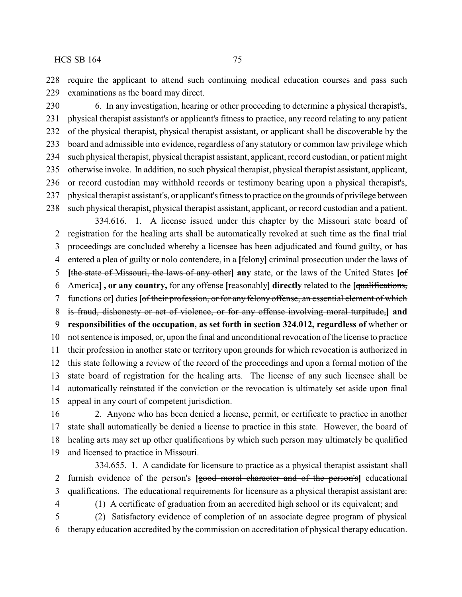require the applicant to attend such continuing medical education courses and pass such examinations as the board may direct.

 6. In any investigation, hearing or other proceeding to determine a physical therapist's, physical therapist assistant's or applicant's fitness to practice, any record relating to any patient of the physical therapist, physical therapist assistant, or applicant shall be discoverable by the board and admissible into evidence, regardless of any statutory or common law privilege which such physical therapist, physical therapist assistant, applicant, record custodian, or patient might otherwise invoke. In addition, no such physical therapist, physical therapist assistant, applicant, or record custodian may withhold records or testimony bearing upon a physical therapist's, physical therapist assistant's, or applicant's fitness to practice on the grounds of privilege between such physical therapist, physical therapist assistant, applicant, or record custodian and a patient.

334.616. 1. A license issued under this chapter by the Missouri state board of registration for the healing arts shall be automatically revoked at such time as the final trial proceedings are concluded whereby a licensee has been adjudicated and found guilty, or has entered a plea of guilty or nolo contendere, in a **[**felony**]** criminal prosecution under the laws of **[**the state of Missouri, the laws of any other**] any** state, or the laws of the United States **[**of America**] , or any country,** for any offense **[**reasonably**] directly** related to the **[**qualifications, functions or**]** duties **[**of their profession, or for any felony offense, an essential element of which is fraud, dishonesty or act of violence, or for any offense involving moral turpitude,**] and responsibilities of the occupation, as set forth in section 324.012, regardless of** whether or not sentence is imposed, or, upon the final and unconditional revocation of the license to practice their profession in another state or territory upon grounds for which revocation is authorized in this state following a review of the record of the proceedings and upon a formal motion of the state board of registration for the healing arts. The license of any such licensee shall be automatically reinstated if the conviction or the revocation is ultimately set aside upon final appeal in any court of competent jurisdiction.

 2. Anyone who has been denied a license, permit, or certificate to practice in another state shall automatically be denied a license to practice in this state. However, the board of healing arts may set up other qualifications by which such person may ultimately be qualified and licensed to practice in Missouri.

334.655. 1. A candidate for licensure to practice as a physical therapist assistant shall furnish evidence of the person's **[**good moral character and of the person's**]** educational qualifications. The educational requirements for licensure as a physical therapist assistant are:

(1) A certificate of graduation from an accredited high school or its equivalent; and

 (2) Satisfactory evidence of completion of an associate degree program of physical therapy education accredited by the commission on accreditation of physical therapy education.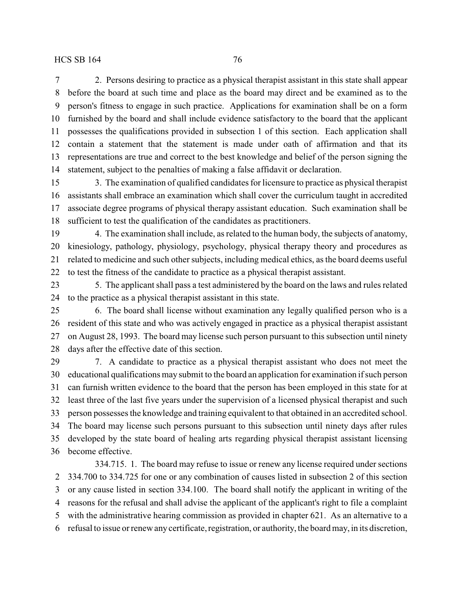2. Persons desiring to practice as a physical therapist assistant in this state shall appear before the board at such time and place as the board may direct and be examined as to the person's fitness to engage in such practice. Applications for examination shall be on a form furnished by the board and shall include evidence satisfactory to the board that the applicant possesses the qualifications provided in subsection 1 of this section. Each application shall contain a statement that the statement is made under oath of affirmation and that its representations are true and correct to the best knowledge and belief of the person signing the statement, subject to the penalties of making a false affidavit or declaration.

 3. The examination of qualified candidates for licensure to practice as physical therapist assistants shall embrace an examination which shall cover the curriculum taught in accredited associate degree programs of physical therapy assistant education. Such examination shall be sufficient to test the qualification of the candidates as practitioners.

 4. The examination shall include, as related to the human body, the subjects of anatomy, kinesiology, pathology, physiology, psychology, physical therapy theory and procedures as related to medicine and such other subjects, including medical ethics, as the board deems useful to test the fitness of the candidate to practice as a physical therapist assistant.

 5. The applicant shall pass a test administered by the board on the laws and rules related to the practice as a physical therapist assistant in this state.

 6. The board shall license without examination any legally qualified person who is a resident of this state and who was actively engaged in practice as a physical therapist assistant on August 28, 1993. The board may license such person pursuant to this subsection until ninety days after the effective date of this section.

 7. A candidate to practice as a physical therapist assistant who does not meet the educational qualifications may submit to the board an application for examination if such person can furnish written evidence to the board that the person has been employed in this state for at least three of the last five years under the supervision of a licensed physical therapist and such person possesses the knowledge and training equivalent to that obtained in an accredited school. The board may license such persons pursuant to this subsection until ninety days after rules developed by the state board of healing arts regarding physical therapist assistant licensing become effective.

334.715. 1. The board may refuse to issue or renew any license required under sections 334.700 to 334.725 for one or any combination of causes listed in subsection 2 of this section or any cause listed in section 334.100. The board shall notify the applicant in writing of the reasons for the refusal and shall advise the applicant of the applicant's right to file a complaint with the administrative hearing commission as provided in chapter 621. As an alternative to a refusal to issue or renew any certificate, registration, or authority, the board may, in its discretion,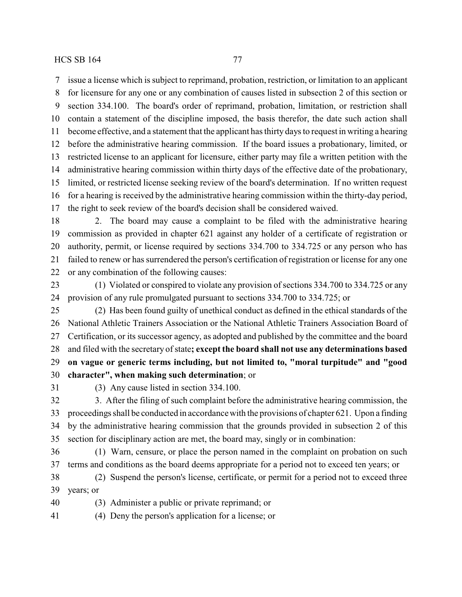issue a license which is subject to reprimand, probation, restriction, or limitation to an applicant for licensure for any one or any combination of causes listed in subsection 2 of this section or section 334.100. The board's order of reprimand, probation, limitation, or restriction shall contain a statement of the discipline imposed, the basis therefor, the date such action shall become effective, and a statement that the applicant has thirty days to request in writing a hearing before the administrative hearing commission. If the board issues a probationary, limited, or restricted license to an applicant for licensure, either party may file a written petition with the administrative hearing commission within thirty days of the effective date of the probationary, limited, or restricted license seeking review of the board's determination. If no written request for a hearing is received by the administrative hearing commission within the thirty-day period, the right to seek review of the board's decision shall be considered waived. 2. The board may cause a complaint to be filed with the administrative hearing

 commission as provided in chapter 621 against any holder of a certificate of registration or authority, permit, or license required by sections 334.700 to 334.725 or any person who has failed to renew or has surrendered the person's certification of registration or license for any one or any combination of the following causes:

 (1) Violated or conspired to violate any provision of sections 334.700 to 334.725 or any provision of any rule promulgated pursuant to sections 334.700 to 334.725; or

 (2) Has been found guilty of unethical conduct as defined in the ethical standards of the National Athletic Trainers Association or the National Athletic Trainers Association Board of Certification, or its successor agency, as adopted and published by the committee and the board and filed with the secretary of state**; except the board shall not use any determinations based on vague or generic terms including, but not limited to, "moral turpitude" and "good character", when making such determination**; or

(3) Any cause listed in section 334.100.

 3. After the filing of such complaint before the administrative hearing commission, the proceedings shall be conducted in accordance with the provisions of chapter 621. Upon a finding by the administrative hearing commission that the grounds provided in subsection 2 of this section for disciplinary action are met, the board may, singly or in combination:

 (1) Warn, censure, or place the person named in the complaint on probation on such terms and conditions as the board deems appropriate for a period not to exceed ten years; or

 (2) Suspend the person's license, certificate, or permit for a period not to exceed three years; or

(3) Administer a public or private reprimand; or

(4) Deny the person's application for a license; or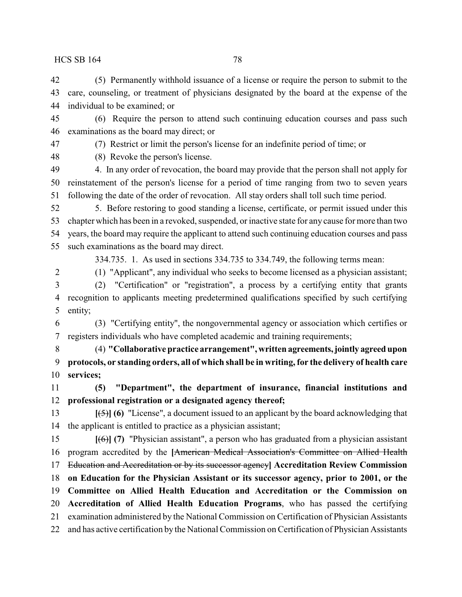(5) Permanently withhold issuance of a license or require the person to submit to the care, counseling, or treatment of physicians designated by the board at the expense of the individual to be examined; or

 (6) Require the person to attend such continuing education courses and pass such examinations as the board may direct; or

(7) Restrict or limit the person's license for an indefinite period of time; or

(8) Revoke the person's license.

 4. In any order of revocation, the board may provide that the person shall not apply for reinstatement of the person's license for a period of time ranging from two to seven years following the date of the order of revocation. All stay orders shall toll such time period.

 5. Before restoring to good standing a license, certificate, or permit issued under this chapter which has been in a revoked, suspended, or inactive state for any cause for more than two years, the board may require the applicant to attend such continuing education courses and pass such examinations as the board may direct.

334.735. 1. As used in sections 334.735 to 334.749, the following terms mean: (1) "Applicant", any individual who seeks to become licensed as a physician assistant;

 (2) "Certification" or "registration", a process by a certifying entity that grants recognition to applicants meeting predetermined qualifications specified by such certifying entity;

 (3) "Certifying entity", the nongovernmental agency or association which certifies or registers individuals who have completed academic and training requirements;

 (4) **"Collaborative practice arrangement", written agreements,jointly agreed upon protocols, or standing orders, all of which shall be in writing, for the delivery of health care services;**

 **(5) "Department", the department of insurance, financial institutions and professional registration or a designated agency thereof;**

 **[**(5)**] (6)** "License", a document issued to an applicant by the board acknowledging that the applicant is entitled to practice as a physician assistant;

 **[**(6)**] (7)** "Physician assistant", a person who has graduated from a physician assistant program accredited by the **[**American Medical Association's Committee on Allied Health Education and Accreditation or by its successor agency**] Accreditation Review Commission on Education for the Physician Assistant or its successor agency, prior to 2001, or the Committee on Allied Health Education and Accreditation or the Commission on Accreditation of Allied Health Education Programs**, who has passed the certifying examination administered by the National Commission on Certification of Physician Assistants and has active certification by the National Commission on Certification of Physician Assistants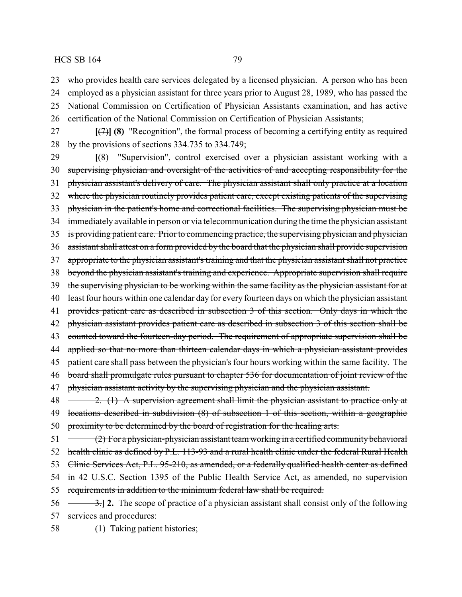23 who provides health care services delegated by a licensed physician. A person who has been

- 24 employed as a physician assistant for three years prior to August 28, 1989, who has passed the 25 National Commission on Certification of Physician Assistants examination, and has active
- 26 certification of the National Commission on Certification of Physician Assistants;
- 27 **[**(7)**] (8)** "Recognition", the formal process of becoming a certifying entity as required 28 by the provisions of sections 334.735 to 334.749;
- 29 **[**(8) "Supervision", control exercised over a physician assistant working with a 30 supervising physician and oversight of the activities of and accepting responsibility for the 31 physician assistant's delivery of care. The physician assistant shall only practice at a location 32 where the physician routinely provides patient care, except existing patients of the supervising 33 physician in the patient's home and correctional facilities. The supervising physician must be 34 immediately available in person or via telecommunication during the time the physician assistant 35 is providing patient care. Prior to commencing practice, the supervising physician and physician 36 assistant shall attest on a form provided by the board that the physician shall provide supervision 37 appropriate to the physician assistant's training and that the physician assistant shall not practice 38 beyond the physician assistant's training and experience. Appropriate supervision shall require 39 the supervising physician to be working within the same facility as the physician assistant for at 40 least four hours within one calendar day for every fourteen days on which the physician assistant 41 provides patient care as described in subsection 3 of this section. Only days in which the 42 physician assistant provides patient care as described in subsection 3 of this section shall be 43 counted toward the fourteen-day period. The requirement of appropriate supervision shall be 44 applied so that no more than thirteen calendar days in which a physician assistant provides 45 patient care shall pass between the physician's four hours working within the same facility. The 46 board shall promulgate rules pursuant to chapter 536 for documentation of joint review of the 47 physician assistant activity by the supervising physician and the physician assistant. 48 2. (1) A supervision agreement shall limit the physician assistant to practice only at 49 locations described in subdivision (8) of subsection 1 of this section, within a geographic 50 proximity to be determined by the board of registration for the healing arts.  $51 \leftarrow (2)$  For a physician-physician assistant team working in a certified community behavioral

52 health clinic as defined by P.L. 113-93 and a rural health clinic under the federal Rural Health

53 Clinic Services Act, P.L. 95-210, as amended, or a federally qualified health center as defined

54 in 42 U.S.C. Section 1395 of the Public Health Service Act, as amended, no supervision

55 requirements in addition to the minimum federal law shall be required.

- 56 3.**] 2.** The scope of practice of a physician assistant shall consist only of the following 57 services and procedures:
- 58 (1) Taking patient histories;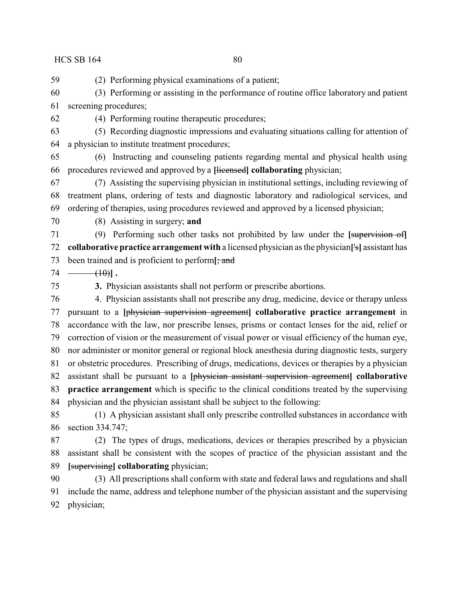(2) Performing physical examinations of a patient;

 (3) Performing or assisting in the performance of routine office laboratory and patient screening procedures;

(4) Performing routine therapeutic procedures;

 (5) Recording diagnostic impressions and evaluating situations calling for attention of a physician to institute treatment procedures;

 (6) Instructing and counseling patients regarding mental and physical health using procedures reviewed and approved by a **[**licensed**] collaborating** physician;

 (7) Assisting the supervising physician in institutional settings, including reviewing of treatment plans, ordering of tests and diagnostic laboratory and radiological services, and ordering of therapies, using procedures reviewed and approved by a licensed physician;

(8) Assisting in surgery; **and**

 (9) Performing such other tasks not prohibited by law under the **[**supervision of**] collaborative practice arrangement with** a licensed physician as the physician**[**'s**]** assistant has been trained and is proficient to perform**[**; and

 $74 \longrightarrow (10)$ **]**.

**3.** Physician assistants shall not perform or prescribe abortions.

 4. Physician assistants shall not prescribe any drug, medicine, device or therapy unless pursuant to a **[**physician supervision agreement**] collaborative practice arrangement** in accordance with the law, nor prescribe lenses, prisms or contact lenses for the aid, relief or correction of vision or the measurement of visual power or visual efficiency of the human eye, nor administer or monitor general or regional block anesthesia during diagnostic tests, surgery or obstetric procedures. Prescribing of drugs, medications, devices or therapies by a physician assistant shall be pursuant to a **[**physician assistant supervision agreement**] collaborative practice arrangement** which is specific to the clinical conditions treated by the supervising physician and the physician assistant shall be subject to the following:

 (1) A physician assistant shall only prescribe controlled substances in accordance with section 334.747;

 (2) The types of drugs, medications, devices or therapies prescribed by a physician assistant shall be consistent with the scopes of practice of the physician assistant and the **[**supervising**] collaborating** physician;

 (3) All prescriptions shall conform with state and federal laws and regulations and shall include the name, address and telephone number of the physician assistant and the supervising physician;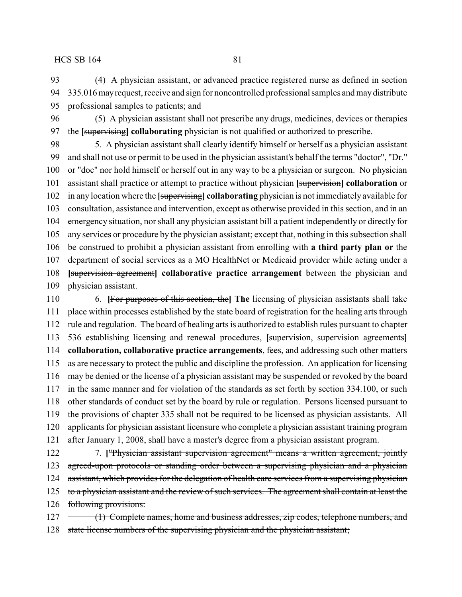(4) A physician assistant, or advanced practice registered nurse as defined in section 335.016mayrequest, receive and sign for noncontrolled professional samples and maydistribute professional samples to patients; and

 (5) A physician assistant shall not prescribe any drugs, medicines, devices or therapies the **[**supervising**] collaborating** physician is not qualified or authorized to prescribe.

 5. A physician assistant shall clearly identify himself or herself as a physician assistant and shall not use or permit to be used in the physician assistant's behalf the terms "doctor", "Dr." or "doc" nor hold himself or herself out in any way to be a physician or surgeon. No physician assistant shall practice or attempt to practice without physician **[**supervision**] collaboration** or in any location where the **[**supervising**] collaborating** physician is not immediately available for consultation, assistance and intervention, except as otherwise provided in this section, and in an emergency situation, nor shall any physician assistant bill a patient independently or directly for any services or procedure by the physician assistant; except that, nothing in this subsection shall be construed to prohibit a physician assistant from enrolling with **a third party plan or** the department of social services as a MO HealthNet or Medicaid provider while acting under a **[**supervision agreement**] collaborative practice arrangement** between the physician and physician assistant.

 6. **[**For purposes of this section, the**] The** licensing of physician assistants shall take place within processes established by the state board of registration for the healing arts through rule and regulation. The board of healing arts is authorized to establish rules pursuant to chapter 536 establishing licensing and renewal procedures, **[**supervision, supervision agreements**] collaboration, collaborative practice arrangements**, fees, and addressing such other matters as are necessary to protect the public and discipline the profession. An application for licensing may be denied or the license of a physician assistant may be suspended or revoked by the board in the same manner and for violation of the standards as set forth by section 334.100, or such other standards of conduct set by the board by rule or regulation. Persons licensed pursuant to the provisions of chapter 335 shall not be required to be licensed as physician assistants. All applicants for physician assistant licensure who complete a physician assistant training program after January 1, 2008, shall have a master's degree from a physician assistant program.

 7. **[**"Physician assistant supervision agreement" means a written agreement, jointly 123 agreed-upon protocols or standing order between a supervising physician and a physician 124 assistant, which provides for the delegation of health care services from a supervising physician 125 to a physician assistant and the review of such services. The agreement shall contain at least the following provisions:

127 (1) Complete names, home and business addresses, zip codes, telephone numbers, and state license numbers of the supervising physician and the physician assistant;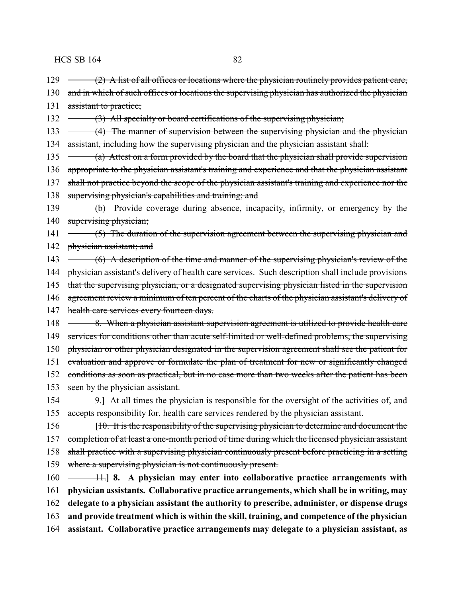- 129 (2) A list of all offices or locations where the physician routinely provides patient care,
- 130 and in which of such offices or locations the supervising physician has authorized the physician 131 assistant to practice;
- 132 (3) All specialty or board certifications of the supervising physician;
- 133 (4) The manner of supervision between the supervising physician and the physician 134 assistant, including how the supervising physician and the physician assistant shall:
- 135 (a) Attest on a form provided by the board that the physician shall provide supervision 136 appropriate to the physician assistant's training and experience and that the physician assistant
- 137 shall not practice beyond the scope of the physician assistant's training and experience nor the
- 138 supervising physician's capabilities and training; and
- 139 (b) Provide coverage during absence, incapacity, infirmity, or emergency by the 140 supervising physician;
- 141 (5) The duration of the supervision agreement between the supervising physician and 142 physician assistant; and
- 143 (6) A description of the time and manner of the supervising physician's review of the
- 144 physician assistant's delivery of health care services. Such description shall include provisions
- 145 that the supervising physician, or a designated supervising physician listed in the supervision
- 146 agreement review a minimum of ten percent of the charts of the physician assistant's delivery of
- 147 health care services every fourteen days.
- 148 8. When a physician assistant supervision agreement is utilized to provide health care 149 services for conditions other than acute self-limited or well-defined problems, the supervising 150 physician or other physician designated in the supervision agreement shall see the patient for 151 evaluation and approve or formulate the plan of treatment for new or significantly changed 152 conditions as soon as practical, but in no case more than two weeks after the patient has been 153 seen by the physician assistant.
- 154 <del>9.</del> At all times the physician is responsible for the oversight of the activities of, and 155 accepts responsibility for, health care services rendered by the physician assistant.
- 156 **[**10. It is the responsibility of the supervising physician to determine and document the 157 completion of at least a one-month period of time during which the licensed physician assistant 158 shall practice with a supervising physician continuously present before practicing in a setting 159 where a supervising physician is not continuously present.
- 160 11.**] 8. A physician may enter into collaborative practice arrangements with** 161 **physician assistants. Collaborative practice arrangements, which shall be in writing, may** 162 **delegate to a physician assistant the authority to prescribe, administer, or dispense drugs** 163 **and provide treatment which is within the skill, training, and competence of the physician** 164 **assistant. Collaborative practice arrangements may delegate to a physician assistant, as**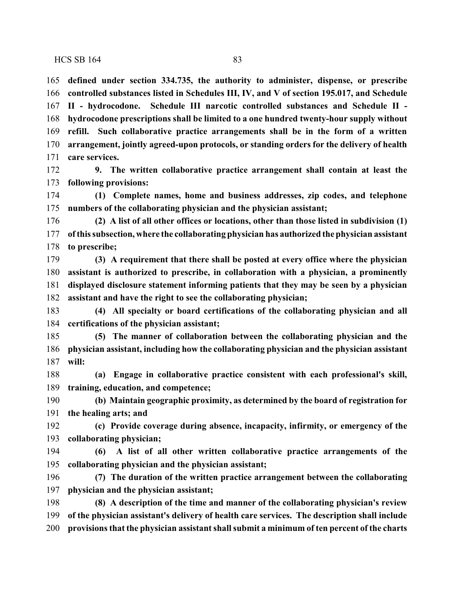**defined under section 334.735, the authority to administer, dispense, or prescribe controlled substances listed in Schedules III, IV, and V of section 195.017, and Schedule II - hydrocodone. Schedule III narcotic controlled substances and Schedule II - hydrocodone prescriptions shall be limited to a one hundred twenty-hour supply without refill. Such collaborative practice arrangements shall be in the form of a written arrangement, jointly agreed-upon protocols, or standing orders for the delivery of health care services.**

 **9. The written collaborative practice arrangement shall contain at least the following provisions:**

 **(1) Complete names, home and business addresses, zip codes, and telephone numbers of the collaborating physician and the physician assistant;**

 **(2) A list of all other offices or locations, other than those listed in subdivision (1) ofthis subsection, where the collaborating physician has authorized the physician assistant to prescribe;**

 **(3) A requirement that there shall be posted at every office where the physician assistant is authorized to prescribe, in collaboration with a physician, a prominently displayed disclosure statement informing patients that they may be seen by a physician assistant and have the right to see the collaborating physician;**

 **(4) All specialty or board certifications of the collaborating physician and all certifications of the physician assistant;**

 **(5) The manner of collaboration between the collaborating physician and the physician assistant, including how the collaborating physician and the physician assistant will:**

 **(a) Engage in collaborative practice consistent with each professional's skill, training, education, and competence;**

 **(b) Maintain geographic proximity, as determined by the board of registration for the healing arts; and**

 **(c) Provide coverage during absence, incapacity, infirmity, or emergency of the collaborating physician;**

 **(6) A list of all other written collaborative practice arrangements of the collaborating physician and the physician assistant;**

 **(7) The duration of the written practice arrangement between the collaborating physician and the physician assistant;**

 **(8) A description of the time and manner of the collaborating physician's review of the physician assistant's delivery of health care services. The description shall include provisions that the physician assistant shall submit a minimum of ten percent of the charts**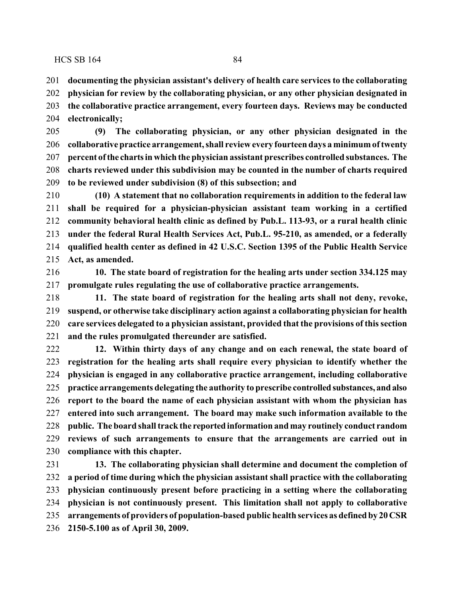**documenting the physician assistant's delivery of health care services to the collaborating physician for review by the collaborating physician, or any other physician designated in the collaborative practice arrangement, every fourteen days. Reviews may be conducted electronically;**

 **(9) The collaborating physician, or any other physician designated in the collaborative practice arrangement, shall review every fourteen days a minimum oftwenty percent of the chartsinwhich the physician assistant prescribes controlled substances. The charts reviewed under this subdivision may be counted in the number of charts required to be reviewed under subdivision (8) of this subsection; and**

 **(10) A statement that no collaboration requirements in addition to the federal law shall be required for a physician-physician assistant team working in a certified community behavioral health clinic as defined by Pub.L. 113-93, or a rural health clinic under the federal Rural Health Services Act, Pub.L. 95-210, as amended, or a federally qualified health center as defined in 42 U.S.C. Section 1395 of the Public Health Service Act, as amended.**

 **10. The state board of registration for the healing arts under section 334.125 may promulgate rules regulating the use of collaborative practice arrangements.**

 **11. The state board of registration for the healing arts shall not deny, revoke, suspend, or otherwise take disciplinary action against a collaborating physician for health care services delegated to a physician assistant, provided that the provisions of this section and the rules promulgated thereunder are satisfied.**

 **12. Within thirty days of any change and on each renewal, the state board of registration for the healing arts shall require every physician to identify whether the physician is engaged in any collaborative practice arrangement, including collaborative practice arrangements delegating the authority to prescribe controlled substances, and also report to the board the name of each physician assistant with whom the physician has entered into such arrangement. The board may make such information available to the public. The board shall track the reported information and may routinely conduct random reviews of such arrangements to ensure that the arrangements are carried out in compliance with this chapter.**

 **13. The collaborating physician shall determine and document the completion of a period of time during which the physician assistant shall practice with the collaborating physician continuously present before practicing in a setting where the collaborating physician is not continuously present. This limitation shall not apply to collaborative arrangements of providers of population-based public health services as definedby 20CSR 2150-5.100 as of April 30, 2009.**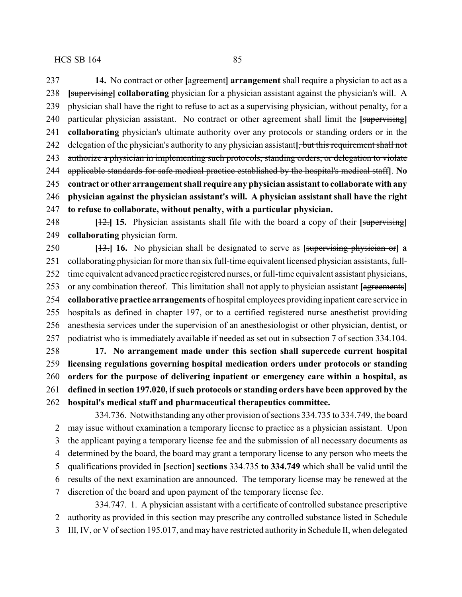**[**supervising**] collaborating** physician for a physician assistant against the physician's will. A physician shall have the right to refuse to act as a supervising physician, without penalty, for a particular physician assistant. No contract or other agreement shall limit the **[**supervising**] collaborating** physician's ultimate authority over any protocols or standing orders or in the delegation of the physician's authority to any physician assistant**[**, but this requirement shall not 243 authorize a physician in implementing such protocols, standing orders, or delegation to violate applicable standards for safe medical practice established by the hospital's medical staff**]**. **No contract or other arrangement shall require any physician assistant to collaborate with any physician against the physician assistant's will. A physician assistant shall have the right**

**to refuse to collaborate, without penalty, with a particular physician.**

 **[**12.**] 15.** Physician assistants shall file with the board a copy of their **[**supervising**] collaborating** physician form.

 **[**13.**] 16.** No physician shall be designated to serve as **[**supervising physician or**] a** collaborating physician for more than six full-time equivalent licensed physician assistants, full- time equivalent advanced practice registered nurses, or full-time equivalent assistant physicians, or any combination thereof. This limitation shall not apply to physician assistant **[**agreements**] collaborative practice arrangements** of hospital employees providing inpatient care service in hospitals as defined in chapter 197, or to a certified registered nurse anesthetist providing anesthesia services under the supervision of an anesthesiologist or other physician, dentist, or podiatrist who is immediately available if needed as set out in subsection 7 of section 334.104.

 **17. No arrangement made under this section shall supercede current hospital licensing regulations governing hospital medication orders under protocols or standing orders for the purpose of delivering inpatient or emergency care within a hospital, as defined in section 197.020, if such protocols or standing orders have been approved by the hospital's medical staff and pharmaceutical therapeutics committee.**

334.736. Notwithstanding any other provision of sections 334.735 to 334.749, the board may issue without examination a temporary license to practice as a physician assistant. Upon the applicant paying a temporary license fee and the submission of all necessary documents as determined by the board, the board may grant a temporary license to any person who meets the qualifications provided in **[**section**] sections** 334.735 **to 334.749** which shall be valid until the results of the next examination are announced. The temporary license may be renewed at the discretion of the board and upon payment of the temporary license fee. 334.747. 1. A physician assistant with a certificate of controlled substance prescriptive

 authority as provided in this section may prescribe any controlled substance listed in Schedule III, IV, or V of section 195.017, and may have restricted authority in Schedule II, when delegated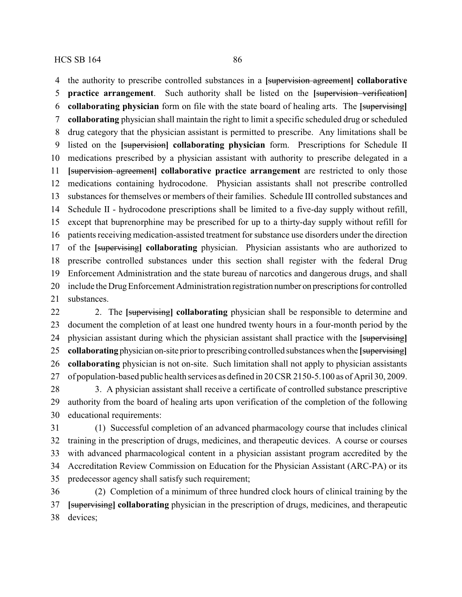the authority to prescribe controlled substances in a **[**supervision agreement**] collaborative practice arrangement**. Such authority shall be listed on the **[**supervision verification**] collaborating physician** form on file with the state board of healing arts. The **[**supervising**] collaborating** physician shall maintain the right to limit a specific scheduled drug or scheduled drug category that the physician assistant is permitted to prescribe. Any limitations shall be listed on the **[**supervision**] collaborating physician** form. Prescriptions for Schedule II medications prescribed by a physician assistant with authority to prescribe delegated in a **[**supervision agreement**] collaborative practice arrangement** are restricted to only those medications containing hydrocodone. Physician assistants shall not prescribe controlled substances for themselves or members of their families. Schedule III controlled substances and Schedule II - hydrocodone prescriptions shall be limited to a five-day supply without refill, except that buprenorphine may be prescribed for up to a thirty-day supply without refill for patients receiving medication-assisted treatment for substance use disorders under the direction of the **[**supervising**] collaborating** physician. Physician assistants who are authorized to prescribe controlled substances under this section shall register with the federal Drug Enforcement Administration and the state bureau of narcotics and dangerous drugs, and shall 20 include the Drug Enforcement Administration registration number on prescriptions for controlled substances.

 2. The **[**supervising**] collaborating** physician shall be responsible to determine and document the completion of at least one hundred twenty hours in a four-month period by the physician assistant during which the physician assistant shall practice with the **[**supervising**] collaborating** physician on-site priorto prescribing controlled substances when the **[**supervising**] collaborating** physician is not on-site. Such limitation shall not apply to physician assistants of population-based public health services as defined in 20 CSR 2150-5.100 as of April 30, 2009.

 3. A physician assistant shall receive a certificate of controlled substance prescriptive authority from the board of healing arts upon verification of the completion of the following educational requirements:

 (1) Successful completion of an advanced pharmacology course that includes clinical training in the prescription of drugs, medicines, and therapeutic devices. A course or courses with advanced pharmacological content in a physician assistant program accredited by the Accreditation Review Commission on Education for the Physician Assistant (ARC-PA) or its predecessor agency shall satisfy such requirement;

 (2) Completion of a minimum of three hundred clock hours of clinical training by the **[**supervising**] collaborating** physician in the prescription of drugs, medicines, and therapeutic devices;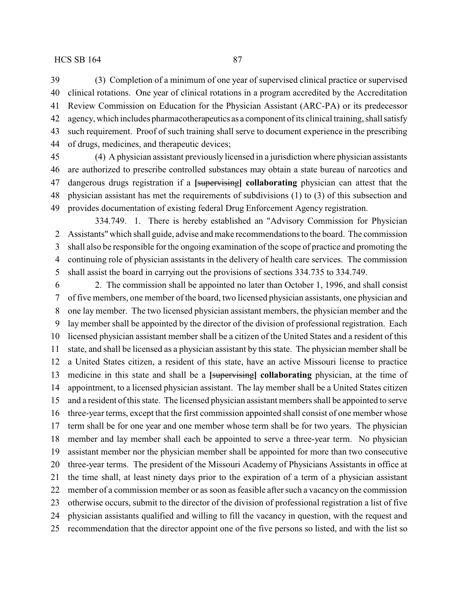(3) Completion of a minimum of one year of supervised clinical practice or supervised clinical rotations. One year of clinical rotations in a program accredited by the Accreditation Review Commission on Education for the Physician Assistant (ARC-PA) or its predecessor agency, which includes pharmacotherapeutics as a component of its clinical training, shall satisfy such requirement. Proof of such training shall serve to document experience in the prescribing of drugs, medicines, and therapeutic devices;

 (4) A physician assistant previously licensed in a jurisdiction where physician assistants are authorized to prescribe controlled substances may obtain a state bureau of narcotics and dangerous drugs registration if a **[**supervising**] collaborating** physician can attest that the physician assistant has met the requirements of subdivisions (1) to (3) of this subsection and provides documentation of existing federal Drug Enforcement Agency registration.

334.749. 1. There is hereby established an "Advisory Commission for Physician Assistants" which shall guide, advise and make recommendations to the board. The commission shall also be responsible for the ongoing examination of the scope of practice and promoting the continuing role of physician assistants in the delivery of health care services. The commission shall assist the board in carrying out the provisions of sections 334.735 to 334.749.

 2. The commission shall be appointed no later than October 1, 1996, and shall consist of five members, one member of the board, two licensed physician assistants, one physician and one lay member. The two licensed physician assistant members, the physician member and the lay member shall be appointed by the director of the division of professional registration. Each licensed physician assistant member shall be a citizen of the United States and a resident of this state, and shall be licensed as a physician assistant by this state. The physician member shall be a United States citizen, a resident of this state, have an active Missouri license to practice medicine in this state and shall be a **[**supervising**] collaborating** physician, at the time of appointment, to a licensed physician assistant. The lay member shall be a United States citizen and a resident of this state. The licensed physician assistant members shall be appointed to serve three-year terms, except that the first commission appointed shall consist of one member whose term shall be for one year and one member whose term shall be for two years. The physician member and lay member shall each be appointed to serve a three-year term. No physician assistant member nor the physician member shall be appointed for more than two consecutive three-year terms. The president of the Missouri Academy of Physicians Assistants in office at the time shall, at least ninety days prior to the expiration of a term of a physician assistant member of a commission member or as soon as feasible after such a vacancy on the commission otherwise occurs, submit to the director of the division of professional registration a list of five physician assistants qualified and willing to fill the vacancy in question, with the request and recommendation that the director appoint one of the five persons so listed, and with the list so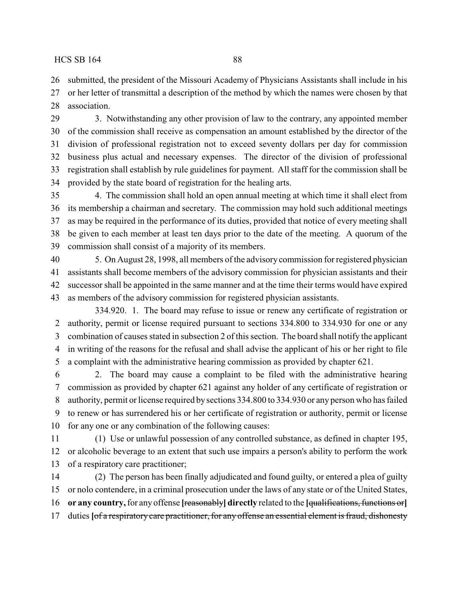submitted, the president of the Missouri Academy of Physicians Assistants shall include in his

 or her letter of transmittal a description of the method by which the names were chosen by that association.

 3. Notwithstanding any other provision of law to the contrary, any appointed member of the commission shall receive as compensation an amount established by the director of the division of professional registration not to exceed seventy dollars per day for commission business plus actual and necessary expenses. The director of the division of professional registration shall establish by rule guidelines for payment. All staff for the commission shall be provided by the state board of registration for the healing arts.

 4. The commission shall hold an open annual meeting at which time it shall elect from its membership a chairman and secretary. The commission may hold such additional meetings as may be required in the performance of its duties, provided that notice of every meeting shall be given to each member at least ten days prior to the date of the meeting. A quorum of the commission shall consist of a majority of its members.

 5. On August 28, 1998, all members of the advisory commission for registered physician assistants shall become members of the advisory commission for physician assistants and their successor shall be appointed in the same manner and at the time their terms would have expired as members of the advisory commission for registered physician assistants.

334.920. 1. The board may refuse to issue or renew any certificate of registration or authority, permit or license required pursuant to sections 334.800 to 334.930 for one or any combination of causes stated in subsection 2 of this section. The board shall notify the applicant in writing of the reasons for the refusal and shall advise the applicant of his or her right to file a complaint with the administrative hearing commission as provided by chapter 621.

 2. The board may cause a complaint to be filed with the administrative hearing commission as provided by chapter 621 against any holder of any certificate of registration or authority, permit or license required by sections 334.800 to 334.930 or any person who has failed to renew or has surrendered his or her certificate of registration or authority, permit or license for any one or any combination of the following causes:

 (1) Use or unlawful possession of any controlled substance, as defined in chapter 195, or alcoholic beverage to an extent that such use impairs a person's ability to perform the work of a respiratory care practitioner;

 (2) The person has been finally adjudicated and found guilty, or entered a plea of guilty or nolo contendere, in a criminal prosecution under the laws of any state or of the United States, **or any country,**for any offense **[**reasonably**] directly** related to the **[**qualifications, functions or**]** duties **[**of a respiratory care practitioner, for any offense an essential element is fraud, dishonesty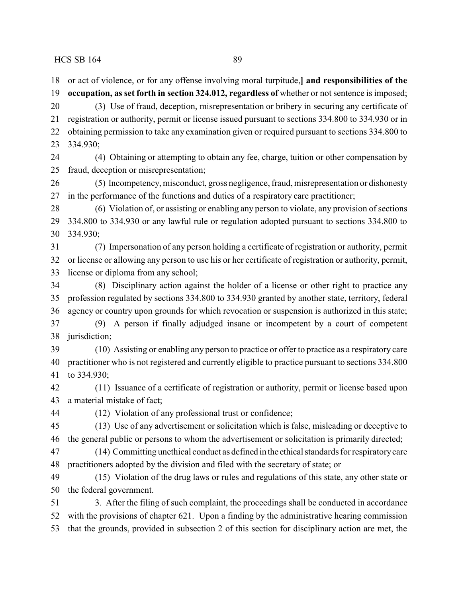or act of violence, or for any offense involving moral turpitude,**] and responsibilities of the occupation, as set forth in section 324.012, regardless of** whether or not sentence is imposed; (3) Use of fraud, deception, misrepresentation or bribery in securing any certificate of registration or authority, permit or license issued pursuant to sections 334.800 to 334.930 or in obtaining permission to take any examination given or required pursuant to sections 334.800 to 334.930; (4) Obtaining or attempting to obtain any fee, charge, tuition or other compensation by fraud, deception or misrepresentation; (5) Incompetency, misconduct, gross negligence, fraud, misrepresentation or dishonesty in the performance of the functions and duties of a respiratory care practitioner; (6) Violation of, or assisting or enabling any person to violate, any provision of sections 334.800 to 334.930 or any lawful rule or regulation adopted pursuant to sections 334.800 to 334.930; (7) Impersonation of any person holding a certificate of registration or authority, permit or license or allowing any person to use his or her certificate of registration or authority, permit, license or diploma from any school; (8) Disciplinary action against the holder of a license or other right to practice any profession regulated by sections 334.800 to 334.930 granted by another state, territory, federal agency or country upon grounds for which revocation or suspension is authorized in this state; (9) A person if finally adjudged insane or incompetent by a court of competent jurisdiction; (10) Assisting or enabling any person to practice or offer to practice as a respiratory care practitioner who is not registered and currently eligible to practice pursuant to sections 334.800 to 334.930; (11) Issuance of a certificate of registration or authority, permit or license based upon

a material mistake of fact;

(12) Violation of any professional trust or confidence;

 (13) Use of any advertisement or solicitation which is false, misleading or deceptive to the general public or persons to whom the advertisement or solicitation is primarily directed;

 (14) Committing unethical conduct as defined in the ethical standards for respiratorycare practitioners adopted by the division and filed with the secretary of state; or

 (15) Violation of the drug laws or rules and regulations of this state, any other state or the federal government.

 3. After the filing of such complaint, the proceedings shall be conducted in accordance with the provisions of chapter 621. Upon a finding by the administrative hearing commission that the grounds, provided in subsection 2 of this section for disciplinary action are met, the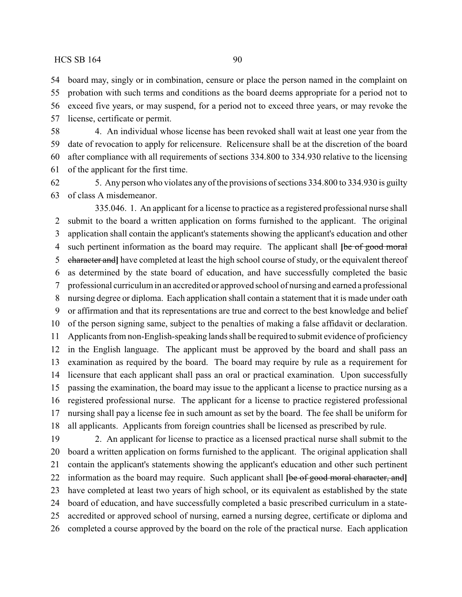board may, singly or in combination, censure or place the person named in the complaint on probation with such terms and conditions as the board deems appropriate for a period not to

 exceed five years, or may suspend, for a period not to exceed three years, or may revoke the license, certificate or permit.

 4. An individual whose license has been revoked shall wait at least one year from the date of revocation to apply for relicensure. Relicensure shall be at the discretion of the board after compliance with all requirements of sections 334.800 to 334.930 relative to the licensing of the applicant for the first time.

 5. Anyperson who violates anyof the provisions of sections 334.800 to 334.930 is guilty of class A misdemeanor.

335.046. 1. An applicant for a license to practice as a registered professional nurse shall submit to the board a written application on forms furnished to the applicant. The original application shall contain the applicant's statements showing the applicant's education and other such pertinent information as the board may require. The applicant shall **[**be of good moral character and**]** have completed at least the high school course of study, or the equivalent thereof as determined by the state board of education, and have successfully completed the basic professional curriculum in an accredited or approved school of nursing and earned a professional nursing degree or diploma. Each application shall contain a statement that it is made under oath or affirmation and that its representations are true and correct to the best knowledge and belief of the person signing same, subject to the penalties of making a false affidavit or declaration. Applicants from non-English-speaking lands shall be required to submit evidence of proficiency in the English language. The applicant must be approved by the board and shall pass an examination as required by the board. The board may require by rule as a requirement for licensure that each applicant shall pass an oral or practical examination. Upon successfully passing the examination, the board may issue to the applicant a license to practice nursing as a registered professional nurse. The applicant for a license to practice registered professional nursing shall pay a license fee in such amount as set by the board. The fee shall be uniform for all applicants. Applicants from foreign countries shall be licensed as prescribed by rule.

 2. An applicant for license to practice as a licensed practical nurse shall submit to the board a written application on forms furnished to the applicant. The original application shall contain the applicant's statements showing the applicant's education and other such pertinent information as the board may require. Such applicant shall **[**be of good moral character, and**]** have completed at least two years of high school, or its equivalent as established by the state board of education, and have successfully completed a basic prescribed curriculum in a state- accredited or approved school of nursing, earned a nursing degree, certificate or diploma and completed a course approved by the board on the role of the practical nurse. Each application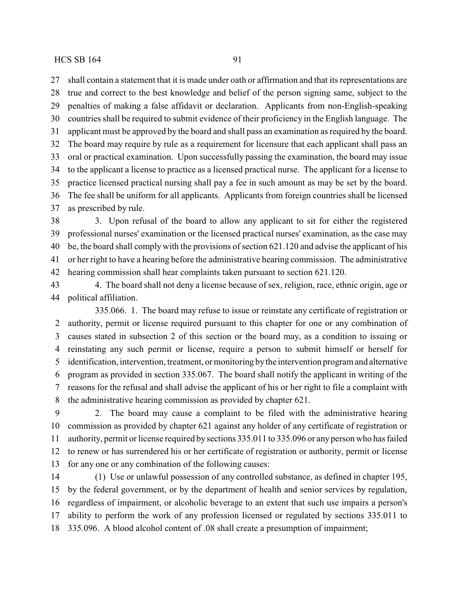shall contain a statement that it is made under oath or affirmation and that its representations are true and correct to the best knowledge and belief of the person signing same, subject to the penalties of making a false affidavit or declaration. Applicants from non-English-speaking countries shall be required to submit evidence of their proficiency in the English language. The

 applicant must be approved by the board and shall pass an examination as required by the board. The board may require by rule as a requirement for licensure that each applicant shall pass an oral or practical examination. Upon successfully passing the examination, the board may issue to the applicant a license to practice as a licensed practical nurse. The applicant for a license to practice licensed practical nursing shall pay a fee in such amount as may be set by the board. The fee shall be uniform for all applicants. Applicants from foreign countries shall be licensed as prescribed by rule.

 3. Upon refusal of the board to allow any applicant to sit for either the registered professional nurses' examination or the licensed practical nurses' examination, as the case may be, the board shall comply with the provisions of section 621.120 and advise the applicant of his or her right to have a hearing before the administrative hearing commission. The administrative hearing commission shall hear complaints taken pursuant to section 621.120.

 4. The board shall not deny a license because of sex, religion, race, ethnic origin, age or political affiliation.

335.066. 1. The board may refuse to issue or reinstate any certificate of registration or authority, permit or license required pursuant to this chapter for one or any combination of causes stated in subsection 2 of this section or the board may, as a condition to issuing or reinstating any such permit or license, require a person to submit himself or herself for identification, intervention, treatment, or monitoring bythe intervention program and alternative program as provided in section 335.067. The board shall notify the applicant in writing of the reasons for the refusal and shall advise the applicant of his or her right to file a complaint with the administrative hearing commission as provided by chapter 621.

 2. The board may cause a complaint to be filed with the administrative hearing commission as provided by chapter 621 against any holder of any certificate of registration or authority, permit or license required by sections 335.011 to 335.096 or any person who has failed to renew or has surrendered his or her certificate of registration or authority, permit or license for any one or any combination of the following causes:

 (1) Use or unlawful possession of any controlled substance, as defined in chapter 195, by the federal government, or by the department of health and senior services by regulation, regardless of impairment, or alcoholic beverage to an extent that such use impairs a person's ability to perform the work of any profession licensed or regulated by sections 335.011 to 335.096. A blood alcohol content of .08 shall create a presumption of impairment;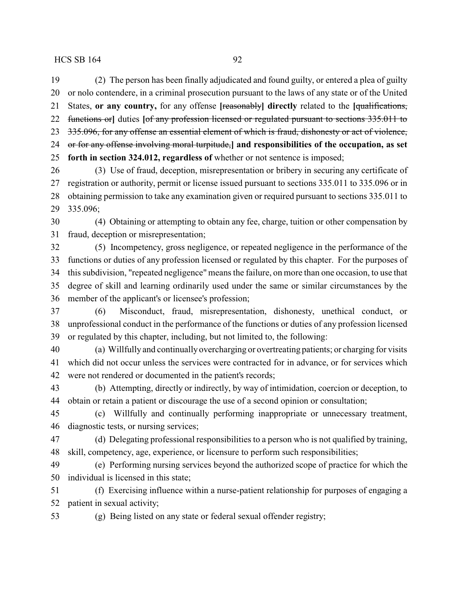(2) The person has been finally adjudicated and found guilty, or entered a plea of guilty or nolo contendere, in a criminal prosecution pursuant to the laws of any state or of the United States, **or any country,** for any offense **[**reasonably**] directly** related to the **[**qualifications, functions or**]** duties **[**of any profession licensed or regulated pursuant to sections 335.011 to 335.096, for any offense an essential element of which is fraud, dishonesty or act of violence, or for any offense involving moral turpitude,**] and responsibilities of the occupation, as set forth in section 324.012, regardless of** whether or not sentence is imposed;

 (3) Use of fraud, deception, misrepresentation or bribery in securing any certificate of registration or authority, permit or license issued pursuant to sections 335.011 to 335.096 or in obtaining permission to take any examination given or required pursuant to sections 335.011 to 335.096;

 (4) Obtaining or attempting to obtain any fee, charge, tuition or other compensation by fraud, deception or misrepresentation;

 (5) Incompetency, gross negligence, or repeated negligence in the performance of the functions or duties of any profession licensed or regulated by this chapter. For the purposes of this subdivision, "repeated negligence" means the failure, on more than one occasion, to use that degree of skill and learning ordinarily used under the same or similar circumstances by the member of the applicant's or licensee's profession;

 (6) Misconduct, fraud, misrepresentation, dishonesty, unethical conduct, or unprofessional conduct in the performance of the functions or duties of any profession licensed or regulated by this chapter, including, but not limited to, the following:

 (a) Willfully and continually overcharging or overtreating patients; or charging for visits which did not occur unless the services were contracted for in advance, or for services which were not rendered or documented in the patient's records;

 (b) Attempting, directly or indirectly, by way of intimidation, coercion or deception, to obtain or retain a patient or discourage the use of a second opinion or consultation;

 (c) Willfully and continually performing inappropriate or unnecessary treatment, diagnostic tests, or nursing services;

 (d) Delegating professional responsibilities to a person who is not qualified by training, skill, competency, age, experience, or licensure to perform such responsibilities;

 (e) Performing nursing services beyond the authorized scope of practice for which the individual is licensed in this state;

 (f) Exercising influence within a nurse-patient relationship for purposes of engaging a patient in sexual activity;

(g) Being listed on any state or federal sexual offender registry;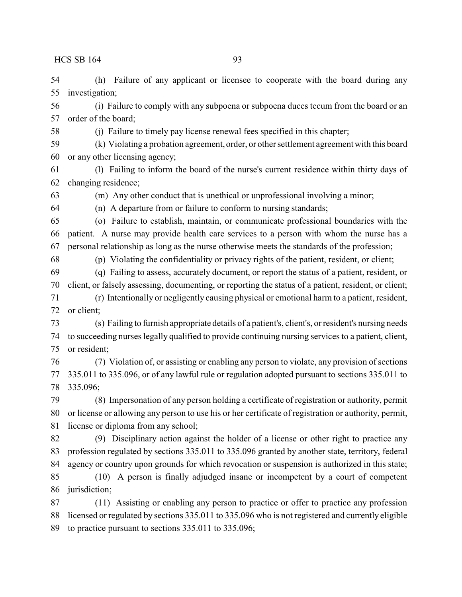(h) Failure of any applicant or licensee to cooperate with the board during any investigation;

 (i) Failure to comply with any subpoena or subpoena duces tecum from the board or an order of the board;

(j) Failure to timely pay license renewal fees specified in this chapter;

 (k) Violating a probation agreement, order, or other settlement agreement with this board or any other licensing agency;

 (l) Failing to inform the board of the nurse's current residence within thirty days of changing residence;

(m) Any other conduct that is unethical or unprofessional involving a minor;

(n) A departure from or failure to conform to nursing standards;

 (o) Failure to establish, maintain, or communicate professional boundaries with the patient. A nurse may provide health care services to a person with whom the nurse has a personal relationship as long as the nurse otherwise meets the standards of the profession;

(p) Violating the confidentiality or privacy rights of the patient, resident, or client;

 (q) Failing to assess, accurately document, or report the status of a patient, resident, or client, or falsely assessing, documenting, or reporting the status of a patient, resident, or client;

 (r) Intentionally or negligently causing physical or emotional harm to a patient, resident, or client;

 (s) Failing to furnish appropriate details of a patient's, client's, or resident's nursing needs to succeeding nurses legally qualified to provide continuing nursing services to a patient, client, or resident;

 (7) Violation of, or assisting or enabling any person to violate, any provision of sections 335.011 to 335.096, or of any lawful rule or regulation adopted pursuant to sections 335.011 to 335.096;

 (8) Impersonation of any person holding a certificate of registration or authority, permit or license or allowing any person to use his or her certificate of registration or authority, permit, license or diploma from any school;

 (9) Disciplinary action against the holder of a license or other right to practice any profession regulated by sections 335.011 to 335.096 granted by another state, territory, federal agency or country upon grounds for which revocation or suspension is authorized in this state;

 (10) A person is finally adjudged insane or incompetent by a court of competent jurisdiction;

 (11) Assisting or enabling any person to practice or offer to practice any profession licensed or regulated by sections 335.011 to 335.096 who is not registered and currently eligible to practice pursuant to sections 335.011 to 335.096;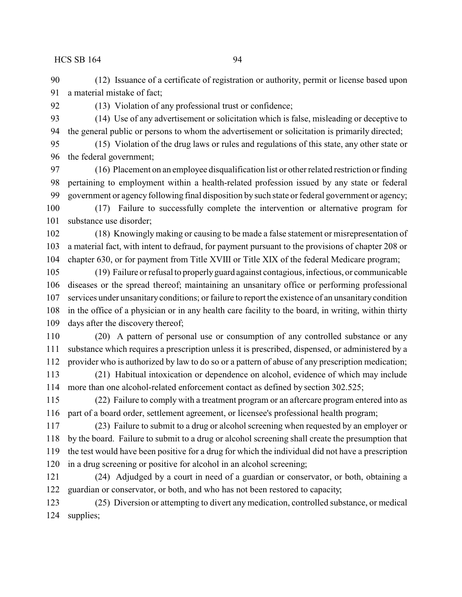(12) Issuance of a certificate of registration or authority, permit or license based upon a material mistake of fact;

(13) Violation of any professional trust or confidence;

 (14) Use of any advertisement or solicitation which is false, misleading or deceptive to the general public or persons to whom the advertisement or solicitation is primarily directed;

 (15) Violation of the drug laws or rules and regulations of this state, any other state or the federal government;

 (16) Placement on an employee disqualification list or other related restriction or finding pertaining to employment within a health-related profession issued by any state or federal government or agency following final disposition by such state or federal government or agency;

 (17) Failure to successfully complete the intervention or alternative program for substance use disorder;

 (18) Knowingly making or causing to be made a false statement or misrepresentation of a material fact, with intent to defraud, for payment pursuant to the provisions of chapter 208 or chapter 630, or for payment from Title XVIII or Title XIX of the federal Medicare program;

 (19) Failure or refusal to properlyguard against contagious, infectious, or communicable diseases or the spread thereof; maintaining an unsanitary office or performing professional services under unsanitary conditions; or failure to report the existence of an unsanitary condition in the office of a physician or in any health care facility to the board, in writing, within thirty days after the discovery thereof;

 (20) A pattern of personal use or consumption of any controlled substance or any substance which requires a prescription unless it is prescribed, dispensed, or administered by a provider who is authorized by law to do so or a pattern of abuse of any prescription medication;

 (21) Habitual intoxication or dependence on alcohol, evidence of which may include more than one alcohol-related enforcement contact as defined by section 302.525;

 (22) Failure to comply with a treatment program or an aftercare program entered into as part of a board order, settlement agreement, or licensee's professional health program;

 (23) Failure to submit to a drug or alcohol screening when requested by an employer or by the board. Failure to submit to a drug or alcohol screening shall create the presumption that the test would have been positive for a drug for which the individual did not have a prescription in a drug screening or positive for alcohol in an alcohol screening;

 (24) Adjudged by a court in need of a guardian or conservator, or both, obtaining a guardian or conservator, or both, and who has not been restored to capacity;

 (25) Diversion or attempting to divert any medication, controlled substance, or medical supplies;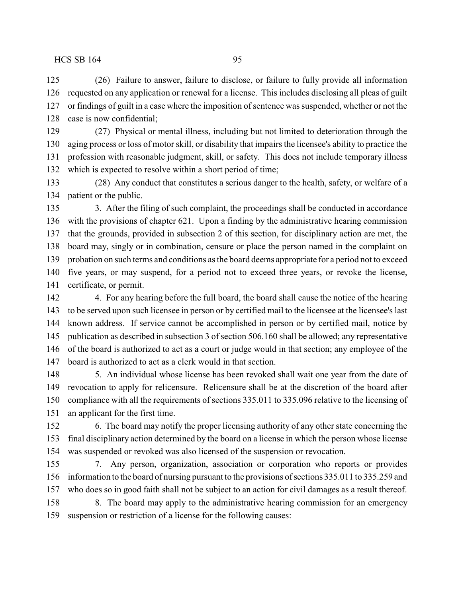(26) Failure to answer, failure to disclose, or failure to fully provide all information requested on any application or renewal for a license. This includes disclosing all pleas of guilt or findings of guilt in a case where the imposition of sentence was suspended, whether or not the case is now confidential;

 (27) Physical or mental illness, including but not limited to deterioration through the aging process or loss of motor skill, or disability that impairs the licensee's ability to practice the profession with reasonable judgment, skill, or safety. This does not include temporary illness which is expected to resolve within a short period of time;

 (28) Any conduct that constitutes a serious danger to the health, safety, or welfare of a patient or the public.

 3. After the filing of such complaint, the proceedings shall be conducted in accordance with the provisions of chapter 621. Upon a finding by the administrative hearing commission that the grounds, provided in subsection 2 of this section, for disciplinary action are met, the board may, singly or in combination, censure or place the person named in the complaint on probation on such terms and conditions as the board deems appropriate for a period not to exceed five years, or may suspend, for a period not to exceed three years, or revoke the license, certificate, or permit.

 to be served upon such licensee in person or by certified mail to the licensee at the licensee's last known address. If service cannot be accomplished in person or by certified mail, notice by publication as described in subsection 3 of section 506.160 shall be allowed; any representative of the board is authorized to act as a court or judge would in that section; any employee of the board is authorized to act as a clerk would in that section.

 5. An individual whose license has been revoked shall wait one year from the date of revocation to apply for relicensure. Relicensure shall be at the discretion of the board after compliance with all the requirements of sections 335.011 to 335.096 relative to the licensing of an applicant for the first time.

 6. The board may notify the proper licensing authority of any other state concerning the final disciplinary action determined by the board on a license in which the person whose license was suspended or revoked was also licensed of the suspension or revocation.

 7. Any person, organization, association or corporation who reports or provides information to the board of nursing pursuant to the provisions of sections 335.011 to 335.259 and who does so in good faith shall not be subject to an action for civil damages as a result thereof. 8. The board may apply to the administrative hearing commission for an emergency suspension or restriction of a license for the following causes:

4. For any hearing before the full board, the board shall cause the notice of the hearing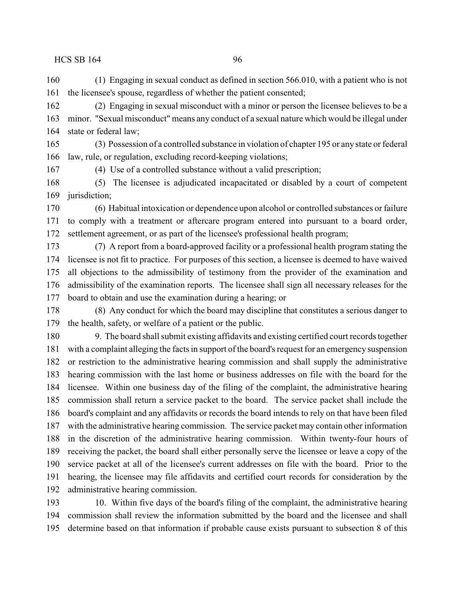(1) Engaging in sexual conduct as defined in section 566.010, with a patient who is not the licensee's spouse, regardless of whether the patient consented;

 (2) Engaging in sexual misconduct with a minor or person the licensee believes to be a minor. "Sexual misconduct" means any conduct of a sexual nature which would be illegal under state or federal law;

 (3) Possession of a controlled substance in violation of chapter 195 or any state or federal law, rule, or regulation, excluding record-keeping violations;

(4) Use of a controlled substance without a valid prescription;

 (5) The licensee is adjudicated incapacitated or disabled by a court of competent jurisdiction;

 (6) Habitual intoxication or dependence upon alcohol or controlled substances or failure to comply with a treatment or aftercare program entered into pursuant to a board order, settlement agreement, or as part of the licensee's professional health program;

 (7) A report from a board-approved facility or a professional health program stating the licensee is not fit to practice. For purposes of this section, a licensee is deemed to have waived all objections to the admissibility of testimony from the provider of the examination and admissibility of the examination reports. The licensee shall sign all necessary releases for the board to obtain and use the examination during a hearing; or

 (8) Any conduct for which the board may discipline that constitutes a serious danger to the health, safety, or welfare of a patient or the public.

 9. The board shall submit existing affidavits and existing certified court records together with a complaint alleging the facts in support of the board's request for an emergency suspension or restriction to the administrative hearing commission and shall supply the administrative hearing commission with the last home or business addresses on file with the board for the licensee. Within one business day of the filing of the complaint, the administrative hearing commission shall return a service packet to the board. The service packet shall include the board's complaint and any affidavits or records the board intends to rely on that have been filed with the administrative hearing commission. The service packet may contain other information in the discretion of the administrative hearing commission. Within twenty-four hours of receiving the packet, the board shall either personally serve the licensee or leave a copy of the service packet at all of the licensee's current addresses on file with the board. Prior to the hearing, the licensee may file affidavits and certified court records for consideration by the administrative hearing commission.

 10. Within five days of the board's filing of the complaint, the administrative hearing commission shall review the information submitted by the board and the licensee and shall determine based on that information if probable cause exists pursuant to subsection 8 of this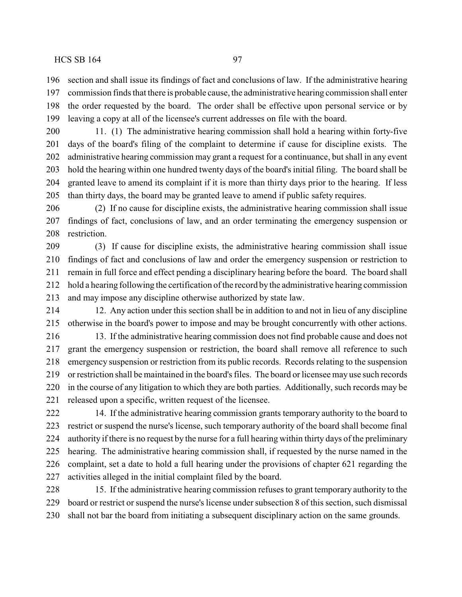section and shall issue its findings of fact and conclusions of law. If the administrative hearing commission finds that there is probable cause, the administrative hearing commission shall enter the order requested by the board. The order shall be effective upon personal service or by leaving a copy at all of the licensee's current addresses on file with the board.

 11. (1) The administrative hearing commission shall hold a hearing within forty-five days of the board's filing of the complaint to determine if cause for discipline exists. The administrative hearing commission may grant a request for a continuance, but shall in any event hold the hearing within one hundred twenty days of the board's initial filing. The board shall be granted leave to amend its complaint if it is more than thirty days prior to the hearing. If less than thirty days, the board may be granted leave to amend if public safety requires.

 (2) If no cause for discipline exists, the administrative hearing commission shall issue findings of fact, conclusions of law, and an order terminating the emergency suspension or restriction.

 (3) If cause for discipline exists, the administrative hearing commission shall issue findings of fact and conclusions of law and order the emergency suspension or restriction to remain in full force and effect pending a disciplinary hearing before the board. The board shall hold a hearing following the certification of the record by the administrative hearing commission and may impose any discipline otherwise authorized by state law.

 12. Any action under this section shall be in addition to and not in lieu of any discipline otherwise in the board's power to impose and may be brought concurrently with other actions.

 13. If the administrative hearing commission does not find probable cause and does not grant the emergency suspension or restriction, the board shall remove all reference to such emergency suspension or restriction from its public records. Records relating to the suspension or restriction shall be maintained in the board's files. The board or licensee may use such records in the course of any litigation to which they are both parties. Additionally, such records may be released upon a specific, written request of the licensee.

 14. If the administrative hearing commission grants temporary authority to the board to restrict or suspend the nurse's license, such temporary authority of the board shall become final authority if there is no request by the nurse for a full hearing within thirty days of the preliminary hearing. The administrative hearing commission shall, if requested by the nurse named in the complaint, set a date to hold a full hearing under the provisions of chapter 621 regarding the activities alleged in the initial complaint filed by the board.

 15. If the administrative hearing commission refuses to grant temporary authority to the board or restrict or suspend the nurse's license under subsection 8 of this section, such dismissal shall not bar the board from initiating a subsequent disciplinary action on the same grounds.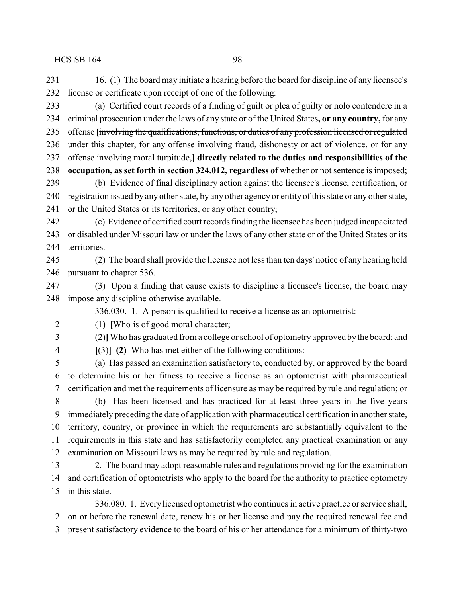16. (1) The board may initiate a hearing before the board for discipline of any licensee's license or certificate upon receipt of one of the following:

 (a) Certified court records of a finding of guilt or plea of guilty or nolo contendere in a criminal prosecution under the laws of any state or of the United States**, or any country,** for any offense **[**involving the qualifications, functions, or duties of any profession licensed or regulated under this chapter, for any offense involving fraud, dishonesty or act of violence, or for any offense involving moral turpitude,**] directly related to the duties and responsibilities of the occupation, as set forth in section 324.012, regardless of** whether or not sentence is imposed; (b) Evidence of final disciplinary action against the licensee's license, certification, or registration issued by any other state, by any other agency or entity of this state or any other state,

or the United States or its territories, or any other country;

 (c) Evidence of certified court records finding the licensee has been judged incapacitated or disabled under Missouri law or under the laws of any other state or of the United States or its territories.

 (2) The board shall provide the licensee not less than ten days' notice of any hearing held pursuant to chapter 536.

 (3) Upon a finding that cause exists to discipline a licensee's license, the board may impose any discipline otherwise available.

336.030. 1. A person is qualified to receive a license as an optometrist:

(1) **[**Who is of good moral character;

 $3 \leftarrow$  (2)<sup> $\left($ </sup>Who has graduated from a college or school of optometry approved by the board; and **[**(3)**] (2)** Who has met either of the following conditions:

 (a) Has passed an examination satisfactory to, conducted by, or approved by the board to determine his or her fitness to receive a license as an optometrist with pharmaceutical certification and met the requirements of licensure as may be required by rule and regulation; or

 (b) Has been licensed and has practiced for at least three years in the five years immediately preceding the date of application with pharmaceutical certification in another state, territory, country, or province in which the requirements are substantially equivalent to the requirements in this state and has satisfactorily completed any practical examination or any examination on Missouri laws as may be required by rule and regulation.

 2. The board may adopt reasonable rules and regulations providing for the examination and certification of optometrists who apply to the board for the authority to practice optometry in this state.

336.080. 1. Every licensed optometrist who continues in active practice or service shall, on or before the renewal date, renew his or her license and pay the required renewal fee and present satisfactory evidence to the board of his or her attendance for a minimum of thirty-two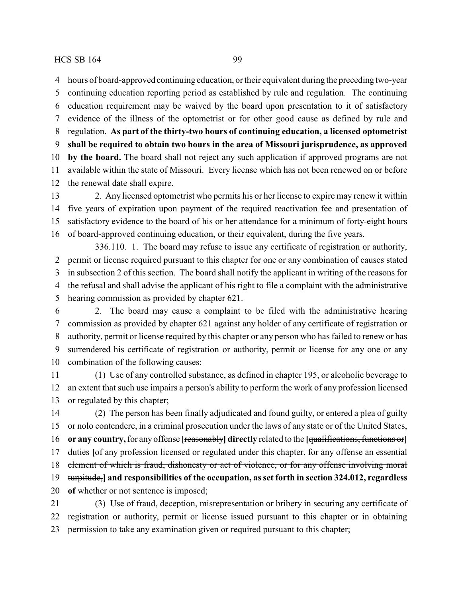hours of board-approved continuing education, or their equivalent during the preceding two-year continuing education reporting period as established by rule and regulation. The continuing education requirement may be waived by the board upon presentation to it of satisfactory evidence of the illness of the optometrist or for other good cause as defined by rule and regulation. **As part of the thirty-two hours of continuing education, a licensed optometrist shall be required to obtain two hours in the area of Missouri jurisprudence, as approved by the board.** The board shall not reject any such application if approved programs are not available within the state of Missouri. Every license which has not been renewed on or before the renewal date shall expire.

 2. Any licensed optometrist who permits his or her license to expire may renew it within five years of expiration upon payment of the required reactivation fee and presentation of satisfactory evidence to the board of his or her attendance for a minimum of forty-eight hours of board-approved continuing education, or their equivalent, during the five years.

336.110. 1. The board may refuse to issue any certificate of registration or authority, permit or license required pursuant to this chapter for one or any combination of causes stated in subsection 2 of this section. The board shall notify the applicant in writing of the reasons for the refusal and shall advise the applicant of his right to file a complaint with the administrative hearing commission as provided by chapter 621.

 2. The board may cause a complaint to be filed with the administrative hearing commission as provided by chapter 621 against any holder of any certificate of registration or authority, permit or license required by this chapter or any person who has failed to renew or has surrendered his certificate of registration or authority, permit or license for any one or any combination of the following causes:

 (1) Use of any controlled substance, as defined in chapter 195, or alcoholic beverage to an extent that such use impairs a person's ability to perform the work of any profession licensed or regulated by this chapter;

 (2) The person has been finally adjudicated and found guilty, or entered a plea of guilty or nolo contendere, in a criminal prosecution under the laws of any state or of the United States, **or any country,**for any offense **[**reasonably**] directly** related to the **[**qualifications, functions or**]** duties **[**of any profession licensed or regulated under this chapter, for any offense an essential element of which is fraud, dishonesty or act of violence, or for any offense involving moral turpitude,**] and responsibilities of the occupation, as set forth in section 324.012, regardless of** whether or not sentence is imposed; (3) Use of fraud, deception, misrepresentation or bribery in securing any certificate of

 registration or authority, permit or license issued pursuant to this chapter or in obtaining permission to take any examination given or required pursuant to this chapter;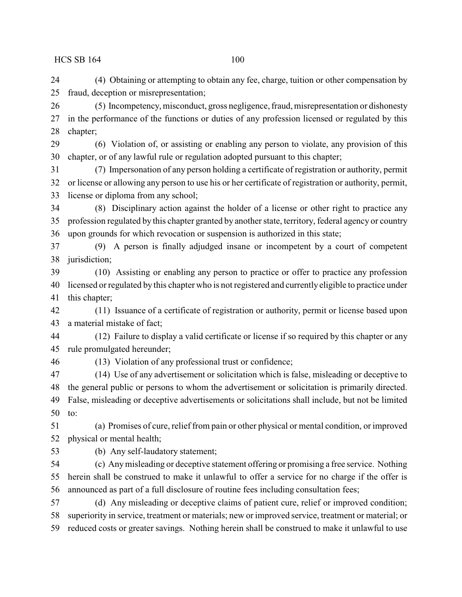(4) Obtaining or attempting to obtain any fee, charge, tuition or other compensation by fraud, deception or misrepresentation;

 (5) Incompetency, misconduct, gross negligence, fraud, misrepresentation or dishonesty in the performance of the functions or duties of any profession licensed or regulated by this chapter;

 (6) Violation of, or assisting or enabling any person to violate, any provision of this chapter, or of any lawful rule or regulation adopted pursuant to this chapter;

 (7) Impersonation of any person holding a certificate of registration or authority, permit or license or allowing any person to use his or her certificate of registration or authority, permit, license or diploma from any school;

 (8) Disciplinary action against the holder of a license or other right to practice any profession regulated by this chapter granted by another state, territory, federal agency or country upon grounds for which revocation or suspension is authorized in this state;

 (9) A person is finally adjudged insane or incompetent by a court of competent jurisdiction;

 (10) Assisting or enabling any person to practice or offer to practice any profession licensed or regulated by this chapter who is not registered and currently eligible to practice under this chapter;

 (11) Issuance of a certificate of registration or authority, permit or license based upon a material mistake of fact;

 (12) Failure to display a valid certificate or license if so required by this chapter or any rule promulgated hereunder;

(13) Violation of any professional trust or confidence;

 (14) Use of any advertisement or solicitation which is false, misleading or deceptive to the general public or persons to whom the advertisement or solicitation is primarily directed. False, misleading or deceptive advertisements or solicitations shall include, but not be limited to:

 (a) Promises of cure, relief from pain or other physical or mental condition, or improved physical or mental health;

(b) Any self-laudatory statement;

 (c) Anymisleading or deceptive statement offering or promising a free service. Nothing herein shall be construed to make it unlawful to offer a service for no charge if the offer is announced as part of a full disclosure of routine fees including consultation fees;

 (d) Any misleading or deceptive claims of patient cure, relief or improved condition; superiority in service, treatment or materials; new or improved service, treatment or material; or reduced costs or greater savings. Nothing herein shall be construed to make it unlawful to use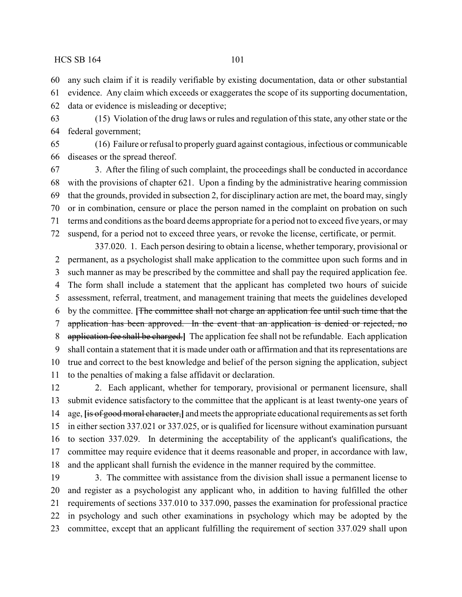any such claim if it is readily verifiable by existing documentation, data or other substantial

 evidence. Any claim which exceeds or exaggerates the scope of its supporting documentation, data or evidence is misleading or deceptive;

 (15) Violation of the drug laws or rules and regulation of this state, any other state or the federal government;

 (16) Failure or refusal to properly guard against contagious, infectious or communicable diseases or the spread thereof.

 3. After the filing of such complaint, the proceedings shall be conducted in accordance with the provisions of chapter 621. Upon a finding by the administrative hearing commission that the grounds, provided in subsection 2, for disciplinary action are met, the board may, singly or in combination, censure or place the person named in the complaint on probation on such terms and conditions as the board deems appropriate for a period not to exceed five years, or may suspend, for a period not to exceed three years, or revoke the license, certificate, or permit.

337.020. 1. Each person desiring to obtain a license, whether temporary, provisional or permanent, as a psychologist shall make application to the committee upon such forms and in such manner as may be prescribed by the committee and shall pay the required application fee. The form shall include a statement that the applicant has completed two hours of suicide assessment, referral, treatment, and management training that meets the guidelines developed by the committee. **[**The committee shall not charge an application fee until such time that the application has been approved. In the event that an application is denied or rejected, no application fee shall be charged.**]** The application fee shall not be refundable. Each application shall contain a statement that it is made under oath or affirmation and that its representations are true and correct to the best knowledge and belief of the person signing the application, subject to the penalties of making a false affidavit or declaration.

 2. Each applicant, whether for temporary, provisional or permanent licensure, shall submit evidence satisfactory to the committee that the applicant is at least twenty-one years of age, **[**is of good moral character,**]** and meets the appropriate educational requirements as set forth in either section 337.021 or 337.025, or is qualified for licensure without examination pursuant to section 337.029. In determining the acceptability of the applicant's qualifications, the committee may require evidence that it deems reasonable and proper, in accordance with law, and the applicant shall furnish the evidence in the manner required by the committee.

 3. The committee with assistance from the division shall issue a permanent license to and register as a psychologist any applicant who, in addition to having fulfilled the other requirements of sections 337.010 to 337.090, passes the examination for professional practice in psychology and such other examinations in psychology which may be adopted by the committee, except that an applicant fulfilling the requirement of section 337.029 shall upon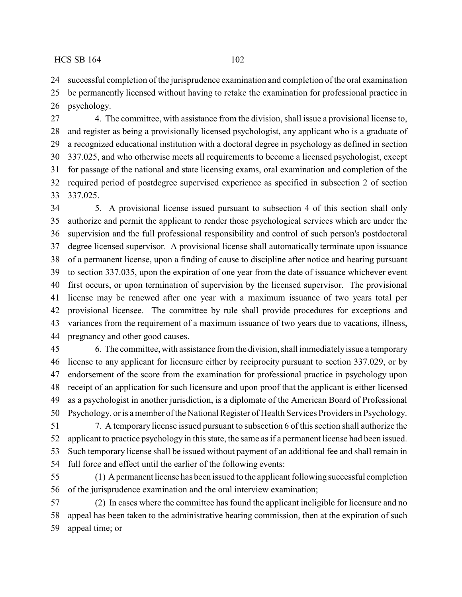successful completion of the jurisprudence examination and completion of the oral examination

 be permanently licensed without having to retake the examination for professional practice in psychology.

 4. The committee, with assistance from the division, shall issue a provisional license to, and register as being a provisionally licensed psychologist, any applicant who is a graduate of a recognized educational institution with a doctoral degree in psychology as defined in section 337.025, and who otherwise meets all requirements to become a licensed psychologist, except for passage of the national and state licensing exams, oral examination and completion of the required period of postdegree supervised experience as specified in subsection 2 of section 337.025.

 5. A provisional license issued pursuant to subsection 4 of this section shall only authorize and permit the applicant to render those psychological services which are under the supervision and the full professional responsibility and control of such person's postdoctoral degree licensed supervisor. A provisional license shall automatically terminate upon issuance of a permanent license, upon a finding of cause to discipline after notice and hearing pursuant to section 337.035, upon the expiration of one year from the date of issuance whichever event first occurs, or upon termination of supervision by the licensed supervisor. The provisional license may be renewed after one year with a maximum issuance of two years total per provisional licensee. The committee by rule shall provide procedures for exceptions and variances from the requirement of a maximum issuance of two years due to vacations, illness, pregnancy and other good causes.

 6. The committee, with assistance from the division, shall immediatelyissue a temporary license to any applicant for licensure either by reciprocity pursuant to section 337.029, or by endorsement of the score from the examination for professional practice in psychology upon receipt of an application for such licensure and upon proof that the applicant is either licensed as a psychologist in another jurisdiction, is a diplomate of the American Board of Professional Psychology, or is amember of the National Register of Health Services Providers in Psychology.

 7. A temporary license issued pursuant to subsection 6 of this section shall authorize the applicant to practice psychology in this state, the same as if a permanent license had been issued. Such temporary license shall be issued without payment of an additional fee and shall remain in full force and effect until the earlier of the following events:

 (1) Apermanent license has been issued to the applicant following successful completion of the jurisprudence examination and the oral interview examination;

 (2) In cases where the committee has found the applicant ineligible for licensure and no appeal has been taken to the administrative hearing commission, then at the expiration of such appeal time; or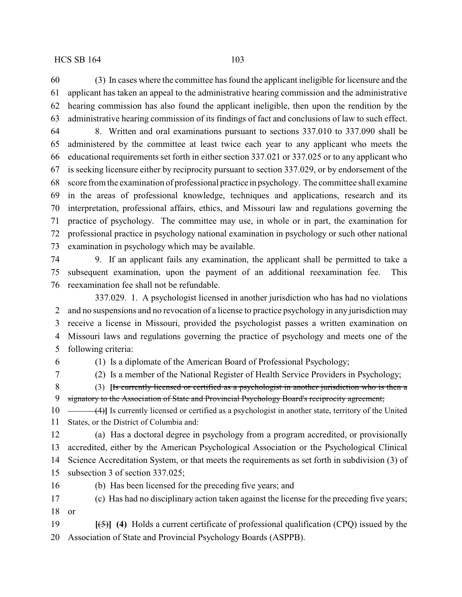(3) In cases where the committee has found the applicant ineligible for licensure and the applicant has taken an appeal to the administrative hearing commission and the administrative hearing commission has also found the applicant ineligible, then upon the rendition by the administrative hearing commission of its findings of fact and conclusions of law to such effect.

 8. Written and oral examinations pursuant to sections 337.010 to 337.090 shall be administered by the committee at least twice each year to any applicant who meets the educational requirements set forth in either section 337.021 or 337.025 or to any applicant who is seeking licensure either by reciprocity pursuant to section 337.029, or by endorsement of the score from the examination of professional practice in psychology. The committee shall examine in the areas of professional knowledge, techniques and applications, research and its interpretation, professional affairs, ethics, and Missouri law and regulations governing the practice of psychology. The committee may use, in whole or in part, the examination for professional practice in psychology national examination in psychology or such other national examination in psychology which may be available.

 9. If an applicant fails any examination, the applicant shall be permitted to take a subsequent examination, upon the payment of an additional reexamination fee. This reexamination fee shall not be refundable.

337.029. 1. A psychologist licensed in another jurisdiction who has had no violations and no suspensions and no revocation of a license to practice psychology in any jurisdiction may receive a license in Missouri, provided the psychologist passes a written examination on Missouri laws and regulations governing the practice of psychology and meets one of the following criteria:

(1) Is a diplomate of the American Board of Professional Psychology;

(2) Is a member of the National Register of Health Service Providers in Psychology;

 (3) **[**Is currently licensed or certified as a psychologist in another jurisdiction who is then a signatory to the Association of State and Provincial Psychology Board's reciprocity agreement;

10 (4)<sup>1</sup> Is currently licensed or certified as a psychologist in another state, territory of the United States, or the District of Columbia and:

 (a) Has a doctoral degree in psychology from a program accredited, or provisionally accredited, either by the American Psychological Association or the Psychological Clinical Science Accreditation System, or that meets the requirements as set forth in subdivision (3) of subsection 3 of section 337.025;

(b) Has been licensed for the preceding five years; and

 (c) Has had no disciplinary action taken against the license for the preceding five years; or

 **[**(5)**] (4)** Holds a current certificate of professional qualification (CPQ) issued by the Association of State and Provincial Psychology Boards (ASPPB).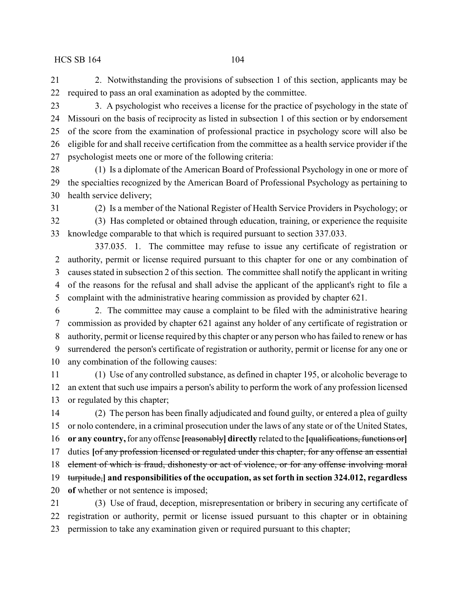2. Notwithstanding the provisions of subsection 1 of this section, applicants may be required to pass an oral examination as adopted by the committee.

 3. A psychologist who receives a license for the practice of psychology in the state of Missouri on the basis of reciprocity as listed in subsection 1 of this section or by endorsement of the score from the examination of professional practice in psychology score will also be eligible for and shall receive certification from the committee as a health service provider if the psychologist meets one or more of the following criteria:

 (1) Is a diplomate of the American Board of Professional Psychology in one or more of the specialties recognized by the American Board of Professional Psychology as pertaining to health service delivery;

(2) Is a member of the National Register of Health Service Providers in Psychology; or

 (3) Has completed or obtained through education, training, or experience the requisite knowledge comparable to that which is required pursuant to section 337.033.

337.035. 1. The committee may refuse to issue any certificate of registration or authority, permit or license required pursuant to this chapter for one or any combination of causes stated in subsection 2 of this section. The committee shall notify the applicant in writing of the reasons for the refusal and shall advise the applicant of the applicant's right to file a complaint with the administrative hearing commission as provided by chapter 621.

 2. The committee may cause a complaint to be filed with the administrative hearing commission as provided by chapter 621 against any holder of any certificate of registration or authority, permit or license required by this chapter or any person who has failed to renew or has surrendered the person's certificate of registration or authority, permit or license for any one or any combination of the following causes:

 (1) Use of any controlled substance, as defined in chapter 195, or alcoholic beverage to an extent that such use impairs a person's ability to perform the work of any profession licensed or regulated by this chapter;

 (2) The person has been finally adjudicated and found guilty, or entered a plea of guilty or nolo contendere, in a criminal prosecution under the laws of any state or of the United States, **or any country,**for any offense **[**reasonably**] directly** related to the **[**qualifications, functions or**]** duties **[**of any profession licensed or regulated under this chapter, for any offense an essential element of which is fraud, dishonesty or act of violence, or for any offense involving moral turpitude,**] and responsibilities of the occupation, as set forth in section 324.012, regardless of** whether or not sentence is imposed;

 (3) Use of fraud, deception, misrepresentation or bribery in securing any certificate of registration or authority, permit or license issued pursuant to this chapter or in obtaining permission to take any examination given or required pursuant to this chapter;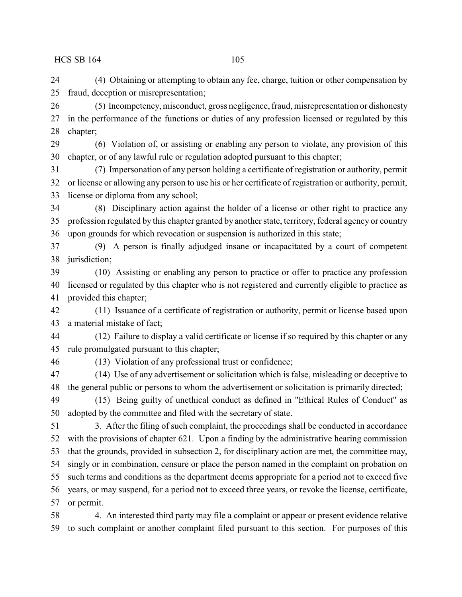(4) Obtaining or attempting to obtain any fee, charge, tuition or other compensation by fraud, deception or misrepresentation;

 (5) Incompetency, misconduct, gross negligence, fraud, misrepresentation or dishonesty in the performance of the functions or duties of any profession licensed or regulated by this chapter;

 (6) Violation of, or assisting or enabling any person to violate, any provision of this chapter, or of any lawful rule or regulation adopted pursuant to this chapter;

 (7) Impersonation of any person holding a certificate of registration or authority, permit or license or allowing any person to use his or her certificate of registration or authority, permit, license or diploma from any school;

 (8) Disciplinary action against the holder of a license or other right to practice any profession regulated by this chapter granted by another state, territory, federal agency or country upon grounds for which revocation or suspension is authorized in this state;

 (9) A person is finally adjudged insane or incapacitated by a court of competent jurisdiction;

 (10) Assisting or enabling any person to practice or offer to practice any profession licensed or regulated by this chapter who is not registered and currently eligible to practice as provided this chapter;

 (11) Issuance of a certificate of registration or authority, permit or license based upon a material mistake of fact;

 (12) Failure to display a valid certificate or license if so required by this chapter or any rule promulgated pursuant to this chapter;

(13) Violation of any professional trust or confidence;

 (14) Use of any advertisement or solicitation which is false, misleading or deceptive to the general public or persons to whom the advertisement or solicitation is primarily directed;

 (15) Being guilty of unethical conduct as defined in "Ethical Rules of Conduct" as adopted by the committee and filed with the secretary of state.

 3. After the filing of such complaint, the proceedings shall be conducted in accordance with the provisions of chapter 621. Upon a finding by the administrative hearing commission that the grounds, provided in subsection 2, for disciplinary action are met, the committee may, singly or in combination, censure or place the person named in the complaint on probation on such terms and conditions as the department deems appropriate for a period not to exceed five years, or may suspend, for a period not to exceed three years, or revoke the license, certificate, or permit.

 4. An interested third party may file a complaint or appear or present evidence relative to such complaint or another complaint filed pursuant to this section. For purposes of this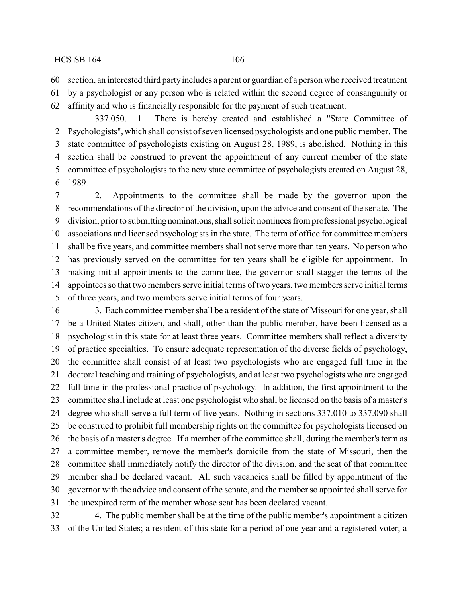section, an interested third partyincludes a parent or guardian of a person who received treatment

by a psychologist or any person who is related within the second degree of consanguinity or

affinity and who is financially responsible for the payment of such treatment.

337.050. 1. There is hereby created and established a "State Committee of Psychologists", which shall consist of seven licensed psychologists and one public member. The state committee of psychologists existing on August 28, 1989, is abolished. Nothing in this section shall be construed to prevent the appointment of any current member of the state committee of psychologists to the new state committee of psychologists created on August 28, 1989.

 2. Appointments to the committee shall be made by the governor upon the recommendations of the director of the division, upon the advice and consent of the senate. The division, prior to submitting nominations,shall solicit nominees from professional psychological associations and licensed psychologists in the state. The term of office for committee members shall be five years, and committee members shall not serve more than ten years. No person who has previously served on the committee for ten years shall be eligible for appointment. In making initial appointments to the committee, the governor shall stagger the terms of the appointees so that two members serve initial terms of two years, two members serve initial terms of three years, and two members serve initial terms of four years.

 3. Each committee member shall be a resident of the state of Missouri for one year, shall be a United States citizen, and shall, other than the public member, have been licensed as a psychologist in this state for at least three years. Committee members shall reflect a diversity of practice specialties. To ensure adequate representation of the diverse fields of psychology, the committee shall consist of at least two psychologists who are engaged full time in the doctoral teaching and training of psychologists, and at least two psychologists who are engaged full time in the professional practice of psychology. In addition, the first appointment to the committee shall include at least one psychologist who shall be licensed on the basis of a master's degree who shall serve a full term of five years. Nothing in sections 337.010 to 337.090 shall be construed to prohibit full membership rights on the committee for psychologists licensed on the basis of a master's degree. If a member of the committee shall, during the member's term as a committee member, remove the member's domicile from the state of Missouri, then the committee shall immediately notify the director of the division, and the seat of that committee member shall be declared vacant. All such vacancies shall be filled by appointment of the governor with the advice and consent of the senate, and the member so appointed shall serve for the unexpired term of the member whose seat has been declared vacant.

 4. The public member shall be at the time of the public member's appointment a citizen of the United States; a resident of this state for a period of one year and a registered voter; a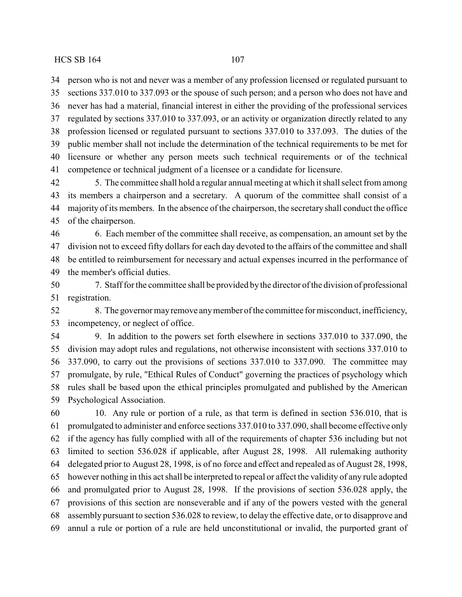person who is not and never was a member of any profession licensed or regulated pursuant to

 sections 337.010 to 337.093 or the spouse of such person; and a person who does not have and never has had a material, financial interest in either the providing of the professional services regulated by sections 337.010 to 337.093, or an activity or organization directly related to any profession licensed or regulated pursuant to sections 337.010 to 337.093. The duties of the public member shall not include the determination of the technical requirements to be met for licensure or whether any person meets such technical requirements or of the technical competence or technical judgment of a licensee or a candidate for licensure.

 5. The committee shall hold a regular annual meeting at which it shall select from among its members a chairperson and a secretary. A quorum of the committee shall consist of a majority of its members. In the absence of the chairperson, the secretary shall conduct the office of the chairperson.

 6. Each member of the committee shall receive, as compensation, an amount set by the division not to exceed fifty dollars for each day devoted to the affairs of the committee and shall be entitled to reimbursement for necessary and actual expenses incurred in the performance of the member's official duties.

 7. Staff for the committee shall be provided by the director of the division of professional registration.

 8. The governor mayremove anymember of the committee for misconduct, inefficiency, incompetency, or neglect of office.

 9. In addition to the powers set forth elsewhere in sections 337.010 to 337.090, the division may adopt rules and regulations, not otherwise inconsistent with sections 337.010 to 337.090, to carry out the provisions of sections 337.010 to 337.090. The committee may promulgate, by rule, "Ethical Rules of Conduct" governing the practices of psychology which rules shall be based upon the ethical principles promulgated and published by the American Psychological Association.

 10. Any rule or portion of a rule, as that term is defined in section 536.010, that is promulgated to administer and enforce sections 337.010 to 337.090, shall become effective only if the agency has fully complied with all of the requirements of chapter 536 including but not limited to section 536.028 if applicable, after August 28, 1998. All rulemaking authority delegated prior to August 28, 1998, is of no force and effect and repealed as of August 28, 1998, however nothing in this act shall be interpreted to repeal or affect the validity of any rule adopted and promulgated prior to August 28, 1998. If the provisions of section 536.028 apply, the provisions of this section are nonseverable and if any of the powers vested with the general assembly pursuant to section 536.028 to review, to delay the effective date, or to disapprove and annul a rule or portion of a rule are held unconstitutional or invalid, the purported grant of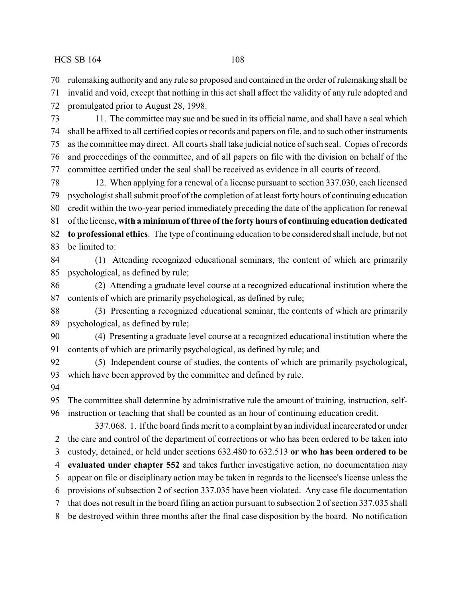rulemaking authority and any rule so proposed and contained in the order of rulemaking shall be

 invalid and void, except that nothing in this act shall affect the validity of any rule adopted and promulgated prior to August 28, 1998.

 11. The committee may sue and be sued in its official name, and shall have a seal which shall be affixed to all certified copies or records and papers on file, and to such other instruments as the committee may direct. All courts shall take judicial notice of such seal. Copies of records and proceedings of the committee, and of all papers on file with the division on behalf of the committee certified under the seal shall be received as evidence in all courts of record.

 12. When applying for a renewal of a license pursuant to section 337.030, each licensed psychologist shall submit proof of the completion of at least forty hours of continuing education credit within the two-year period immediately preceding the date of the application for renewal of the license**, with a minimum of three ofthe forty hours of continuing education dedicated to professional ethics**. The type of continuing education to be considered shall include, but not

(1) Attending recognized educational seminars, the content of which are primarily

be limited to:

psychological, as defined by rule;

 (2) Attending a graduate level course at a recognized educational institution where the contents of which are primarily psychological, as defined by rule;

 (3) Presenting a recognized educational seminar, the contents of which are primarily psychological, as defined by rule;

 (4) Presenting a graduate level course at a recognized educational institution where the contents of which are primarily psychological, as defined by rule; and

 (5) Independent course of studies, the contents of which are primarily psychological, which have been approved by the committee and defined by rule.

 The committee shall determine by administrative rule the amount of training, instruction, self-instruction or teaching that shall be counted as an hour of continuing education credit.

337.068. 1. If the board finds merit to a complaint by an individual incarcerated or under the care and control of the department of corrections or who has been ordered to be taken into

custody, detained, or held under sections 632.480 to 632.513 **or who has been ordered to be**

**evaluated under chapter 552** and takes further investigative action, no documentation may

appear on file or disciplinary action may be taken in regards to the licensee's license unless the

provisions of subsection 2 of section 337.035 have been violated. Any case file documentation

that does not result in the board filing an action pursuant to subsection 2 of section 337.035 shall

be destroyed within three months after the final case disposition by the board. No notification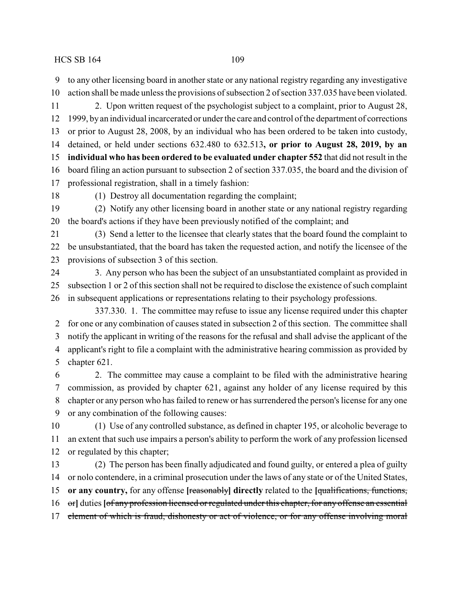to any other licensing board in another state or any national registry regarding any investigative action shall be made unless the provisions of subsection 2 of section 337.035 have been violated.

 2. Upon written request of the psychologist subject to a complaint, prior to August 28, 1999, by an individual incarcerated or under the care and control of the department of corrections or prior to August 28, 2008, by an individual who has been ordered to be taken into custody, detained, or held under sections 632.480 to 632.513**, or prior to August 28, 2019, by an individual who has been ordered to be evaluated under chapter 552** that did not result in the board filing an action pursuant to subsection 2 of section 337.035, the board and the division of professional registration, shall in a timely fashion:

(1) Destroy all documentation regarding the complaint;

 (2) Notify any other licensing board in another state or any national registry regarding the board's actions if they have been previously notified of the complaint; and

 (3) Send a letter to the licensee that clearly states that the board found the complaint to be unsubstantiated, that the board has taken the requested action, and notify the licensee of the provisions of subsection 3 of this section.

 3. Any person who has been the subject of an unsubstantiated complaint as provided in subsection 1 or 2 of this section shall not be required to disclose the existence of such complaint in subsequent applications or representations relating to their psychology professions.

337.330. 1. The committee may refuse to issue any license required under this chapter for one or any combination of causes stated in subsection 2 of this section. The committee shall notify the applicant in writing of the reasons for the refusal and shall advise the applicant of the applicant's right to file a complaint with the administrative hearing commission as provided by chapter 621.

 2. The committee may cause a complaint to be filed with the administrative hearing commission, as provided by chapter 621, against any holder of any license required by this chapter or any person who has failed to renew or has surrendered the person's license for any one or any combination of the following causes:

 (1) Use of any controlled substance, as defined in chapter 195, or alcoholic beverage to an extent that such use impairs a person's ability to perform the work of any profession licensed or regulated by this chapter;

 (2) The person has been finally adjudicated and found guilty, or entered a plea of guilty or nolo contendere, in a criminal prosecution under the laws of any state or of the United States, **or any country,** for any offense **[**reasonably**] directly** related to the **[**qualifications, functions, or**]** duties **[**of any profession licensed or regulated under this chapter, for any offense an essential 17 element of which is fraud, dishonesty or act of violence, or for any offense involving moral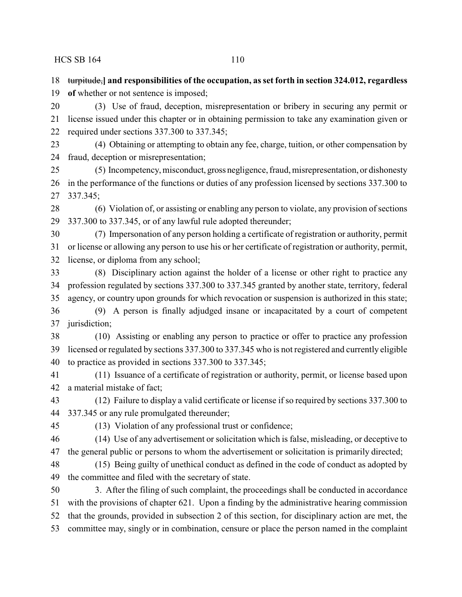turpitude,**] and responsibilities of the occupation, as set forth in section 324.012, regardless**

**of** whether or not sentence is imposed;

 (3) Use of fraud, deception, misrepresentation or bribery in securing any permit or license issued under this chapter or in obtaining permission to take any examination given or required under sections 337.300 to 337.345;

 (4) Obtaining or attempting to obtain any fee, charge, tuition, or other compensation by fraud, deception or misrepresentation;

 (5) Incompetency, misconduct, gross negligence, fraud, misrepresentation, or dishonesty in the performance of the functions or duties of any profession licensed by sections 337.300 to 337.345;

 (6) Violation of, or assisting or enabling any person to violate, any provision of sections 337.300 to 337.345, or of any lawful rule adopted thereunder;

 (7) Impersonation of any person holding a certificate of registration or authority, permit or license or allowing any person to use his or her certificate of registration or authority, permit, license, or diploma from any school;

 (8) Disciplinary action against the holder of a license or other right to practice any profession regulated by sections 337.300 to 337.345 granted by another state, territory, federal agency, or country upon grounds for which revocation or suspension is authorized in this state; (9) A person is finally adjudged insane or incapacitated by a court of competent jurisdiction;

 (10) Assisting or enabling any person to practice or offer to practice any profession licensed or regulated by sections 337.300 to 337.345 who is not registered and currently eligible to practice as provided in sections 337.300 to 337.345;

 (11) Issuance of a certificate of registration or authority, permit, or license based upon a material mistake of fact;

 (12) Failure to display a valid certificate or license if so required by sections 337.300 to 337.345 or any rule promulgated thereunder;

(13) Violation of any professional trust or confidence;

 (14) Use of any advertisement or solicitation which is false, misleading, or deceptive to the general public or persons to whom the advertisement or solicitation is primarily directed;

 (15) Being guilty of unethical conduct as defined in the code of conduct as adopted by the committee and filed with the secretary of state.

 3. After the filing of such complaint, the proceedings shall be conducted in accordance with the provisions of chapter 621. Upon a finding by the administrative hearing commission that the grounds, provided in subsection 2 of this section, for disciplinary action are met, the committee may, singly or in combination, censure or place the person named in the complaint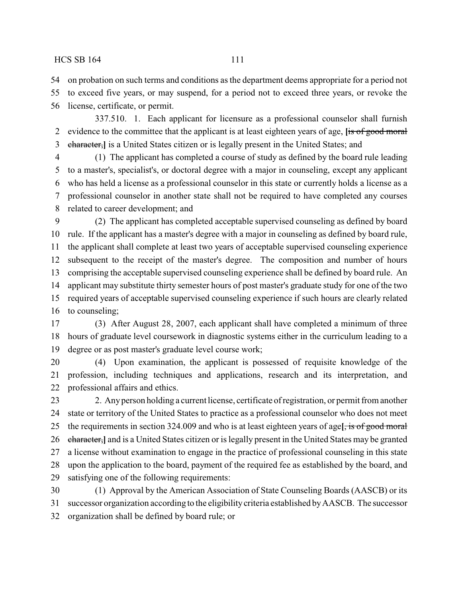on probation on such terms and conditions as the department deems appropriate for a period not

 to exceed five years, or may suspend, for a period not to exceed three years, or revoke the license, certificate, or permit.

337.510. 1. Each applicant for licensure as a professional counselor shall furnish evidence to the committee that the applicant is at least eighteen years of age, **[**is of good moral character,**]** is a United States citizen or is legally present in the United States; and

 (1) The applicant has completed a course of study as defined by the board rule leading to a master's, specialist's, or doctoral degree with a major in counseling, except any applicant who has held a license as a professional counselor in this state or currently holds a license as a professional counselor in another state shall not be required to have completed any courses related to career development; and

 (2) The applicant has completed acceptable supervised counseling as defined by board rule. If the applicant has a master's degree with a major in counseling as defined by board rule, the applicant shall complete at least two years of acceptable supervised counseling experience subsequent to the receipt of the master's degree. The composition and number of hours comprising the acceptable supervised counseling experience shall be defined by board rule. An applicant may substitute thirty semester hours of post master's graduate study for one of the two required years of acceptable supervised counseling experience if such hours are clearly related to counseling;

 (3) After August 28, 2007, each applicant shall have completed a minimum of three hours of graduate level coursework in diagnostic systems either in the curriculum leading to a degree or as post master's graduate level course work;

 (4) Upon examination, the applicant is possessed of requisite knowledge of the profession, including techniques and applications, research and its interpretation, and professional affairs and ethics.

 2. Anyperson holding a current license, certificate of registration, or permit from another state or territory of the United States to practice as a professional counselor who does not meet the requirements in section 324.009 and who is at least eighteen years of age**[**, is of good moral character,**]** and is a United States citizen or is legally present in the United States may be granted a license without examination to engage in the practice of professional counseling in this state upon the application to the board, payment of the required fee as established by the board, and satisfying one of the following requirements:

 (1) Approval by the American Association of State Counseling Boards (AASCB) or its successor organization according to the eligibilitycriteria established byAASCB. The successor organization shall be defined by board rule; or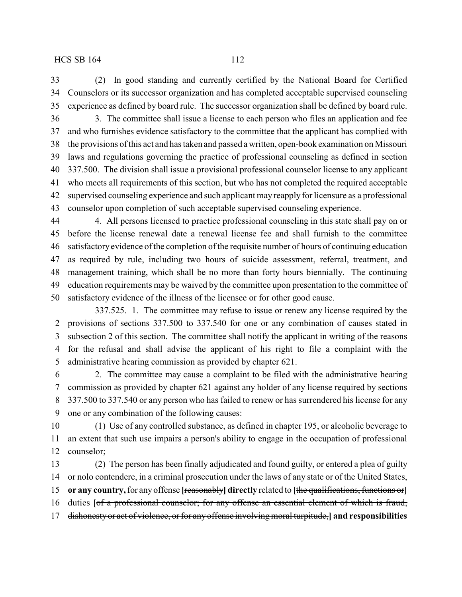(2) In good standing and currently certified by the National Board for Certified Counselors or its successor organization and has completed acceptable supervised counseling experience as defined by board rule. The successor organization shall be defined by board rule.

 3. The committee shall issue a license to each person who files an application and fee and who furnishes evidence satisfactory to the committee that the applicant has complied with the provisions of this act and has taken and passed awritten, open-book examination on Missouri laws and regulations governing the practice of professional counseling as defined in section 337.500. The division shall issue a provisional professional counselor license to any applicant who meets all requirements of this section, but who has not completed the required acceptable supervised counseling experience and such applicant may reapply for licensure as a professional counselor upon completion of such acceptable supervised counseling experience.

 4. All persons licensed to practice professional counseling in this state shall pay on or before the license renewal date a renewal license fee and shall furnish to the committee satisfactory evidence of the completion of the requisite number of hours of continuing education as required by rule, including two hours of suicide assessment, referral, treatment, and management training, which shall be no more than forty hours biennially. The continuing education requirements may be waived by the committee upon presentation to the committee of satisfactory evidence of the illness of the licensee or for other good cause.

337.525. 1. The committee may refuse to issue or renew any license required by the provisions of sections 337.500 to 337.540 for one or any combination of causes stated in subsection 2 of this section. The committee shall notify the applicant in writing of the reasons for the refusal and shall advise the applicant of his right to file a complaint with the administrative hearing commission as provided by chapter 621.

 2. The committee may cause a complaint to be filed with the administrative hearing commission as provided by chapter 621 against any holder of any license required by sections 337.500 to 337.540 or any person who has failed to renew or has surrendered his license for any one or any combination of the following causes:

 (1) Use of any controlled substance, as defined in chapter 195, or alcoholic beverage to an extent that such use impairs a person's ability to engage in the occupation of professional counselor;

 (2) The person has been finally adjudicated and found guilty, or entered a plea of guilty or nolo contendere, in a criminal prosecution under the laws of any state or of the United States, **or any country,**for any offense **[**reasonably**] directly** related to **[**the qualifications, functions or**]** duties **[**of a professional counselor; for any offense an essential element of which is fraud, dishonesty or act of violence, or for any offense involving moral turpitude,**] and responsibilities**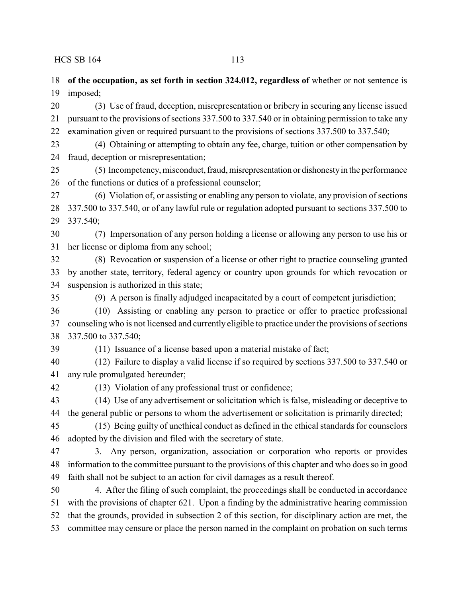**of the occupation, as set forth in section 324.012, regardless of** whether or not sentence is

 imposed; (3) Use of fraud, deception, misrepresentation or bribery in securing any license issued pursuant to the provisions of sections 337.500 to 337.540 or in obtaining permission to take any examination given or required pursuant to the provisions of sections 337.500 to 337.540; (4) Obtaining or attempting to obtain any fee, charge, tuition or other compensation by fraud, deception or misrepresentation; (5) Incompetency, misconduct,fraud,misrepresentation or dishonestyin the performance of the functions or duties of a professional counselor; (6) Violation of, or assisting or enabling any person to violate, any provision of sections 337.500 to 337.540, or of any lawful rule or regulation adopted pursuant to sections 337.500 to 337.540; (7) Impersonation of any person holding a license or allowing any person to use his or her license or diploma from any school;

 (8) Revocation or suspension of a license or other right to practice counseling granted by another state, territory, federal agency or country upon grounds for which revocation or suspension is authorized in this state;

(9) A person is finally adjudged incapacitated by a court of competent jurisdiction;

 (10) Assisting or enabling any person to practice or offer to practice professional counseling who is not licensed and currently eligible to practice under the provisions of sections 337.500 to 337.540;

(11) Issuance of a license based upon a material mistake of fact;

 (12) Failure to display a valid license if so required by sections 337.500 to 337.540 or any rule promulgated hereunder;

(13) Violation of any professional trust or confidence;

 (14) Use of any advertisement or solicitation which is false, misleading or deceptive to the general public or persons to whom the advertisement or solicitation is primarily directed;

 (15) Being guilty of unethical conduct as defined in the ethical standards for counselors adopted by the division and filed with the secretary of state.

 3. Any person, organization, association or corporation who reports or provides information to the committee pursuant to the provisions of this chapter and who does so in good faith shall not be subject to an action for civil damages as a result thereof.

 4. After the filing of such complaint, the proceedings shall be conducted in accordance with the provisions of chapter 621. Upon a finding by the administrative hearing commission that the grounds, provided in subsection 2 of this section, for disciplinary action are met, the committee may censure or place the person named in the complaint on probation on such terms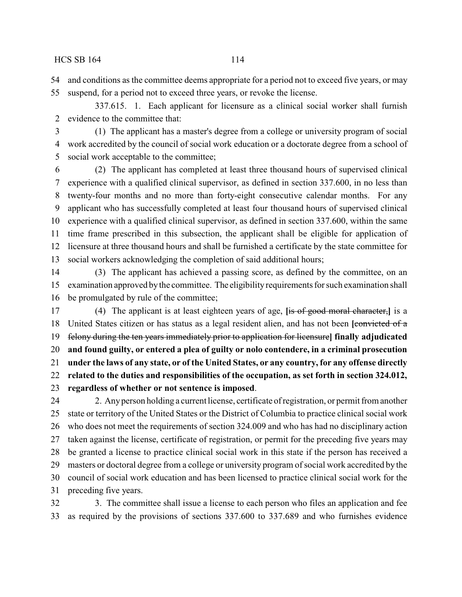and conditions as the committee deems appropriate for a period not to exceed five years, or may

suspend, for a period not to exceed three years, or revoke the license.

337.615. 1. Each applicant for licensure as a clinical social worker shall furnish evidence to the committee that:

 (1) The applicant has a master's degree from a college or university program of social work accredited by the council of social work education or a doctorate degree from a school of social work acceptable to the committee;

 (2) The applicant has completed at least three thousand hours of supervised clinical experience with a qualified clinical supervisor, as defined in section 337.600, in no less than twenty-four months and no more than forty-eight consecutive calendar months. For any applicant who has successfully completed at least four thousand hours of supervised clinical experience with a qualified clinical supervisor, as defined in section 337.600, within the same time frame prescribed in this subsection, the applicant shall be eligible for application of licensure at three thousand hours and shall be furnished a certificate by the state committee for social workers acknowledging the completion of said additional hours;

 (3) The applicant has achieved a passing score, as defined by the committee, on an examination approved bythe committee. The eligibility requirements for such examination shall be promulgated by rule of the committee;

 (4) The applicant is at least eighteen years of age, **[**is of good moral character,**]** is a United States citizen or has status as a legal resident alien, and has not been **[**convicted of a felony during the ten years immediately prior to application for licensure**] finally adjudicated and found guilty, or entered a plea of guilty or nolo contendere, in a criminal prosecution under the laws of any state, or of the United States, or any country, for any offense directly related to the duties and responsibilities of the occupation, as set forth in section 324.012, regardless of whether or not sentence is imposed**.

 2. Anyperson holding a current license, certificate of registration, or permit from another state or territory of the United States or the District of Columbia to practice clinical social work who does not meet the requirements of section 324.009 and who has had no disciplinary action taken against the license, certificate of registration, or permit for the preceding five years may be granted a license to practice clinical social work in this state if the person has received a masters or doctoral degree from a college or university program of social work accredited by the council of social work education and has been licensed to practice clinical social work for the preceding five years.

 3. The committee shall issue a license to each person who files an application and fee as required by the provisions of sections 337.600 to 337.689 and who furnishes evidence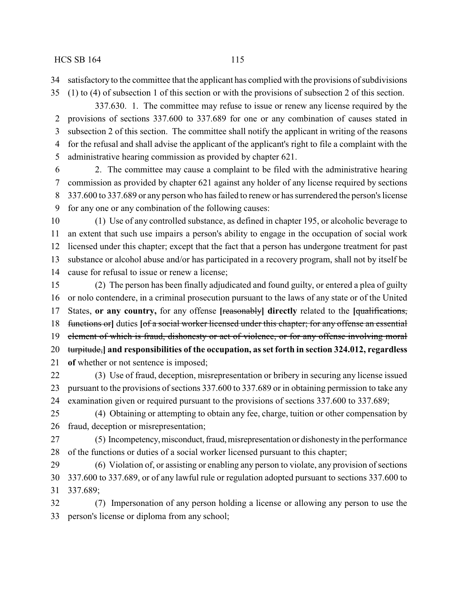satisfactory to the committee that the applicant has complied with the provisions of subdivisions

(1) to (4) of subsection 1 of this section or with the provisions of subsection 2 of this section.

337.630. 1. The committee may refuse to issue or renew any license required by the provisions of sections 337.600 to 337.689 for one or any combination of causes stated in subsection 2 of this section. The committee shall notify the applicant in writing of the reasons for the refusal and shall advise the applicant of the applicant's right to file a complaint with the administrative hearing commission as provided by chapter 621.

 2. The committee may cause a complaint to be filed with the administrative hearing commission as provided by chapter 621 against any holder of any license required by sections 337.600 to 337.689 or any person who has failed to renew or has surrendered the person's license for any one or any combination of the following causes:

 (1) Use of any controlled substance, as defined in chapter 195, or alcoholic beverage to an extent that such use impairs a person's ability to engage in the occupation of social work licensed under this chapter; except that the fact that a person has undergone treatment for past substance or alcohol abuse and/or has participated in a recovery program, shall not by itself be cause for refusal to issue or renew a license;

 (2) The person has been finally adjudicated and found guilty, or entered a plea of guilty or nolo contendere, in a criminal prosecution pursuant to the laws of any state or of the United States, **or any country,** for any offense **[**reasonably**] directly** related to the **[**qualifications, functions or**]** duties **[**of a social worker licensed under this chapter; for any offense an essential element of which is fraud, dishonesty or act of violence, or for any offense involving moral turpitude,**] and responsibilities of the occupation, as set forth in section 324.012, regardless of** whether or not sentence is imposed;

 (3) Use of fraud, deception, misrepresentation or bribery in securing any license issued pursuant to the provisions of sections 337.600 to 337.689 or in obtaining permission to take any examination given or required pursuant to the provisions of sections 337.600 to 337.689;

 (4) Obtaining or attempting to obtain any fee, charge, tuition or other compensation by fraud, deception or misrepresentation;

27 (5) Incompetency, misconduct, fraud, misrepresentation or dishonesty in the performance of the functions or duties of a social worker licensed pursuant to this chapter;

 (6) Violation of, or assisting or enabling any person to violate, any provision of sections 337.600 to 337.689, or of any lawful rule or regulation adopted pursuant to sections 337.600 to 337.689;

 (7) Impersonation of any person holding a license or allowing any person to use the person's license or diploma from any school;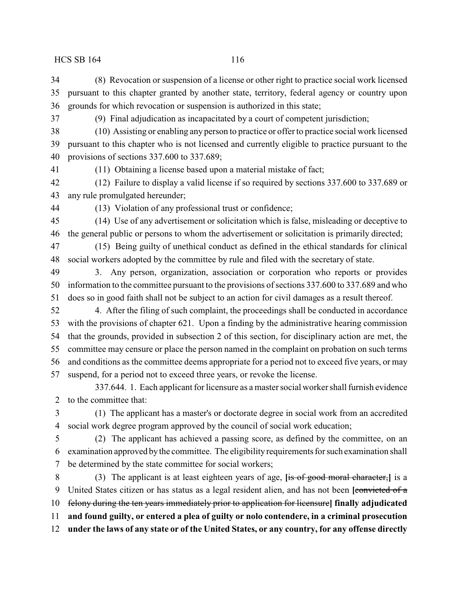(8) Revocation or suspension of a license or other right to practice social work licensed pursuant to this chapter granted by another state, territory, federal agency or country upon grounds for which revocation or suspension is authorized in this state;

(9) Final adjudication as incapacitated by a court of competent jurisdiction;

 (10) Assisting or enabling any person to practice or offer to practice social work licensed pursuant to this chapter who is not licensed and currently eligible to practice pursuant to the provisions of sections 337.600 to 337.689;

(11) Obtaining a license based upon a material mistake of fact;

 (12) Failure to display a valid license if so required by sections 337.600 to 337.689 or any rule promulgated hereunder;

(13) Violation of any professional trust or confidence;

 (14) Use of any advertisement or solicitation which is false, misleading or deceptive to the general public or persons to whom the advertisement or solicitation is primarily directed;

 (15) Being guilty of unethical conduct as defined in the ethical standards for clinical social workers adopted by the committee by rule and filed with the secretary of state.

 3. Any person, organization, association or corporation who reports or provides information to the committee pursuant to the provisions of sections 337.600 to 337.689 and who does so in good faith shall not be subject to an action for civil damages as a result thereof.

 4. After the filing of such complaint, the proceedings shall be conducted in accordance with the provisions of chapter 621. Upon a finding by the administrative hearing commission that the grounds, provided in subsection 2 of this section, for disciplinary action are met, the committee may censure or place the person named in the complaint on probation on such terms and conditions as the committee deems appropriate for a period not to exceed five years, or may suspend, for a period not to exceed three years, or revoke the license.

337.644. 1. Each applicant for licensure as a master social worker shall furnish evidence to the committee that:

 (1) The applicant has a master's or doctorate degree in social work from an accredited social work degree program approved by the council of social work education;

 (2) The applicant has achieved a passing score, as defined by the committee, on an examination approved bythe committee. The eligibility requirements for such examination shall be determined by the state committee for social workers;

 (3) The applicant is at least eighteen years of age, **[**is of good moral character,**]** is a United States citizen or has status as a legal resident alien, and has not been **[**convicted of a felony during the ten years immediately prior to application for licensure**] finally adjudicated and found guilty, or entered a plea of guilty or nolo contendere, in a criminal prosecution under the laws of any state or of the United States, or any country, for any offense directly**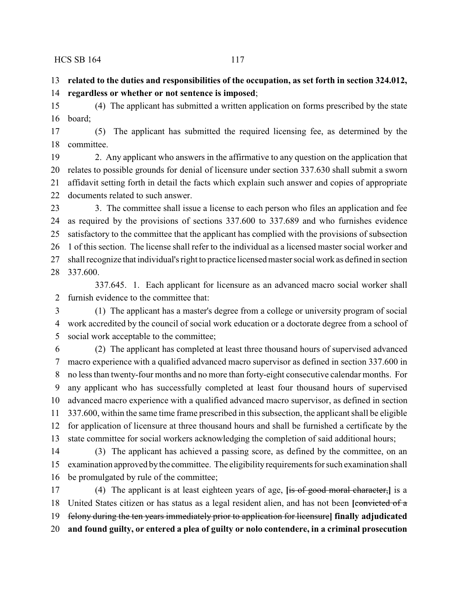**related to the duties and responsibilities of the occupation, as set forth in section 324.012, regardless or whether or not sentence is imposed**;

 (4) The applicant has submitted a written application on forms prescribed by the state board;

 (5) The applicant has submitted the required licensing fee, as determined by the committee.

 2. Any applicant who answers in the affirmative to any question on the application that relates to possible grounds for denial of licensure under section 337.630 shall submit a sworn affidavit setting forth in detail the facts which explain such answer and copies of appropriate documents related to such answer.

23 3. The committee shall issue a license to each person who files an application and fee as required by the provisions of sections 337.600 to 337.689 and who furnishes evidence satisfactory to the committee that the applicant has complied with the provisions of subsection 1 of this section. The license shall refer to the individual as a licensed master social worker and shall recognize that individual's right to practice licensed master social work as defined in section 337.600.

337.645. 1. Each applicant for licensure as an advanced macro social worker shall furnish evidence to the committee that:

 (1) The applicant has a master's degree from a college or university program of social work accredited by the council of social work education or a doctorate degree from a school of social work acceptable to the committee;

 (2) The applicant has completed at least three thousand hours of supervised advanced macro experience with a qualified advanced macro supervisor as defined in section 337.600 in no less than twenty-four months and no more than forty-eight consecutive calendar months. For any applicant who has successfully completed at least four thousand hours of supervised advanced macro experience with a qualified advanced macro supervisor, as defined in section 337.600, within the same time frame prescribed in this subsection, the applicant shall be eligible for application of licensure at three thousand hours and shall be furnished a certificate by the state committee for social workers acknowledging the completion of said additional hours;

 (3) The applicant has achieved a passing score, as defined by the committee, on an examination approved bythe committee. The eligibility requirements for such examination shall be promulgated by rule of the committee;

 (4) The applicant is at least eighteen years of age, **[**is of good moral character,**]** is a United States citizen or has status as a legal resident alien, and has not been **[**convicted of a felony during the ten years immediately prior to application for licensure**] finally adjudicated and found guilty, or entered a plea of guilty or nolo contendere, in a criminal prosecution**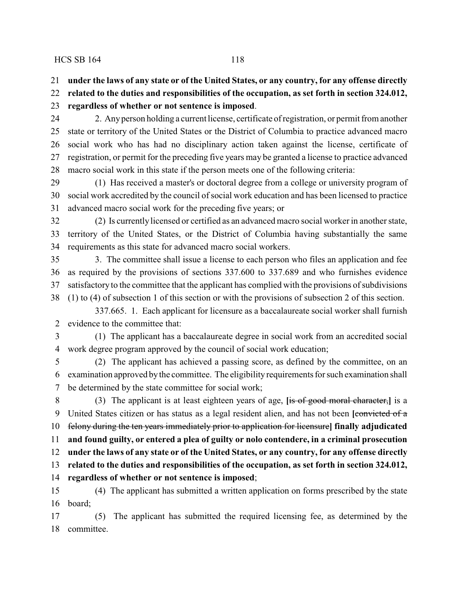**under the laws of any state or of the United States, or any country, for any offense directly**

**related to the duties and responsibilities of the occupation, as set forth in section 324.012,**

**regardless of whether or not sentence is imposed**.

 2. Anyperson holding a current license, certificate of registration, or permit from another state or territory of the United States or the District of Columbia to practice advanced macro social work who has had no disciplinary action taken against the license, certificate of registration, or permit for the preceding five years may be granted a license to practice advanced macro social work in this state if the person meets one of the following criteria:

 (1) Has received a master's or doctoral degree from a college or university program of social work accredited by the council of social work education and has been licensed to practice advanced macro social work for the preceding five years; or

 (2) Is currentlylicensed or certified as an advanced macro social worker in another state, territory of the United States, or the District of Columbia having substantially the same requirements as this state for advanced macro social workers.

 3. The committee shall issue a license to each person who files an application and fee as required by the provisions of sections 337.600 to 337.689 and who furnishes evidence satisfactory to the committee that the applicant has complied with the provisions of subdivisions (1) to (4) of subsection 1 of this section or with the provisions of subsection 2 of this section.

337.665. 1. Each applicant for licensure as a baccalaureate social worker shall furnish evidence to the committee that:

 (1) The applicant has a baccalaureate degree in social work from an accredited social work degree program approved by the council of social work education;

 (2) The applicant has achieved a passing score, as defined by the committee, on an examination approved bythe committee. The eligibility requirements for such examination shall be determined by the state committee for social work;

 (3) The applicant is at least eighteen years of age, **[**is of good moral character,**]** is a United States citizen or has status as a legal resident alien, and has not been **[**convicted of a felony during the ten years immediately prior to application for licensure**] finally adjudicated and found guilty, or entered a plea of guilty or nolo contendere, in a criminal prosecution under the laws of any state or of the United States, or any country, for any offense directly related to the duties and responsibilities of the occupation, as set forth in section 324.012, regardless of whether or not sentence is imposed**; (4) The applicant has submitted a written application on forms prescribed by the state

board;

(5) The applicant has submitted the required licensing fee, as determined by the

committee.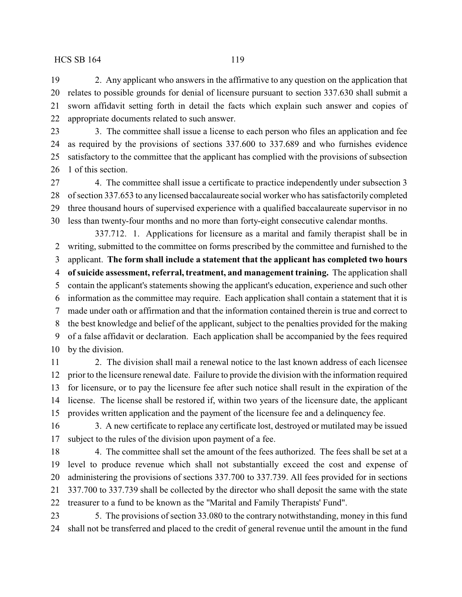2. Any applicant who answers in the affirmative to any question on the application that relates to possible grounds for denial of licensure pursuant to section 337.630 shall submit a sworn affidavit setting forth in detail the facts which explain such answer and copies of appropriate documents related to such answer.

23 3. The committee shall issue a license to each person who files an application and fee as required by the provisions of sections 337.600 to 337.689 and who furnishes evidence satisfactory to the committee that the applicant has complied with the provisions of subsection 1 of this section.

 4. The committee shall issue a certificate to practice independently under subsection 3 of section 337.653 to any licensed baccalaureate social worker who has satisfactorily completed three thousand hours of supervised experience with a qualified baccalaureate supervisor in no less than twenty-four months and no more than forty-eight consecutive calendar months.

337.712. 1. Applications for licensure as a marital and family therapist shall be in writing, submitted to the committee on forms prescribed by the committee and furnished to the applicant. **The form shall include a statement that the applicant has completed two hours of suicide assessment, referral, treatment, and management training.** The application shall contain the applicant's statements showing the applicant's education, experience and such other information as the committee may require. Each application shall contain a statement that it is made under oath or affirmation and that the information contained therein is true and correct to the best knowledge and belief of the applicant, subject to the penalties provided for the making of a false affidavit or declaration. Each application shall be accompanied by the fees required by the division.

 2. The division shall mail a renewal notice to the last known address of each licensee prior to the licensure renewal date. Failure to provide the division with the information required for licensure, or to pay the licensure fee after such notice shall result in the expiration of the license. The license shall be restored if, within two years of the licensure date, the applicant provides written application and the payment of the licensure fee and a delinquency fee.

 3. A new certificate to replace any certificate lost, destroyed or mutilated may be issued subject to the rules of the division upon payment of a fee.

18 4. The committee shall set the amount of the fees authorized. The fees shall be set at a level to produce revenue which shall not substantially exceed the cost and expense of administering the provisions of sections 337.700 to 337.739. All fees provided for in sections 337.700 to 337.739 shall be collected by the director who shall deposit the same with the state treasurer to a fund to be known as the "Marital and Family Therapists' Fund".

 5. The provisions of section 33.080 to the contrary notwithstanding, money in this fund shall not be transferred and placed to the credit of general revenue until the amount in the fund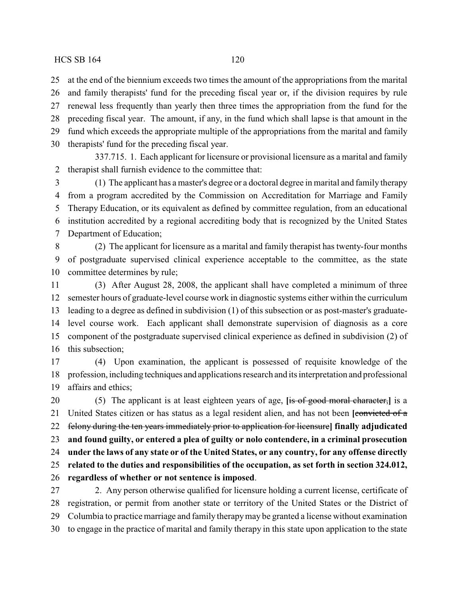at the end of the biennium exceeds two times the amount of the appropriations from the marital and family therapists' fund for the preceding fiscal year or, if the division requires by rule renewal less frequently than yearly then three times the appropriation from the fund for the preceding fiscal year. The amount, if any, in the fund which shall lapse is that amount in the fund which exceeds the appropriate multiple of the appropriations from the marital and family therapists' fund for the preceding fiscal year.

337.715. 1. Each applicant for licensure or provisional licensure as a marital and family therapist shall furnish evidence to the committee that:

 (1) The applicant has a master's degree or a doctoral degree in marital and family therapy from a program accredited by the Commission on Accreditation for Marriage and Family Therapy Education, or its equivalent as defined by committee regulation, from an educational institution accredited by a regional accrediting body that is recognized by the United States Department of Education;

 (2) The applicant for licensure as a marital and family therapist has twenty-four months of postgraduate supervised clinical experience acceptable to the committee, as the state committee determines by rule;

 (3) After August 28, 2008, the applicant shall have completed a minimum of three semester hours of graduate-level course work in diagnostic systems either within the curriculum leading to a degree as defined in subdivision (1) of this subsection or as post-master's graduate- level course work. Each applicant shall demonstrate supervision of diagnosis as a core component of the postgraduate supervised clinical experience as defined in subdivision (2) of this subsection;

 (4) Upon examination, the applicant is possessed of requisite knowledge of the profession, including techniques and applications research and its interpretation and professional affairs and ethics;

 (5) The applicant is at least eighteen years of age, **[**is of good moral character,**]** is a United States citizen or has status as a legal resident alien, and has not been **[**convicted of a felony during the ten years immediately prior to application for licensure**] finally adjudicated and found guilty, or entered a plea of guilty or nolo contendere, in a criminal prosecution under the laws of any state or of the United States, or any country, for any offense directly related to the duties and responsibilities of the occupation, as set forth in section 324.012, regardless of whether or not sentence is imposed**. 2. Any person otherwise qualified for licensure holding a current license, certificate of

 registration, or permit from another state or territory of the United States or the District of Columbia to practice marriage and family therapymay be granted a license without examination to engage in the practice of marital and family therapy in this state upon application to the state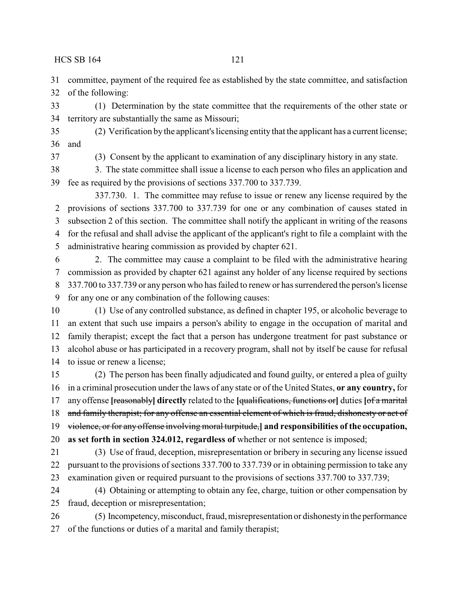committee, payment of the required fee as established by the state committee, and satisfaction of the following:

 (1) Determination by the state committee that the requirements of the other state or territory are substantially the same as Missouri;

 (2) Verification by the applicant's licensing entity that the applicant has a current license; and

(3) Consent by the applicant to examination of any disciplinary history in any state.

 3. The state committee shall issue a license to each person who files an application and fee as required by the provisions of sections 337.700 to 337.739.

337.730. 1. The committee may refuse to issue or renew any license required by the provisions of sections 337.700 to 337.739 for one or any combination of causes stated in subsection 2 of this section. The committee shall notify the applicant in writing of the reasons for the refusal and shall advise the applicant of the applicant's right to file a complaint with the administrative hearing commission as provided by chapter 621.

 2. The committee may cause a complaint to be filed with the administrative hearing commission as provided by chapter 621 against any holder of any license required by sections 337.700 to 337.739 or any person who has failed to renew or has surrendered the person's license for any one or any combination of the following causes:

 (1) Use of any controlled substance, as defined in chapter 195, or alcoholic beverage to an extent that such use impairs a person's ability to engage in the occupation of marital and family therapist; except the fact that a person has undergone treatment for past substance or alcohol abuse or has participated in a recovery program, shall not by itself be cause for refusal to issue or renew a license;

 (2) The person has been finally adjudicated and found guilty, or entered a plea of guilty in a criminal prosecution under the laws of any state or of the United States, **or any country,** for any offense **[**reasonably**] directly** related to the **[**qualifications, functions or**]** duties **[**of a marital 18 and family therapist; for any offense an essential element of which is fraud, dishonesty or act of violence, or for any offense involving moral turpitude,**] and responsibilities of the occupation, as set forth in section 324.012, regardless of** whether or not sentence is imposed;

 (3) Use of fraud, deception, misrepresentation or bribery in securing any license issued pursuant to the provisions of sections 337.700 to 337.739 or in obtaining permission to take any examination given or required pursuant to the provisions of sections 337.700 to 337.739;

 (4) Obtaining or attempting to obtain any fee, charge, tuition or other compensation by fraud, deception or misrepresentation;

 (5) Incompetency,misconduct, fraud, misrepresentation or dishonestyin the performance of the functions or duties of a marital and family therapist;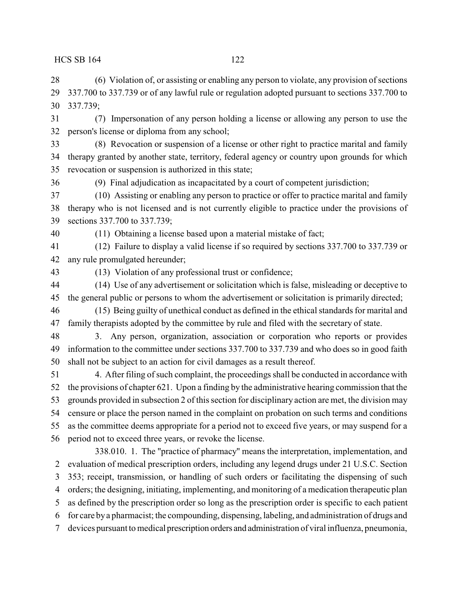(6) Violation of, or assisting or enabling any person to violate, any provision of sections 337.700 to 337.739 or of any lawful rule or regulation adopted pursuant to sections 337.700 to 337.739;

 (7) Impersonation of any person holding a license or allowing any person to use the person's license or diploma from any school;

 (8) Revocation or suspension of a license or other right to practice marital and family therapy granted by another state, territory, federal agency or country upon grounds for which revocation or suspension is authorized in this state;

(9) Final adjudication as incapacitated by a court of competent jurisdiction;

 (10) Assisting or enabling any person to practice or offer to practice marital and family therapy who is not licensed and is not currently eligible to practice under the provisions of sections 337.700 to 337.739;

(11) Obtaining a license based upon a material mistake of fact;

 (12) Failure to display a valid license if so required by sections 337.700 to 337.739 or any rule promulgated hereunder;

(13) Violation of any professional trust or confidence;

 (14) Use of any advertisement or solicitation which is false, misleading or deceptive to the general public or persons to whom the advertisement or solicitation is primarily directed;

 (15) Being guilty of unethical conduct as defined in the ethical standards for marital and family therapists adopted by the committee by rule and filed with the secretary of state.

 3. Any person, organization, association or corporation who reports or provides information to the committee under sections 337.700 to 337.739 and who does so in good faith shall not be subject to an action for civil damages as a result thereof.

 4. After filing of such complaint, the proceedings shall be conducted in accordance with the provisions of chapter 621. Upon a finding by the administrative hearing commission that the grounds provided in subsection 2 of this section for disciplinary action are met, the division may censure or place the person named in the complaint on probation on such terms and conditions as the committee deems appropriate for a period not to exceed five years, or may suspend for a period not to exceed three years, or revoke the license.

338.010. 1. The "practice of pharmacy" means the interpretation, implementation, and evaluation of medical prescription orders, including any legend drugs under 21 U.S.C. Section 353; receipt, transmission, or handling of such orders or facilitating the dispensing of such orders; the designing, initiating, implementing, and monitoring of a medication therapeutic plan as defined by the prescription order so long as the prescription order is specific to each patient for care bya pharmacist; the compounding, dispensing, labeling, and administration of drugs and devices pursuant to medical prescription orders and administration of viral influenza, pneumonia,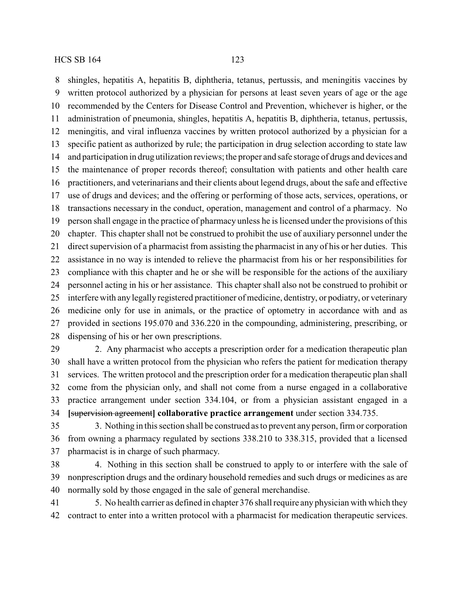shingles, hepatitis A, hepatitis B, diphtheria, tetanus, pertussis, and meningitis vaccines by written protocol authorized by a physician for persons at least seven years of age or the age recommended by the Centers for Disease Control and Prevention, whichever is higher, or the administration of pneumonia, shingles, hepatitis A, hepatitis B, diphtheria, tetanus, pertussis, meningitis, and viral influenza vaccines by written protocol authorized by a physician for a specific patient as authorized by rule; the participation in drug selection according to state law and participation in drug utilization reviews; the proper and safe storage of drugs and devices and the maintenance of proper records thereof; consultation with patients and other health care practitioners, and veterinarians and their clients about legend drugs, about the safe and effective use of drugs and devices; and the offering or performing of those acts, services, operations, or transactions necessary in the conduct, operation, management and control of a pharmacy. No person shall engage in the practice of pharmacy unless he is licensed under the provisions of this chapter. This chapter shall not be construed to prohibit the use of auxiliary personnel under the direct supervision of a pharmacist from assisting the pharmacist in any of his or her duties. This assistance in no way is intended to relieve the pharmacist from his or her responsibilities for compliance with this chapter and he or she will be responsible for the actions of the auxiliary personnel acting in his or her assistance. This chapter shall also not be construed to prohibit or interfere with any legally registered practitioner of medicine, dentistry, or podiatry, or veterinary medicine only for use in animals, or the practice of optometry in accordance with and as provided in sections 195.070 and 336.220 in the compounding, administering, prescribing, or dispensing of his or her own prescriptions.

 2. Any pharmacist who accepts a prescription order for a medication therapeutic plan shall have a written protocol from the physician who refers the patient for medication therapy services. The written protocol and the prescription order for a medication therapeutic plan shall come from the physician only, and shall not come from a nurse engaged in a collaborative practice arrangement under section 334.104, or from a physician assistant engaged in a **[**supervision agreement**] collaborative practice arrangement** under section 334.735.

 3. Nothing in this section shall be construed as to prevent any person, firm or corporation from owning a pharmacy regulated by sections 338.210 to 338.315, provided that a licensed pharmacist is in charge of such pharmacy.

 4. Nothing in this section shall be construed to apply to or interfere with the sale of nonprescription drugs and the ordinary household remedies and such drugs or medicines as are normally sold by those engaged in the sale of general merchandise.

 5. No health carrier as defined in chapter 376 shall require any physician with which they contract to enter into a written protocol with a pharmacist for medication therapeutic services.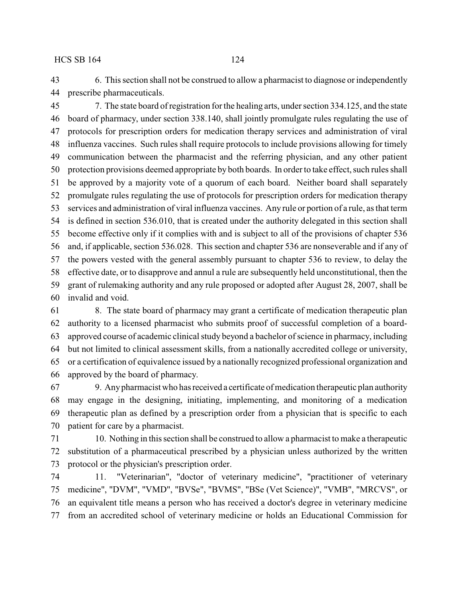6. This section shall not be construed to allow a pharmacist to diagnose or independently prescribe pharmaceuticals.

 7. The state board of registration for the healing arts, under section 334.125, and the state board of pharmacy, under section 338.140, shall jointly promulgate rules regulating the use of protocols for prescription orders for medication therapy services and administration of viral influenza vaccines. Such rules shall require protocols to include provisions allowing for timely communication between the pharmacist and the referring physician, and any other patient protection provisions deemed appropriate by both boards. In order to take effect, such rules shall be approved by a majority vote of a quorum of each board. Neither board shall separately promulgate rules regulating the use of protocols for prescription orders for medication therapy services and administration of viral influenza vaccines. Any rule or portion of a rule, as that term is defined in section 536.010, that is created under the authority delegated in this section shall become effective only if it complies with and is subject to all of the provisions of chapter 536 and, if applicable, section 536.028. This section and chapter 536 are nonseverable and if any of the powers vested with the general assembly pursuant to chapter 536 to review, to delay the effective date, or to disapprove and annul a rule are subsequently held unconstitutional, then the grant of rulemaking authority and any rule proposed or adopted after August 28, 2007, shall be invalid and void.

 8. The state board of pharmacy may grant a certificate of medication therapeutic plan authority to a licensed pharmacist who submits proof of successful completion of a board- approved course of academic clinical study beyond a bachelor of science in pharmacy, including but not limited to clinical assessment skills, from a nationally accredited college or university, or a certification of equivalence issued by a nationally recognized professional organization and approved by the board of pharmacy.

 9. Anypharmacist who hasreceived a certificate of medication therapeutic plan authority may engage in the designing, initiating, implementing, and monitoring of a medication therapeutic plan as defined by a prescription order from a physician that is specific to each patient for care by a pharmacist.

 10. Nothing in this section shall be construed to allow a pharmacist to make a therapeutic substitution of a pharmaceutical prescribed by a physician unless authorized by the written protocol or the physician's prescription order.

 11. "Veterinarian", "doctor of veterinary medicine", "practitioner of veterinary medicine", "DVM", "VMD", "BVSe", "BVMS", "BSe (Vet Science)", "VMB", "MRCVS", or an equivalent title means a person who has received a doctor's degree in veterinary medicine from an accredited school of veterinary medicine or holds an Educational Commission for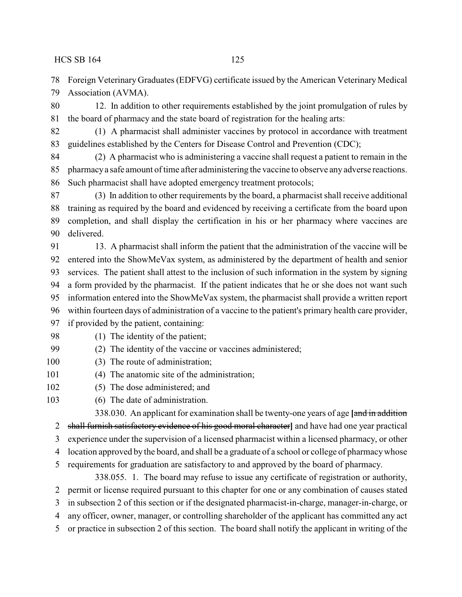Foreign Veterinary Graduates (EDFVG) certificate issued by the American Veterinary Medical Association (AVMA).

 12. In addition to other requirements established by the joint promulgation of rules by the board of pharmacy and the state board of registration for the healing arts:

 (1) A pharmacist shall administer vaccines by protocol in accordance with treatment guidelines established by the Centers for Disease Control and Prevention (CDC);

 (2) A pharmacist who is administering a vaccine shall request a patient to remain in the pharmacya safe amount of time after administering the vaccine to observe anyadverse reactions. Such pharmacist shall have adopted emergency treatment protocols;

 (3) In addition to other requirements by the board, a pharmacist shall receive additional training as required by the board and evidenced by receiving a certificate from the board upon completion, and shall display the certification in his or her pharmacy where vaccines are delivered.

 13. A pharmacist shall inform the patient that the administration of the vaccine will be entered into the ShowMeVax system, as administered by the department of health and senior services. The patient shall attest to the inclusion of such information in the system by signing a form provided by the pharmacist. If the patient indicates that he or she does not want such information entered into the ShowMeVax system, the pharmacist shall provide a written report within fourteen days of administration of a vaccine to the patient's primary health care provider, if provided by the patient, containing:

- 98 (1) The identity of the patient;
- (2) The identity of the vaccine or vaccines administered;
- 100 (3) The route of administration;
- 101 (4) The anatomic site of the administration;
- (5) The dose administered; and
- (6) The date of administration.

338.030. An applicant for examination shall be twenty-one years of age **[**and in addition

shall furnish satisfactory evidence of his good moral character**]** and have had one year practical

experience under the supervision of a licensed pharmacist within a licensed pharmacy, or other

- location approved by the board, and shall be a graduate of a school or college of pharmacywhose
- requirements for graduation are satisfactory to and approved by the board of pharmacy.
	- 338.055. 1. The board may refuse to issue any certificate of registration or authority,

permit or license required pursuant to this chapter for one or any combination of causes stated

in subsection 2 of this section or if the designated pharmacist-in-charge, manager-in-charge, or

any officer, owner, manager, or controlling shareholder of the applicant has committed any act

or practice in subsection 2 of this section. The board shall notify the applicant in writing of the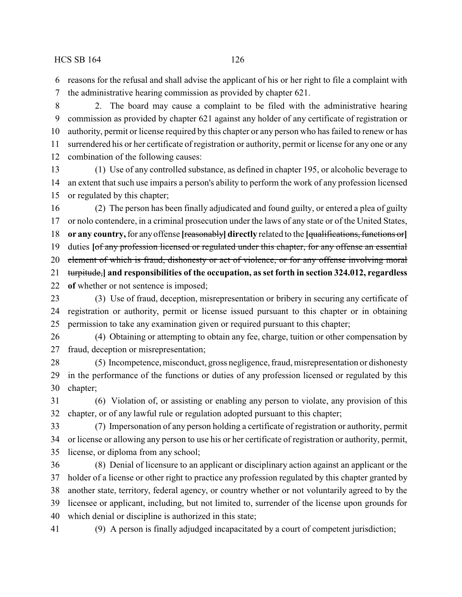reasons for the refusal and shall advise the applicant of his or her right to file a complaint with the administrative hearing commission as provided by chapter 621.

 2. The board may cause a complaint to be filed with the administrative hearing commission as provided by chapter 621 against any holder of any certificate of registration or authority, permit or license required by this chapter or any person who has failed to renew or has surrendered his or her certificate of registration or authority, permit or license for any one or any combination of the following causes:

 (1) Use of any controlled substance, as defined in chapter 195, or alcoholic beverage to an extent that such use impairs a person's ability to perform the work of any profession licensed or regulated by this chapter;

 (2) The person has been finally adjudicated and found guilty, or entered a plea of guilty or nolo contendere, in a criminal prosecution under the laws of any state or of the United States, **or any country,**for any offense **[**reasonably**] directly** related to the **[**qualifications, functions or**]** duties **[**of any profession licensed or regulated under this chapter, for any offense an essential 20 element of which is fraud, dishonesty or act of violence, or for any offense involving moral turpitude,**] and responsibilities of the occupation, as set forth in section 324.012, regardless of** whether or not sentence is imposed; (3) Use of fraud, deception, misrepresentation or bribery in securing any certificate of

 registration or authority, permit or license issued pursuant to this chapter or in obtaining permission to take any examination given or required pursuant to this chapter;

 (4) Obtaining or attempting to obtain any fee, charge, tuition or other compensation by fraud, deception or misrepresentation;

 (5) Incompetence, misconduct, gross negligence, fraud, misrepresentation or dishonesty in the performance of the functions or duties of any profession licensed or regulated by this chapter;

 (6) Violation of, or assisting or enabling any person to violate, any provision of this chapter, or of any lawful rule or regulation adopted pursuant to this chapter;

 (7) Impersonation of any person holding a certificate of registration or authority, permit or license or allowing any person to use his or her certificate of registration or authority, permit, license, or diploma from any school;

 (8) Denial of licensure to an applicant or disciplinary action against an applicant or the holder of a license or other right to practice any profession regulated by this chapter granted by another state, territory, federal agency, or country whether or not voluntarily agreed to by the licensee or applicant, including, but not limited to, surrender of the license upon grounds for which denial or discipline is authorized in this state;

(9) A person is finally adjudged incapacitated by a court of competent jurisdiction;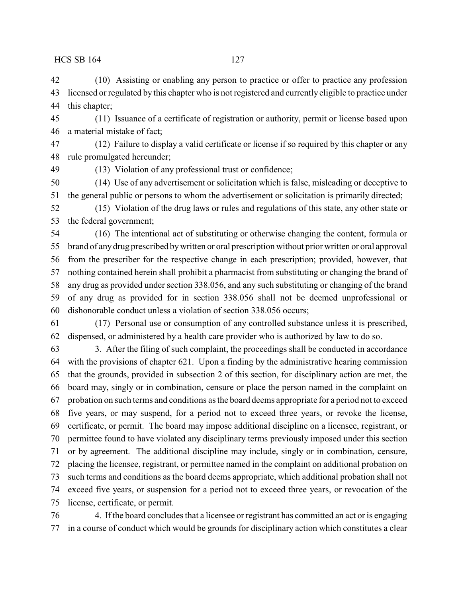(10) Assisting or enabling any person to practice or offer to practice any profession licensed or regulated by this chapter who is not registered and currently eligible to practice under this chapter;

 (11) Issuance of a certificate of registration or authority, permit or license based upon a material mistake of fact;

 (12) Failure to display a valid certificate or license if so required by this chapter or any rule promulgated hereunder;

(13) Violation of any professional trust or confidence;

 (14) Use of any advertisement or solicitation which is false, misleading or deceptive to the general public or persons to whom the advertisement or solicitation is primarily directed;

 (15) Violation of the drug laws or rules and regulations of this state, any other state or the federal government;

 (16) The intentional act of substituting or otherwise changing the content, formula or brand of any drug prescribed bywritten or oral prescription without prior written or oral approval from the prescriber for the respective change in each prescription; provided, however, that nothing contained herein shall prohibit a pharmacist from substituting or changing the brand of any drug as provided under section 338.056, and any such substituting or changing of the brand of any drug as provided for in section 338.056 shall not be deemed unprofessional or dishonorable conduct unless a violation of section 338.056 occurs;

 (17) Personal use or consumption of any controlled substance unless it is prescribed, dispensed, or administered by a health care provider who is authorized by law to do so.

 3. After the filing of such complaint, the proceedings shall be conducted in accordance with the provisions of chapter 621. Upon a finding by the administrative hearing commission that the grounds, provided in subsection 2 of this section, for disciplinary action are met, the board may, singly or in combination, censure or place the person named in the complaint on probation on such terms and conditions as the board deems appropriate for a period not to exceed five years, or may suspend, for a period not to exceed three years, or revoke the license, certificate, or permit. The board may impose additional discipline on a licensee, registrant, or permittee found to have violated any disciplinary terms previously imposed under this section or by agreement. The additional discipline may include, singly or in combination, censure, placing the licensee, registrant, or permittee named in the complaint on additional probation on such terms and conditions as the board deems appropriate, which additional probation shall not exceed five years, or suspension for a period not to exceed three years, or revocation of the license, certificate, or permit.

 4. If the board concludes that a licensee or registrant has committed an act or is engaging in a course of conduct which would be grounds for disciplinary action which constitutes a clear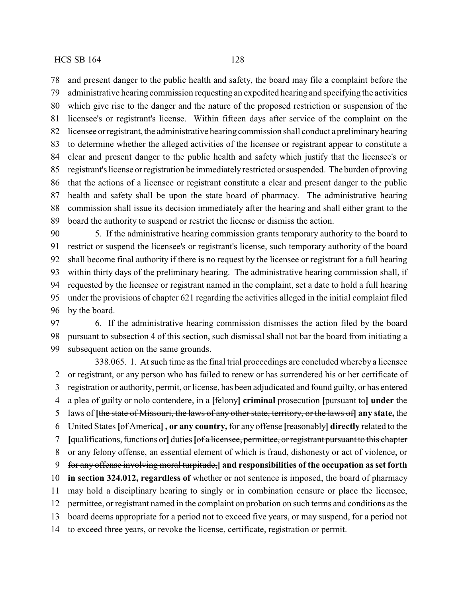and present danger to the public health and safety, the board may file a complaint before the administrative hearing commission requesting an expedited hearing and specifying the activities which give rise to the danger and the nature of the proposed restriction or suspension of the licensee's or registrant's license. Within fifteen days after service of the complaint on the licensee orregistrant, the administrative hearing commission shall conduct a preliminaryhearing to determine whether the alleged activities of the licensee or registrant appear to constitute a clear and present danger to the public health and safety which justify that the licensee's or registrant's license or registration be immediatelyrestricted or suspended. The burden of proving that the actions of a licensee or registrant constitute a clear and present danger to the public health and safety shall be upon the state board of pharmacy. The administrative hearing commission shall issue its decision immediately after the hearing and shall either grant to the board the authority to suspend or restrict the license or dismiss the action.

 5. If the administrative hearing commission grants temporary authority to the board to restrict or suspend the licensee's or registrant's license, such temporary authority of the board shall become final authority if there is no request by the licensee or registrant for a full hearing within thirty days of the preliminary hearing. The administrative hearing commission shall, if requested by the licensee or registrant named in the complaint, set a date to hold a full hearing under the provisions of chapter 621 regarding the activities alleged in the initial complaint filed by the board.

 6. If the administrative hearing commission dismisses the action filed by the board pursuant to subsection 4 of this section, such dismissal shall not bar the board from initiating a subsequent action on the same grounds.

338.065. 1. At such time as the final trial proceedings are concluded whereby a licensee or registrant, or any person who has failed to renew or has surrendered his or her certificate of registration or authority, permit, or license, has been adjudicated and found guilty, or has entered a plea of guilty or nolo contendere, in a **[**felony**] criminal** prosecution **[**pursuant to**] under** the laws of **[**the state of Missouri, the laws of any other state, territory, or the laws of**] any state,** the United States **[**of America**] , or any country,** for any offense **[**reasonably**] directly** related to the **[**qualifications, functions or**]** duties **[**of a licensee, permittee, or registrant pursuant to this chapter or any felony offense, an essential element of which is fraud, dishonesty or act of violence, or for any offense involving moral turpitude,**] and responsibilities of the occupation as set forth in section 324.012, regardless of** whether or not sentence is imposed, the board of pharmacy may hold a disciplinary hearing to singly or in combination censure or place the licensee, permittee, or registrant named in the complaint on probation on such terms and conditions as the board deems appropriate for a period not to exceed five years, or may suspend, for a period not to exceed three years, or revoke the license, certificate, registration or permit.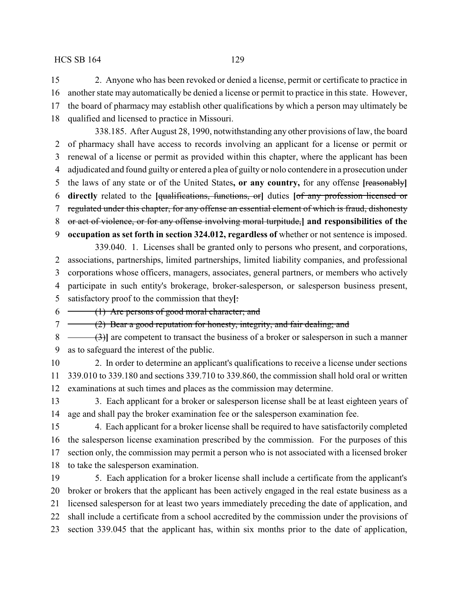2. Anyone who has been revoked or denied a license, permit or certificate to practice in another state may automatically be denied a license or permit to practice in this state. However, the board of pharmacy may establish other qualifications by which a person may ultimately be qualified and licensed to practice in Missouri.

338.185. After August 28, 1990, notwithstanding any other provisions of law, the board of pharmacy shall have access to records involving an applicant for a license or permit or renewal of a license or permit as provided within this chapter, where the applicant has been adjudicated and found guilty or entered a plea of guilty or nolo contendere in a prosecution under the laws of any state or of the United States**, or any country,** for any offense **[**reasonably**] directly** related to the **[**qualifications, functions, or**]** duties **[**of any profession licensed or regulated under this chapter, for any offense an essential element of which is fraud, dishonesty or act of violence, or for any offense involving moral turpitude,**] and responsibilities of the occupation as set forth in section 324.012, regardless of** whether or not sentence is imposed.

339.040. 1. Licenses shall be granted only to persons who present, and corporations, associations, partnerships, limited partnerships, limited liability companies, and professional corporations whose officers, managers, associates, general partners, or members who actively participate in such entity's brokerage, broker-salesperson, or salesperson business present, satisfactory proof to the commission that they**[**:

 $6 \leftarrow$  (1) Are persons of good moral character; and

7 (2) Bear a good reputation for honesty, integrity, and fair dealing; and

 (3)**]** are competent to transact the business of a broker or salesperson in such a manner as to safeguard the interest of the public.

- 2. In order to determine an applicant's qualifications to receive a license under sections 339.010 to 339.180 and sections 339.710 to 339.860, the commission shall hold oral or written examinations at such times and places as the commission may determine.
- 13 3. Each applicant for a broker or salesperson license shall be at least eighteen years of age and shall pay the broker examination fee or the salesperson examination fee.
- 4. Each applicant for a broker license shall be required to have satisfactorily completed the salesperson license examination prescribed by the commission. For the purposes of this section only, the commission may permit a person who is not associated with a licensed broker to take the salesperson examination.
- 5. Each application for a broker license shall include a certificate from the applicant's broker or brokers that the applicant has been actively engaged in the real estate business as a licensed salesperson for at least two years immediately preceding the date of application, and shall include a certificate from a school accredited by the commission under the provisions of section 339.045 that the applicant has, within six months prior to the date of application,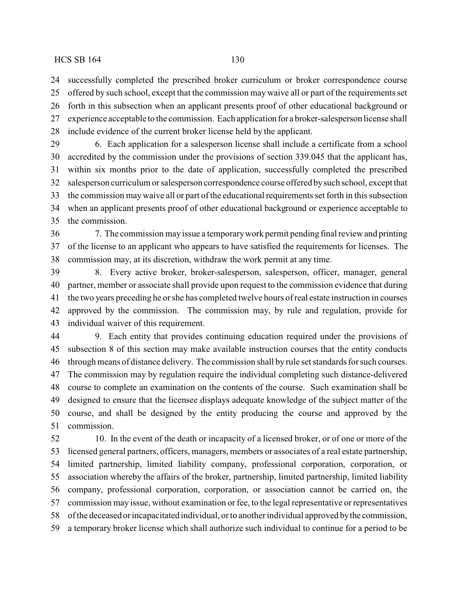successfully completed the prescribed broker curriculum or broker correspondence course offered by such school, except that the commission may waive all or part of the requirements set

 forth in this subsection when an applicant presents proof of other educational background or experience acceptable to the commission. Each application for a broker-salesperson license shall include evidence of the current broker license held by the applicant.

 6. Each application for a salesperson license shall include a certificate from a school accredited by the commission under the provisions of section 339.045 that the applicant has, within six months prior to the date of application, successfully completed the prescribed salesperson curriculum or salesperson correspondence course offered bysuch school, except that the commission maywaive all or part of the educational requirements set forth in this subsection when an applicant presents proof of other educational background or experience acceptable to the commission.

 7. The commission may issue a temporarywork permit pending final review and printing of the license to an applicant who appears to have satisfied the requirements for licenses. The commission may, at its discretion, withdraw the work permit at any time.

 8. Every active broker, broker-salesperson, salesperson, officer, manager, general partner, member or associate shall provide upon request to the commission evidence that during the two years preceding he or she has completed twelve hours of real estate instruction in courses approved by the commission. The commission may, by rule and regulation, provide for individual waiver of this requirement.

 9. Each entity that provides continuing education required under the provisions of subsection 8 of this section may make available instruction courses that the entity conducts through means of distance delivery. The commission shall by rule set standards for such courses. The commission may by regulation require the individual completing such distance-delivered course to complete an examination on the contents of the course. Such examination shall be designed to ensure that the licensee displays adequate knowledge of the subject matter of the course, and shall be designed by the entity producing the course and approved by the commission.

 10. In the event of the death or incapacity of a licensed broker, or of one or more of the licensed general partners, officers, managers, members or associates of a real estate partnership, limited partnership, limited liability company, professional corporation, corporation, or association whereby the affairs of the broker, partnership, limited partnership, limited liability company, professional corporation, corporation, or association cannot be carried on, the commission may issue, without examination or fee, to the legal representative or representatives of the deceased or incapacitated individual, or to another individual approved bythe commission, a temporary broker license which shall authorize such individual to continue for a period to be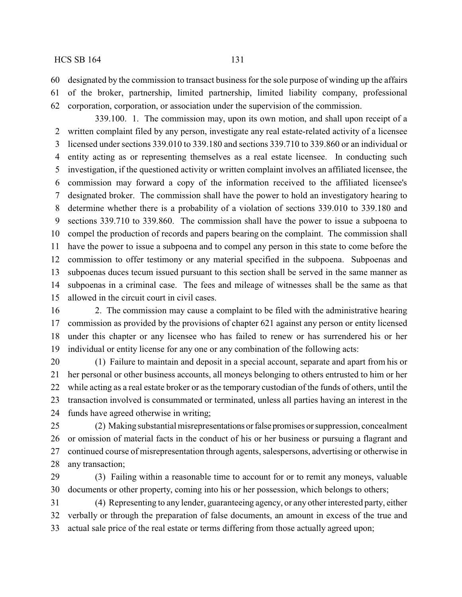designated by the commission to transact business for the sole purpose of winding up the affairs

 of the broker, partnership, limited partnership, limited liability company, professional corporation, corporation, or association under the supervision of the commission.

339.100. 1. The commission may, upon its own motion, and shall upon receipt of a written complaint filed by any person, investigate any real estate-related activity of a licensee licensed under sections 339.010 to 339.180 and sections 339.710 to 339.860 or an individual or entity acting as or representing themselves as a real estate licensee. In conducting such investigation, if the questioned activity or written complaint involves an affiliated licensee, the commission may forward a copy of the information received to the affiliated licensee's designated broker. The commission shall have the power to hold an investigatory hearing to determine whether there is a probability of a violation of sections 339.010 to 339.180 and sections 339.710 to 339.860. The commission shall have the power to issue a subpoena to compel the production of records and papers bearing on the complaint. The commission shall have the power to issue a subpoena and to compel any person in this state to come before the commission to offer testimony or any material specified in the subpoena. Subpoenas and subpoenas duces tecum issued pursuant to this section shall be served in the same manner as subpoenas in a criminal case. The fees and mileage of witnesses shall be the same as that allowed in the circuit court in civil cases.

 2. The commission may cause a complaint to be filed with the administrative hearing commission as provided by the provisions of chapter 621 against any person or entity licensed under this chapter or any licensee who has failed to renew or has surrendered his or her individual or entity license for any one or any combination of the following acts:

 (1) Failure to maintain and deposit in a special account, separate and apart from his or her personal or other business accounts, all moneys belonging to others entrusted to him or her while acting as a real estate broker or as the temporary custodian of the funds of others, until the transaction involved is consummated or terminated, unless all parties having an interest in the funds have agreed otherwise in writing;

 (2) Making substantial misrepresentations orfalse promises or suppression, concealment or omission of material facts in the conduct of his or her business or pursuing a flagrant and continued course of misrepresentation through agents, salespersons, advertising or otherwise in any transaction;

 (3) Failing within a reasonable time to account for or to remit any moneys, valuable documents or other property, coming into his or her possession, which belongs to others;

 (4) Representing to any lender, guaranteeing agency, or any other interested party, either verbally or through the preparation of false documents, an amount in excess of the true and actual sale price of the real estate or terms differing from those actually agreed upon;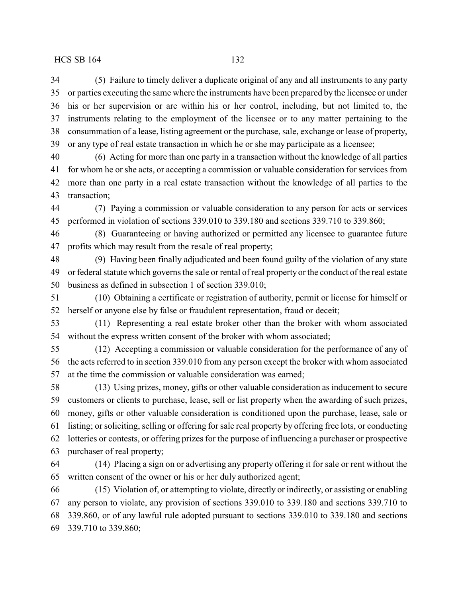(5) Failure to timely deliver a duplicate original of any and all instruments to any party or parties executing the same where the instruments have been prepared by the licensee or under his or her supervision or are within his or her control, including, but not limited to, the instruments relating to the employment of the licensee or to any matter pertaining to the consummation of a lease, listing agreement or the purchase, sale, exchange or lease of property, or any type of real estate transaction in which he or she may participate as a licensee;

 (6) Acting for more than one party in a transaction without the knowledge of all parties for whom he or she acts, or accepting a commission or valuable consideration for services from more than one party in a real estate transaction without the knowledge of all parties to the transaction;

 (7) Paying a commission or valuable consideration to any person for acts or services performed in violation of sections 339.010 to 339.180 and sections 339.710 to 339.860;

 (8) Guaranteeing or having authorized or permitted any licensee to guarantee future profits which may result from the resale of real property;

 (9) Having been finally adjudicated and been found guilty of the violation of any state or federal statute which governs the sale or rental of real property or the conduct of the real estate business as defined in subsection 1 of section 339.010;

 (10) Obtaining a certificate or registration of authority, permit or license for himself or herself or anyone else by false or fraudulent representation, fraud or deceit;

 (11) Representing a real estate broker other than the broker with whom associated without the express written consent of the broker with whom associated;

 (12) Accepting a commission or valuable consideration for the performance of any of the acts referred to in section 339.010 from any person except the broker with whom associated at the time the commission or valuable consideration was earned;

 (13) Using prizes, money, gifts or other valuable consideration as inducement to secure customers or clients to purchase, lease, sell or list property when the awarding of such prizes, money, gifts or other valuable consideration is conditioned upon the purchase, lease, sale or listing; or soliciting, selling or offering for sale real property by offering free lots, or conducting lotteries or contests, or offering prizes for the purpose of influencing a purchaser or prospective purchaser of real property;

 (14) Placing a sign on or advertising any property offering it for sale or rent without the written consent of the owner or his or her duly authorized agent;

 (15) Violation of, or attempting to violate, directly or indirectly, or assisting or enabling any person to violate, any provision of sections 339.010 to 339.180 and sections 339.710 to 339.860, or of any lawful rule adopted pursuant to sections 339.010 to 339.180 and sections 339.710 to 339.860;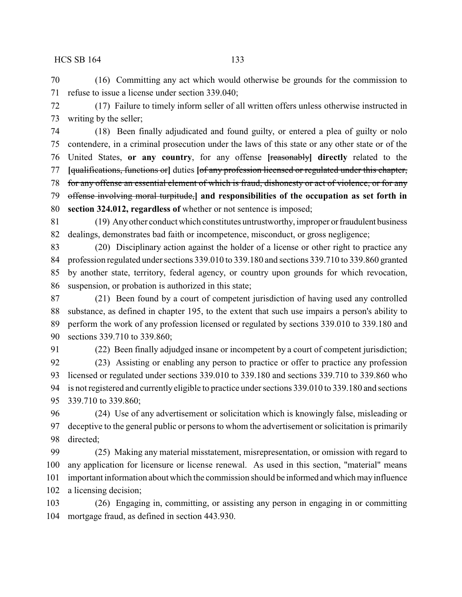(16) Committing any act which would otherwise be grounds for the commission to refuse to issue a license under section 339.040;

 (17) Failure to timely inform seller of all written offers unless otherwise instructed in writing by the seller;

 (18) Been finally adjudicated and found guilty, or entered a plea of guilty or nolo contendere, in a criminal prosecution under the laws of this state or any other state or of the United States, **or any country**, for any offense **[**reasonably**] directly** related to the **[**qualifications, functions or**]** duties **[**of any profession licensed or regulated under this chapter, for any offense an essential element of which is fraud, dishonesty or act of violence, or for any offense involving moral turpitude,**] and responsibilities of the occupation as set forth in section 324.012, regardless of** whether or not sentence is imposed;

 (19) Anyother conduct which constitutes untrustworthy, improper orfraudulent business dealings, demonstrates bad faith or incompetence, misconduct, or gross negligence;

 (20) Disciplinary action against the holder of a license or other right to practice any profession regulated under sections 339.010 to 339.180 and sections 339.710 to 339.860 granted by another state, territory, federal agency, or country upon grounds for which revocation, suspension, or probation is authorized in this state;

 (21) Been found by a court of competent jurisdiction of having used any controlled substance, as defined in chapter 195, to the extent that such use impairs a person's ability to perform the work of any profession licensed or regulated by sections 339.010 to 339.180 and sections 339.710 to 339.860;

 (22) Been finally adjudged insane or incompetent by a court of competent jurisdiction; (23) Assisting or enabling any person to practice or offer to practice any profession licensed or regulated under sections 339.010 to 339.180 and sections 339.710 to 339.860 who is not registered and currently eligible to practice under sections 339.010 to 339.180 and sections 339.710 to 339.860;

 (24) Use of any advertisement or solicitation which is knowingly false, misleading or deceptive to the general public or persons to whom the advertisement or solicitation is primarily directed;

 (25) Making any material misstatement, misrepresentation, or omission with regard to any application for licensure or license renewal. As used in this section, "material" means important information about which the commission should be informed andwhichmayinfluence a licensing decision;

 (26) Engaging in, committing, or assisting any person in engaging in or committing mortgage fraud, as defined in section 443.930.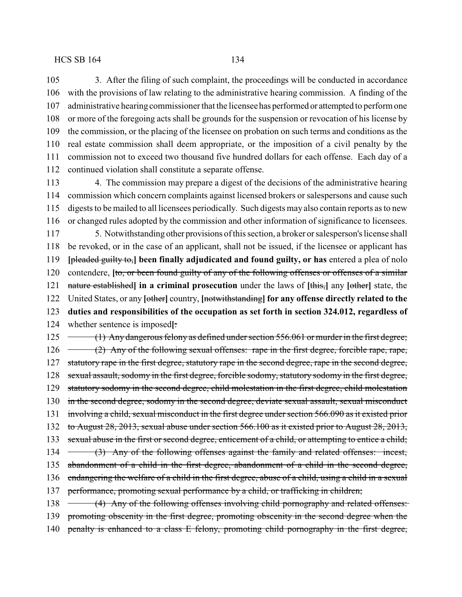3. After the filing of such complaint, the proceedings will be conducted in accordance with the provisions of law relating to the administrative hearing commission. A finding of the administrative hearing commissioner that the licenseehas performed or attempted to perform one or more of the foregoing acts shall be grounds for the suspension or revocation of his license by the commission, or the placing of the licensee on probation on such terms and conditions as the real estate commission shall deem appropriate, or the imposition of a civil penalty by the commission not to exceed two thousand five hundred dollars for each offense. Each day of a continued violation shall constitute a separate offense.

 4. The commission may prepare a digest of the decisions of the administrative hearing commission which concern complaints against licensed brokers or salespersons and cause such digests to be mailed to all licensees periodically. Such digests may also contain reports as to new or changed rules adopted by the commission and other information of significance to licensees.

 5. Notwithstanding other provisions of this section, a broker or salesperson's license shall be revoked, or in the case of an applicant, shall not be issued, if the licensee or applicant has **[**pleaded guilty to,**] been finally adjudicated and found guilty, or has** entered a plea of nolo contendere, **[**to, or been found guilty of any of the following offenses or offenses of a similar nature established**] in a criminal prosecution** under the laws of **[**this,**]** any **[**other**]** state, the United States, or any **[**other**]** country, **[**notwithstanding**] for any offense directly related to the duties and responsibilities of the occupation as set forth in section 324.012, regardless of** whether sentence is imposed**[**:

125 (1) Any dangerous felony as defined under section 556.061 or murder in the first degree; 126 (2) Any of the following sexual offenses: rape in the first degree, forcible rape, rape, 127 statutory rape in the first degree, statutory rape in the second degree, rape in the second degree, sexual assault, sodomy in the first degree, forcible sodomy, statutory sodomy in the first degree, statutory sodomy in the second degree, child molestation in the first degree, child molestation in the second degree, sodomy in the second degree, deviate sexual assault, sexual misconduct involving a child, sexual misconduct in the first degree under section 566.090 as it existed prior to August 28, 2013, sexual abuse under section 566.100 as it existed prior to August 28, 2013, 133 sexual abuse in the first or second degree, enticement of a child, or attempting to entice a child; 134 (3) Any of the following offenses against the family and related offenses: incest, abandonment of a child in the first degree, abandonment of a child in the second degree, endangering the welfare of a child in the first degree, abuse of a child, using a child in a sexual performance, promoting sexual performance by a child, or trafficking in children; 138 (4) Any of the following offenses involving child pornography and related offenses: promoting obscenity in the first degree, promoting obscenity in the second degree when the

140 penalty is enhanced to a class E felony, promoting child pornography in the first degree,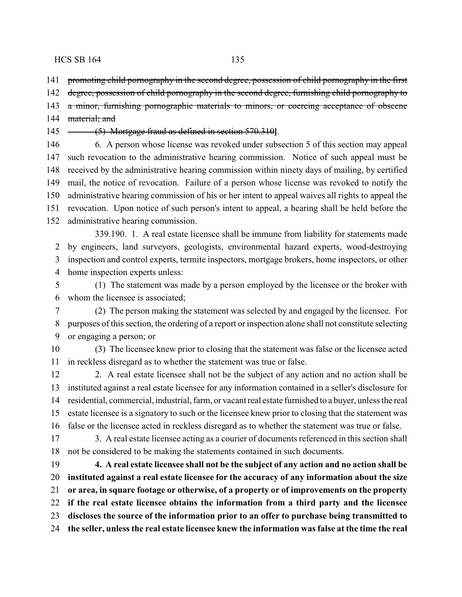promoting child pornography in the second degree, possession of child pornography in the first

degree, possession of child pornography in the second degree, furnishing child pornography to

a minor, furnishing pornographic materials to minors, or coercing acceptance of obscene

144 material; and

(5) Mortgage fraud as defined in section 570.310**]**.

 6. A person whose license was revoked under subsection 5 of this section may appeal such revocation to the administrative hearing commission. Notice of such appeal must be received by the administrative hearing commission within ninety days of mailing, by certified mail, the notice of revocation. Failure of a person whose license was revoked to notify the administrative hearing commission of his or her intent to appeal waives all rights to appeal the revocation. Upon notice of such person's intent to appeal, a hearing shall be held before the administrative hearing commission.

339.190. 1. A real estate licensee shall be immune from liability for statements made by engineers, land surveyors, geologists, environmental hazard experts, wood-destroying inspection and control experts, termite inspectors, mortgage brokers, home inspectors, or other home inspection experts unless:

 (1) The statement was made by a person employed by the licensee or the broker with whom the licensee is associated;

 (2) The person making the statement was selected by and engaged by the licensee. For purposes of this section, the ordering of a report or inspection alone shall not constitute selecting or engaging a person; or

 (3) The licensee knew prior to closing that the statement was false or the licensee acted in reckless disregard as to whether the statement was true or false.

 2. A real estate licensee shall not be the subject of any action and no action shall be instituted against a real estate licensee for any information contained in a seller's disclosure for residential, commercial, industrial, farm, or vacant real estate furnished to a buyer, unless the real estate licensee is a signatory to such or the licensee knew prior to closing that the statement was false or the licensee acted in reckless disregard as to whether the statement was true or false.

 3. A real estate licensee acting as a courier of documents referenced in this section shall not be considered to be making the statements contained in such documents.

 **4. A real estate licensee shall not be the subject of any action and no action shall be instituted against a real estate licensee for the accuracy of any information about the size or area, in square footage or otherwise, of a property or of improvements on the property if the real estate licensee obtains the information from a third party and the licensee discloses the source of the information prior to an offer to purchase being transmitted to the seller, unless the real estate licensee knew the information was false at the time the real**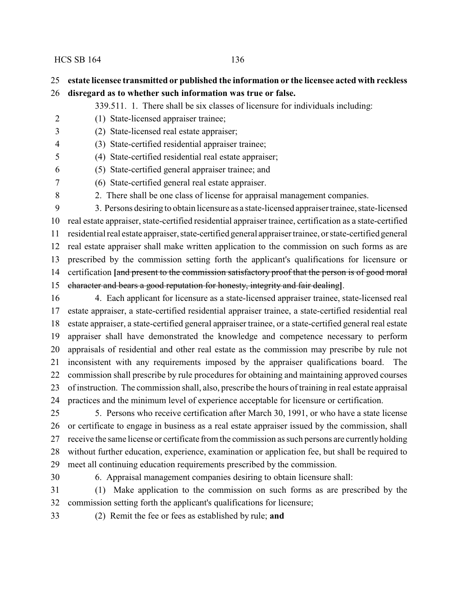# **estate licensee transmitted or published the information or the licensee acted with reckless**

- **disregard as to whether such information was true or false.**
	- 339.511. 1. There shall be six classes of licensure for individuals including:
- (1) State-licensed appraiser trainee;
- (2) State-licensed real estate appraiser;
- (3) State-certified residential appraiser trainee;
- (4) State-certified residential real estate appraiser;
- (5) State-certified general appraiser trainee; and
- (6) State-certified general real estate appraiser.
- 2. There shall be one class of license for appraisal management companies.

 3. Persons desiring to obtain licensure as a state-licensed appraiser trainee, state-licensed real estate appraiser, state-certified residential appraiser trainee, certification as a state-certified residential real estate appraiser, state-certified general appraiser trainee, or state-certified general real estate appraiser shall make written application to the commission on such forms as are prescribed by the commission setting forth the applicant's qualifications for licensure or certification **[**and present to the commission satisfactory proof that the person is of good moral character and bears a good reputation for honesty, integrity and fair dealing**]**.

 4. Each applicant for licensure as a state-licensed appraiser trainee, state-licensed real estate appraiser, a state-certified residential appraiser trainee, a state-certified residential real estate appraiser, a state-certified general appraiser trainee, or a state-certified general real estate appraiser shall have demonstrated the knowledge and competence necessary to perform appraisals of residential and other real estate as the commission may prescribe by rule not inconsistent with any requirements imposed by the appraiser qualifications board. The commission shall prescribe by rule procedures for obtaining and maintaining approved courses of instruction. The commission shall, also, prescribe the hours of training in real estate appraisal practices and the minimum level of experience acceptable for licensure or certification.

 5. Persons who receive certification after March 30, 1991, or who have a state license or certificate to engage in business as a real estate appraiser issued by the commission, shall receive the same license or certificate from the commission as such persons are currentlyholding without further education, experience, examination or application fee, but shall be required to meet all continuing education requirements prescribed by the commission.

6. Appraisal management companies desiring to obtain licensure shall:

 (1) Make application to the commission on such forms as are prescribed by the commission setting forth the applicant's qualifications for licensure;

(2) Remit the fee or fees as established by rule; **and**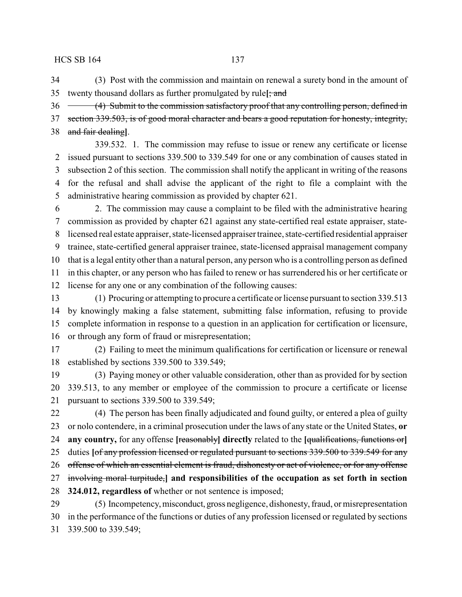(3) Post with the commission and maintain on renewal a surety bond in the amount of twenty thousand dollars as further promulgated by rule**[**; and

36 (4) Submit to the commission satisfactory proof that any controlling person, defined in 37 section 339.503, is of good moral character and bears a good reputation for honesty, integrity, and fair dealing**]**.

339.532. 1. The commission may refuse to issue or renew any certificate or license issued pursuant to sections 339.500 to 339.549 for one or any combination of causes stated in subsection 2 of this section. The commission shall notify the applicant in writing of the reasons for the refusal and shall advise the applicant of the right to file a complaint with the administrative hearing commission as provided by chapter 621.

 2. The commission may cause a complaint to be filed with the administrative hearing commission as provided by chapter 621 against any state-certified real estate appraiser, state- licensed real estate appraiser, state-licensed appraiser trainee, state-certified residential appraiser trainee, state-certified general appraiser trainee, state-licensed appraisal management company that is a legal entity other than a natural person, any person who is a controlling person as defined in this chapter, or any person who has failed to renew or has surrendered his or her certificate or license for any one or any combination of the following causes:

 (1) Procuring or attempting to procure a certificate or license pursuant to section 339.513 by knowingly making a false statement, submitting false information, refusing to provide complete information in response to a question in an application for certification or licensure, or through any form of fraud or misrepresentation;

 (2) Failing to meet the minimum qualifications for certification or licensure or renewal established by sections 339.500 to 339.549;

 (3) Paying money or other valuable consideration, other than as provided for by section 339.513, to any member or employee of the commission to procure a certificate or license pursuant to sections 339.500 to 339.549;

 (4) The person has been finally adjudicated and found guilty, or entered a plea of guilty or nolo contendere, in a criminal prosecution under the laws of any state or the United States, **or any country,** for any offense **[**reasonably**] directly** related to the **[**qualifications, functions or**]** duties **[**of any profession licensed or regulated pursuant to sections 339.500 to 339.549 for any offense of which an essential element is fraud, dishonesty or act of violence, or for any offense involving moral turpitude,**] and responsibilities of the occupation as set forth in section 324.012, regardless of** whether or not sentence is imposed; (5) Incompetency,misconduct, gross negligence, dishonesty, fraud, or misrepresentation

 in the performance of the functions or duties of any profession licensed or regulated by sections 339.500 to 339.549;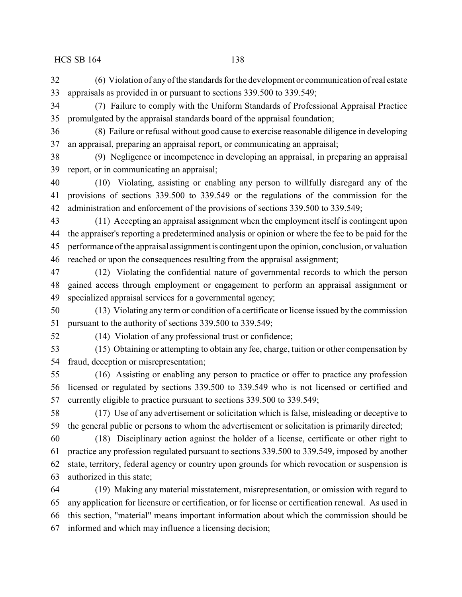(6) Violation of anyof the standards for the development or communication of real estate appraisals as provided in or pursuant to sections 339.500 to 339.549;

 (7) Failure to comply with the Uniform Standards of Professional Appraisal Practice promulgated by the appraisal standards board of the appraisal foundation;

 (8) Failure or refusal without good cause to exercise reasonable diligence in developing an appraisal, preparing an appraisal report, or communicating an appraisal;

 (9) Negligence or incompetence in developing an appraisal, in preparing an appraisal report, or in communicating an appraisal;

 (10) Violating, assisting or enabling any person to willfully disregard any of the provisions of sections 339.500 to 339.549 or the regulations of the commission for the administration and enforcement of the provisions of sections 339.500 to 339.549;

 (11) Accepting an appraisal assignment when the employment itself is contingent upon the appraiser's reporting a predetermined analysis or opinion or where the fee to be paid for the performance of the appraisal assignment is contingent upon the opinion, conclusion, or valuation reached or upon the consequences resulting from the appraisal assignment;

 (12) Violating the confidential nature of governmental records to which the person gained access through employment or engagement to perform an appraisal assignment or specialized appraisal services for a governmental agency;

 (13) Violating any term or condition of a certificate or license issued by the commission pursuant to the authority of sections 339.500 to 339.549;

(14) Violation of any professional trust or confidence;

 (15) Obtaining or attempting to obtain any fee, charge, tuition or other compensation by fraud, deception or misrepresentation;

 (16) Assisting or enabling any person to practice or offer to practice any profession licensed or regulated by sections 339.500 to 339.549 who is not licensed or certified and currently eligible to practice pursuant to sections 339.500 to 339.549;

 (17) Use of any advertisement or solicitation which is false, misleading or deceptive to the general public or persons to whom the advertisement or solicitation is primarily directed;

 (18) Disciplinary action against the holder of a license, certificate or other right to practice any profession regulated pursuant to sections 339.500 to 339.549, imposed by another state, territory, federal agency or country upon grounds for which revocation or suspension is authorized in this state;

 (19) Making any material misstatement, misrepresentation, or omission with regard to any application for licensure or certification, or for license or certification renewal. As used in this section, "material" means important information about which the commission should be informed and which may influence a licensing decision;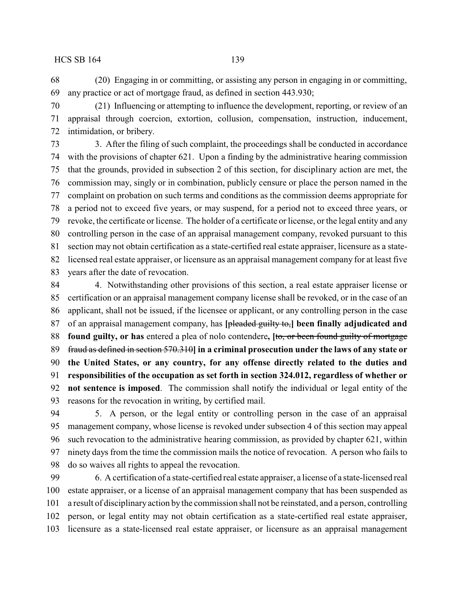(20) Engaging in or committing, or assisting any person in engaging in or committing, any practice or act of mortgage fraud, as defined in section 443.930;

 (21) Influencing or attempting to influence the development, reporting, or review of an appraisal through coercion, extortion, collusion, compensation, instruction, inducement, intimidation, or bribery.

 3. After the filing of such complaint, the proceedings shall be conducted in accordance with the provisions of chapter 621. Upon a finding by the administrative hearing commission that the grounds, provided in subsection 2 of this section, for disciplinary action are met, the commission may, singly or in combination, publicly censure or place the person named in the complaint on probation on such terms and conditions as the commission deems appropriate for a period not to exceed five years, or may suspend, for a period not to exceed three years, or revoke, the certificate or license. The holder of a certificate or license, or the legal entity and any controlling person in the case of an appraisal management company, revoked pursuant to this section may not obtain certification as a state-certified real estate appraiser, licensure as a state- licensed real estate appraiser, or licensure as an appraisal management company for at least five years after the date of revocation.

 4. Notwithstanding other provisions of this section, a real estate appraiser license or certification or an appraisal management company license shall be revoked, or in the case of an applicant, shall not be issued, if the licensee or applicant, or any controlling person in the case of an appraisal management company, has **[**pleaded guilty to,**] been finally adjudicated and found guilty, or has** entered a plea of nolo contendere**, [**to, or been found guilty of mortgage fraud as defined in section 570.310**] in a criminal prosecution under the laws of any state or the United States, or any country, for any offense directly related to the duties and responsibilities of the occupation as set forth in section 324.012, regardless of whether or not sentence is imposed**. The commission shall notify the individual or legal entity of the reasons for the revocation in writing, by certified mail.

 5. A person, or the legal entity or controlling person in the case of an appraisal management company, whose license is revoked under subsection 4 of this section may appeal such revocation to the administrative hearing commission, as provided by chapter 621, within ninety days from the time the commission mails the notice of revocation. A person who fails to do so waives all rights to appeal the revocation.

 6. A certification of a state-certified real estate appraiser, a license of a state-licensed real estate appraiser, or a license of an appraisal management company that has been suspended as a result of disciplinary action bythe commission shall not be reinstated, and a person, controlling person, or legal entity may not obtain certification as a state-certified real estate appraiser, licensure as a state-licensed real estate appraiser, or licensure as an appraisal management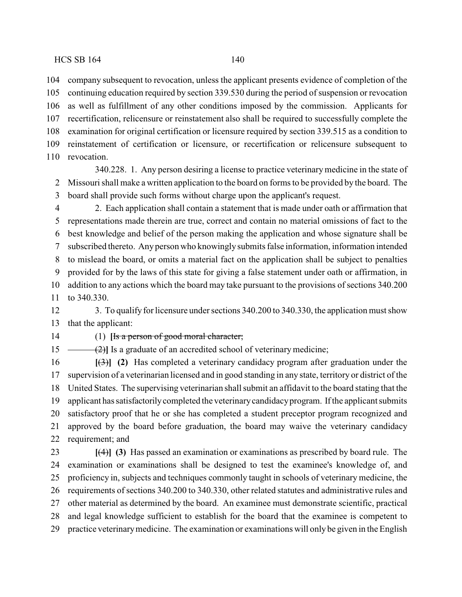company subsequent to revocation, unless the applicant presents evidence of completion of the continuing education required by section 339.530 during the period of suspension or revocation as well as fulfillment of any other conditions imposed by the commission. Applicants for recertification, relicensure or reinstatement also shall be required to successfully complete the examination for original certification or licensure required by section 339.515 as a condition to reinstatement of certification or licensure, or recertification or relicensure subsequent to revocation.

340.228. 1. Any person desiring a license to practice veterinarymedicine in the state of Missouri shall make a written application to the board on forms to be provided by the board. The board shall provide such forms without charge upon the applicant's request.

 2. Each application shall contain a statement that is made under oath or affirmation that representations made therein are true, correct and contain no material omissions of fact to the best knowledge and belief of the person making the application and whose signature shall be subscribed thereto. Any person who knowingly submits false information, information intended to mislead the board, or omits a material fact on the application shall be subject to penalties provided for by the laws of this state for giving a false statement under oath or affirmation, in addition to any actions which the board may take pursuant to the provisions of sections 340.200 to 340.330.

12 3. To qualify for licensure under sections 340.200 to 340.330, the application must show that the applicant:

# (1) **[**Is a person of good moral character;

15 (2)<sup>1</sup> Is a graduate of an accredited school of veterinary medicine;

 **[**(3)**] (2)** Has completed a veterinary candidacy program after graduation under the supervision of a veterinarian licensed and in good standing in any state, territory or district of the United States. The supervising veterinarian shall submit an affidavit to the board stating that the applicant has satisfactorilycompleted the veterinarycandidacyprogram. If the applicant submits satisfactory proof that he or she has completed a student preceptor program recognized and approved by the board before graduation, the board may waive the veterinary candidacy requirement; and

 **[**(4)**] (3)** Has passed an examination or examinations as prescribed by board rule. The examination or examinations shall be designed to test the examinee's knowledge of, and proficiency in, subjects and techniques commonly taught in schools of veterinary medicine, the requirements of sections 340.200 to 340.330, other related statutes and administrative rules and other material as determined by the board. An examinee must demonstrate scientific, practical and legal knowledge sufficient to establish for the board that the examinee is competent to practice veterinarymedicine. The examination or examinations will only be given in the English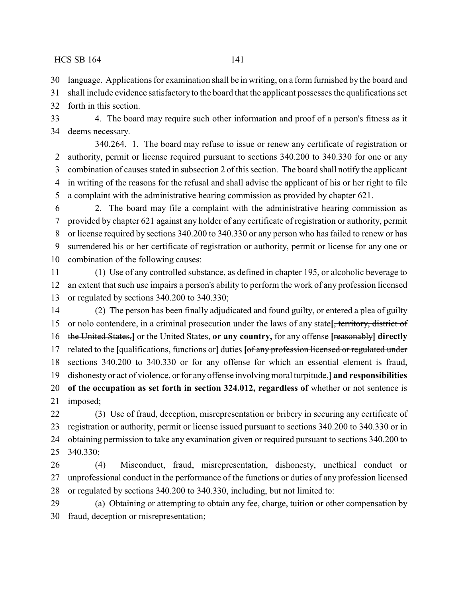language. Applications for examination shall be in writing, on a form furnished by the board and

shall include evidence satisfactory to the board that the applicant possesses the qualifications set

forth in this section.

 4. The board may require such other information and proof of a person's fitness as it deems necessary.

340.264. 1. The board may refuse to issue or renew any certificate of registration or authority, permit or license required pursuant to sections 340.200 to 340.330 for one or any combination of causes stated in subsection 2 of this section. The board shall notify the applicant in writing of the reasons for the refusal and shall advise the applicant of his or her right to file a complaint with the administrative hearing commission as provided by chapter 621.

 2. The board may file a complaint with the administrative hearing commission as provided by chapter 621 against any holder of any certificate of registration or authority, permit or license required by sections 340.200 to 340.330 or any person who has failed to renew or has surrendered his or her certificate of registration or authority, permit or license for any one or combination of the following causes:

 (1) Use of any controlled substance, as defined in chapter 195, or alcoholic beverage to an extent that such use impairs a person's ability to perform the work of any profession licensed or regulated by sections 340.200 to 340.330;

 (2) The person has been finally adjudicated and found guilty, or entered a plea of guilty or nolo contendere, in a criminal prosecution under the laws of any state**[**, territory, district of the United States,**]** or the United States, **or any country,** for any offense **[**reasonably**] directly** related to the **[**qualifications, functions or**]** duties **[**of any profession licensed or regulated under sections 340.200 to 340.330 or for any offense for which an essential element is fraud, dishonesty or act of violence, or for any offense involving moral turpitude,**] and responsibilities of the occupation as set forth in section 324.012, regardless of** whether or not sentence is imposed;

 (3) Use of fraud, deception, misrepresentation or bribery in securing any certificate of registration or authority, permit or license issued pursuant to sections 340.200 to 340.330 or in obtaining permission to take any examination given or required pursuant to sections 340.200 to 340.330;

 (4) Misconduct, fraud, misrepresentation, dishonesty, unethical conduct or unprofessional conduct in the performance of the functions or duties of any profession licensed or regulated by sections 340.200 to 340.330, including, but not limited to:

 (a) Obtaining or attempting to obtain any fee, charge, tuition or other compensation by fraud, deception or misrepresentation;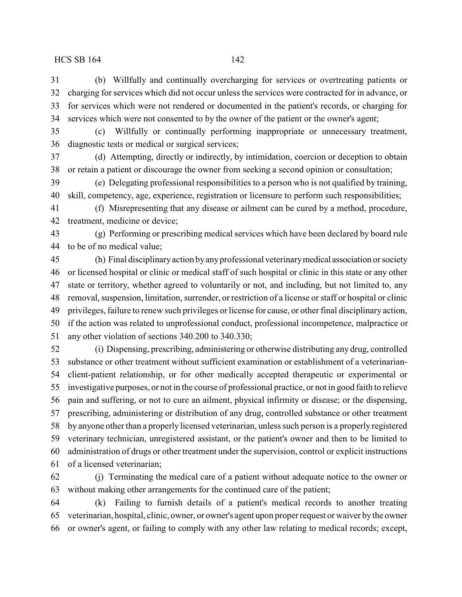(b) Willfully and continually overcharging for services or overtreating patients or charging for services which did not occur unless the services were contracted for in advance, or for services which were not rendered or documented in the patient's records, or charging for services which were not consented to by the owner of the patient or the owner's agent;

 (c) Willfully or continually performing inappropriate or unnecessary treatment, diagnostic tests or medical or surgical services;

 (d) Attempting, directly or indirectly, by intimidation, coercion or deception to obtain or retain a patient or discourage the owner from seeking a second opinion or consultation;

 (e) Delegating professional responsibilities to a person who is not qualified by training, skill, competency, age, experience, registration or licensure to perform such responsibilities;

 (f) Misrepresenting that any disease or ailment can be cured by a method, procedure, treatment, medicine or device;

 (g) Performing or prescribing medical services which have been declared by board rule to be of no medical value;

 (h) Final disciplinaryaction byanyprofessional veterinarymedical association or society or licensed hospital or clinic or medical staff of such hospital or clinic in this state or any other state or territory, whether agreed to voluntarily or not, and including, but not limited to, any removal, suspension, limitation, surrender, or restriction of a license or staff or hospital or clinic privileges, failure to renew such privileges or license for cause, or other final disciplinary action, if the action was related to unprofessional conduct, professional incompetence, malpractice or any other violation of sections 340.200 to 340.330;

 (i) Dispensing, prescribing, administering or otherwise distributing any drug, controlled substance or other treatment without sufficient examination or establishment of a veterinarian- client-patient relationship, or for other medically accepted therapeutic or experimental or investigative purposes, or not in the course of professional practice, or not in good faith to relieve pain and suffering, or not to cure an ailment, physical infirmity or disease; or the dispensing, prescribing, administering or distribution of any drug, controlled substance or other treatment by anyone other than a properly licensed veterinarian, unless such person is a properly registered veterinary technician, unregistered assistant, or the patient's owner and then to be limited to administration of drugs or other treatment under the supervision, control or explicit instructions of a licensed veterinarian;

 (j) Terminating the medical care of a patient without adequate notice to the owner or without making other arrangements for the continued care of the patient;

 (k) Failing to furnish details of a patient's medical records to another treating veterinarian, hospital, clinic, owner, or owner's agent upon proper request or waiver bythe owner or owner's agent, or failing to comply with any other law relating to medical records; except,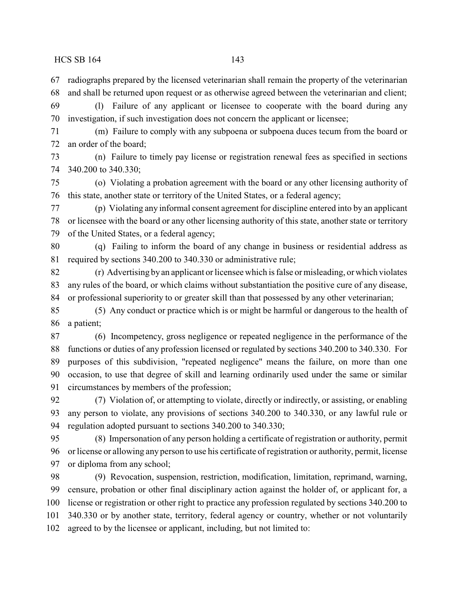radiographs prepared by the licensed veterinarian shall remain the property of the veterinarian and shall be returned upon request or as otherwise agreed between the veterinarian and client; (l) Failure of any applicant or licensee to cooperate with the board during any

investigation, if such investigation does not concern the applicant or licensee;

 (m) Failure to comply with any subpoena or subpoena duces tecum from the board or an order of the board;

 (n) Failure to timely pay license or registration renewal fees as specified in sections 340.200 to 340.330;

 (o) Violating a probation agreement with the board or any other licensing authority of this state, another state or territory of the United States, or a federal agency;

 (p) Violating any informal consent agreement for discipline entered into by an applicant or licensee with the board or any other licensing authority of this state, another state or territory of the United States, or a federal agency;

 (q) Failing to inform the board of any change in business or residential address as required by sections 340.200 to 340.330 or administrative rule;

 (r) Advertising byan applicant or licensee which is false or misleading, or which violates any rules of the board, or which claims without substantiation the positive cure of any disease, or professional superiority to or greater skill than that possessed by any other veterinarian;

 (5) Any conduct or practice which is or might be harmful or dangerous to the health of a patient;

 (6) Incompetency, gross negligence or repeated negligence in the performance of the functions or duties of any profession licensed or regulated by sections 340.200 to 340.330. For purposes of this subdivision, "repeated negligence" means the failure, on more than one occasion, to use that degree of skill and learning ordinarily used under the same or similar circumstances by members of the profession;

 (7) Violation of, or attempting to violate, directly or indirectly, or assisting, or enabling any person to violate, any provisions of sections 340.200 to 340.330, or any lawful rule or regulation adopted pursuant to sections 340.200 to 340.330;

 (8) Impersonation of any person holding a certificate of registration or authority, permit or license or allowing any person to use his certificate of registration or authority, permit, license or diploma from any school;

 (9) Revocation, suspension, restriction, modification, limitation, reprimand, warning, censure, probation or other final disciplinary action against the holder of, or applicant for, a license or registration or other right to practice any profession regulated by sections 340.200 to 340.330 or by another state, territory, federal agency or country, whether or not voluntarily agreed to by the licensee or applicant, including, but not limited to: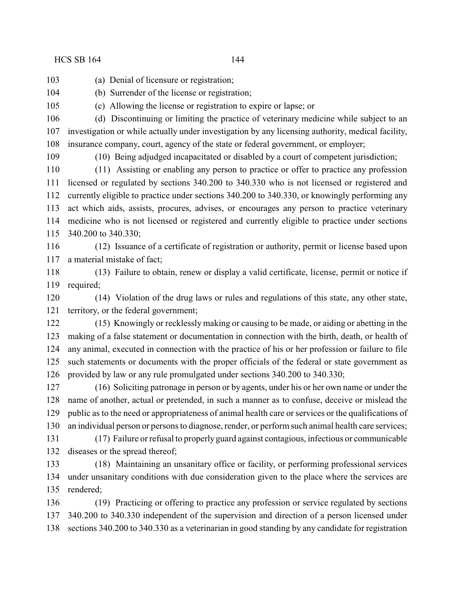(a) Denial of licensure or registration;

(b) Surrender of the license or registration;

(c) Allowing the license or registration to expire or lapse; or

 (d) Discontinuing or limiting the practice of veterinary medicine while subject to an investigation or while actually under investigation by any licensing authority, medical facility, insurance company, court, agency of the state or federal government, or employer;

(10) Being adjudged incapacitated or disabled by a court of competent jurisdiction;

 (11) Assisting or enabling any person to practice or offer to practice any profession licensed or regulated by sections 340.200 to 340.330 who is not licensed or registered and currently eligible to practice under sections 340.200 to 340.330, or knowingly performing any act which aids, assists, procures, advises, or encourages any person to practice veterinary medicine who is not licensed or registered and currently eligible to practice under sections 340.200 to 340.330;

 (12) Issuance of a certificate of registration or authority, permit or license based upon a material mistake of fact;

 (13) Failure to obtain, renew or display a valid certificate, license, permit or notice if required;

 (14) Violation of the drug laws or rules and regulations of this state, any other state, territory, or the federal government;

 (15) Knowingly or recklessly making or causing to be made, or aiding or abetting in the making of a false statement or documentation in connection with the birth, death, or health of any animal, executed in connection with the practice of his or her profession or failure to file such statements or documents with the proper officials of the federal or state government as provided by law or any rule promulgated under sections 340.200 to 340.330;

 (16) Soliciting patronage in person or by agents, under his or her own name or under the name of another, actual or pretended, in such a manner as to confuse, deceive or mislead the public as to the need or appropriateness of animal health care or services or the qualifications of an individual person or persons to diagnose, render, or perform such animal health care services;

 (17) Failure or refusal to properly guard against contagious, infectious or communicable diseases or the spread thereof;

 (18) Maintaining an unsanitary office or facility, or performing professional services under unsanitary conditions with due consideration given to the place where the services are rendered;

 (19) Practicing or offering to practice any profession or service regulated by sections 340.200 to 340.330 independent of the supervision and direction of a person licensed under sections 340.200 to 340.330 as a veterinarian in good standing by any candidate for registration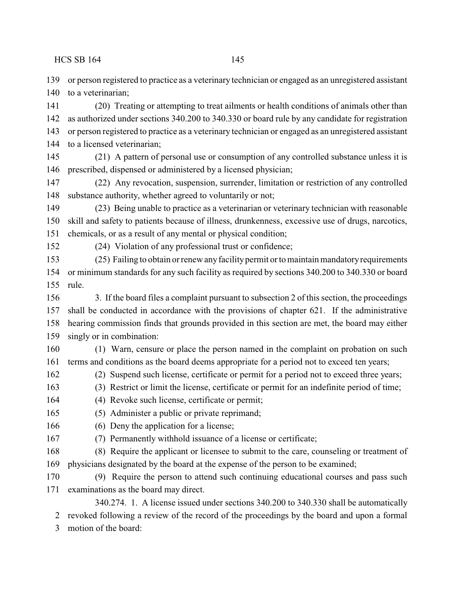or person registered to practice as a veterinary technician or engaged as an unregistered assistant 140 to a veterinarian;

 (20) Treating or attempting to treat ailments or health conditions of animals other than as authorized under sections 340.200 to 340.330 or board rule by any candidate for registration or person registered to practice as a veterinary technician or engaged as an unregistered assistant to a licensed veterinarian;

 (21) A pattern of personal use or consumption of any controlled substance unless it is prescribed, dispensed or administered by a licensed physician;

 (22) Any revocation, suspension, surrender, limitation or restriction of any controlled substance authority, whether agreed to voluntarily or not;

 (23) Being unable to practice as a veterinarian or veterinary technician with reasonable skill and safety to patients because of illness, drunkenness, excessive use of drugs, narcotics, chemicals, or as a result of any mental or physical condition;

(24) Violation of any professional trust or confidence;

 (25) Failing to obtain or renew anyfacilitypermit or to maintain mandatoryrequirements or minimum standards for any such facility as required by sections 340.200 to 340.330 or board rule.

 3. If the board files a complaint pursuant to subsection 2 of this section, the proceedings shall be conducted in accordance with the provisions of chapter 621. If the administrative hearing commission finds that grounds provided in this section are met, the board may either singly or in combination:

 (1) Warn, censure or place the person named in the complaint on probation on such terms and conditions as the board deems appropriate for a period not to exceed ten years;

- (2) Suspend such license, certificate or permit for a period not to exceed three years;
- (3) Restrict or limit the license, certificate or permit for an indefinite period of time;
- (4) Revoke such license, certificate or permit;

(5) Administer a public or private reprimand;

- 166 (6) Deny the application for a license;
- (7) Permanently withhold issuance of a license or certificate;

 (8) Require the applicant or licensee to submit to the care, counseling or treatment of physicians designated by the board at the expense of the person to be examined;

 (9) Require the person to attend such continuing educational courses and pass such examinations as the board may direct.

340.274. 1. A license issued under sections 340.200 to 340.330 shall be automatically revoked following a review of the record of the proceedings by the board and upon a formal

motion of the board: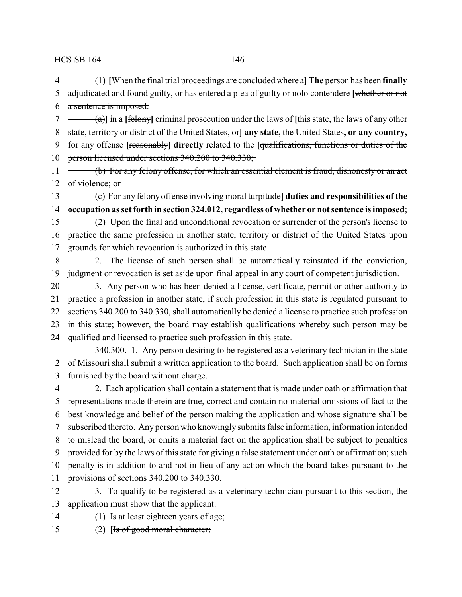(1) **[**When the final trial proceedings are concluded where a**]The** person has been **finally** adjudicated and found guilty, or has entered a plea of guilty or nolo contendere **[**whether or not a sentence is imposed:

 (a)**]** in a **[**felony**]** criminal prosecution under the laws of **[**this state, the laws of any other state, territory or district of the United States, or**] any state,** the United States**, or any country,** for any offense **[**reasonably**] directly** related to the **[**qualifications, functions or duties of the person licensed under sections 340.200 to 340.330;

11 (b) For any felony offense, for which an essential element is fraud, dishonesty or an act 12 of violence; or

 (c) For any felony offense involving moral turpitude**] duties and responsibilities of the occupation as set forth in section 324.012, regardless of whether or not sentence is imposed**;

 (2) Upon the final and unconditional revocation or surrender of the person's license to practice the same profession in another state, territory or district of the United States upon grounds for which revocation is authorized in this state.

 2. The license of such person shall be automatically reinstated if the conviction, judgment or revocation is set aside upon final appeal in any court of competent jurisdiction.

 3. Any person who has been denied a license, certificate, permit or other authority to practice a profession in another state, if such profession in this state is regulated pursuant to sections 340.200 to 340.330, shall automatically be denied a license to practice such profession in this state; however, the board may establish qualifications whereby such person may be qualified and licensed to practice such profession in this state.

340.300. 1. Any person desiring to be registered as a veterinary technician in the state of Missouri shall submit a written application to the board. Such application shall be on forms furnished by the board without charge.

 2. Each application shall contain a statement that is made under oath or affirmation that representations made therein are true, correct and contain no material omissions of fact to the best knowledge and belief of the person making the application and whose signature shall be subscribed thereto. Any person who knowingly submits false information, information intended to mislead the board, or omits a material fact on the application shall be subject to penalties provided for by the laws of this state for giving a false statement under oath or affirmation; such penalty is in addition to and not in lieu of any action which the board takes pursuant to the provisions of sections 340.200 to 340.330.

 3. To qualify to be registered as a veterinary technician pursuant to this section, the application must show that the applicant:

- (1) Is at least eighteen years of age;
- (2) **[**Is of good moral character;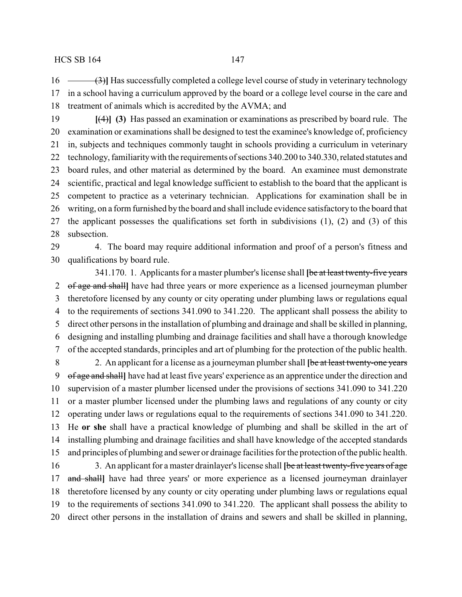- 16 (3)<sup>1</sup> Has successfully completed a college level course of study in veterinary technology in a school having a curriculum approved by the board or a college level course in the care and treatment of animals which is accredited by the AVMA; and
- **[**(4)**] (3)** Has passed an examination or examinations as prescribed by board rule. The examination or examinations shall be designed to test the examinee's knowledge of, proficiency in, subjects and techniques commonly taught in schools providing a curriculum in veterinary 22 technology, familiarity with the requirements of sections 340.200 to 340.330, related statutes and board rules, and other material as determined by the board. An examinee must demonstrate scientific, practical and legal knowledge sufficient to establish to the board that the applicant is competent to practice as a veterinary technician. Applications for examination shall be in writing, on a form furnished by the board and shall include evidence satisfactory to the board that the applicant possesses the qualifications set forth in subdivisions (1), (2) and (3) of this subsection.

 4. The board may require additional information and proof of a person's fitness and qualifications by board rule.

341.170. 1. Applicants for a master plumber's license shall **[**be at least twenty-five years of age and shall**]** have had three years or more experience as a licensed journeyman plumber theretofore licensed by any county or city operating under plumbing laws or regulations equal to the requirements of sections 341.090 to 341.220. The applicant shall possess the ability to direct other persons in the installation of plumbing and drainage and shall be skilled in planning, designing and installing plumbing and drainage facilities and shall have a thorough knowledge of the accepted standards, principles and art of plumbing for the protection of the public health. 2. An applicant for a license as a journeyman plumber shall **[**be at least twenty-one years of age and shall**]** have had at least five years' experience as an apprentice under the direction and supervision of a master plumber licensed under the provisions of sections 341.090 to 341.220 or a master plumber licensed under the plumbing laws and regulations of any county or city operating under laws or regulations equal to the requirements of sections 341.090 to 341.220. He **or she** shall have a practical knowledge of plumbing and shall be skilled in the art of installing plumbing and drainage facilities and shall have knowledge of the accepted standards and principles of plumbing and sewer or drainage facilities for the protection of the public health. 3. An applicant for a master drainlayer's license shall **[**be at least twenty-five years of age and shall**]** have had three years' or more experience as a licensed journeyman drainlayer theretofore licensed by any county or city operating under plumbing laws or regulations equal

 to the requirements of sections 341.090 to 341.220. The applicant shall possess the ability to direct other persons in the installation of drains and sewers and shall be skilled in planning,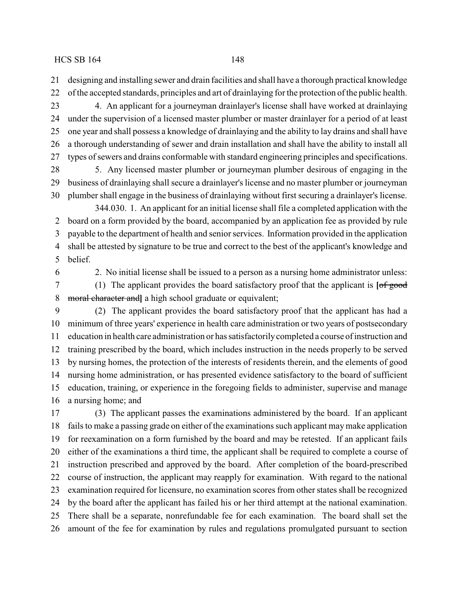designing and installing sewer and drain facilities and shall have a thorough practical knowledge

 of the accepted standards, principles and art of drainlaying for the protection of the public health. 4. An applicant for a journeyman drainlayer's license shall have worked at drainlaying under the supervision of a licensed master plumber or master drainlayer for a period of at least one year and shall possess a knowledge of drainlaying and the ability to lay drains and shall have a thorough understanding of sewer and drain installation and shall have the ability to install all types of sewers and drains conformable with standard engineering principles and specifications.

 5. Any licensed master plumber or journeyman plumber desirous of engaging in the business of drainlaying shall secure a drainlayer's license and no master plumber or journeyman plumber shall engage in the business of drainlaying without first securing a drainlayer's license.

344.030. 1. An applicant for an initial license shall file a completed application with the board on a form provided by the board, accompanied by an application fee as provided by rule payable to the department of health and senior services. Information provided in the application shall be attested by signature to be true and correct to the best of the applicant's knowledge and belief.

2. No initial license shall be issued to a person as a nursing home administrator unless:

 (1) The applicant provides the board satisfactory proof that the applicant is **[**of good moral character and**]** a high school graduate or equivalent;

 (2) The applicant provides the board satisfactory proof that the applicant has had a minimum of three years' experience in health care administration or two years of postsecondary education in health care administration or has satisfactorilycompleted a course of instruction and training prescribed by the board, which includes instruction in the needs properly to be served by nursing homes, the protection of the interests of residents therein, and the elements of good nursing home administration, or has presented evidence satisfactory to the board of sufficient education, training, or experience in the foregoing fields to administer, supervise and manage a nursing home; and

 (3) The applicant passes the examinations administered by the board. If an applicant fails to make a passing grade on either of the examinations such applicant may make application for reexamination on a form furnished by the board and may be retested. If an applicant fails either of the examinations a third time, the applicant shall be required to complete a course of instruction prescribed and approved by the board. After completion of the board-prescribed course of instruction, the applicant may reapply for examination. With regard to the national examination required for licensure, no examination scores from other states shall be recognized by the board after the applicant has failed his or her third attempt at the national examination. There shall be a separate, nonrefundable fee for each examination. The board shall set the amount of the fee for examination by rules and regulations promulgated pursuant to section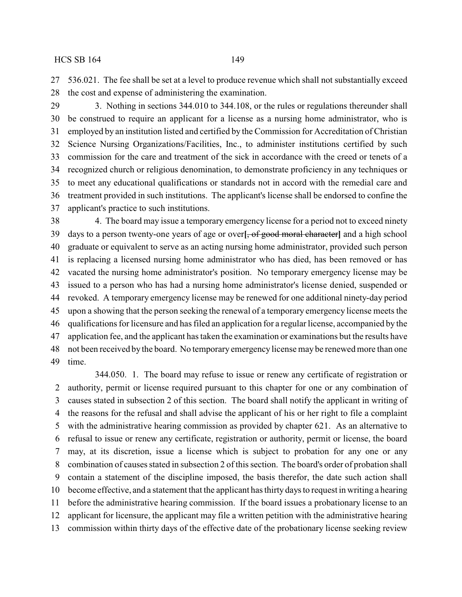536.021. The fee shall be set at a level to produce revenue which shall not substantially exceed the cost and expense of administering the examination.

 3. Nothing in sections 344.010 to 344.108, or the rules or regulations thereunder shall be construed to require an applicant for a license as a nursing home administrator, who is employed by an institution listed and certified by the Commission for Accreditation of Christian Science Nursing Organizations/Facilities, Inc., to administer institutions certified by such commission for the care and treatment of the sick in accordance with the creed or tenets of a recognized church or religious denomination, to demonstrate proficiency in any techniques or to meet any educational qualifications or standards not in accord with the remedial care and treatment provided in such institutions. The applicant's license shall be endorsed to confine the applicant's practice to such institutions.

 4. The board may issue a temporary emergency license for a period not to exceed ninety days to a person twenty-one years of age or over**[**, of good moral character**]** and a high school graduate or equivalent to serve as an acting nursing home administrator, provided such person is replacing a licensed nursing home administrator who has died, has been removed or has vacated the nursing home administrator's position. No temporary emergency license may be issued to a person who has had a nursing home administrator's license denied, suspended or revoked. A temporary emergency license may be renewed for one additional ninety-day period upon a showing that the person seeking the renewal of a temporary emergency license meets the qualifications for licensure and has filed an application for a regular license, accompanied by the application fee, and the applicant has taken the examination or examinations but the results have not been received by the board. No temporary emergency license may be renewed more than one time.

344.050. 1. The board may refuse to issue or renew any certificate of registration or authority, permit or license required pursuant to this chapter for one or any combination of causes stated in subsection 2 of this section. The board shall notify the applicant in writing of the reasons for the refusal and shall advise the applicant of his or her right to file a complaint with the administrative hearing commission as provided by chapter 621. As an alternative to refusal to issue or renew any certificate, registration or authority, permit or license, the board may, at its discretion, issue a license which is subject to probation for any one or any combination of causes stated in subsection 2 of this section. The board's order of probation shall contain a statement of the discipline imposed, the basis therefor, the date such action shall become effective, and a statement that the applicant has thirty days to request in writing a hearing before the administrative hearing commission. If the board issues a probationary license to an applicant for licensure, the applicant may file a written petition with the administrative hearing commission within thirty days of the effective date of the probationary license seeking review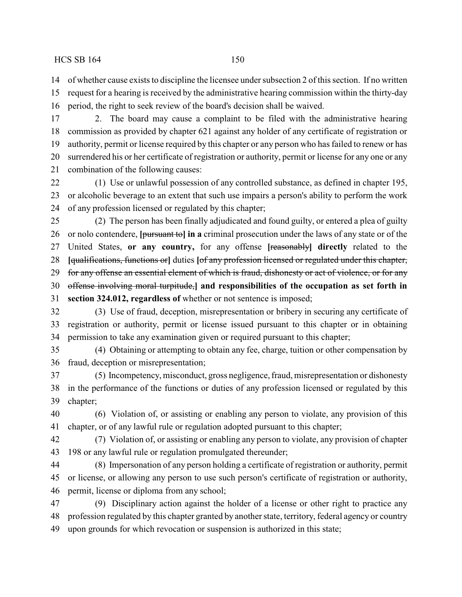of whether cause exists to discipline the licensee under subsection 2 of this section. If no written

 request for a hearing is received by the administrative hearing commission within the thirty-day period, the right to seek review of the board's decision shall be waived.

 2. The board may cause a complaint to be filed with the administrative hearing commission as provided by chapter 621 against any holder of any certificate of registration or authority, permit or license required by this chapter or any person who has failed to renew or has

 surrendered his or her certificate of registration or authority, permit or license for any one or any combination of the following causes:

 (1) Use or unlawful possession of any controlled substance, as defined in chapter 195, or alcoholic beverage to an extent that such use impairs a person's ability to perform the work of any profession licensed or regulated by this chapter;

 (2) The person has been finally adjudicated and found guilty, or entered a plea of guilty or nolo contendere, **[**pursuant to**] in a** criminal prosecution under the laws of any state or of the United States, **or any country,** for any offense **[**reasonably**] directly** related to the **[**qualifications, functions or**]** duties **[**of any profession licensed or regulated under this chapter, 29 for any offense an essential element of which is fraud, dishonesty or act of violence, or for any offense involving moral turpitude,**] and responsibilities of the occupation as set forth in section 324.012, regardless of** whether or not sentence is imposed;

 (3) Use of fraud, deception, misrepresentation or bribery in securing any certificate of registration or authority, permit or license issued pursuant to this chapter or in obtaining permission to take any examination given or required pursuant to this chapter;

 (4) Obtaining or attempting to obtain any fee, charge, tuition or other compensation by fraud, deception or misrepresentation;

 (5) Incompetency, misconduct, gross negligence, fraud, misrepresentation or dishonesty in the performance of the functions or duties of any profession licensed or regulated by this chapter;

 (6) Violation of, or assisting or enabling any person to violate, any provision of this chapter, or of any lawful rule or regulation adopted pursuant to this chapter;

 (7) Violation of, or assisting or enabling any person to violate, any provision of chapter 198 or any lawful rule or regulation promulgated thereunder;

 (8) Impersonation of any person holding a certificate of registration or authority, permit or license, or allowing any person to use such person's certificate of registration or authority, permit, license or diploma from any school;

 (9) Disciplinary action against the holder of a license or other right to practice any profession regulated by this chapter granted by another state, territory, federal agency or country upon grounds for which revocation or suspension is authorized in this state;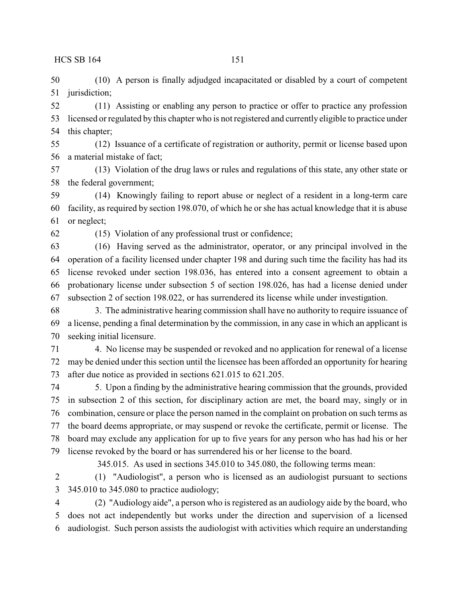(10) A person is finally adjudged incapacitated or disabled by a court of competent jurisdiction;

 (11) Assisting or enabling any person to practice or offer to practice any profession licensed or regulated by this chapter who is not registered and currently eligible to practice under this chapter;

 (12) Issuance of a certificate of registration or authority, permit or license based upon a material mistake of fact;

 (13) Violation of the drug laws or rules and regulations of this state, any other state or the federal government;

 (14) Knowingly failing to report abuse or neglect of a resident in a long-term care facility, as required by section 198.070, of which he or she has actual knowledge that it is abuse or neglect;

(15) Violation of any professional trust or confidence;

 (16) Having served as the administrator, operator, or any principal involved in the operation of a facility licensed under chapter 198 and during such time the facility has had its license revoked under section 198.036, has entered into a consent agreement to obtain a probationary license under subsection 5 of section 198.026, has had a license denied under subsection 2 of section 198.022, or has surrendered its license while under investigation.

 3. The administrative hearing commission shall have no authority to require issuance of a license, pending a final determination by the commission, in any case in which an applicant is seeking initial licensure.

 4. No license may be suspended or revoked and no application for renewal of a license may be denied under this section until the licensee has been afforded an opportunity for hearing after due notice as provided in sections 621.015 to 621.205.

 5. Upon a finding by the administrative hearing commission that the grounds, provided in subsection 2 of this section, for disciplinary action are met, the board may, singly or in combination, censure or place the person named in the complaint on probation on such terms as the board deems appropriate, or may suspend or revoke the certificate, permit or license. The board may exclude any application for up to five years for any person who has had his or her license revoked by the board or has surrendered his or her license to the board.

345.015. As used in sections 345.010 to 345.080, the following terms mean:

 (1) "Audiologist", a person who is licensed as an audiologist pursuant to sections 345.010 to 345.080 to practice audiology;

 (2) "Audiology aide", a person who is registered as an audiology aide by the board, who does not act independently but works under the direction and supervision of a licensed audiologist. Such person assists the audiologist with activities which require an understanding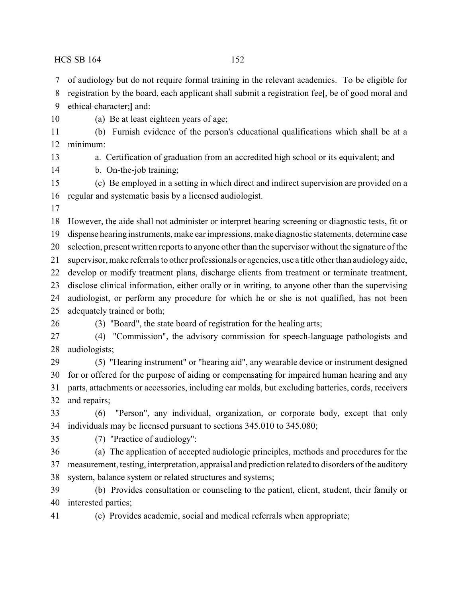of audiology but do not require formal training in the relevant academics. To be eligible for

- registration by the board, each applicant shall submit a registration fee**[**, be of good moral and
- ethical character;**]** and:
- 

(a) Be at least eighteen years of age;

 (b) Furnish evidence of the person's educational qualifications which shall be at a minimum:

a. Certification of graduation from an accredited high school or its equivalent; and

b. On-the-job training;

 (c) Be employed in a setting in which direct and indirect supervision are provided on a regular and systematic basis by a licensed audiologist.

 However, the aide shall not administer or interpret hearing screening or diagnostic tests, fit or dispense hearing instruments, make ear impressions, make diagnostic statements, determine case selection, present written reports to anyone other than the supervisor without the signature of the supervisor, make referrals to other professionals or agencies, use a title other than audiologyaide, develop or modify treatment plans, discharge clients from treatment or terminate treatment,

disclose clinical information, either orally or in writing, to anyone other than the supervising

- audiologist, or perform any procedure for which he or she is not qualified, has not been adequately trained or both;
- 

(3) "Board", the state board of registration for the healing arts;

 (4) "Commission", the advisory commission for speech-language pathologists and audiologists;

 (5) "Hearing instrument" or "hearing aid", any wearable device or instrument designed for or offered for the purpose of aiding or compensating for impaired human hearing and any parts, attachments or accessories, including ear molds, but excluding batteries, cords, receivers and repairs;

 (6) "Person", any individual, organization, or corporate body, except that only individuals may be licensed pursuant to sections 345.010 to 345.080;

(7) "Practice of audiology":

 (a) The application of accepted audiologic principles, methods and procedures for the measurement, testing, interpretation, appraisal and prediction related to disorders of the auditory system, balance system or related structures and systems;

 (b) Provides consultation or counseling to the patient, client, student, their family or interested parties;

(c) Provides academic, social and medical referrals when appropriate;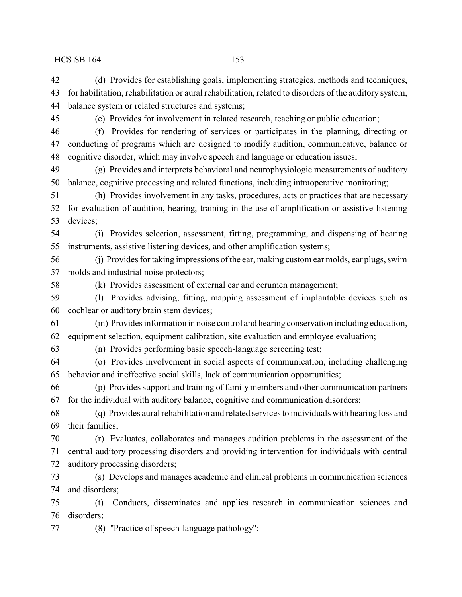(d) Provides for establishing goals, implementing strategies, methods and techniques,

| 43 | for habilitation, rehabilitation or aural rehabilitation, related to disorders of the auditory system, |
|----|--------------------------------------------------------------------------------------------------------|
| 44 | balance system or related structures and systems;                                                      |
| 45 | (e) Provides for involvement in related research, teaching or public education;                        |
| 46 | Provides for rendering of services or participates in the planning, directing or<br>(f)                |
| 47 | conducting of programs which are designed to modify audition, communicative, balance or                |
| 48 | cognitive disorder, which may involve speech and language or education issues;                         |
| 49 | (g) Provides and interprets behavioral and neurophysiologic measurements of auditory                   |
| 50 | balance, cognitive processing and related functions, including intraoperative monitoring;              |
| 51 | (h) Provides involvement in any tasks, procedures, acts or practices that are necessary                |
| 52 | for evaluation of audition, hearing, training in the use of amplification or assistive listening       |
| 53 | devices;                                                                                               |
| 54 | Provides selection, assessment, fitting, programming, and dispensing of hearing<br>(i)                 |
| 55 | instruments, assistive listening devices, and other amplification systems;                             |
| 56 | (j) Provides for taking impressions of the ear, making custom ear molds, ear plugs, swim               |
| 57 | molds and industrial noise protectors;                                                                 |
| 58 | (k) Provides assessment of external ear and cerumen management;                                        |
| 59 | Provides advising, fitting, mapping assessment of implantable devices such as<br>(1)                   |
| 60 | cochlear or auditory brain stem devices;                                                               |
| 61 | (m) Provides information in noise control and hearing conservation including education,                |
| 62 | equipment selection, equipment calibration, site evaluation and employee evaluation;                   |
| 63 | (n) Provides performing basic speech-language screening test;                                          |
| 64 | (o) Provides involvement in social aspects of communication, including challenging                     |
| 65 | behavior and ineffective social skills, lack of communication opportunities;                           |
| 66 | (p) Provides support and training of family members and other communication partners                   |
| 67 | for the individual with auditory balance, cognitive and communication disorders;                       |
| 68 | (q) Provides aural rehabilitation and related services to individuals with hearing loss and            |
| 69 | their families:                                                                                        |
| 70 | (r) Evaluates, collaborates and manages audition problems in the assessment of the                     |
| 71 | central auditory processing disorders and providing intervention for individuals with central          |
| 72 | auditory processing disorders;                                                                         |
| 73 | (s) Develops and manages academic and clinical problems in communication sciences                      |
| 74 | and disorders;                                                                                         |
| 75 | Conducts, disseminates and applies research in communication sciences and<br>(t)                       |
| 76 | disorders;                                                                                             |
| 77 | (8) "Practice of speech-language pathology":                                                           |
|    |                                                                                                        |
|    |                                                                                                        |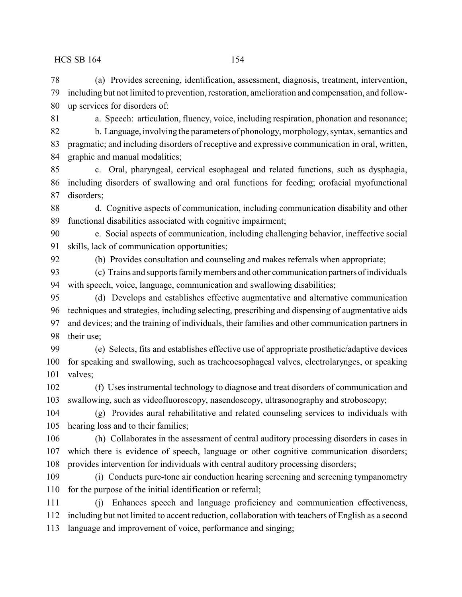(a) Provides screening, identification, assessment, diagnosis, treatment, intervention, including but not limited to prevention, restoration, amelioration and compensation, and follow-up services for disorders of:

- 
- 

 a. Speech: articulation, fluency, voice, including respiration, phonation and resonance; b. Language, involving the parameters of phonology, morphology, syntax, semantics and pragmatic; and including disorders of receptive and expressive communication in oral, written, graphic and manual modalities;

 c. Oral, pharyngeal, cervical esophageal and related functions, such as dysphagia, including disorders of swallowing and oral functions for feeding; orofacial myofunctional disorders;

 d. Cognitive aspects of communication, including communication disability and other functional disabilities associated with cognitive impairment;

 e. Social aspects of communication, including challenging behavior, ineffective social skills, lack of communication opportunities;

(b) Provides consultation and counseling and makes referrals when appropriate;

 (c) Trains and supports familymembers and other communication partners of individuals with speech, voice, language, communication and swallowing disabilities;

 (d) Develops and establishes effective augmentative and alternative communication techniques and strategies, including selecting, prescribing and dispensing of augmentative aids and devices; and the training of individuals, their families and other communication partners in their use;

 (e) Selects, fits and establishes effective use of appropriate prosthetic/adaptive devices for speaking and swallowing, such as tracheoesophageal valves, electrolarynges, or speaking valves;

 (f) Uses instrumental technology to diagnose and treat disorders of communication and swallowing, such as videofluoroscopy, nasendoscopy, ultrasonography and stroboscopy;

 (g) Provides aural rehabilitative and related counseling services to individuals with hearing loss and to their families;

 (h) Collaborates in the assessment of central auditory processing disorders in cases in which there is evidence of speech, language or other cognitive communication disorders; provides intervention for individuals with central auditory processing disorders;

 (i) Conducts pure-tone air conduction hearing screening and screening tympanometry for the purpose of the initial identification or referral;

 (j) Enhances speech and language proficiency and communication effectiveness, including but not limited to accent reduction, collaboration with teachers of English as a second language and improvement of voice, performance and singing;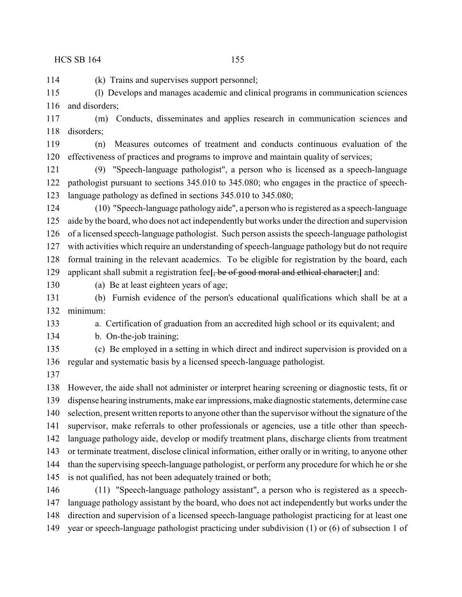(k) Trains and supervises support personnel;

 (l) Develops and manages academic and clinical programs in communication sciences 116 and disorders:

 (m) Conducts, disseminates and applies research in communication sciences and disorders;

 (n) Measures outcomes of treatment and conducts continuous evaluation of the effectiveness of practices and programs to improve and maintain quality of services;

 (9) "Speech-language pathologist", a person who is licensed as a speech-language pathologist pursuant to sections 345.010 to 345.080; who engages in the practice of speech-language pathology as defined in sections 345.010 to 345.080;

 (10) "Speech-language pathology aide", a person who is registered as a speech-language aide by the board, who does not act independently but works under the direction and supervision of a licensed speech-language pathologist. Such person assists the speech-language pathologist with activities which require an understanding of speech-language pathology but do not require formal training in the relevant academics. To be eligible for registration by the board, each

applicant shall submit a registration fee**[**, be of good moral and ethical character;**]** and:

(a) Be at least eighteen years of age;

 (b) Furnish evidence of the person's educational qualifications which shall be at a minimum:

a. Certification of graduation from an accredited high school or its equivalent; and

b. On-the-job training;

 (c) Be employed in a setting in which direct and indirect supervision is provided on a regular and systematic basis by a licensed speech-language pathologist.

 However, the aide shall not administer or interpret hearing screening or diagnostic tests, fit or dispense hearing instruments, make ear impressions,make diagnostic statements, determine case selection, present written reports to anyone other than the supervisor without the signature of the supervisor, make referrals to other professionals or agencies, use a title other than speech- language pathology aide, develop or modify treatment plans, discharge clients from treatment or terminate treatment, disclose clinical information, either orally or in writing, to anyone other than the supervising speech-language pathologist, or perform any procedure for which he or she is not qualified, has not been adequately trained or both; (11) "Speech-language pathology assistant", a person who is registered as a speech-

 language pathology assistant by the board, who does not act independently but works under the direction and supervision of a licensed speech-language pathologist practicing for at least one

year or speech-language pathologist practicing under subdivision (1) or (6) of subsection 1 of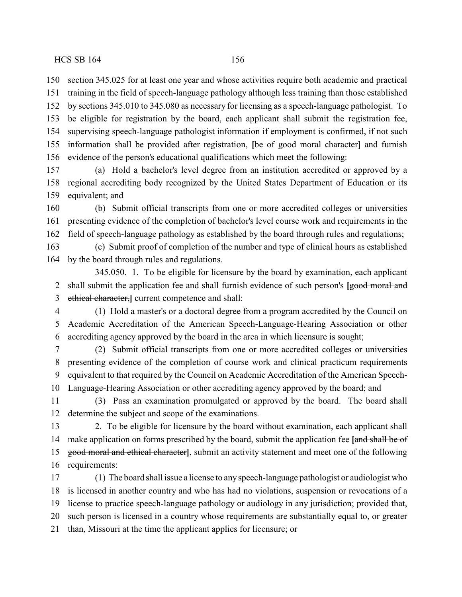section 345.025 for at least one year and whose activities require both academic and practical training in the field of speech-language pathology although less training than those established by sections 345.010 to 345.080 as necessary for licensing as a speech-language pathologist. To be eligible for registration by the board, each applicant shall submit the registration fee, supervising speech-language pathologist information if employment is confirmed, if not such information shall be provided after registration, **[**be of good moral character**]** and furnish evidence of the person's educational qualifications which meet the following:

 (a) Hold a bachelor's level degree from an institution accredited or approved by a regional accrediting body recognized by the United States Department of Education or its equivalent; and

 (b) Submit official transcripts from one or more accredited colleges or universities presenting evidence of the completion of bachelor's level course work and requirements in the field of speech-language pathology as established by the board through rules and regulations;

 (c) Submit proof of completion of the number and type of clinical hours as established by the board through rules and regulations.

345.050. 1. To be eligible for licensure by the board by examination, each applicant 2 shall submit the application fee and shall furnish evidence of such person's **[good moral and** ethical character,**]** current competence and shall:

 (1) Hold a master's or a doctoral degree from a program accredited by the Council on Academic Accreditation of the American Speech-Language-Hearing Association or other accrediting agency approved by the board in the area in which licensure is sought;

 (2) Submit official transcripts from one or more accredited colleges or universities presenting evidence of the completion of course work and clinical practicum requirements equivalent to that required by the Council on Academic Accreditation of the American Speech-Language-Hearing Association or other accrediting agency approved by the board; and

 (3) Pass an examination promulgated or approved by the board. The board shall determine the subject and scope of the examinations.

 2. To be eligible for licensure by the board without examination, each applicant shall make application on forms prescribed by the board, submit the application fee **[**and shall be of good moral and ethical character**]**, submit an activity statement and meet one of the following requirements:

 (1) The board shall issue a license to any speech-language pathologist or audiologist who is licensed in another country and who has had no violations, suspension or revocations of a license to practice speech-language pathology or audiology in any jurisdiction; provided that, such person is licensed in a country whose requirements are substantially equal to, or greater than, Missouri at the time the applicant applies for licensure; or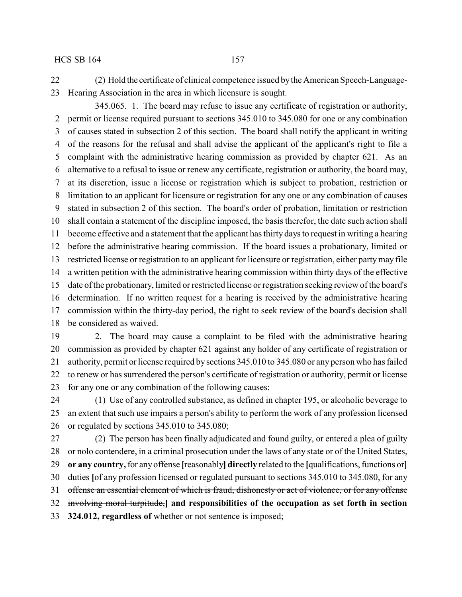(2) Hold the certificate of clinical competence issued bythe American Speech-Language-Hearing Association in the area in which licensure is sought.

345.065. 1. The board may refuse to issue any certificate of registration or authority, permit or license required pursuant to sections 345.010 to 345.080 for one or any combination of causes stated in subsection 2 of this section. The board shall notify the applicant in writing of the reasons for the refusal and shall advise the applicant of the applicant's right to file a complaint with the administrative hearing commission as provided by chapter 621. As an alternative to a refusal to issue or renew any certificate, registration or authority, the board may, at its discretion, issue a license or registration which is subject to probation, restriction or limitation to an applicant for licensure or registration for any one or any combination of causes stated in subsection 2 of this section. The board's order of probation, limitation or restriction shall contain a statement of the discipline imposed, the basis therefor, the date such action shall become effective and a statement that the applicant has thirty days to request in writing a hearing before the administrative hearing commission. If the board issues a probationary, limited or restricted license or registration to an applicant for licensure or registration, either partymay file a written petition with the administrative hearing commission within thirty days of the effective date of the probationary, limited or restricted license or registration seeking review of the board's determination. If no written request for a hearing is received by the administrative hearing commission within the thirty-day period, the right to seek review of the board's decision shall be considered as waived.

 2. The board may cause a complaint to be filed with the administrative hearing commission as provided by chapter 621 against any holder of any certificate of registration or authority, permit or license required by sections 345.010 to 345.080 or any person who has failed to renew or has surrendered the person's certificate of registration or authority, permit or license for any one or any combination of the following causes:

 (1) Use of any controlled substance, as defined in chapter 195, or alcoholic beverage to an extent that such use impairs a person's ability to perform the work of any profession licensed or regulated by sections 345.010 to 345.080;

 (2) The person has been finally adjudicated and found guilty, or entered a plea of guilty or nolo contendere, in a criminal prosecution under the laws of any state or of the United States, **or any country,**for any offense **[**reasonably**] directly** related to the **[**qualifications, functions or**]** duties **[**of any profession licensed or regulated pursuant to sections 345.010 to 345.080, for any 31 offense an essential element of which is fraud, dishonesty or act of violence, or for any offense involving moral turpitude,**] and responsibilities of the occupation as set forth in section 324.012, regardless of** whether or not sentence is imposed;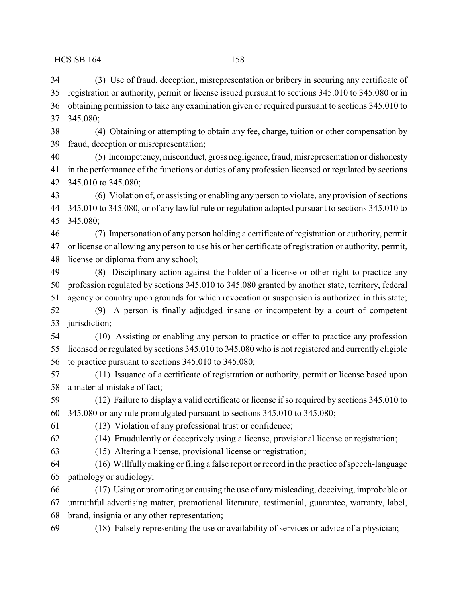(3) Use of fraud, deception, misrepresentation or bribery in securing any certificate of registration or authority, permit or license issued pursuant to sections 345.010 to 345.080 or in obtaining permission to take any examination given or required pursuant to sections 345.010 to 345.080; (4) Obtaining or attempting to obtain any fee, charge, tuition or other compensation by fraud, deception or misrepresentation; (5) Incompetency, misconduct, gross negligence, fraud, misrepresentation or dishonesty

 in the performance of the functions or duties of any profession licensed or regulated by sections 345.010 to 345.080;

 (6) Violation of, or assisting or enabling any person to violate, any provision of sections 345.010 to 345.080, or of any lawful rule or regulation adopted pursuant to sections 345.010 to 345.080;

 (7) Impersonation of any person holding a certificate of registration or authority, permit or license or allowing any person to use his or her certificate of registration or authority, permit, license or diploma from any school;

 (8) Disciplinary action against the holder of a license or other right to practice any profession regulated by sections 345.010 to 345.080 granted by another state, territory, federal agency or country upon grounds for which revocation or suspension is authorized in this state; (9) A person is finally adjudged insane or incompetent by a court of competent jurisdiction;

 (10) Assisting or enabling any person to practice or offer to practice any profession licensed or regulated by sections 345.010 to 345.080 who is not registered and currently eligible to practice pursuant to sections 345.010 to 345.080;

 (11) Issuance of a certificate of registration or authority, permit or license based upon a material mistake of fact;

 (12) Failure to display a valid certificate or license if so required by sections 345.010 to 345.080 or any rule promulgated pursuant to sections 345.010 to 345.080;

(13) Violation of any professional trust or confidence;

- (14) Fraudulently or deceptively using a license, provisional license or registration; (15) Altering a license, provisional license or registration;
- (16) Willfullymaking or filing a false report or record in the practice of speech-language pathology or audiology;

 (17) Using or promoting or causing the use of any misleading, deceiving, improbable or untruthful advertising matter, promotional literature, testimonial, guarantee, warranty, label, brand, insignia or any other representation;

(18) Falsely representing the use or availability of services or advice of a physician;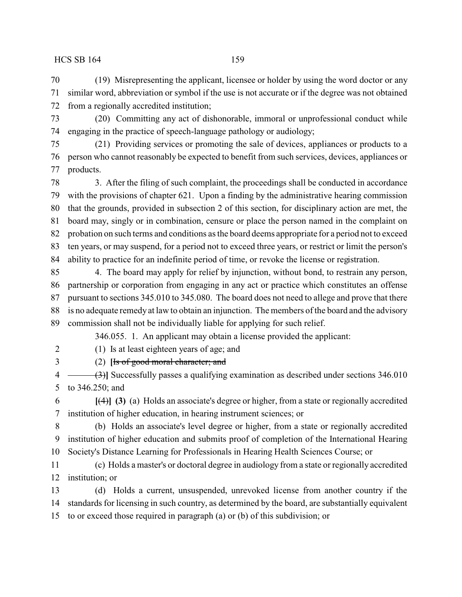(19) Misrepresenting the applicant, licensee or holder by using the word doctor or any similar word, abbreviation or symbol if the use is not accurate or if the degree was not obtained from a regionally accredited institution;

 (20) Committing any act of dishonorable, immoral or unprofessional conduct while engaging in the practice of speech-language pathology or audiology;

 (21) Providing services or promoting the sale of devices, appliances or products to a person who cannot reasonably be expected to benefit from such services, devices, appliances or products.

 3. After the filing of such complaint, the proceedings shall be conducted in accordance with the provisions of chapter 621. Upon a finding by the administrative hearing commission that the grounds, provided in subsection 2 of this section, for disciplinary action are met, the board may, singly or in combination, censure or place the person named in the complaint on probation on such terms and conditions as the board deems appropriate for a period not to exceed ten years, or may suspend, for a period not to exceed three years, or restrict or limit the person's ability to practice for an indefinite period of time, or revoke the license or registration.

 4. The board may apply for relief by injunction, without bond, to restrain any person, partnership or corporation from engaging in any act or practice which constitutes an offense pursuant to sections 345.010 to 345.080. The board does not need to allege and prove that there is no adequate remedy at law to obtain an injunction. The members of the board and the advisory commission shall not be individually liable for applying for such relief.

346.055. 1. An applicant may obtain a license provided the applicant:

(1) Is at least eighteen years of age; and

(2) **[**Is of good moral character; and

4 (3)**]** Successfully passes a qualifying examination as described under sections 346.010 to 346.250; and

 **[**(4)**] (3)** (a) Holds an associate's degree or higher, from a state or regionally accredited institution of higher education, in hearing instrument sciences; or

 (b) Holds an associate's level degree or higher, from a state or regionally accredited institution of higher education and submits proof of completion of the International Hearing Society's Distance Learning for Professionals in Hearing Health Sciences Course; or

 (c) Holds a master's or doctoral degree in audiology from a state or regionally accredited institution; or

 (d) Holds a current, unsuspended, unrevoked license from another country if the standards for licensing in such country, as determined by the board, are substantially equivalent

to or exceed those required in paragraph (a) or (b) of this subdivision; or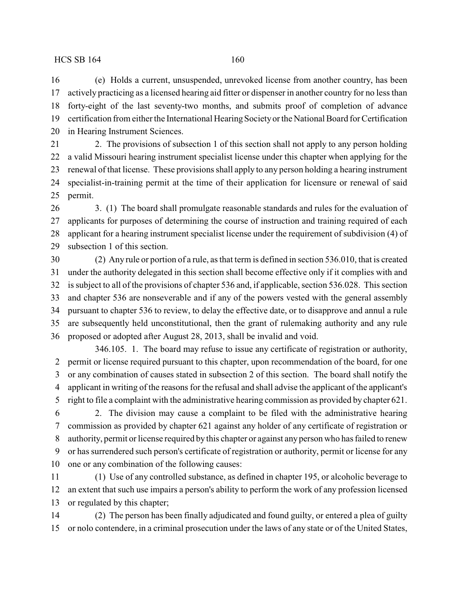(e) Holds a current, unsuspended, unrevoked license from another country, has been actively practicing as a licensed hearing aid fitter or dispenser in another country for no less than forty-eight of the last seventy-two months, and submits proof of completion of advance 19 certification from either the International Hearing Society or the National Board for Certification in Hearing Instrument Sciences.

 2. The provisions of subsection 1 of this section shall not apply to any person holding a valid Missouri hearing instrument specialist license under this chapter when applying for the renewal of that license. These provisions shall apply to any person holding a hearing instrument specialist-in-training permit at the time of their application for licensure or renewal of said permit.

 3. (1) The board shall promulgate reasonable standards and rules for the evaluation of applicants for purposes of determining the course of instruction and training required of each applicant for a hearing instrument specialist license under the requirement of subdivision (4) of subsection 1 of this section.

 (2) Any rule or portion of a rule, as that term is defined in section 536.010, that is created under the authority delegated in this section shall become effective only if it complies with and is subject to all of the provisions of chapter 536 and, if applicable, section 536.028. This section and chapter 536 are nonseverable and if any of the powers vested with the general assembly pursuant to chapter 536 to review, to delay the effective date, or to disapprove and annul a rule are subsequently held unconstitutional, then the grant of rulemaking authority and any rule proposed or adopted after August 28, 2013, shall be invalid and void.

346.105. 1. The board may refuse to issue any certificate of registration or authority, permit or license required pursuant to this chapter, upon recommendation of the board, for one or any combination of causes stated in subsection 2 of this section. The board shall notify the applicant in writing of the reasons for the refusal and shall advise the applicant of the applicant's right to file a complaint with the administrative hearing commission as provided by chapter 621.

 2. The division may cause a complaint to be filed with the administrative hearing commission as provided by chapter 621 against any holder of any certificate of registration or authority, permit or license required by this chapter or against any person who has failed to renew or has surrendered such person's certificate of registration or authority, permit or license for any one or any combination of the following causes:

 (1) Use of any controlled substance, as defined in chapter 195, or alcoholic beverage to an extent that such use impairs a person's ability to perform the work of any profession licensed or regulated by this chapter;

 (2) The person has been finally adjudicated and found guilty, or entered a plea of guilty or nolo contendere, in a criminal prosecution under the laws of any state or of the United States,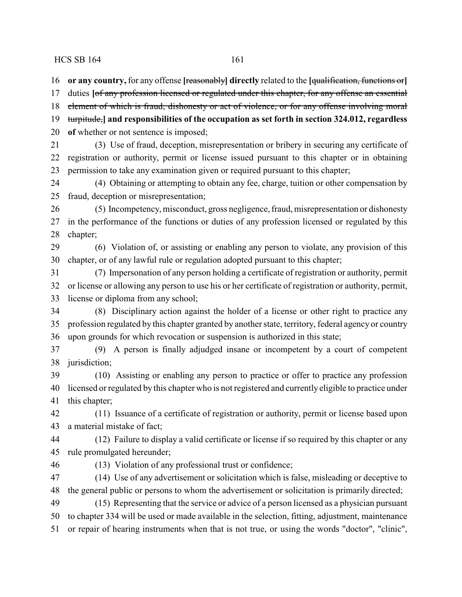**or any country,** for any offense **[**reasonably**] directly** related to the **[**qualification, functions or**]**

duties **[**of any profession licensed or regulated under this chapter, for any offense an essential

- 18 element of which is fraud, dishonesty or act of violence, or for any offense involving moral
- turpitude,**] and responsibilities of the occupation as set forth in section 324.012, regardless**

**of** whether or not sentence is imposed;

 (3) Use of fraud, deception, misrepresentation or bribery in securing any certificate of registration or authority, permit or license issued pursuant to this chapter or in obtaining permission to take any examination given or required pursuant to this chapter;

 (4) Obtaining or attempting to obtain any fee, charge, tuition or other compensation by fraud, deception or misrepresentation;

 (5) Incompetency, misconduct, gross negligence, fraud, misrepresentation or dishonesty in the performance of the functions or duties of any profession licensed or regulated by this chapter;

 (6) Violation of, or assisting or enabling any person to violate, any provision of this chapter, or of any lawful rule or regulation adopted pursuant to this chapter;

 (7) Impersonation of any person holding a certificate of registration or authority, permit or license or allowing any person to use his or her certificate of registration or authority, permit, license or diploma from any school;

 (8) Disciplinary action against the holder of a license or other right to practice any profession regulated by this chapter granted by another state, territory, federal agency or country upon grounds for which revocation or suspension is authorized in this state;

 (9) A person is finally adjudged insane or incompetent by a court of competent jurisdiction;

 (10) Assisting or enabling any person to practice or offer to practice any profession licensed or regulated by this chapter who is not registered and currently eligible to practice under this chapter;

 (11) Issuance of a certificate of registration or authority, permit or license based upon a material mistake of fact;

 (12) Failure to display a valid certificate or license if so required by this chapter or any rule promulgated hereunder;

(13) Violation of any professional trust or confidence;

 (14) Use of any advertisement or solicitation which is false, misleading or deceptive to the general public or persons to whom the advertisement or solicitation is primarily directed;

 (15) Representing that the service or advice of a person licensed as a physician pursuant to chapter 334 will be used or made available in the selection, fitting, adjustment, maintenance or repair of hearing instruments when that is not true, or using the words "doctor", "clinic",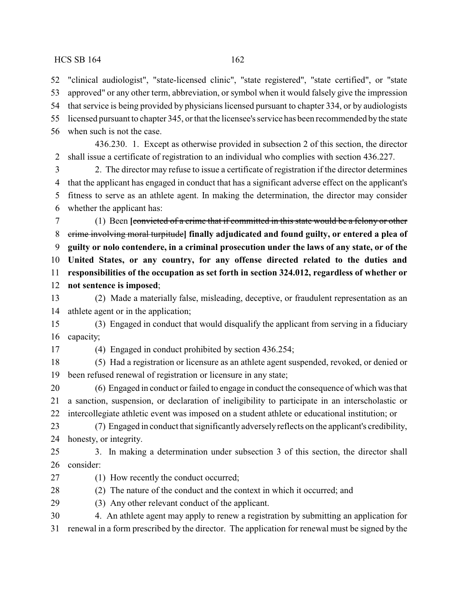"clinical audiologist", "state-licensed clinic", "state registered", "state certified", or "state approved" or any other term, abbreviation, or symbol when it would falsely give the impression that service is being provided by physicians licensed pursuant to chapter 334, or by audiologists licensed pursuant to chapter 345, or that the licensee's service has been recommended bythe state when such is not the case.

436.230. 1. Except as otherwise provided in subsection 2 of this section, the director shall issue a certificate of registration to an individual who complies with section 436.227.

 2. The director may refuse to issue a certificate of registration if the director determines that the applicant has engaged in conduct that has a significant adverse effect on the applicant's fitness to serve as an athlete agent. In making the determination, the director may consider whether the applicant has:

 (1) Been **[**convicted of a crime that if committed in this state would be a felony or other crime involving moral turpitude**] finally adjudicated and found guilty, or entered a plea of guilty or nolo contendere, in a criminal prosecution under the laws of any state, or of the United States, or any country, for any offense directed related to the duties and responsibilities of the occupation as set forth in section 324.012, regardless of whether or not sentence is imposed**;

 (2) Made a materially false, misleading, deceptive, or fraudulent representation as an athlete agent or in the application;

 (3) Engaged in conduct that would disqualify the applicant from serving in a fiduciary capacity;

(4) Engaged in conduct prohibited by section 436.254;

 (5) Had a registration or licensure as an athlete agent suspended, revoked, or denied or been refused renewal of registration or licensure in any state;

 (6) Engaged in conduct or failed to engage in conduct the consequence of which was that a sanction, suspension, or declaration of ineligibility to participate in an interscholastic or intercollegiate athletic event was imposed on a student athlete or educational institution; or

 (7) Engaged in conduct that significantly adversely reflects on the applicant's credibility, honesty, or integrity.

 3. In making a determination under subsection 3 of this section, the director shall consider:

(1) How recently the conduct occurred;

(2) The nature of the conduct and the context in which it occurred; and

(3) Any other relevant conduct of the applicant.

 4. An athlete agent may apply to renew a registration by submitting an application for renewal in a form prescribed by the director. The application for renewal must be signed by the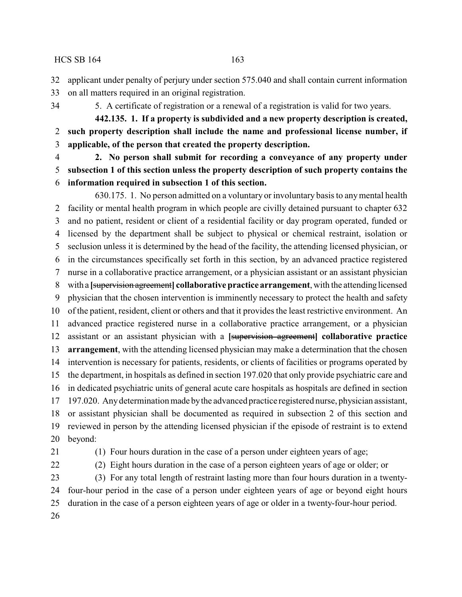applicant under penalty of perjury under section 575.040 and shall contain current information

- on all matters required in an original registration.
- 

5. A certificate of registration or a renewal of a registration is valid for two years.

**442.135. 1. If a property is subdivided and a new property description is created, such property description shall include the name and professional license number, if applicable, of the person that created the property description.**

 **2. No person shall submit for recording a conveyance of any property under subsection 1 of this section unless the property description of such property contains the information required in subsection 1 of this section.**

630.175. 1. No person admitted on a voluntary or involuntary basis to anymental health facility or mental health program in which people are civilly detained pursuant to chapter 632 and no patient, resident or client of a residential facility or day program operated, funded or licensed by the department shall be subject to physical or chemical restraint, isolation or seclusion unless it is determined by the head of the facility, the attending licensed physician, or in the circumstances specifically set forth in this section, by an advanced practice registered nurse in a collaborative practice arrangement, or a physician assistant or an assistant physician with a **[**supervision agreement**] collaborative practice arrangement**, with the attending licensed physician that the chosen intervention is imminently necessary to protect the health and safety of the patient, resident, client or others and that it provides the least restrictive environment. An advanced practice registered nurse in a collaborative practice arrangement, or a physician assistant or an assistant physician with a **[**supervision agreement**] collaborative practice arrangement**, with the attending licensed physician may make a determination that the chosen intervention is necessary for patients, residents, or clients of facilities or programs operated by the department, in hospitals as defined in section 197.020 that only provide psychiatric care and in dedicated psychiatric units of general acute care hospitals as hospitals are defined in section 197.020. Anydetermination made bythe advanced practice registered nurse, physician assistant, or assistant physician shall be documented as required in subsection 2 of this section and reviewed in person by the attending licensed physician if the episode of restraint is to extend beyond:

(1) Four hours duration in the case of a person under eighteen years of age;

(2) Eight hours duration in the case of a person eighteen years of age or older; or

 (3) For any total length of restraint lasting more than four hours duration in a twenty- four-hour period in the case of a person under eighteen years of age or beyond eight hours duration in the case of a person eighteen years of age or older in a twenty-four-hour period.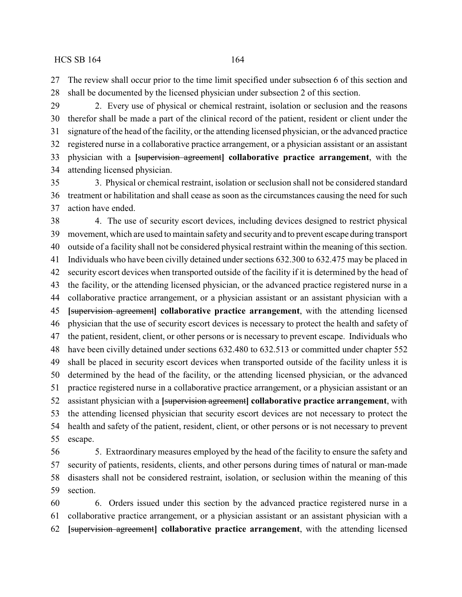The review shall occur prior to the time limit specified under subsection 6 of this section and shall be documented by the licensed physician under subsection 2 of this section.

 2. Every use of physical or chemical restraint, isolation or seclusion and the reasons therefor shall be made a part of the clinical record of the patient, resident or client under the signature of the head of the facility, or the attending licensed physician, or the advanced practice registered nurse in a collaborative practice arrangement, or a physician assistant or an assistant physician with a **[**supervision agreement**] collaborative practice arrangement**, with the attending licensed physician.

 3. Physical or chemical restraint, isolation or seclusion shall not be considered standard treatment or habilitation and shall cease as soon as the circumstances causing the need for such action have ended.

 4. The use of security escort devices, including devices designed to restrict physical movement, which are used to maintain safety and security and to prevent escape during transport outside of a facility shall not be considered physical restraint within the meaning of this section. Individuals who have been civilly detained under sections 632.300 to 632.475 may be placed in security escort devices when transported outside of the facility if it is determined by the head of the facility, or the attending licensed physician, or the advanced practice registered nurse in a collaborative practice arrangement, or a physician assistant or an assistant physician with a **[**supervision agreement**] collaborative practice arrangement**, with the attending licensed physician that the use of security escort devices is necessary to protect the health and safety of the patient, resident, client, or other persons or is necessary to prevent escape. Individuals who have been civilly detained under sections 632.480 to 632.513 or committed under chapter 552 shall be placed in security escort devices when transported outside of the facility unless it is determined by the head of the facility, or the attending licensed physician, or the advanced practice registered nurse in a collaborative practice arrangement, or a physician assistant or an assistant physician with a **[**supervision agreement**] collaborative practice arrangement**, with the attending licensed physician that security escort devices are not necessary to protect the health and safety of the patient, resident, client, or other persons or is not necessary to prevent escape.

 5. Extraordinary measures employed by the head of the facility to ensure the safety and security of patients, residents, clients, and other persons during times of natural or man-made disasters shall not be considered restraint, isolation, or seclusion within the meaning of this section.

 6. Orders issued under this section by the advanced practice registered nurse in a collaborative practice arrangement, or a physician assistant or an assistant physician with a **[**supervision agreement**] collaborative practice arrangement**, with the attending licensed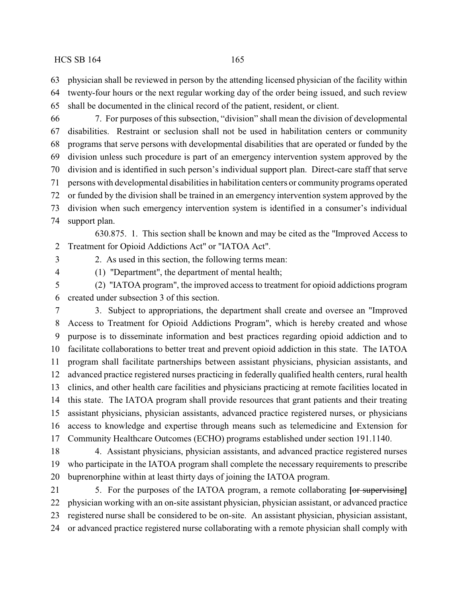physician shall be reviewed in person by the attending licensed physician of the facility within

- twenty-four hours or the next regular working day of the order being issued, and such review
- shall be documented in the clinical record of the patient, resident, or client.

 7. For purposes of this subsection, "division" shall mean the division of developmental disabilities. Restraint or seclusion shall not be used in habilitation centers or community programs that serve persons with developmental disabilities that are operated or funded by the division unless such procedure is part of an emergency intervention system approved by the division and is identified in such person's individual support plan. Direct-care staff that serve persons with developmental disabilities in habilitation centers or community programs operated or funded by the division shall be trained in an emergency intervention system approved by the division when such emergency intervention system is identified in a consumer's individual support plan.

630.875. 1. This section shall be known and may be cited as the "Improved Access to Treatment for Opioid Addictions Act" or "IATOA Act".

2. As used in this section, the following terms mean:

(1) "Department", the department of mental health;

 (2) "IATOA program", the improved access to treatment for opioid addictions program created under subsection 3 of this section.

 3. Subject to appropriations, the department shall create and oversee an "Improved Access to Treatment for Opioid Addictions Program", which is hereby created and whose purpose is to disseminate information and best practices regarding opioid addiction and to facilitate collaborations to better treat and prevent opioid addiction in this state. The IATOA program shall facilitate partnerships between assistant physicians, physician assistants, and advanced practice registered nurses practicing in federally qualified health centers, rural health clinics, and other health care facilities and physicians practicing at remote facilities located in this state. The IATOA program shall provide resources that grant patients and their treating assistant physicians, physician assistants, advanced practice registered nurses, or physicians access to knowledge and expertise through means such as telemedicine and Extension for Community Healthcare Outcomes (ECHO) programs established under section 191.1140.

 4. Assistant physicians, physician assistants, and advanced practice registered nurses who participate in the IATOA program shall complete the necessary requirements to prescribe buprenorphine within at least thirty days of joining the IATOA program.

 5. For the purposes of the IATOA program, a remote collaborating **[**or supervising**]** physician working with an on-site assistant physician, physician assistant, or advanced practice registered nurse shall be considered to be on-site. An assistant physician, physician assistant, or advanced practice registered nurse collaborating with a remote physician shall comply with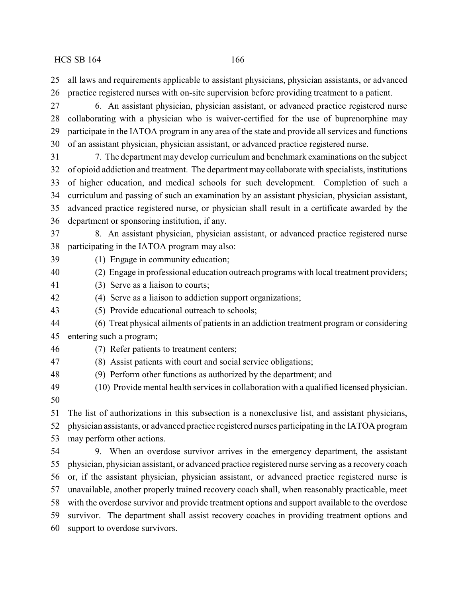all laws and requirements applicable to assistant physicians, physician assistants, or advanced practice registered nurses with on-site supervision before providing treatment to a patient.

 6. An assistant physician, physician assistant, or advanced practice registered nurse collaborating with a physician who is waiver-certified for the use of buprenorphine may participate in the IATOA program in any area of the state and provide all services and functions of an assistant physician, physician assistant, or advanced practice registered nurse.

 7. The department may develop curriculum and benchmark examinations on the subject of opioid addiction and treatment. The department may collaborate with specialists, institutions of higher education, and medical schools for such development. Completion of such a curriculum and passing of such an examination by an assistant physician, physician assistant, advanced practice registered nurse, or physician shall result in a certificate awarded by the department or sponsoring institution, if any.

 8. An assistant physician, physician assistant, or advanced practice registered nurse participating in the IATOA program may also:

(1) Engage in community education;

- (2) Engage in professional education outreach programs with local treatment providers;
- (3) Serve as a liaison to courts;
- (4) Serve as a liaison to addiction support organizations;
- (5) Provide educational outreach to schools;
- (6) Treat physical ailments of patients in an addiction treatment program or considering
- entering such a program;
- (7) Refer patients to treatment centers;
- (8) Assist patients with court and social service obligations;
- (9) Perform other functions as authorized by the department; and
- (10) Provide mental health services in collaboration with a qualified licensed physician.
- 

 The list of authorizations in this subsection is a nonexclusive list, and assistant physicians, physician assistants, or advanced practice registered nurses participating in the IATOA program may perform other actions.

 9. When an overdose survivor arrives in the emergency department, the assistant physician, physician assistant, or advanced practice registered nurse serving as a recovery coach or, if the assistant physician, physician assistant, or advanced practice registered nurse is unavailable, another properly trained recovery coach shall, when reasonably practicable, meet with the overdose survivor and provide treatment options and support available to the overdose survivor. The department shall assist recovery coaches in providing treatment options and support to overdose survivors.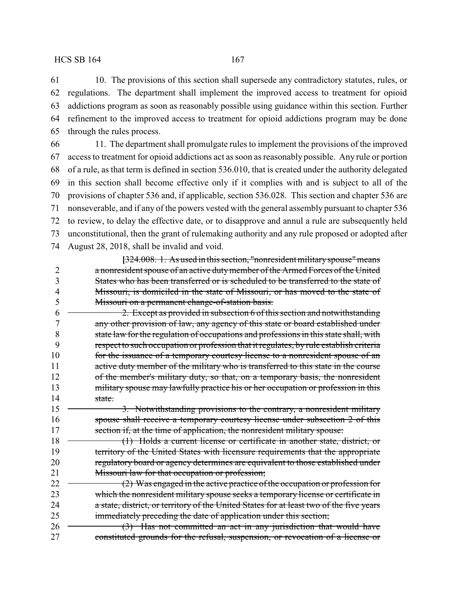10. The provisions of this section shall supersede any contradictory statutes, rules, or regulations. The department shall implement the improved access to treatment for opioid addictions program as soon as reasonably possible using guidance within this section. Further refinement to the improved access to treatment for opioid addictions program may be done through the rules process.

 11. The department shall promulgate rules to implement the provisions of the improved access to treatment for opioid addictions act as soon as reasonably possible. Any rule or portion of a rule, as that term is defined in section 536.010, that is created under the authority delegated in this section shall become effective only if it complies with and is subject to all of the provisions of chapter 536 and, if applicable, section 536.028. This section and chapter 536 are nonseverable, and if any of the powers vested with the general assembly pursuant to chapter 536 to review, to delay the effective date, or to disapprove and annul a rule are subsequently held unconstitutional, then the grant of rulemaking authority and any rule proposed or adopted after August 28, 2018, shall be invalid and void.

**[**324.008. 1. As used in this section, "nonresident militaryspouse"means a nonresident spouse of an active dutymember of the Armed Forces of the United States who has been transferred or is scheduled to be transferred to the state of Missouri, is domiciled in the state of Missouri, or has moved to the state of Missouri on a permanent change-of-station basis.

 $6 \leftarrow 2$ . Except as provided in subsection 6 of this section and notwithstanding any other provision of law, any agency of this state or board established under state law for the regulation of occupations and professions in this state shall, with respect to such occupation or profession that it regulates, by rule establish criteria 10 for the issuance of a temporary courtesy license to a nonresident spouse of an 11 active duty member of the military who is transferred to this state in the course of the member's military duty, so that, on a temporary basis, the nonresident 13 military spouse may lawfully practice his or her occupation or profession in this 14 state.

15 <del>3.</del> Notwithstanding provisions to the contrary, a nonresident military spouse shall receive a temporary courtesy license under subsection 2 of this 17 section if, at the time of application, the nonresident military spouse:

18 (1) Holds a current license or certificate in another state, district, or 19 territory of the United States with licensure requirements that the appropriate 20 regulatory board or agency determines are equivalent to those established under 21 Missouri law for that occupation or profession;

22 (2) Was engaged in the active practice of the occupation or profession for which the nonresident military spouse seeks a temporary license or certificate in 24 a state, district, or territory of the United States for at least two of the five years immediately preceding the date of application under this section;

26 (3) Has not committed an act in any jurisdiction that would have constituted grounds for the refusal, suspension, or revocation of a license or